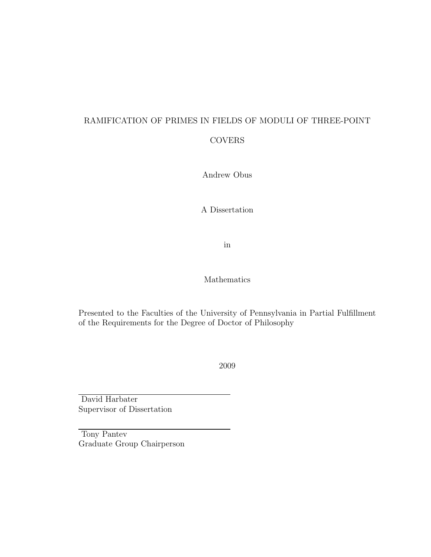# RAMIFICATION OF PRIMES IN FIELDS OF MODULI OF THREE-POINT

### COVERS

Andrew Obus

A Dissertation

in

Mathematics

Presented to the Faculties of the University of Pennsylvania in Partial Fulfillment of the Requirements for the Degree of Doctor of Philosophy

2009

David Harbater Supervisor of Dissertation

Tony Pantev Graduate Group Chairperson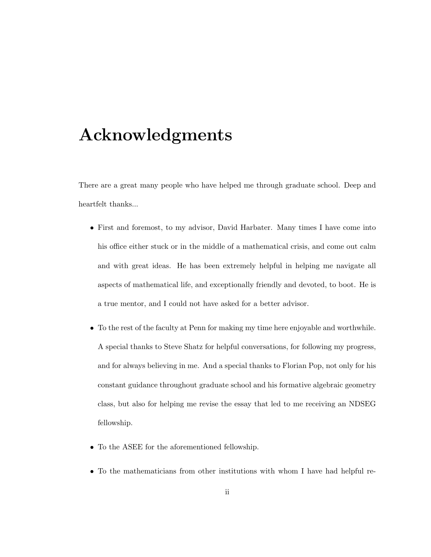# Acknowledgments

There are a great many people who have helped me through graduate school. Deep and heartfelt thanks...

- First and foremost, to my advisor, David Harbater. Many times I have come into his office either stuck or in the middle of a mathematical crisis, and come out calm and with great ideas. He has been extremely helpful in helping me navigate all aspects of mathematical life, and exceptionally friendly and devoted, to boot. He is a true mentor, and I could not have asked for a better advisor.
- To the rest of the faculty at Penn for making my time here enjoyable and worthwhile. A special thanks to Steve Shatz for helpful conversations, for following my progress, and for always believing in me. And a special thanks to Florian Pop, not only for his constant guidance throughout graduate school and his formative algebraic geometry class, but also for helping me revise the essay that led to me receiving an NDSEG fellowship.
- To the ASEE for the aforementioned fellowship.
- To the mathematicians from other institutions with whom I have had helpful re-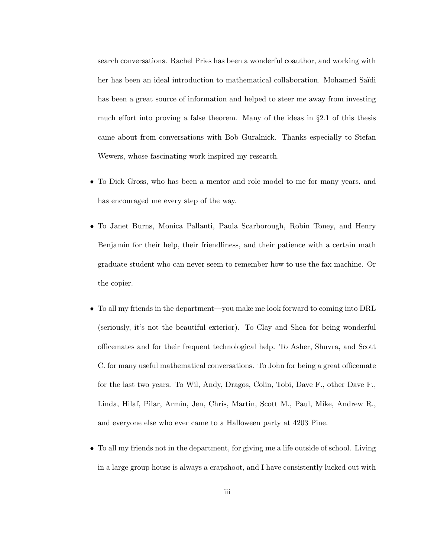search conversations. Rachel Pries has been a wonderful coauthor, and working with her has been an ideal introduction to mathematical collaboration. Mohamed Saïdi has been a great source of information and helped to steer me away from investing much effort into proving a false theorem. Many of the ideas in §2.1 of this thesis came about from conversations with Bob Guralnick. Thanks especially to Stefan Wewers, whose fascinating work inspired my research.

- To Dick Gross, who has been a mentor and role model to me for many years, and has encouraged me every step of the way.
- To Janet Burns, Monica Pallanti, Paula Scarborough, Robin Toney, and Henry Benjamin for their help, their friendliness, and their patience with a certain math graduate student who can never seem to remember how to use the fax machine. Or the copier.
- To all my friends in the department—you make me look forward to coming into DRL (seriously, it's not the beautiful exterior). To Clay and Shea for being wonderful officemates and for their frequent technological help. To Asher, Shuvra, and Scott C. for many useful mathematical conversations. To John for being a great officemate for the last two years. To Wil, Andy, Dragos, Colin, Tobi, Dave F., other Dave F., Linda, Hilaf, Pilar, Armin, Jen, Chris, Martin, Scott M., Paul, Mike, Andrew R., and everyone else who ever came to a Halloween party at 4203 Pine.
- To all my friends not in the department, for giving me a life outside of school. Living in a large group house is always a crapshoot, and I have consistently lucked out with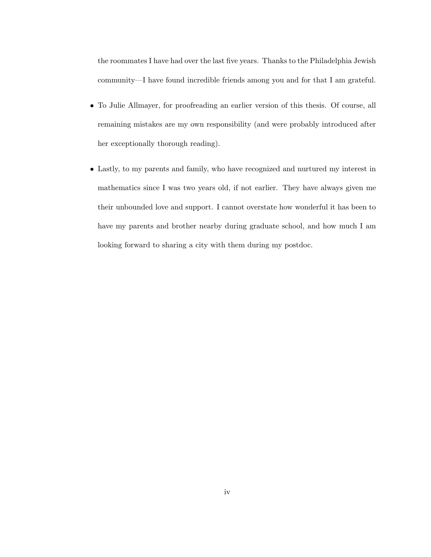the roommates I have had over the last five years. Thanks to the Philadelphia Jewish community—I have found incredible friends among you and for that I am grateful.

- To Julie Allmayer, for proofreading an earlier version of this thesis. Of course, all remaining mistakes are my own responsibility (and were probably introduced after her exceptionally thorough reading).
- Lastly, to my parents and family, who have recognized and nurtured my interest in mathematics since I was two years old, if not earlier. They have always given me their unbounded love and support. I cannot overstate how wonderful it has been to have my parents and brother nearby during graduate school, and how much I am looking forward to sharing a city with them during my postdoc.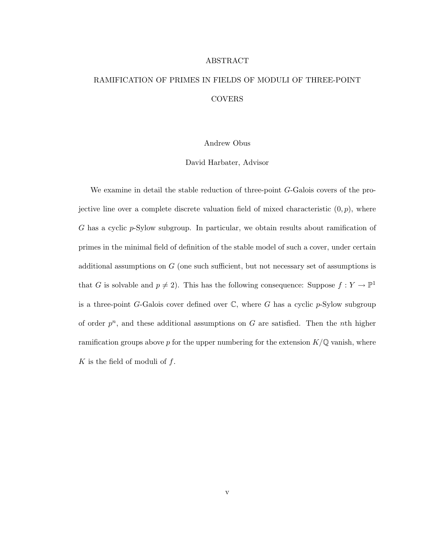## ABSTRACT RAMIFICATION OF PRIMES IN FIELDS OF MODULI OF THREE-POINT COVERS

#### Andrew Obus

#### David Harbater, Advisor

We examine in detail the stable reduction of three-point G-Galois covers of the projective line over a complete discrete valuation field of mixed characteristic  $(0, p)$ , where G has a cyclic  $p$ -Sylow subgroup. In particular, we obtain results about ramification of primes in the minimal field of definition of the stable model of such a cover, under certain additional assumptions on  $G$  (one such sufficient, but not necessary set of assumptions is that G is solvable and  $p \neq 2$ ). This has the following consequence: Suppose  $f : Y \to \mathbb{P}^1$ is a three-point G-Galois cover defined over  $\mathbb{C}$ , where G has a cyclic p-Sylow subgroup of order  $p^n$ , and these additional assumptions on G are satisfied. Then the nth higher ramification groups above p for the upper numbering for the extension  $K/\mathbb{Q}$  vanish, where K is the field of moduli of  $f$ .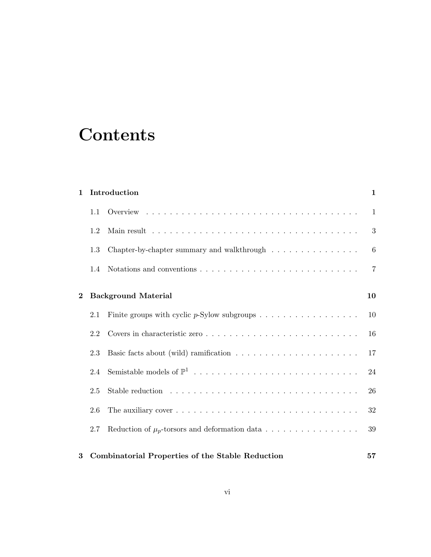# **Contents**

| $\mathbf{1}$ |                            | Introduction                                                                                      | $\mathbf{1}$   |  |
|--------------|----------------------------|---------------------------------------------------------------------------------------------------|----------------|--|
|              | 1.1                        |                                                                                                   | 1              |  |
|              | 1.2                        |                                                                                                   | 3              |  |
|              | 1.3                        | Chapter-by-chapter summary and walk<br>through $\hfill\ldots\ldots\ldots\ldots\ldots\ldots\ldots$ | 6              |  |
|              | 1.4                        | Notations and conventions $\ldots \ldots \ldots \ldots \ldots \ldots \ldots \ldots \ldots$        | $\overline{7}$ |  |
| $\bf{2}$     | <b>Background Material</b> |                                                                                                   |                |  |
|              |                            |                                                                                                   |                |  |
|              | 2.1                        | Finite groups with cyclic $p$ -Sylow subgroups                                                    | 10             |  |
|              | 2.2                        |                                                                                                   | 16             |  |
|              | 2.3                        |                                                                                                   | 17             |  |
|              | 2.4                        |                                                                                                   | 24             |  |
|              | 2.5                        |                                                                                                   | 26             |  |
|              | 2.6                        |                                                                                                   | 32             |  |
|              | 2.7                        | Reduction of $\mu_p$ -torsors and deformation data                                                | 39             |  |
| 3            |                            | <b>Combinatorial Properties of the Stable Reduction</b>                                           | 57             |  |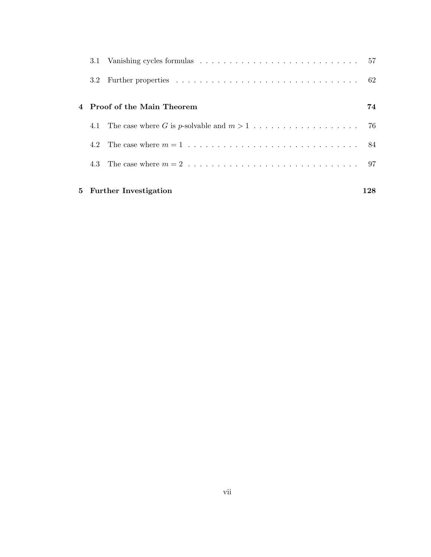|         | 5 Further Investigation     | 128 |
|---------|-----------------------------|-----|
|         |                             |     |
| 4.2     |                             |     |
|         |                             |     |
|         | 4 Proof of the Main Theorem | 74  |
| $3.2\,$ |                             |     |
|         |                             |     |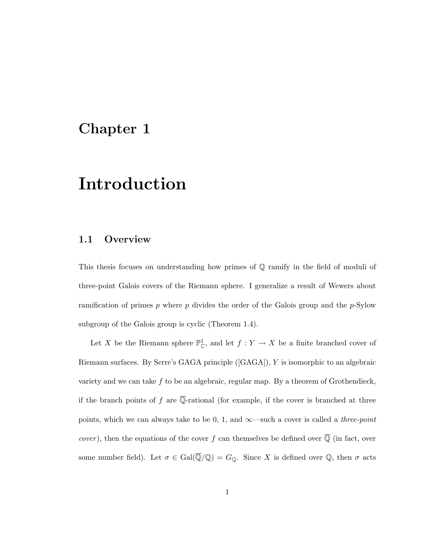### Chapter 1

# Introduction

### 1.1 Overview

This thesis focuses on understanding how primes of Q ramify in the field of moduli of three-point Galois covers of the Riemann sphere. I generalize a result of Wewers about ramification of primes  $p$  where  $p$  divides the order of the Galois group and the  $p$ -Sylow subgroup of the Galois group is cyclic (Theorem 1.4).

Let X be the Riemann sphere  $\mathbb{P}^1_{\mathbb{C}}$ , and let  $f: Y \to X$  be a finite branched cover of Riemann surfaces. By Serre's GAGA principle ([GAGA]), Y is isomorphic to an algebraic variety and we can take  $f$  to be an algebraic, regular map. By a theorem of Grothendieck, if the branch points of f are  $\overline{\mathbb{Q}}$ -rational (for example, if the cover is branched at three points, which we can always take to be 0, 1, and  $\infty$ —such a cover is called a *three-point cover*), then the equations of the cover f can themselves be defined over  $\overline{Q}$  (in fact, over some number field). Let  $\sigma \in \text{Gal}(\overline{\mathbb{Q}}/\mathbb{Q}) = G_{\mathbb{Q}}$ . Since X is defined over  $\mathbb{Q}$ , then  $\sigma$  acts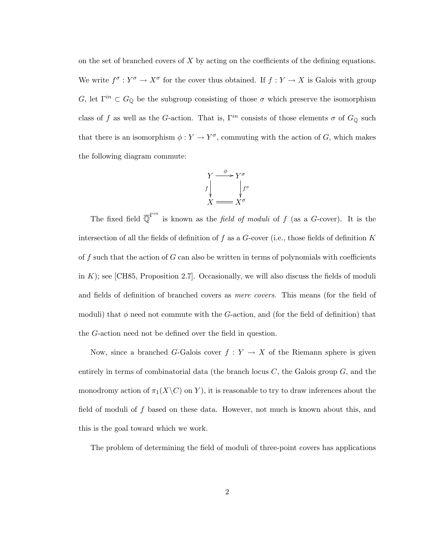on the set of branched covers of  $X$  by acting on the coefficients of the defining equations. We write  $f^{\sigma}: Y^{\sigma} \to X^{\sigma}$  for the cover thus obtained. If  $f: Y \to X$  is Galois with group G, let  $\Gamma^{in} \subset G_{\mathbb{Q}}$  be the subgroup consisting of those  $\sigma$  which preserve the isomorphism class of f as well as the G-action. That is,  $\Gamma^{in}$  consists of those elements  $\sigma$  of  $G_{\mathbb{Q}}$  such that there is an isomorphism  $\phi: Y \to Y^{\sigma}$ , commuting with the action of G, which makes the following diagram commute:



The fixed field  $\overline{\mathbb{Q}}^{\Gamma^{in}}$  is known as the *field of moduli* of f (as a G-cover). It is the intersection of all the fields of definition of  $f$  as a  $G$ -cover (i.e., those fields of definition  $K$ of f such that the action of  $G$  can also be written in terms of polynomials with coefficients in  $K$ ; see [CH85, Proposition 2.7]. Occasionally, we will also discuss the fields of moduli and fields of definition of branched covers as mere covers. This means (for the field of moduli) that  $\phi$  need not commute with the G-action, and (for the field of definition) that the G-action need not be defined over the field in question.

Now, since a branched G-Galois cover  $f: Y \to X$  of the Riemann sphere is given entirely in terms of combinatorial data (the branch locus  $C$ , the Galois group  $G$ , and the monodromy action of  $\pi_1(X\backslash C)$  on Y), it is reasonable to try to draw inferences about the field of moduli of f based on these data. However, not much is known about this, and this is the goal toward which we work.

The problem of determining the field of moduli of three-point covers has applications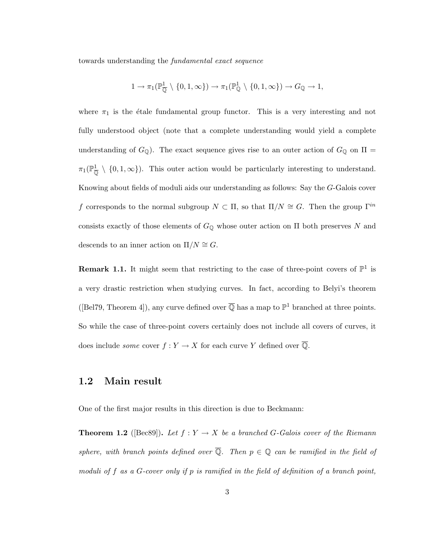towards understanding the fundamental exact sequence

$$
1 \to \pi_1(\mathbb{P}_{\overline{\mathbb{Q}}}^1 \setminus \{0, 1, \infty\}) \to \pi_1(\mathbb{P}_{\mathbb{Q}}^1 \setminus \{0, 1, \infty\}) \to G_{\mathbb{Q}} \to 1,
$$

where  $\pi_1$  is the étale fundamental group functor. This is a very interesting and not fully understood object (note that a complete understanding would yield a complete understanding of  $G_{\mathbb{Q}}$ ). The exact sequence gives rise to an outer action of  $G_{\mathbb{Q}}$  on  $\Pi$  =  $\pi_1(\mathbb{P}_{\overline{0}}^1 \setminus \{0,1,\infty\})$ . This outer action would be particularly interesting to understand. Knowing about fields of moduli aids our understanding as follows: Say the G-Galois cover f corresponds to the normal subgroup  $N \subset \Pi$ , so that  $\Pi/N \cong G$ . Then the group  $\Gamma^{in}$ consists exactly of those elements of  $G_{\mathbb{Q}}$  whose outer action on  $\Pi$  both preserves N and descends to an inner action on  $\Pi/N \cong G$ .

**Remark 1.1.** It might seem that restricting to the case of three-point covers of  $\mathbb{P}^1$  is a very drastic restriction when studying curves. In fact, according to Belyi's theorem ([Bel79, Theorem 4]), any curve defined over  $\overline{Q}$  has a map to  $\mathbb{P}^1$  branched at three points. So while the case of three-point covers certainly does not include all covers of curves, it does include *some* cover  $f: Y \to X$  for each curve Y defined over  $\overline{Q}$ .

### 1.2 Main result

One of the first major results in this direction is due to Beckmann:

**Theorem 1.2** ([Bec89]). Let  $f: Y \to X$  be a branched G-Galois cover of the Riemann sphere, with branch points defined over  $\overline{Q}$ . Then  $p \in Q$  can be ramified in the field of moduli of f as a G-cover only if p is ramified in the field of definition of a branch point,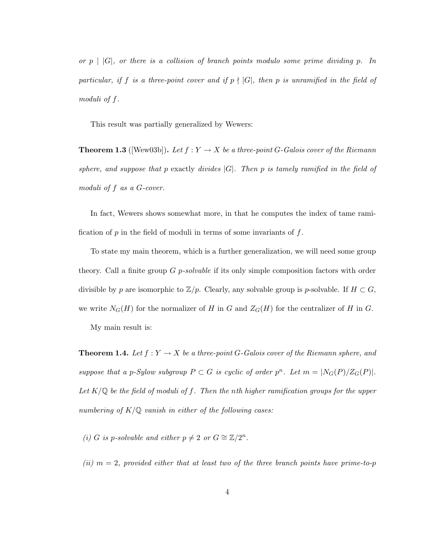or  $p \mid |G|$ , or there is a collision of branch points modulo some prime dividing p. In particular, if f is a three-point cover and if  $p \nmid |G|$ , then p is unramified in the field of moduli of f.

This result was partially generalized by Wewers:

**Theorem 1.3** ([Wew03b]). Let  $f: Y \to X$  be a three-point G-Galois cover of the Riemann sphere, and suppose that p exactly divides  $|G|$ . Then p is tamely ramified in the field of moduli of f as a G-cover.

In fact, Wewers shows somewhat more, in that he computes the index of tame ramification of  $p$  in the field of moduli in terms of some invariants of  $f$ .

To state my main theorem, which is a further generalization, we will need some group theory. Call a finite group  $G$  *p-solvable* if its only simple composition factors with order divisible by p are isomorphic to  $\mathbb{Z}/p$ . Clearly, any solvable group is p-solvable. If  $H \subset G$ , we write  $N_G(H)$  for the normalizer of H in G and  $Z_G(H)$  for the centralizer of H in G.

My main result is:

**Theorem 1.4.** Let  $f: Y \to X$  be a three-point G-Galois cover of the Riemann sphere, and suppose that a p-Sylow subgroup  $P \subset G$  is cyclic of order  $p^n$ . Let  $m = |N_G(P)/Z_G(P)|$ . Let  $K/\mathbb{Q}$  be the field of moduli of f. Then the nth higher ramification groups for the upper numbering of  $K/\mathbb{Q}$  vanish in either of the following cases:

(i) G is p-solvable and either  $p \neq 2$  or  $G \cong \mathbb{Z}/2^n$ .

(ii)  $m = 2$ , provided either that at least two of the three branch points have prime-to-p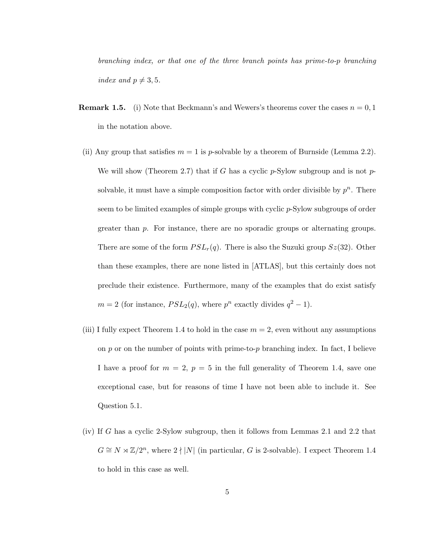branching index, or that one of the three branch points has prime-to-p branching index and  $p \neq 3, 5$ .

- **Remark 1.5.** (i) Note that Beckmann's and Wewers's theorems cover the cases  $n = 0, 1$ in the notation above.
- (ii) Any group that satisfies  $m = 1$  is p-solvable by a theorem of Burnside (Lemma 2.2). We will show (Theorem 2.7) that if G has a cyclic  $p$ -Sylow subgroup and is not  $p$ solvable, it must have a simple composition factor with order divisible by  $p^n$ . There seem to be limited examples of simple groups with cyclic p-Sylow subgroups of order greater than p. For instance, there are no sporadic groups or alternating groups. There are some of the form  $PSL_r(q)$ . There is also the Suzuki group  $Sz(32)$ . Other than these examples, there are none listed in [ATLAS], but this certainly does not preclude their existence. Furthermore, many of the examples that do exist satisfy  $m = 2$  (for instance,  $PSL_2(q)$ , where  $p^n$  exactly divides  $q^2 - 1$ ).
- (iii) I fully expect Theorem 1.4 to hold in the case  $m = 2$ , even without any assumptions on p or on the number of points with prime-to-p branching index. In fact, I believe I have a proof for  $m = 2$ ,  $p = 5$  in the full generality of Theorem 1.4, save one exceptional case, but for reasons of time I have not been able to include it. See Question 5.1.
- (iv) If G has a cyclic 2-Sylow subgroup, then it follows from Lemmas 2.1 and 2.2 that  $G \cong N \rtimes \mathbb{Z}/2^n$ , where  $2 \nmid |N|$  (in particular, G is 2-solvable). I expect Theorem 1.4 to hold in this case as well.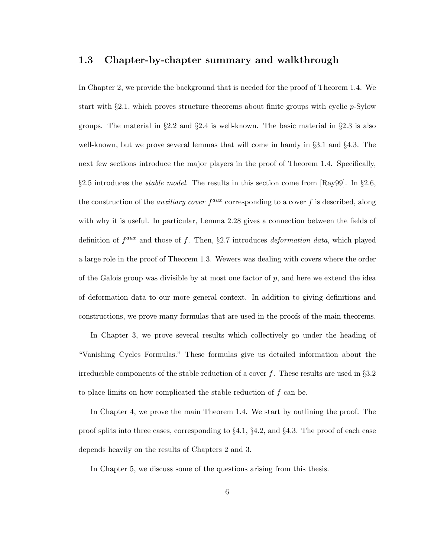### 1.3 Chapter-by-chapter summary and walkthrough

In Chapter 2, we provide the background that is needed for the proof of Theorem 1.4. We start with §2.1, which proves structure theorems about finite groups with cyclic p-Sylow groups. The material in  $\S 2.2$  and  $\S 2.4$  is well-known. The basic material in  $\S 2.3$  is also well-known, but we prove several lemmas that will come in handy in §3.1 and §4.3. The next few sections introduce the major players in the proof of Theorem 1.4. Specifically, §2.5 introduces the *stable model*. The results in this section come from [Ray99]. In §2.6, the construction of the *auxiliary cover*  $f^{aux}$  corresponding to a cover f is described, along with why it is useful. In particular, Lemma 2.28 gives a connection between the fields of definition of  $f^{aux}$  and those of f. Then, §2.7 introduces *deformation data*, which played a large role in the proof of Theorem 1.3. Wewers was dealing with covers where the order of the Galois group was divisible by at most one factor of  $p$ , and here we extend the idea of deformation data to our more general context. In addition to giving definitions and constructions, we prove many formulas that are used in the proofs of the main theorems.

In Chapter 3, we prove several results which collectively go under the heading of "Vanishing Cycles Formulas." These formulas give us detailed information about the irreducible components of the stable reduction of a cover f. These results are used in  $\S 3.2$ to place limits on how complicated the stable reduction of f can be.

In Chapter 4, we prove the main Theorem 1.4. We start by outlining the proof. The proof splits into three cases, corresponding to §4.1, §4.2, and §4.3. The proof of each case depends heavily on the results of Chapters 2 and 3.

In Chapter 5, we discuss some of the questions arising from this thesis.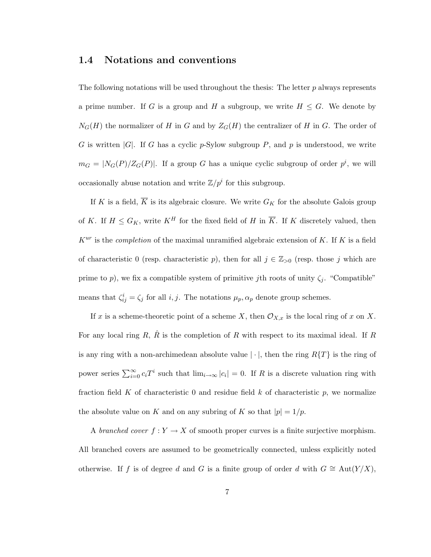### 1.4 Notations and conventions

The following notations will be used throughout the thesis: The letter  $p$  always represents a prime number. If G is a group and H a subgroup, we write  $H \leq G$ . We denote by  $N_G(H)$  the normalizer of H in G and by  $Z_G(H)$  the centralizer of H in G. The order of G is written  $|G|$ . If G has a cyclic p-Sylow subgroup P, and p is understood, we write  $m_G = |N_G(P)/Z_G(P)|$ . If a group G has a unique cyclic subgroup of order  $p^i$ , we will occasionally abuse notation and write  $\mathbb{Z}/p^i$  for this subgroup.

If K is a field,  $\overline{K}$  is its algebraic closure. We write  $G_K$  for the absolute Galois group of K. If  $H \leq G_K$ , write  $K^H$  for the fixed field of H in  $\overline{K}$ . If K discretely valued, then  $K^{ur}$  is the *completion* of the maximal unramified algebraic extension of K. If K is a field of characteristic 0 (resp. characteristic p), then for all  $j \in \mathbb{Z}_{>0}$  (resp. those j which are prime to p), we fix a compatible system of primitive jth roots of unity  $\zeta_i$ . "Compatible" means that  $\zeta_{ij}^i = \zeta_j$  for all i, j. The notations  $\mu_p, \alpha_p$  denote group schemes.

If x is a scheme-theoretic point of a scheme X, then  $\mathcal{O}_{X,x}$  is the local ring of x on X. For any local ring R,  $\hat{R}$  is the completion of R with respect to its maximal ideal. If R is any ring with a non-archimedean absolute value  $|\cdot|$ , then the ring  $R\{T\}$  is the ring of power series  $\sum_{i=0}^{\infty} c_i T^i$  such that  $\lim_{i\to\infty} |c_i| = 0$ . If R is a discrete valuation ring with fraction field K of characteristic 0 and residue field  $k$  of characteristic  $p$ , we normalize the absolute value on K and on any subring of K so that  $|p|=1/p$ .

A branched cover  $f: Y \to X$  of smooth proper curves is a finite surjective morphism. All branched covers are assumed to be geometrically connected, unless explicitly noted otherwise. If f is of degree d and G is a finite group of order d with  $G \cong \text{Aut}(Y/X)$ ,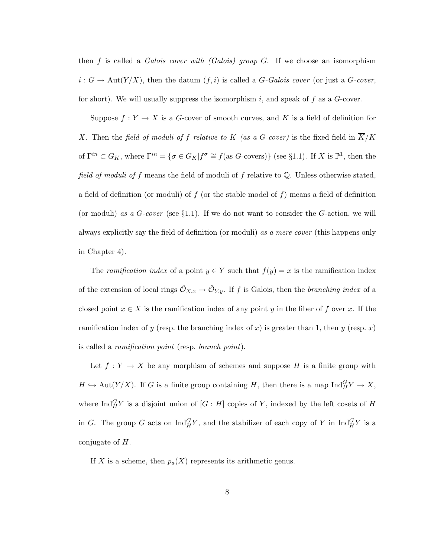then f is called a *Galois cover with (Galois) group G*. If we choose an isomorphism  $i: G \to \text{Aut}(Y/X)$ , then the datum  $(f, i)$  is called a G-Galois cover (or just a G-cover, for short). We will usually suppress the isomorphism i, and speak of f as a  $G$ -cover.

Suppose  $f: Y \to X$  is a G-cover of smooth curves, and K is a field of definition for X. Then the field of moduli of f relative to K (as a G-cover) is the fixed field in  $\overline{K}/K$ of  $\Gamma^{in} \subset G_K$ , where  $\Gamma^{in} = \{ \sigma \in G_K | f^{\sigma} \cong f(\text{as } G\text{-covers}) \}$  (see §1.1). If X is  $\mathbb{P}^1$ , then the field of moduli of f means the field of moduli of f relative to  $\mathbb Q$ . Unless otherwise stated, a field of definition (or moduli) of f (or the stable model of f) means a field of definition (or moduli) as a  $G$ -cover (see §1.1). If we do not want to consider the  $G$ -action, we will always explicitly say the field of definition (or moduli) as a mere cover (this happens only in Chapter 4).

The *ramification index* of a point  $y \in Y$  such that  $f(y) = x$  is the ramification index of the extension of local rings  $\hat{\mathcal{O}}_{X,x} \to \hat{\mathcal{O}}_{Y,y}$ . If f is Galois, then the branching index of a closed point  $x \in X$  is the ramification index of any point y in the fiber of f over x. If the ramification index of y (resp. the branching index of x) is greater than 1, then y (resp. x) is called a ramification point (resp. branch point).

Let  $f: Y \to X$  be any morphism of schemes and suppose H is a finite group with  $H \hookrightarrow \text{Aut}(Y/X)$ . If G is a finite group containing H, then there is a map  $\text{Ind}_{H}^{G} Y \to X$ , where  $\text{Ind}_{H}^{G} Y$  is a disjoint union of  $[G:H]$  copies of Y, indexed by the left cosets of H in G. The group G acts on  $\text{Ind}_{H}^{G} Y$ , and the stabilizer of each copy of Y in  $\text{Ind}_{H}^{G} Y$  is a conjugate of H.

If X is a scheme, then  $p_a(X)$  represents its arithmetic genus.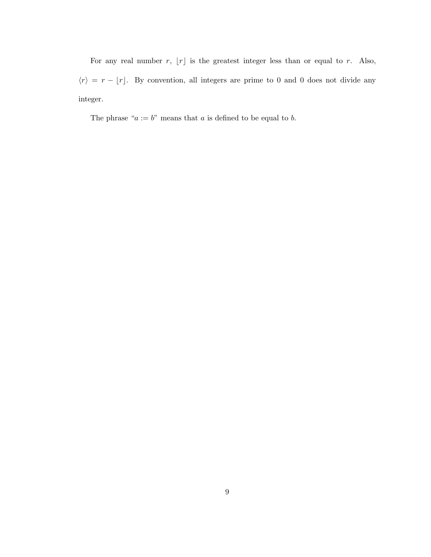For any real number  $r$ ,  $\lfloor r \rfloor$  is the greatest integer less than or equal to r. Also,  $\langle r \rangle = r - \lfloor r \rfloor$ . By convention, all integers are prime to 0 and 0 does not divide any integer.

The phrase " $a := b$ " means that  $a$  is defined to be equal to  $b$ .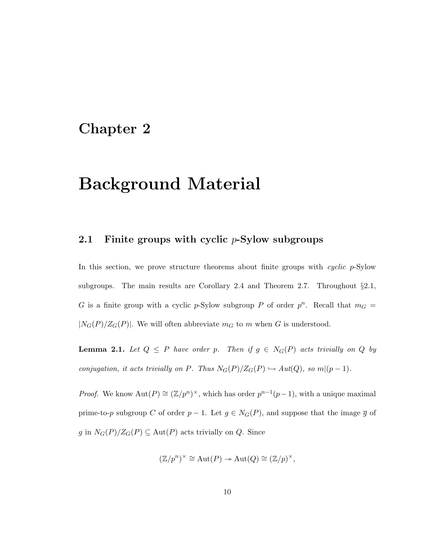### Chapter 2

# Background Material

### 2.1 Finite groups with cyclic  $p\text{-Sylow subgroups}$

In this section, we prove structure theorems about finite groups with cyclic p-Sylow subgroups. The main results are Corollary 2.4 and Theorem 2.7. Throughout §2.1, G is a finite group with a cyclic p-Sylow subgroup P of order  $p^n$ . Recall that  $m_G =$  $|N_G(P)/Z_G(P)|$ . We will often abbreviate  $m_G$  to m when G is understood.

**Lemma 2.1.** Let  $Q \leq P$  have order p. Then if  $g \in N_G(P)$  acts trivially on Q by conjugation, it acts trivially on P. Thus  $N_G(P)/Z_G(P) \hookrightarrow Aut(Q)$ , so  $m|(p-1)$ .

*Proof.* We know  $\text{Aut}(P) \cong (\mathbb{Z}/p^n)^{\times}$ , which has order  $p^{n-1}(p-1)$ , with a unique maximal prime-to-p subgroup C of order  $p-1$ . Let  $g \in N_G(P)$ , and suppose that the image  $\overline{g}$  of g in  $N_G(P)/Z_G(P) \subseteq Aut(P)$  acts trivially on Q. Since

$$
(\mathbb{Z}/p^n)^{\times} \cong \text{Aut}(P) \to \text{Aut}(Q) \cong (\mathbb{Z}/p)^{\times},
$$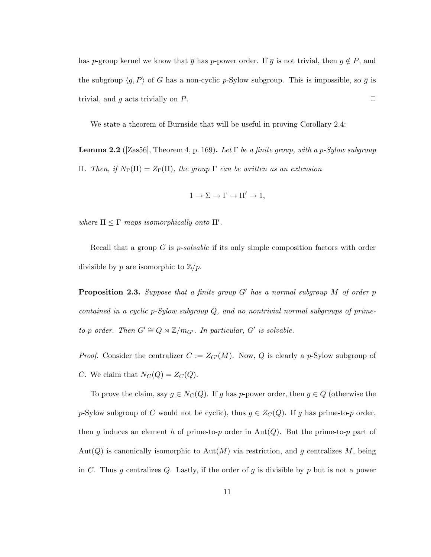has p-group kernel we know that  $\overline{g}$  has p-power order. If  $\overline{g}$  is not trivial, then  $g \notin P$ , and the subgroup  $\langle g, P \rangle$  of G has a non-cyclic p-Sylow subgroup. This is impossible, so  $\overline{g}$  is trivial, and g acts trivially on P.  $\Box$ 

We state a theorem of Burnside that will be useful in proving Corollary 2.4:

**Lemma 2.2** ([Zas56], Theorem 4, p. 169). Let  $\Gamma$  be a finite group, with a p-Sylow subgroup Π. Then, if  $N_{\Gamma}(\Pi) = Z_{\Gamma}(\Pi)$ , the group  $\Gamma$  can be written as an extension

$$
1 \to \Sigma \to \Gamma \to \Pi' \to 1,
$$

where  $\Pi \leq \Gamma$  maps isomorphically onto  $\Pi'$ .

Recall that a group  $G$  is *p-solvable* if its only simple composition factors with order divisible by p are isomorphic to  $\mathbb{Z}/p$ .

**Proposition 2.3.** Suppose that a finite group  $G'$  has a normal subgroup  $M$  of order  $p$ contained in a cyclic p-Sylow subgroup Q, and no nontrivial normal subgroups of primeto-p order. Then  $G' \cong Q \rtimes \mathbb{Z}/m_{G'}$ . In particular,  $G'$  is solvable.

*Proof.* Consider the centralizer  $C := Z_{G'}(M)$ . Now, Q is clearly a p-Sylow subgroup of C. We claim that  $N_C(Q) = Z_C(Q)$ .

To prove the claim, say  $g \in N_C(Q)$ . If g has p-power order, then  $g \in Q$  (otherwise the p-Sylow subgroup of C would not be cyclic), thus  $g \in Z_C(Q)$ . If g has prime-to-p order, then g induces an element h of prime-to-p order in  $Aut(Q)$ . But the prime-to-p part of Aut(Q) is canonically isomorphic to Aut(M) via restriction, and g centralizes M, being in C. Thus g centralizes Q. Lastly, if the order of g is divisible by  $p$  but is not a power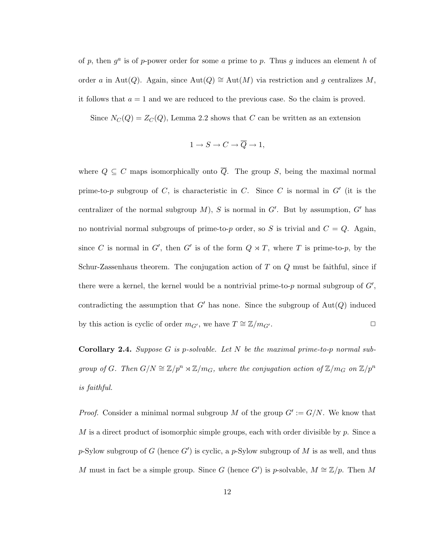of p, then  $g^a$  is of p-power order for some a prime to p. Thus g induces an element h of order a in Aut(Q). Again, since  $\text{Aut}(Q) \cong \text{Aut}(M)$  via restriction and g centralizes M, it follows that  $a = 1$  and we are reduced to the previous case. So the claim is proved.

Since  $N_C(Q) = Z_C(Q)$ , Lemma 2.2 shows that C can be written as an extension

$$
1 \to S \to C \to \overline{Q} \to 1,
$$

where  $Q \subseteq C$  maps isomorphically onto  $\overline{Q}$ . The group S, being the maximal normal prime-to-p subgroup of C, is characteristic in C. Since C is normal in  $G'$  (it is the centralizer of the normal subgroup  $M$ ), S is normal in  $G'$ . But by assumption, G' has no nontrivial normal subgroups of prime-to-p order, so S is trivial and  $C = Q$ . Again, since C is normal in G', then G' is of the form  $Q \rtimes T$ , where T is prime-to-p, by the Schur-Zassenhaus theorem. The conjugation action of  $T$  on  $Q$  must be faithful, since if there were a kernel, the kernel would be a nontrivial prime-to- $p$  normal subgroup of  $G'$ , contradicting the assumption that  $G'$  has none. Since the subgroup of  $Aut(Q)$  induced by this action is cyclic of order  $m_{G'}$ , we have  $T \cong \mathbb{Z}/m_{G'}$ .  $\Box$ 

**Corollary 2.4.** Suppose G is p-solvable. Let N be the maximal prime-to-p normal subgroup of G. Then  $G/N \cong \mathbb{Z}/p^n \rtimes \mathbb{Z}/m_G$ , where the conjugation action of  $\mathbb{Z}/m_G$  on  $\mathbb{Z}/p^n$ is faithful.

*Proof.* Consider a minimal normal subgroup M of the group  $G' := G/N$ . We know that  $M$  is a direct product of isomorphic simple groups, each with order divisible by  $p$ . Since a p-Sylow subgroup of G (hence  $G'$ ) is cyclic, a p-Sylow subgroup of M is as well, and thus M must in fact be a simple group. Since G (hence G') is p-solvable,  $M \cong \mathbb{Z}/p$ . Then M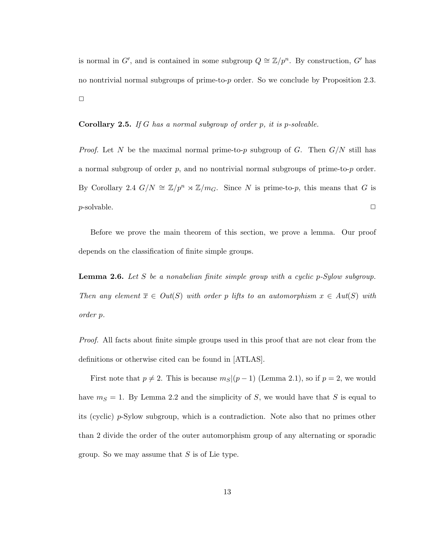is normal in G', and is contained in some subgroup  $Q \cong \mathbb{Z}/p^n$ . By construction, G' has no nontrivial normal subgroups of prime-to-p order. So we conclude by Proposition 2.3.  $\Box$ 

**Corollary 2.5.** If G has a normal subgroup of order  $p$ , it is  $p$ -solvable.

*Proof.* Let N be the maximal normal prime-to-p subgroup of G. Then  $G/N$  still has a normal subgroup of order  $p$ , and no nontrivial normal subgroups of prime-to- $p$  order. By Corollary 2.4  $G/N \cong \mathbb{Z}/p^n \rtimes \mathbb{Z}/m_G$ . Since N is prime-to-p, this means that G is  $p$ -solvable.  $\Box$ 

Before we prove the main theorem of this section, we prove a lemma. Our proof depends on the classification of finite simple groups.

**Lemma 2.6.** Let S be a nonabelian finite simple group with a cyclic  $p$ -Sylow subgroup. Then any element  $\overline{x} \in Out(S)$  with order p lifts to an automorphism  $x \in Aut(S)$  with order p.

Proof. All facts about finite simple groups used in this proof that are not clear from the definitions or otherwise cited can be found in [ATLAS].

First note that  $p \neq 2$ . This is because  $m<sub>S</sub>|(p-1)$  (Lemma 2.1), so if  $p = 2$ , we would have  $m<sub>S</sub> = 1$ . By Lemma 2.2 and the simplicity of S, we would have that S is equal to its (cyclic) p-Sylow subgroup, which is a contradiction. Note also that no primes other than 2 divide the order of the outer automorphism group of any alternating or sporadic group. So we may assume that  $S$  is of Lie type.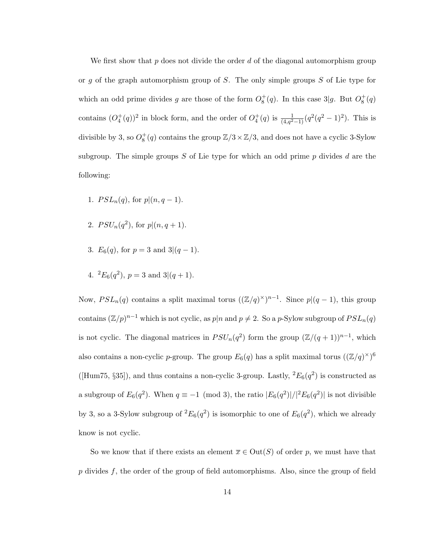We first show that p does not divide the order d of the diagonal automorphism group or q of the graph automorphism group of  $S$ . The only simple groups  $S$  of Lie type for which an odd prime divides g are those of the form  $O_8^+(q)$ . In this case 3|g. But  $O_8^+(q)$ contains  $(O_4^+(q))^2$  in block form, and the order of  $O_4^+(q)$  is  $\frac{1}{(4,q^2-1)}(q^2(q^2-1)^2)$ . This is divisible by 3, so  $O_8^+(q)$  contains the group  $\mathbb{Z}/3 \times \mathbb{Z}/3$ , and does not have a cyclic 3-Sylow subgroup. The simple groups  $S$  of Lie type for which an odd prime  $p$  divides  $d$  are the following:

- 1.  $PSL_n(q)$ , for  $p|(n, q-1)$ .
- 2.  $PSU_n(q^2)$ , for  $p|(n, q+1)$ .
- 3.  $E_6(q)$ , for  $p = 3$  and  $3|(q-1)$ .
- 4.  ${}^{2}E_{6}(q^{2}), p = 3$  and  $3|(q + 1).$

Now,  $PSL_n(q)$  contains a split maximal torus  $((\mathbb{Z}/q)^{\times})^{n-1}$ . Since  $p|(q-1)$ , this group contains  $(\mathbb{Z}/p)^{n-1}$  which is not cyclic, as  $p|n$  and  $p \neq 2$ . So a p-Sylow subgroup of  $PSL_n(q)$ is not cyclic. The diagonal matrices in  $PSU_n(q^2)$  form the group  $(\mathbb{Z}/(q+1))^{n-1}$ , which also contains a non-cyclic p-group. The group  $E_6(q)$  has a split maximal torus  $((\mathbb{Z}/q)^\times)^6$ ([Hum75, §35]), and thus contains a non-cyclic 3-group. Lastly,  ${}^{2}E_{6}(q^{2})$  is constructed as a subgroup of  $E_6(q^2)$ . When  $q \equiv -1 \pmod{3}$ , the ratio  $|E_6(q^2)|/|^{2}E_6(q^2)|$  is not divisible by 3, so a 3-Sylow subgroup of  ${}^2E_6(q^2)$  is isomorphic to one of  $E_6(q^2)$ , which we already know is not cyclic.

So we know that if there exists an element  $\overline{x} \in Out(S)$  of order p, we must have that  $p$  divides  $f$ , the order of the group of field automorphisms. Also, since the group of field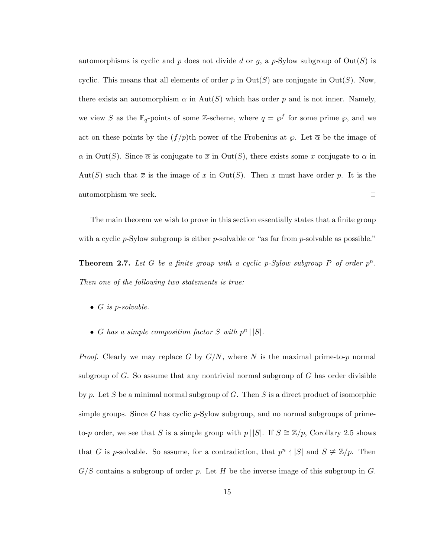automorphisms is cyclic and p does not divide d or g, a p-Sylow subgroup of  $Out(S)$  is cyclic. This means that all elements of order p in  $Out(S)$  are conjugate in  $Out(S)$ . Now, there exists an automorphism  $\alpha$  in  $Aut(S)$  which has order p and is not inner. Namely, we view S as the  $\mathbb{F}_q$ -points of some Z-scheme, where  $q = \wp^f$  for some prime  $\wp$ , and we act on these points by the  $(f/p)$ th power of the Frobenius at  $\wp$ . Let  $\overline{\alpha}$  be the image of  $\alpha$  in Out(S). Since  $\overline{\alpha}$  is conjugate to  $\overline{x}$  in Out(S), there exists some x conjugate to  $\alpha$  in Aut(S) such that  $\bar{x}$  is the image of x in Out(S). Then x must have order p. It is the automorphism we seek.

The main theorem we wish to prove in this section essentially states that a finite group with a cyclic p-Sylow subgroup is either p-solvable or "as far from p-solvable as possible."

**Theorem 2.7.** Let G be a finite group with a cyclic p-Sylow subgroup P of order  $p^n$ . Then one of the following two statements is true:

- $G$  is p-solvable.
- G has a simple composition factor S with  $p^n | |S|$ .

*Proof.* Clearly we may replace G by  $G/N$ , where N is the maximal prime-to-p normal subgroup of  $G$ . So assume that any nontrivial normal subgroup of  $G$  has order divisible by p. Let S be a minimal normal subgroup of G. Then S is a direct product of isomorphic simple groups. Since G has cyclic  $p$ -Sylow subgroup, and no normal subgroups of primeto-p order, we see that S is a simple group with p | |S|. If  $S \cong \mathbb{Z}/p$ , Corollary 2.5 shows that G is p-solvable. So assume, for a contradiction, that  $p^{n} \nmid |S|$  and  $S \ncong \mathbb{Z}/p$ . Then  $G/S$  contains a subgroup of order p. Let H be the inverse image of this subgroup in G.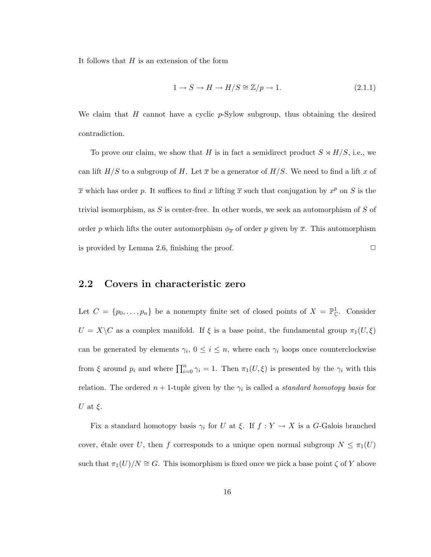It follows that  $H$  is an extension of the form

$$
1 \to S \to H \to H/S \cong \mathbb{Z}/p \to 1. \tag{2.1.1}
$$

We claim that  $H$  cannot have a cyclic  $p$ -Sylow subgroup, thus obtaining the desired contradiction.

To prove our claim, we show that H is in fact a semidirect product  $S \rtimes H/S$ , i.e., we can lift  $H/S$  to a subgroup of H. Let  $\bar{x}$  be a generator of  $H/S$ . We need to find a lift x of  $\bar{x}$  which has order p. It suffices to find x lifting  $\bar{x}$  such that conjugation by  $x^p$  on S is the trivial isomorphism, as  $S$  is center-free. In other words, we seek an automorphism of  $S$  of order p which lifts the outer automorphism  $\phi_{\overline{x}}$  of order p given by  $\overline{x}$ . This automorphism is provided by Lemma 2.6, finishing the proof.  $\Box$ 

### 2.2 Covers in characteristic zero

Let  $C = \{p_0, \ldots, p_n\}$  be a nonempty finite set of closed points of  $X = \mathbb{P}^1_{\mathbb{C}}$ . Consider  $U\,=\,X\backslash C$  as a complex manifold. If  $\xi$  is a base point, the fundamental group<br>  $\pi_1(U,\xi)$ can be generated by elements  $\gamma_i, 0 \leq i \leq n$ , where each  $\gamma_i$  loops once counterclockwise from  $\xi$  around  $p_i$  and where  $\prod_{i=0}^n \gamma_i = 1$ . Then  $\pi_1(U, \xi)$  is presented by the  $\gamma_i$  with this relation. The ordered  $n+1$ -tuple given by the  $\gamma_i$  is called a *standard homotopy basis* for U at  $\xi$ .

Fix a standard homotopy basis  $\gamma_i$  for U at  $\xi$ . If  $f: Y \to X$  is a G-Galois branched cover, étale over U, then f corresponds to a unique open normal subgroup  $N \leq \pi_1(U)$ such that  $\pi_1(U)/N \cong G$ . This isomorphism is fixed once we pick a base point  $\zeta$  of Y above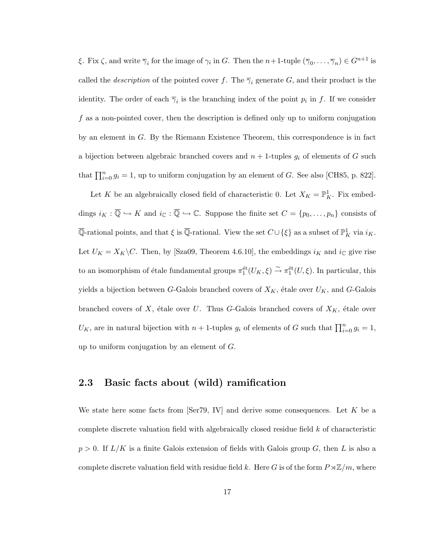ξ. Fix  $\zeta$ , and write  $\overline{\gamma}_i$  for the image of  $\gamma_i$  in G. Then the  $n+1$ -tuple  $(\overline{\gamma}_0,\ldots,\overline{\gamma}_n)\in G^{n+1}$  is called the *description* of the pointed cover f. The  $\overline{\gamma}_i$  generate G, and their product is the identity. The order of each  $\overline{\gamma}_i$  is the branching index of the point  $p_i$  in f. If we consider f as a non-pointed cover, then the description is defined only up to uniform conjugation by an element in  $G$ . By the Riemann Existence Theorem, this correspondence is in fact a bijection between algebraic branched covers and  $n + 1$ -tuples  $g_i$  of elements of G such that  $\prod_{i=0}^{n} g_i = 1$ , up to uniform conjugation by an element of G. See also [CH85, p. 822].

Let K be an algebraically closed field of characteristic 0. Let  $X_K = \mathbb{P}^1_K$ . Fix embeddings  $i_K : \overline{\mathbb{Q}} \hookrightarrow K$  and  $i_{\mathbb{C}} : \overline{\mathbb{Q}} \hookrightarrow \mathbb{C}$ . Suppose the finite set  $C = \{p_0, \ldots, p_n\}$  consists of  $\overline{\mathbb{Q}}$ -rational points, and that  $\xi$  is  $\overline{\mathbb{Q}}$ -rational. View the set  $C \cup {\xi}$  as a subset of  $\mathbb{P}^1_K$  via  $i_K$ . Let  $U_K = X_K \backslash C$ . Then, by [Sza09, Theorem 4.6.10], the embeddings  $i_K$  and  $i_{\mathbb{C}}$  give rise to an isomorphism of étale fundamental groups  $\pi_1^{\text{\'et}}(U_K, \xi) \stackrel{\sim}{\to} \pi_1^{\text{\'et}}(U, \xi)$ . In particular, this yields a bijection between G-Galois branched covers of  $X_K$ , étale over  $U_K$ , and G-Galois branched covers of X, étale over U. Thus G-Galois branched covers of  $X_K$ , étale over  $U_K$ , are in natural bijection with  $n+1$ -tuples  $g_i$  of elements of G such that  $\prod_{i=0}^n g_i = 1$ , up to uniform conjugation by an element of  $G$ .

### 2.3 Basic facts about (wild) ramification

We state here some facts from  $\text{[Ser79, IV]}$  and derive some consequences. Let K be a complete discrete valuation field with algebraically closed residue field k of characteristic  $p > 0$ . If  $L/K$  is a finite Galois extension of fields with Galois group G, then L is also a complete discrete valuation field with residue field k. Here G is of the form  $P\rtimes\mathbb{Z}/m$ , where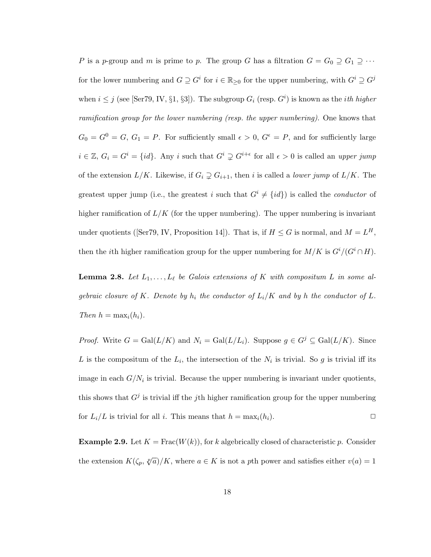P is a p-group and m is prime to p. The group G has a filtration  $G = G_0 \supseteq G_1 \supseteq \cdots$ for the lower numbering and  $G \supseteq G^i$  for  $i \in \mathbb{R}_{\geq 0}$  for the upper numbering, with  $G^i \supseteq G^j$ when  $i \leq j$  (see [Ser79, IV, §1, §3]). The subgroup  $G_i$  (resp.  $G^i$ ) is known as the *ith higher* ramification group for the lower numbering (resp. the upper numbering). One knows that  $G_0 = G^0 = G, G_1 = P$ . For sufficiently small  $\epsilon > 0, G^{\epsilon} = P$ , and for sufficiently large  $i \in \mathbb{Z}, G_i = G^i = \{id\}.$  Any i such that  $G^i \supsetneq G^{i+\epsilon}$  for all  $\epsilon > 0$  is called an upper jump of the extension  $L/K$ . Likewise, if  $G_i \supsetneq G_{i+1}$ , then i is called a *lower jump* of  $L/K$ . The greatest upper jump (i.e., the greatest i such that  $G^i \neq \{id\}$ ) is called the *conductor* of higher ramification of  $L/K$  (for the upper numbering). The upper numbering is invariant under quotients (Ser79, IV, Proposition 14). That is, if  $H \leq G$  is normal, and  $M = L^H$ , then the *i*th higher ramification group for the upper numbering for  $M/K$  is  $G^{i}/(G^{i} \cap H)$ .

**Lemma 2.8.** Let  $L_1, \ldots, L_\ell$  be Galois extensions of K with compositum L in some algebraic closure of K. Denote by  $h_i$  the conductor of  $L_i/K$  and by h the conductor of L. Then  $h = \max_i(h_i)$ .

*Proof.* Write  $G = \text{Gal}(L/K)$  and  $N_i = \text{Gal}(L/L_i)$ . Suppose  $g \in G^j \subseteq \text{Gal}(L/K)$ . Since L is the compositum of the  $L_i$ , the intersection of the  $N_i$  is trivial. So g is trivial iff its image in each  $G/N_i$  is trivial. Because the upper numbering is invariant under quotients, this shows that  $G^j$  is trivial iff the *j*th higher ramification group for the upper numbering for  $L_i/L$  is trivial for all i. This means that  $h = \max_i(h_i)$ .

**Example 2.9.** Let  $K = \text{Frac}(W(k))$ , for k algebrically closed of characteristic p. Consider the extension  $K(\zeta_p, \sqrt[p]{a})/K$ , where  $a \in K$  is not a pth power and satisfies either  $v(a) = 1$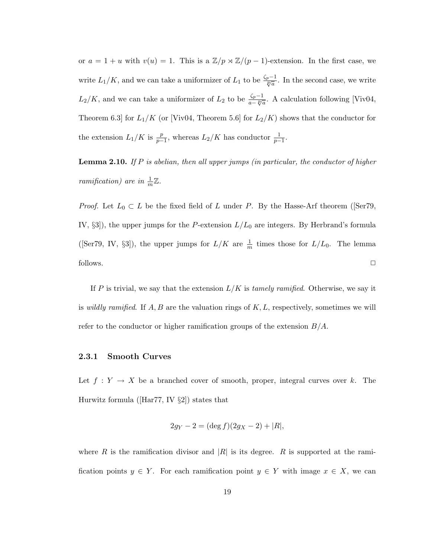or  $a = 1 + u$  with  $v(u) = 1$ . This is a  $\mathbb{Z}/p \rtimes \mathbb{Z}/(p-1)$ -extension. In the first case, we write  $L_1/K$ , and we can take a uniformizer of  $L_1$  to be  $\frac{\zeta_p-1}{\sqrt[p]{a}}$ . In the second case, we write  $L_2/K$ , and we can take a uniformizer of  $L_2$  to be  $\frac{\zeta_p-1}{a-\sqrt[p]{a}}$ . A calculation following [Viv04, Theorem 6.3] for  $L_1/K$  (or [Viv04, Theorem 5.6] for  $L_2/K$ ) shows that the conductor for the extension  $L_1/K$  is  $\frac{p}{p-1}$ , whereas  $L_2/K$  has conductor  $\frac{1}{p-1}$ .

**Lemma 2.10.** If  $P$  is abelian, then all upper jumps (in particular, the conductor of higher ramification) are in  $\frac{1}{m}\mathbb{Z}$ .

*Proof.* Let  $L_0 \subset L$  be the fixed field of L under P. By the Hasse-Arf theorem ([Ser79, IV,  $\S3$ ), the upper jumps for the *P*-extension  $L/L_0$  are integers. By Herbrand's formula ([Ser79, IV, §3]), the upper jumps for  $L/K$  are  $\frac{1}{m}$  times those for  $L/L_0$ . The lemma follows.  $\Box$ 

If P is trivial, we say that the extension  $L/K$  is tamely ramified. Otherwise, we say it is *wildly ramified.* If  $A, B$  are the valuation rings of  $K, L$ , respectively, sometimes we will refer to the conductor or higher ramification groups of the extension  $B/A$ .

#### 2.3.1 Smooth Curves

Let  $f: Y \to X$  be a branched cover of smooth, proper, integral curves over k. The Hurwitz formula ([Har77, IV §2]) states that

$$
2g_Y - 2 = (\deg f)(2g_X - 2) + |R|,
$$

where R is the ramification divisor and  $|R|$  is its degree. R is supported at the ramification points  $y \in Y$ . For each ramification point  $y \in Y$  with image  $x \in X$ , we can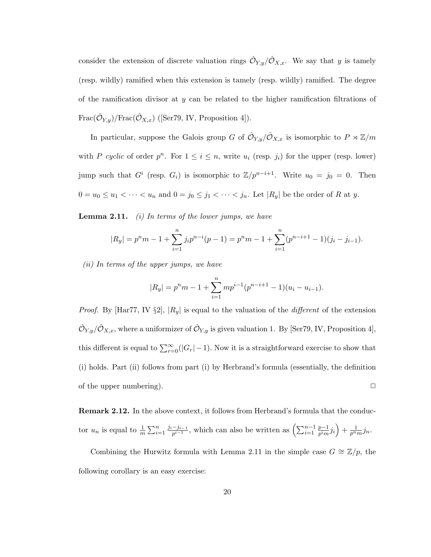consider the extension of discrete valuation rings  $\hat{\mathcal{O}}_{Y,y}/\hat{\mathcal{O}}_{X,x}$ . We say that y is tamely (resp. wildly) ramified when this extension is tamely (resp. wildly) ramified. The degree of the ramification divisor at  $y$  can be related to the higher ramification filtrations of  $\text{Frac}(\hat{\mathcal{O}}_{Y,y})/\text{Frac}(\hat{\mathcal{O}}_{X,x})$  ([Ser79, IV, Proposition 4]).

In particular, suppose the Galois group G of  $\hat{\mathcal{O}}_{Y,y}/\hat{\mathcal{O}}_{X,x}$  is isomorphic to  $P \rtimes \mathbb{Z}/m$ with P cyclic of order  $p^n$ . For  $1 \leq i \leq n$ , write  $u_i$  (resp. *j<sub>i</sub>*) for the upper (resp. lower) jump such that  $G^i$  (resp.  $G_i$ ) is isomorphic to  $\mathbb{Z}/p^{n-i+1}$ . Write  $u_0 = j_0 = 0$ . Then  $0 = u_0 \le u_1 < \cdots < u_n$  and  $0 = j_0 \le j_1 < \cdots < j_n$ . Let  $|R_y|$  be the order of R at y.

**Lemma 2.11.** (i) In terms of the lower jumps, we have

$$
|R_y| = p^n m - 1 + \sum_{i=1}^n j_i p^{n-i} (p-1) = p^n m - 1 + \sum_{i=1}^n (p^{n-i+1} - 1)(j_i - j_{i-1}).
$$

(ii) In terms of the upper jumps, we have

$$
|R_y| = p^n m - 1 + \sum_{i=1}^n m p^{i-1} (p^{n-i+1} - 1)(u_i - u_{i-1}).
$$

*Proof.* By [Har77, IV  $\S2$ ],  $|R_y|$  is equal to the valuation of the *different* of the extension  $\hat{\mathcal{O}}_{Y,y}/\hat{\mathcal{O}}_{X,x}$ , where a uniformizer of  $\hat{\mathcal{O}}_{Y,y}$  is given valuation 1. By [Ser79, IV, Proposition 4], this different is equal to  $\sum_{r=0}^{\infty}(|G_r|-1)$ . Now it is a straightforward exercise to show that (i) holds. Part (ii) follows from part (i) by Herbrand's formula (essentially, the definition of the upper numbering).  $\Box$ 

Remark 2.12. In the above context, it follows from Herbrand's formula that the conductor  $u_n$  is equal to  $\frac{1}{m} \sum_{i=1}^n \frac{j_i - j_{i-1}}{p^{i-1}}$  $\frac{-j_{i-1}}{p^{i-1}}$ , which can also be written as  $\left(\sum_{i=1}^{n-1}$  $p-1$  $\frac{p-1}{p^im}j_i\Big)+\frac{1}{p^nm}j_n.$ 

Combining the Hurwitz formula with Lemma 2.11 in the simple case  $G \cong \mathbb{Z}/p$ , the following corollary is an easy exercise: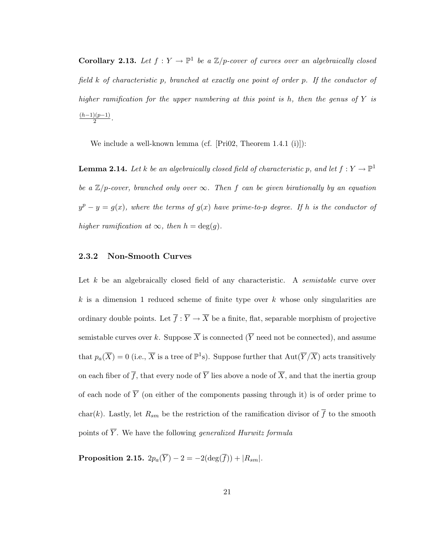**Corollary 2.13.** Let  $f: Y \to \mathbb{P}^1$  be a  $\mathbb{Z}/p$ -cover of curves over an algebraically closed field k of characteristic p, branched at exactly one point of order p. If the conductor of higher ramification for the upper numbering at this point is h, then the genus of  $Y$  is  $(h-1)(p-1)$  $\frac{y(p-1)}{2}$ .

We include a well-known lemma (cf. [Pri02, Theorem 1.4.1 (i)]):

**Lemma 2.14.** Let k be an algebraically closed field of characteristic p, and let  $f: Y \to \mathbb{P}^1$ be a  $\mathbb{Z}/p$ -cover, branched only over  $\infty$ . Then f can be given birationally by an equation  $y^p - y = g(x)$ , where the terms of  $g(x)$  have prime-to-p degree. If h is the conductor of higher ramification at  $\infty$ , then  $h = \deg(g)$ .

### 2.3.2 Non-Smooth Curves

Let k be an algebraically closed field of any characteristic. A *semistable* curve over k is a dimension 1 reduced scheme of finite type over  $k$  whose only singularities are ordinary double points. Let  $\overline{f} : \overline{Y} \to \overline{X}$  be a finite, flat, separable morphism of projective semistable curves over k. Suppose  $\overline{X}$  is connected ( $\overline{Y}$  need not be connected), and assume that  $p_a(\overline{X}) = 0$  (i.e.,  $\overline{X}$  is a tree of  $\mathbb{P}^1$ s). Suppose further that  $Aut(\overline{Y}/\overline{X})$  acts transitively on each fiber of  $\overline{f}$ , that every node of  $\overline{Y}$  lies above a node of  $\overline{X}$ , and that the inertia group of each node of  $\overline{Y}$  (on either of the components passing through it) is of order prime to char(k). Lastly, let  $R_{sm}$  be the restriction of the ramification divisor of  $\overline{f}$  to the smooth points of  $\overline{Y}$ . We have the following *generalized Hurwitz formula* 

Proposition 2.15.  $2p_a(\overline{Y}) - 2 = -2(\deg(\overline{f})) + |R_{sm}|$ .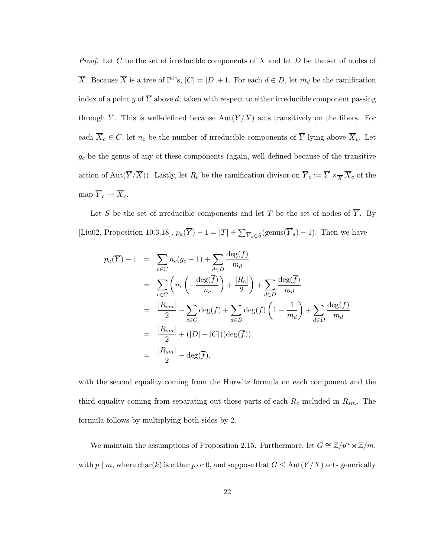*Proof.* Let C be the set of irreducible components of  $\overline{X}$  and let D be the set of nodes of  $\overline{X}$ . Because  $\overline{X}$  is a tree of  $\mathbb{P}^1$ 's,  $|C| = |D| + 1$ . For each  $d \in D$ , let  $m_d$  be the ramification index of a point y of  $\overline{Y}$  above d, taken with respect to either irreducible component passing through  $\overline{Y}$ . This is well-defined because  $Aut(\overline{Y}/\overline{X})$  acts transitively on the fibers. For each  $\overline{X}_c \in C$ , let  $n_c$  be the number of irreducible components of  $\overline{Y}$  lying above  $\overline{X}_c$ . Let  $g_c$  be the genus of any of these components (again, well-defined because of the transitive action of  $\text{Aut}(\overline{Y}/\overline{X})$ ). Lastly, let  $R_c$  be the ramification divisor on  $\overline{Y}_c := \overline{Y} \times_{\overline{X}} \overline{X}_c$  of the map  $\overline{Y}_{c}\rightarrow \overline{X}_{c}.$ 

Let S be the set of irreducible components and let T be the set of nodes of  $\overline{Y}$ . By [Liu02, Proposition 10.3.18],  $p_a(\overline{Y}) - 1 = |T| + \sum_{\overline{Y}_s \in S} (\text{genus}(\overline{Y}_s) - 1)$ . Then we have

$$
p_a(\overline{Y}) - 1 = \sum_{c \in C} n_c(g_c - 1) + \sum_{d \in D} \frac{\deg(\overline{f})}{m_d}
$$
  
\n
$$
= \sum_{c \in C} \left( n_c \left( -\frac{\deg(\overline{f})}{n_c} \right) + \frac{|R_c|}{2} \right) + \sum_{d \in D} \frac{\deg(\overline{f})}{m_d}
$$
  
\n
$$
= \frac{|R_{sm}|}{2} - \sum_{c \in C} \deg(\overline{f}) + \sum_{d \in D} \deg(\overline{f}) \left( 1 - \frac{1}{m_d} \right) + \sum_{d \in D} \frac{\deg(\overline{f})}{m_d}
$$
  
\n
$$
= \frac{|R_{sm}|}{2} + (|D| - |C|)(\deg(\overline{f}))
$$
  
\n
$$
= \frac{|R_{sm}|}{2} - \deg(\overline{f}),
$$

with the second equality coming from the Hurwitz formula on each component and the third equality coming from separating out those parts of each  $R_c$  included in  $R_{sm}$ . The formula follows by multiplying both sides by 2.  $\Box$ 

We maintain the assumptions of Proposition 2.15. Furthermore, let  $G \cong \mathbb{Z}/p^n \rtimes \mathbb{Z}/m$ , with  $p \nmid m$ , where  $char(k)$  is either p or 0, and suppose that  $G \leq Aut(\overline{Y}/\overline{X})$  acts generically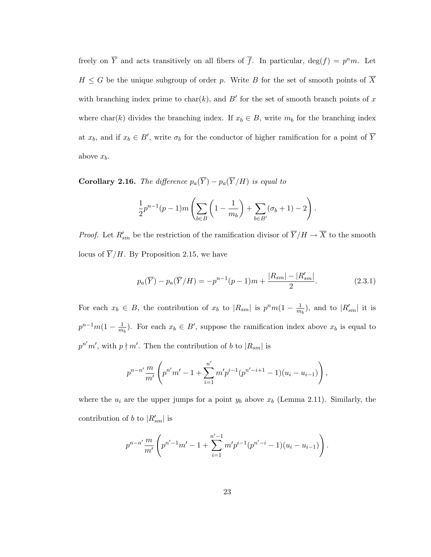freely on  $\overline{Y}$  and acts transitively on all fibers of  $\overline{f}$ . In particular,  $\deg(f) = p^n m$ . Let  $H \leq G$  be the unique subgroup of order p. Write B for the set of smooth points of  $\overline{X}$ with branching index prime to char(k), and  $B'$  for the set of smooth branch points of x where char(k) divides the branching index. If  $x_b \in B$ , write  $m_b$  for the branching index at  $x_b$ , and if  $x_b \in B'$ , write  $\sigma_b$  for the conductor of higher ramification for a point of  $\overline{Y}$ above  $x_b$ .

**Corollary 2.16.** The difference  $p_a(\overline{Y}) - p_a(\overline{Y}/H)$  is equal to

$$
\frac{1}{2}p^{n-1}(p-1)m\left(\sum_{b\in B}\left(1-\frac{1}{m_b}\right)+\sum_{b\in B'}(\sigma_b+1)-2\right).
$$

*Proof.* Let  $R'_{sm}$  be the restriction of the ramification divisor of  $\overline{Y}/H \to \overline{X}$  to the smooth locus of  $\overline{Y}/H$ . By Proposition 2.15, we have

$$
p_a(\overline{Y}) - p_a(\overline{Y}/H) = -p^{n-1}(p-1)m + \frac{|R_{sm}| - |R'_{sm}|}{2}.
$$
 (2.3.1)

For each  $x_b \in B$ , the contribution of  $x_b$  to  $|R_{sm}|$  is  $p^nm(1-\frac{1}{m})$  $\frac{1}{m_b}$ ), and to  $|R'_{sm}|$  it is  $p^{n-1}m(1-\frac{1}{m})$  $\frac{1}{m_b}$ ). For each  $x_b \in B'$ , suppose the ramification index above  $x_b$  is equal to  $p^{n'}m'$ , with  $p\nmid m'$ . Then the contribution of b to  $|R_{sm}|$  is

$$
p^{n-n'} \frac{m}{m'} \left( p^{n'} m' - 1 + \sum_{i=1}^{n'} m' p^{i-1} (p^{n'-i+1} - 1)(u_i - u_{i-1}) \right),
$$

where the  $u_i$  are the upper jumps for a point  $y_b$  above  $x_b$  (Lemma 2.11). Similarly, the contribution of b to  $|R'_{sm}|$  is

$$
p^{n-n'} \frac{m}{m'} \left( p^{n'-1}m' - 1 + \sum_{i=1}^{n'-1} m'p^{i-1}(p^{n'-i} - 1)(u_i - u_{i-1}) \right).
$$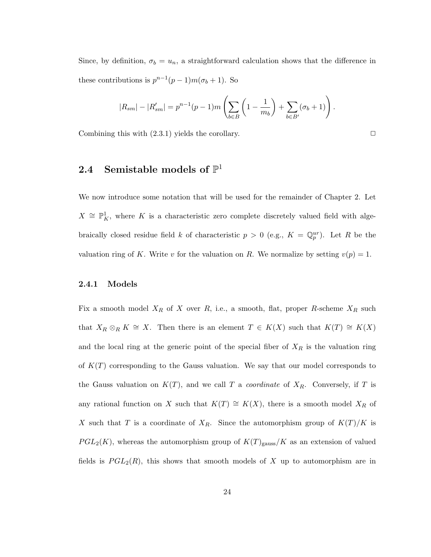Since, by definition,  $\sigma_b = u_n$ , a straightforward calculation shows that the difference in these contributions is  $p^{n-1}(p-1)m(\sigma_b+1)$ . So

$$
|R_{sm}| - |R'_{sm}| = p^{n-1}(p-1)m\left(\sum_{b \in B} \left(1 - \frac{1}{m_b}\right) + \sum_{b \in B'} (\sigma_b + 1)\right).
$$

Combining this with  $(2.3.1)$  yields the corollary.  $\Box$ 

### 2.4 Semistable models of  $\mathbb{P}^1$

We now introduce some notation that will be used for the remainder of Chapter 2. Let  $X \cong \mathbb{P}^1$ <sub>K</sub>, where K is a characteristic zero complete discretely valued field with algebraically closed residue field k of characteristic  $p > 0$  (e.g.,  $K = \mathbb{Q}_p^{ur}$ ). Let R be the valuation ring of K. Write v for the valuation on R. We normalize by setting  $v(p) = 1$ .

### 2.4.1 Models

Fix a smooth model  $X_R$  of X over R, i.e., a smooth, flat, proper R-scheme  $X_R$  such that  $X_R \otimes_R K \cong X$ . Then there is an element  $T \in K(X)$  such that  $K(T) \cong K(X)$ and the local ring at the generic point of the special fiber of  $X_R$  is the valuation ring of  $K(T)$  corresponding to the Gauss valuation. We say that our model corresponds to the Gauss valuation on  $K(T)$ , and we call T a *coordinate* of  $X_R$ . Conversely, if T is any rational function on X such that  $K(T) \cong K(X)$ , there is a smooth model  $X_R$  of X such that T is a coordinate of  $X_R$ . Since the automorphism group of  $K(T)/K$  is  $PGL_2(K)$ , whereas the automorphism group of  $K(T)_{\text{gauss}}/K$  as an extension of valued fields is  $PGL_2(R)$ , this shows that smooth models of X up to automorphism are in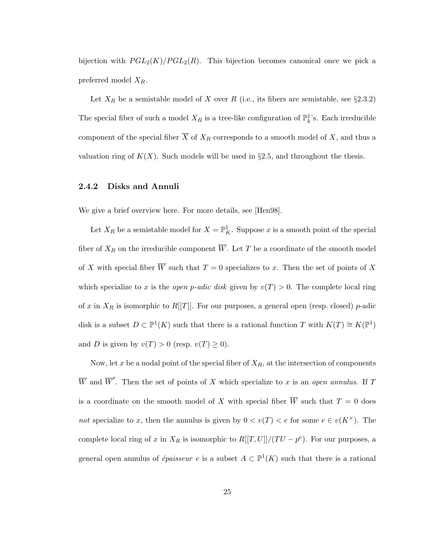bijection with  $PGL_2(K)/PGL_2(R)$ . This bijection becomes canonical once we pick a preferred model  $X_R$ .

Let  $X_R$  be a semistable model of X over R (i.e., its fibers are semistable, see §2.3.2) The special fiber of such a model  $X_R$  is a tree-like configuration of  $\mathbb{P}^1_k$ 's. Each irreducible component of the special fiber  $\overline{X}$  of  $X_R$  corresponds to a smooth model of X, and thus a valuation ring of  $K(X)$ . Such models will be used in §2.5, and throughout the thesis.

### 2.4.2 Disks and Annuli

We give a brief overview here. For more details, see [Hen98].

Let  $X_R$  be a semistable model for  $X = \mathbb{P}^1_K$ . Suppose x is a smooth point of the special fiber of  $X_R$  on the irreducible component  $\overline{W}$ . Let T be a coordinate of the smooth model of X with special fiber  $\overline{W}$  such that  $T = 0$  specializes to x. Then the set of points of X which specialize to x is the *open p-adic disk* given by  $v(T) > 0$ . The complete local ring of x in  $X_R$  is isomorphic to R[[T]]. For our purposes, a general open (resp. closed) p-adic disk is a subset  $D \subset \mathbb{P}^1(K)$  such that there is a rational function T with  $K(T) \cong K(\mathbb{P}^1)$ and D is given by  $v(T) > 0$  (resp.  $v(T) \ge 0$ ).

Now, let x be a nodal point of the special fiber of  $X_R$ , at the intersection of components  $\overline{W}$  and  $\overline{W}'$ . Then the set of points of X which specialize to x is an open annulus. If T is a coordinate on the smooth model of X with special fiber  $\overline{W}$  such that  $T = 0$  does not specialize to x, then the annulus is given by  $0 < v(T) < e$  for some  $e \in v(K^{\times})$ . The complete local ring of x in  $X_R$  is isomorphic to  $R[[T, U]]/(TU - p^e)$ . For our purposes, a general open annulus of *épaisseur e* is a subset  $A \subset \mathbb{P}^1(K)$  such that there is a rational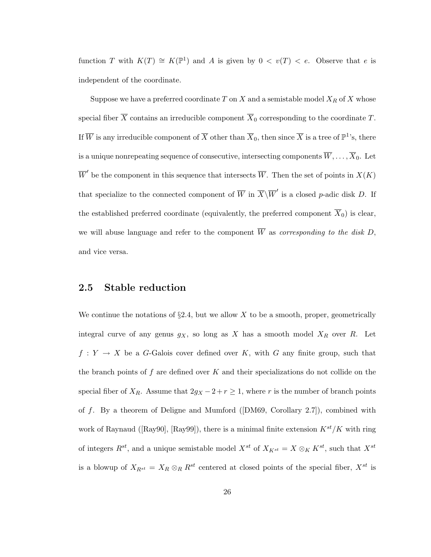function T with  $K(T) \cong K(\mathbb{P}^1)$  and A is given by  $0 < v(T) < e$ . Observe that e is independent of the coordinate.

Suppose we have a preferred coordinate  $T$  on  $X$  and a semistable model  $X_R$  of  $X$  whose special fiber  $\overline{X}$  contains an irreducible component  $\overline{X}_0$  corresponding to the coordinate T. If  $\overline{W}$  is any irreducible component of  $\overline{X}$  other than  $\overline{X}_0$ , then since  $\overline{X}$  is a tree of  $\mathbb{P}^1$ 's, there is a unique nonrepeating sequence of consecutive, intersecting components  $\overline{W}, \ldots, \overline{X}_0$ . Let  $\overline{W}'$  be the component in this sequence that intersects  $\overline{W}$ . Then the set of points in  $X(K)$ that specialize to the connected component of  $\overline{W}$  in  $\overline{X}\backslash\overline{W}'$  is a closed p-adic disk D. If the established preferred coordinate (equivalently, the preferred component  $\overline{X}_0$ ) is clear, we will abuse language and refer to the component  $\overline{W}$  as corresponding to the disk D, and vice versa.

### 2.5 Stable reduction

We continue the notations of  $\S 2.4$ , but we allow X to be a smooth, proper, geometrically integral curve of any genus  $g_X$ , so long as X has a smooth model  $X_R$  over R. Let  $f: Y \to X$  be a G-Galois cover defined over K, with G any finite group, such that the branch points of f are defined over  $K$  and their specializations do not collide on the special fiber of  $X_R$ . Assume that  $2g_X - 2 + r \ge 1$ , where r is the number of branch points of  $f$ . By a theorem of Deligne and Mumford ([DM69, Corollary 2.7]), combined with work of Raynaud ([Ray90], [Ray99]), there is a minimal finite extension  $K^{st}/K$  with ring of integers  $R^{st}$ , and a unique semistable model  $X^{st}$  of  $X_{K^{st}} = X \otimes_K K^{st}$ , such that  $X^{st}$ is a blowup of  $X_{R^{st}} = X_R \otimes_R R^{st}$  centered at closed points of the special fiber,  $X^{st}$  is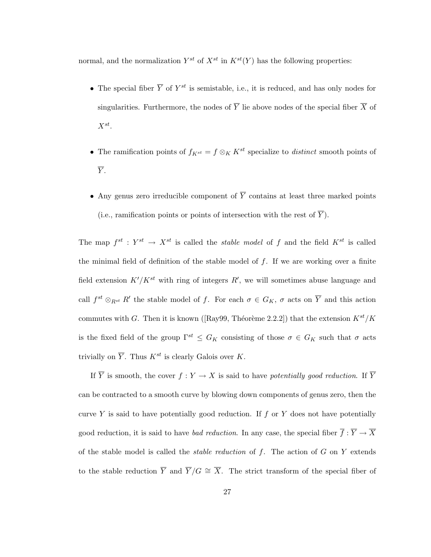normal, and the normalization  $Y^{st}$  of  $X^{st}$  in  $K^{st}(Y)$  has the following properties:

- The special fiber  $\overline{Y}$  of  $Y^{st}$  is semistable, i.e., it is reduced, and has only nodes for singularities. Furthermore, the nodes of  $\overline{Y}$  lie above nodes of the special fiber  $\overline{X}$  of  $X^{st}$ .
- The ramification points of  $f_{K^{st}} = f \otimes_K K^{st}$  specialize to *distinct* smooth points of  $\overline{Y}$ .
- Any genus zero irreducible component of  $\overline{Y}$  contains at least three marked points (i.e., ramification points or points of intersection with the rest of  $\overline{Y}$ ).

The map  $f^{st}: Y^{st} \to X^{st}$  is called the *stable model* of f and the field  $K^{st}$  is called the minimal field of definition of the stable model of  $f$ . If we are working over a finite field extension  $K'/K^{st}$  with ring of integers  $R'$ , we will sometimes abuse language and call  $f^{st} \otimes_{R^{st}} R'$  the stable model of f. For each  $\sigma \in G_K$ ,  $\sigma$  acts on  $\overline{Y}$  and this action commutes with G. Then it is known ([Ray99, Théorème 2.2.2]) that the extension  $K^{st}/K$ is the fixed field of the group  $\Gamma^{st} \leq G_K$  consisting of those  $\sigma \in G_K$  such that  $\sigma$  acts trivially on  $\overline{Y}$ . Thus  $K^{st}$  is clearly Galois over K.

If  $\overline{Y}$  is smooth, the cover  $f: Y \to X$  is said to have potentially good reduction. If  $\overline{Y}$ can be contracted to a smooth curve by blowing down components of genus zero, then the curve Y is said to have potentially good reduction. If  $f$  or Y does not have potentially good reduction, it is said to have *bad reduction*. In any case, the special fiber  $\overline{f}: \overline{Y} \to \overline{X}$ of the stable model is called the *stable reduction* of  $f$ . The action of  $G$  on  $Y$  extends to the stable reduction  $\overline{Y}$  and  $\overline{Y}/G \cong \overline{X}$ . The strict transform of the special fiber of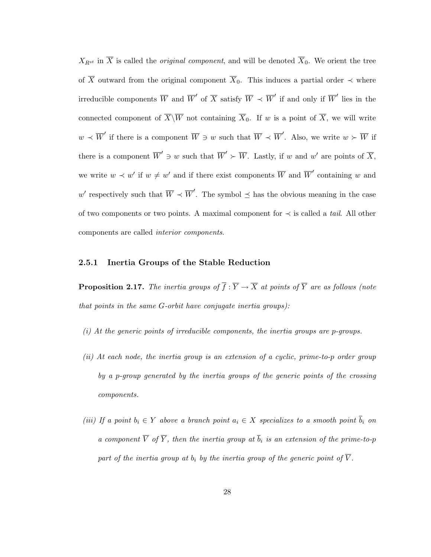$X_{R^{st}}$  in  $\overline{X}$  is called the *original component*, and will be denoted  $\overline{X}_0$ . We orient the tree of  $\overline{X}$  outward from the original component  $\overline{X}_0$ . This induces a partial order  $\prec$  where irreducible components  $\overline{W}$  and  $\overline{W}'$  of  $\overline{X}$  satisfy  $\overline{W} \prec \overline{W}'$  if and only if  $\overline{W}'$  lies in the connected component of  $\overline{X}\backslash\overline{W}$  not containing  $\overline{X}_0$ . If w is a point of  $\overline{X}$ , we will write  $w \prec \overline{W}'$  if there is a component  $\overline{W} \ni w$  such that  $\overline{W} \prec \overline{W}'$ . Also, we write  $w \succ \overline{W}$  if there is a component  $\overline{W}' \ni w$  such that  $\overline{W}' \succ \overline{W}$ . Lastly, if w and w' are points of  $\overline{X}$ , we write  $w \prec w'$  if  $w \neq w'$  and if there exist components  $\overline{W}$  and  $\overline{W}'$  containing w and w' respectively such that  $\overline{W} \prec \overline{W}'$ . The symbol  $\preceq$  has the obvious meaning in the case of two components or two points. A maximal component for  $\prec$  is called a *tail*. All other components are called interior components.

### 2.5.1 Inertia Groups of the Stable Reduction

**Proposition 2.17.** The inertia groups of  $\overline{f}$  :  $\overline{Y} \to \overline{X}$  at points of  $\overline{Y}$  are as follows (note that points in the same G-orbit have conjugate inertia groups):

- (i) At the generic points of irreducible components, the inertia groups are p-groups.
- (ii) At each node, the inertia group is an extension of a cyclic, prime-to-p order group by a p-group generated by the inertia groups of the generic points of the crossing components.
- (iii) If a point  $b_i \in Y$  above a branch point  $a_i \in X$  specializes to a smooth point  $\overline{b}_i$  on a component  $\overline{V}$  of  $\overline{Y}$ , then the inertia group at  $\overline{b}_i$  is an extension of the prime-to-p part of the inertia group at  $b_i$  by the inertia group of the generic point of  $\overline{V}$ .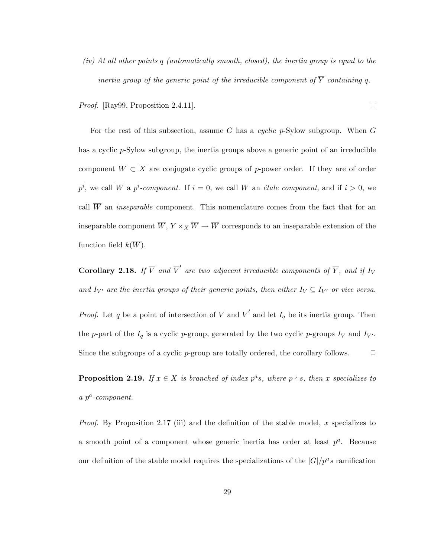(iv) At all other points q (automatically smooth, closed), the inertia group is equal to the inertia group of the generic point of the irreducible component of  $\overline{Y}$  containing q.

*Proof.* [Ray99, Proposition 2.4.11].  $\square$ 

For the rest of this subsection, assume G has a cyclic  $p$ -Sylow subgroup. When G has a cyclic p-Sylow subgroup, the inertia groups above a generic point of an irreducible component  $\overline{W} \subset \overline{X}$  are conjugate cyclic groups of p-power order. If they are of order  $p^i$ , we call  $\overline{W}$  a  $p^i$ -component. If  $i = 0$ , we call  $\overline{W}$  an *étale component*, and if  $i > 0$ , we call  $\overline{W}$  an *inseparable* component. This nomenclature comes from the fact that for an inseparable component  $\overline{W}$ ,  $Y \times_X \overline{W} \to \overline{W}$  corresponds to an inseparable extension of the function field  $k(\overline{W})$ .

**Corollary 2.18.** If  $\overline{V}$  and  $\overline{V}'$  are two adjacent irreducible components of  $\overline{Y}$ , and if  $I_V$ and  $I_{V'}$  are the inertia groups of their generic points, then either  $I_V \subseteq I_{V'}$  or vice versa.

*Proof.* Let q be a point of intersection of  $\overline{V}$  and  $\overline{V}'$  and let  $I_q$  be its inertia group. Then the p-part of the  $I_q$  is a cyclic p-group, generated by the two cyclic p-groups  $I_V$  and  $I_{V'}$ . Since the subgroups of a cyclic  $p$ -group are totally ordered, the corollary follows.  $\Box$ 

**Proposition 2.19.** If  $x \in X$  is branched of index  $p^a s$ , where  $p \nmid s$ , then x specializes to  $a$   $p^a$ -component.

*Proof.* By Proposition 2.17 (iii) and the definition of the stable model, x specializes to a smooth point of a component whose generic inertia has order at least  $p^a$ . Because our definition of the stable model requires the specializations of the  $|G|/p^a s$  ramification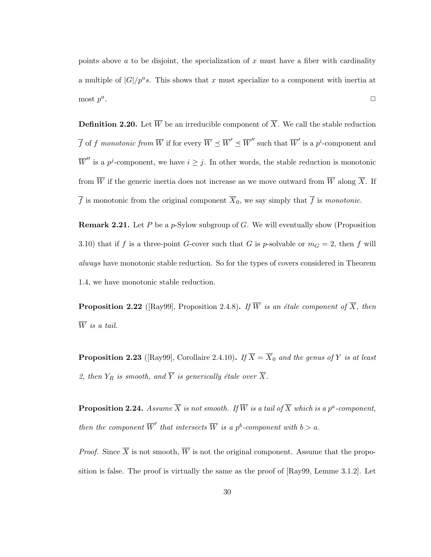points above  $\alpha$  to be disjoint, the specialization of  $x$  must have a fiber with cardinality a multiple of  $|G|/p^a s$ . This shows that x must specialize to a component with inertia at most  $p^a$ . ✷

**Definition 2.20.** Let  $\overline{W}$  be an irreducible component of  $\overline{X}$ . We call the stable reduction  $\overline{f}$  of f monotonic from  $\overline{W}$  if for every  $\overline{W} \preceq \overline{W}' \preceq \overline{W}''$  such that  $\overline{W}'$  is a p<sup>i</sup>-component and  $\overline{W}''$  is a p<sup>j</sup>-component, we have  $i \geq j$ . In other words, the stable reduction is monotonic from  $\overline{W}$  if the generic inertia does not increase as we move outward from  $\overline{W}$  along  $\overline{X}$ . If  $\overline{f}$  is monotonic from the original component  $\overline{X}_0$ , we say simply that  $\overline{f}$  is monotonic.

**Remark 2.21.** Let P be a p-Sylow subgroup of G. We will eventually show (Proposition 3.10) that if f is a three-point G-cover such that G is p-solvable or  $m<sub>G</sub> = 2$ , then f will always have monotonic stable reduction. So for the types of covers considered in Theorem 1.4, we have monotonic stable reduction.

**Proposition 2.22** ([Ray99], Proposition 2.4.8). If  $\overline{W}$  is an étale component of  $\overline{X}$ , then  $\overline{W}$  is a tail.

**Proposition 2.23** ([Ray99], Corollaire 2.4.10). If  $\overline{X} = \overline{X}_0$  and the genus of Y is at least 2, then  $Y_R$  is smooth, and  $\overline{Y}$  is generically étale over  $\overline{X}$ .

**Proposition 2.24.** Assume  $\overline{X}$  is not smooth. If  $\overline{W}$  is a tail of  $\overline{X}$  which is a  $p^a$ -component, then the component  $\overline{W}'$  that intersects  $\overline{W}$  is a p<sup>b</sup>-component with  $b > a$ .

*Proof.* Since  $\overline{X}$  is not smooth,  $\overline{W}$  is not the original component. Assume that the proposition is false. The proof is virtually the same as the proof of [Ray99, Lemme 3.1.2]. Let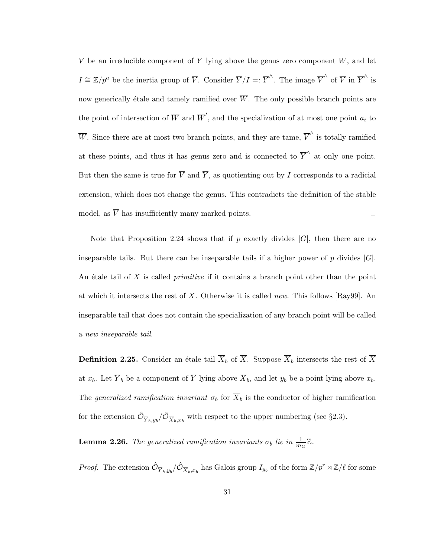$\overline{V}$  be an irreducible component of  $\overline{Y}$  lying above the genus zero component  $\overline{W}$ , and let  $I \cong \mathbb{Z}/p^a$  be the inertia group of  $\overline{V}$ . Consider  $\overline{Y}/I =: \overline{Y}^{\wedge}$ . The image  $\overline{V}^{\wedge}$  of  $\overline{V}$  in  $\overline{Y}^{\wedge}$  is now generically étale and tamely ramified over  $\overline{W}$ . The only possible branch points are the point of intersection of  $\overline{W}$  and  $\overline{W}'$ , and the specialization of at most one point  $a_i$  to W. Since there are at most two branch points, and they are tame,  $\overline{V}^{\wedge}$  is totally ramified at these points, and thus it has genus zero and is connected to  $\overline{Y}^{\wedge}$  at only one point. But then the same is true for  $\overline{V}$  and  $\overline{Y}$ , as quotienting out by I corresponds to a radicial extension, which does not change the genus. This contradicts the definition of the stable model, as  $\overline{V}$  has insufficiently many marked points.

Note that Proposition 2.24 shows that if p exactly divides  $|G|$ , then there are no inseparable tails. But there can be inseparable tails if a higher power of p divides  $|G|$ . An étale tail of  $\overline{X}$  is called *primitive* if it contains a branch point other than the point at which it intersects the rest of  $\overline{X}$ . Otherwise it is called *new*. This follows [Ray99]. An inseparable tail that does not contain the specialization of any branch point will be called a new inseparable tail.

**Definition 2.25.** Consider an étale tail  $\overline{X}_b$  of  $\overline{X}$ . Suppose  $\overline{X}_b$  intersects the rest of  $\overline{X}$ at  $x_b$ . Let  $\overline{Y}_b$  be a component of  $\overline{Y}$  lying above  $\overline{X}_b$ , and let  $y_b$  be a point lying above  $x_b$ . The generalized ramification invariant  $\sigma_b$  for  $\overline{X}_b$  is the conductor of higher ramification for the extension  $\hat{\mathcal{O}}_{\overline{Y}_b, y_b}/\hat{\mathcal{O}}_{\overline{X}_b, x_b}$  with respect to the upper numbering (see §2.3).

**Lemma 2.26.** The generalized ramification invariants  $\sigma_b$  lie in  $\frac{1}{m_G}\mathbb{Z}$ .

*Proof.* The extension  $\hat{\mathcal{O}}_{\overline{Y}_b,y_b}/\hat{\mathcal{O}}_{\overline{X}_b,x_b}$  has Galois group  $I_{y_b}$  of the form  $\mathbb{Z}/p^r \rtimes \mathbb{Z}/\ell$  for some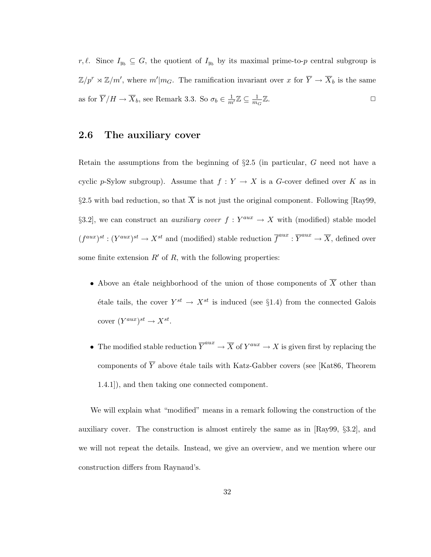r,  $\ell$ . Since  $I_{y_b} \subseteq G$ , the quotient of  $I_{y_b}$  by its maximal prime-to-p central subgroup is  $\mathbb{Z}/p^r \rtimes \mathbb{Z}/m'$ , where  $m'|m_G$ . The ramification invariant over x for  $\overline{Y} \to \overline{X}_b$  is the same as for  $\overline{Y}/H \to \overline{X}_b$ , see Remark 3.3. So  $\sigma_b \in \frac{1}{m'} \mathbb{Z} \subseteq \frac{1}{m_b}$  $\overline{m_G}$  $\mathbb Z$ .

## 2.6 The auxiliary cover

Retain the assumptions from the beginning of  $\S2.5$  (in particular, G need not have a cyclic p-Sylow subgroup). Assume that  $f: Y \to X$  is a G-cover defined over K as in §2.5 with bad reduction, so that  $\overline{X}$  is not just the original component. Following [Ray99, §3.2, we can construct an *auxiliary cover*  $f: Y^{aux} \to X$  with (modified) stable model  $(f^{aux})^{st} : (Y^{aux})^{st} \to X^{st}$  and (modified) stable reduction  $\overline{f}^{aux} : \overline{Y}^{aux} \to \overline{X}$ , defined over some finite extension  $R'$  of R, with the following properties:

- Above an étale neighborhood of the union of those components of  $\overline{X}$  other than étale tails, the cover  $Y^{st} \to X^{st}$  is induced (see §1.4) from the connected Galois cover  $(Y^{aux})^{st} \to X^{st}$ .
- The modified stable reduction  $\overline{Y}^{aux} \to \overline{X}$  of  $Y^{aux} \to X$  is given first by replacing the components of  $\overline{Y}$  above étale tails with Katz-Gabber covers (see [Kat86, Theorem 1.4.1]), and then taking one connected component.

We will explain what "modified" means in a remark following the construction of the auxiliary cover. The construction is almost entirely the same as in [Ray99, §3.2], and we will not repeat the details. Instead, we give an overview, and we mention where our construction differs from Raynaud's.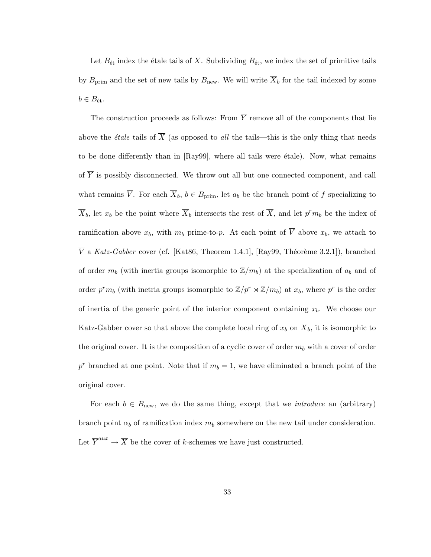Let  $B_{\text{\'et}}$  index the étale tails of  $\overline{X}$ . Subdividing  $B_{\text{\'et}}$ , we index the set of primitive tails by  $B_{\text{prim}}$  and the set of new tails by  $B_{\text{new}}$ . We will write  $\overline{X}_b$  for the tail indexed by some  $b \in B_{\text{\'et}}.$ 

The construction proceeds as follows: From  $\overline{Y}$  remove all of the components that lie above the *étale* tails of  $\overline{X}$  (as opposed to *all* the tails—this is the only thing that needs to be done differently than in  $[Ray99]$ , where all tails were étale). Now, what remains of  $\overline{Y}$  is possibly disconnected. We throw out all but one connected component, and call what remains  $\overline{V}$ . For each  $\overline{X}_b$ ,  $b \in B_{\text{prim}}$ , let  $a_b$  be the branch point of f specializing to  $\overline{X}_b$ , let  $x_b$  be the point where  $\overline{X}_b$  intersects the rest of  $\overline{X}_b$ , and let  $p^r m_b$  be the index of ramification above  $x_b$ , with  $m_b$  prime-to-p. At each point of  $\overline{V}$  above  $x_b$ , we attach to  $\overline{V}$  a Katz-Gabber cover (cf. [Kat86, Theorem 1.4.1], [Ray99, Théorème 3.2.1]), branched of order  $m_b$  (with inertia groups isomorphic to  $\mathbb{Z}/m_b$ ) at the specialization of  $a_b$  and of order  $p^r m_b$  (with inetria groups isomorphic to  $\mathbb{Z}/p^r \rtimes \mathbb{Z}/m_b$ ) at  $x_b$ , where  $p^r$  is the order of inertia of the generic point of the interior component containing  $x<sub>b</sub>$ . We choose our Katz-Gabber cover so that above the complete local ring of  $x_b$  on  $\overline{X}_b$ , it is isomorphic to the original cover. It is the composition of a cyclic cover of order  $m_b$  with a cover of order  $p<sup>r</sup>$  branched at one point. Note that if  $m_b = 1$ , we have eliminated a branch point of the original cover.

For each  $b \in B_{\text{new}}$ , we do the same thing, except that we *introduce* an (arbitrary) branch point  $\alpha_b$  of ramification index  $m_b$  somewhere on the new tail under consideration. Let  $\overline{Y}^{aux} \to \overline{X}$  be the cover of k-schemes we have just constructed.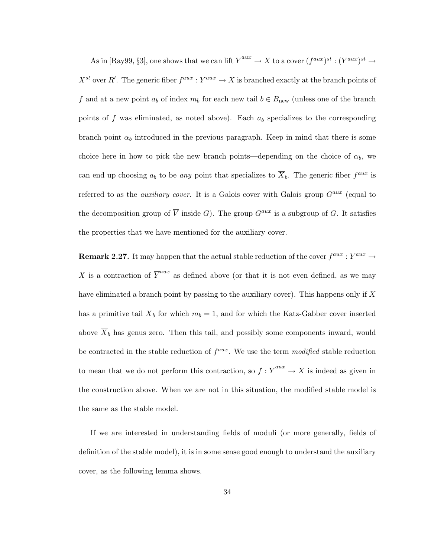As in [Ray99, §3], one shows that we can lift  $\overline{Y}^{aux} \to \overline{X}$  to a cover  $(f^{aux})^{st} : (Y^{aux})^{st} \to$  $X^{st}$  over R'. The generic fiber  $f^{aux}: Y^{aux} \to X$  is branched exactly at the branch points of f and at a new point  $a_b$  of index  $m_b$  for each new tail  $b \in B_{\text{new}}$  (unless one of the branch points of f was eliminated, as noted above). Each  $a<sub>b</sub>$  specializes to the corresponding branch point  $\alpha_b$  introduced in the previous paragraph. Keep in mind that there is some choice here in how to pick the new branch points—depending on the choice of  $\alpha_b$ , we can end up choosing  $a_b$  to be any point that specializes to  $\overline{X}_b$ . The generic fiber  $f^{aux}$  is referred to as the *auxiliary cover*. It is a Galois cover with Galois group  $G^{aux}$  (equal to the decomposition group of  $\overline{V}$  inside G). The group  $G^{aux}$  is a subgroup of G. It satisfies the properties that we have mentioned for the auxiliary cover.

**Remark 2.27.** It may happen that the actual stable reduction of the cover  $f^{aux}$  :  $Y^{aux}$   $\rightarrow$ X is a contraction of  $\overline{Y}^{aux}$  as defined above (or that it is not even defined, as we may have eliminated a branch point by passing to the auxiliary cover). This happens only if  $\overline{X}$ has a primitive tail  $\overline{X}_b$  for which  $m_b = 1$ , and for which the Katz-Gabber cover inserted above  $\overline{X}_b$  has genus zero. Then this tail, and possibly some components inward, would be contracted in the stable reduction of  $f^{aux}$ . We use the term modified stable reduction to mean that we do not perform this contraction, so  $\overline{f} : \overline{Y}^{aux} \to \overline{X}$  is indeed as given in the construction above. When we are not in this situation, the modified stable model is the same as the stable model.

If we are interested in understanding fields of moduli (or more generally, fields of definition of the stable model), it is in some sense good enough to understand the auxiliary cover, as the following lemma shows.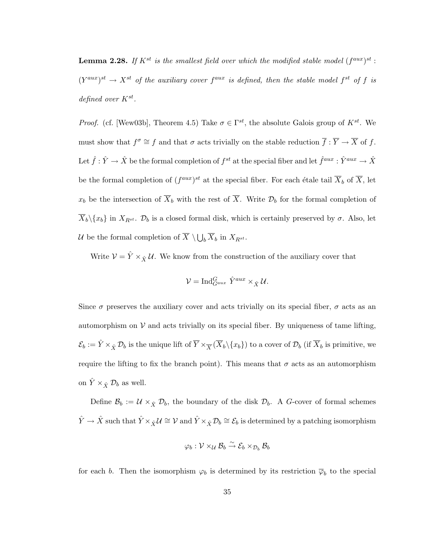**Lemma 2.28.** If  $K^{st}$  is the smallest field over which the modified stable model  $(f^{aux})^{st}$ :  $(Y^{aux})^{st} \rightarrow X^{st}$  of the auxiliary cover  $f^{aux}$  is defined, then the stable model  $f^{st}$  of f is defined over  $K^{st}$ .

*Proof.* (cf. [Wew03b], Theorem 4.5) Take  $\sigma \in \Gamma^{st}$ , the absolute Galois group of  $K^{st}$ . We must show that  $f^{\sigma} \cong f$  and that  $\sigma$  acts trivially on the stable reduction  $\overline{f}: \overline{Y} \to \overline{X}$  of f. Let  $\hat{f}: \hat{Y} \to \hat{X}$  be the formal completion of  $f^{st}$  at the special fiber and let  $\hat{f}^{aux}: \hat{Y}^{aux} \to \hat{X}$ be the formal completion of  $(f^{aux})^{st}$  at the special fiber. For each étale tail  $\overline{X}_b$  of  $\overline{X}$ , let  $x_b$  be the intersection of  $\overline{X}_b$  with the rest of  $\overline{X}_b$ . Write  $\mathcal{D}_b$  for the formal completion of  $\overline{X}_b \setminus \{x_b\}$  in  $X_{R^{st}}$ .  $\mathcal{D}_b$  is a closed formal disk, which is certainly preserved by  $\sigma$ . Also, let U be the formal completion of  $\overline{X} \setminus \bigcup_b \overline{X}_b$  in  $X_{R^{st}}$ .

Write  $V = \hat{Y} \times_{\hat{X}} U$ . We know from the construction of the auxiliary cover that

$$
\mathcal{V} = \text{Ind}_{G^{aux}}^G \hat{Y}^{aux} \times_{\hat{X}} \mathcal{U}.
$$

Since  $\sigma$  preserves the auxiliary cover and acts trivially on its special fiber,  $\sigma$  acts as an automorphism on  $\mathcal V$  and acts trivially on its special fiber. By uniqueness of tame lifting,  $\mathcal{E}_b := \hat{Y} \times_{\hat{X}} \mathcal{D}_b$  is the unique lift of  $\overline{Y} \times_{\overline{X}} (\overline{X}_b \setminus \{x_b\})$  to a cover of  $\mathcal{D}_b$  (if  $\overline{X}_b$  is primitive, we require the lifting to fix the branch point). This means that  $\sigma$  acts as an automorphism on  $\tilde{Y} \times_{\hat{X}} \mathcal{D}_b$  as well.

Define  $\mathcal{B}_b := \mathcal{U} \times_{\hat{X}} \mathcal{D}_b$ , the boundary of the disk  $\mathcal{D}_b$ . A G-cover of formal schemes  $\hat{Y} \to \hat{X}$  such that  $\hat{Y} \times_{\hat{X}} \mathcal{U} \cong \mathcal{V}$  and  $\hat{Y} \times_{\hat{X}} \mathcal{D}_b \cong \mathcal{E}_b$  is determined by a patching isomorphism

$$
\varphi_b: \mathcal{V} \times_{\mathcal{U}} \mathcal{B}_b \overset{\sim}{\rightarrow} \mathcal{E}_b \times_{\mathcal{D}_b} \mathcal{B}_b
$$

for each b. Then the isomorphism  $\varphi_b$  is determined by its restriction  $\overline{\varphi}_b$  to the special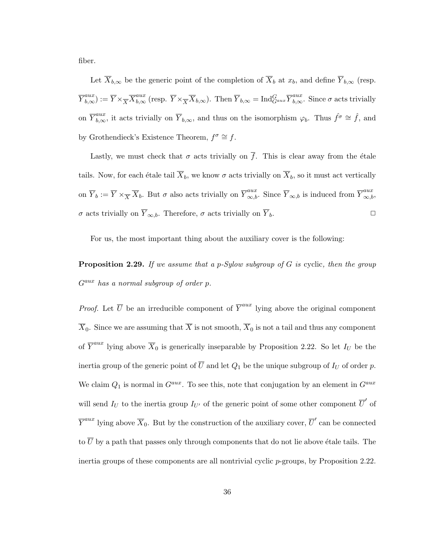fiber.

Let  $\overline{X}_{b,\infty}$  be the generic point of the completion of  $\overline{X}_b$  at  $x_b$ , and define  $\overline{Y}_{b,\infty}$  (resp.  $\overline{Y}_{b,\infty}^{aux} := \overline{Y} \times_{\overline{X}} \overline{X}_{b,\infty}^{aux}$  (resp.  $\overline{Y} \times_{\overline{X}} \overline{X}_{b,\infty}$ ). Then  $\overline{Y}_{b,\infty} = \text{Ind}_{G^{aux}}^G \overline{Y}_{b,\infty}^{aux}$ . Since  $\sigma$  acts trivially on  $\overline{Y}_{b,\infty}^{aux}$ , it acts trivially on  $\overline{Y}_{b,\infty}$ , and thus on the isomorphism  $\varphi_b$ . Thus  $\hat{f}^{\sigma} \cong \hat{f}$ , and by Grothendieck's Existence Theorem,  $f^{\sigma} \cong f$ .

Lastly, we must check that  $\sigma$  acts trivially on  $\overline{f}$ . This is clear away from the étale tails. Now, for each étale tail  $\overline{X}_b$ , we know  $\sigma$  acts trivially on  $\overline{X}_b$ , so it must act vertically on  $\overline{Y}_b := \overline{Y} \times_{\overline{X}} \overline{X}_b$ . But  $\sigma$  also acts trivially on  $\overline{Y}_{\infty,b}^{aux}$ . Since  $\overline{Y}_{\infty,b}$  is induced from  $\overline{Y}_{\infty,b}^{aux}$ . σ acts trivially on  $\overline{Y}_{\infty,b}$ . Therefore, σ acts trivially on  $\overline{Y}_b$ . □

For us, the most important thing about the auxiliary cover is the following:

**Proposition 2.29.** If we assume that a p-Sylow subgroup of G is cyclic, then the group  $G^{aux}$  has a normal subgroup of order p.

*Proof.* Let  $\overline{U}$  be an irreducible component of  $\overline{Y}^{aux}$  lying above the original component  $\overline{X}_0$ . Since we are assuming that  $\overline{X}$  is not smooth,  $\overline{X}_0$  is not a tail and thus any component of  $\overline{Y}^{aux}$  lying above  $\overline{X}_0$  is generically inseparable by Proposition 2.22. So let  $I_U$  be the inertia group of the generic point of  $\overline{U}$  and let  $Q_1$  be the unique subgroup of  $I_U$  of order p. We claim  $Q_1$  is normal in  $G^{aux}$ . To see this, note that conjugation by an element in  $G^{aux}$ will send  $I_U$  to the inertia group  $I_{U'}$  of the generic point of some other component  $\overline{U}'$  of  $\overline{Y}^{aux}$  lying above  $\overline{X}_0$ . But by the construction of the auxiliary cover,  $\overline{U}'$  can be connected to  $\overline{U}$  by a path that passes only through components that do not lie above étale tails. The inertia groups of these components are all nontrivial cyclic p-groups, by Proposition 2.22.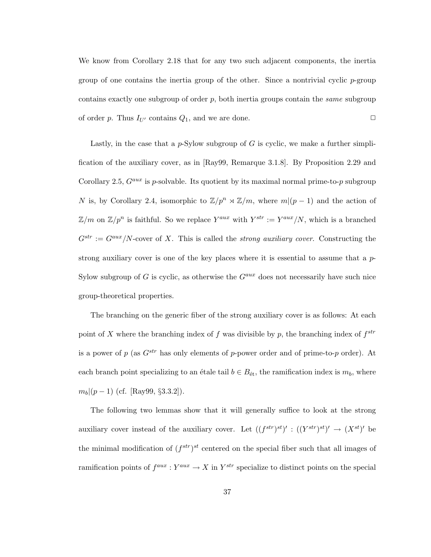We know from Corollary 2.18 that for any two such adjacent components, the inertia group of one contains the inertia group of the other. Since a nontrivial cyclic  $p$ -group contains exactly one subgroup of order  $p$ , both inertia groups contain the *same* subgroup of order p. Thus  $I_{U'}$  contains  $Q_1$ , and we are done.  $\Box$ 

Lastly, in the case that a p-Sylow subgroup of  $G$  is cyclic, we make a further simplification of the auxiliary cover, as in [Ray99, Remarque 3.1.8]. By Proposition 2.29 and Corollary 2.5,  $G^{aux}$  is p-solvable. Its quotient by its maximal normal prime-to-p subgroup N is, by Corollary 2.4, isomorphic to  $\mathbb{Z}/p^n \rtimes \mathbb{Z}/m$ , where  $m|(p-1)$  and the action of  $\mathbb{Z}/m$  on  $\mathbb{Z}/p^n$  is faithful. So we replace  $Y^{aux}$  with  $Y^{str} := Y^{aux}/N$ , which is a branched  $G^{str} := G^{aux}/N$ -cover of X. This is called the *strong auxiliary cover*. Constructing the strong auxiliary cover is one of the key places where it is essential to assume that a  $p$ -Sylow subgroup of G is cyclic, as otherwise the  $G^{aux}$  does not necessarily have such nice group-theoretical properties.

The branching on the generic fiber of the strong auxiliary cover is as follows: At each point of X where the branching index of f was divisible by p, the branching index of  $f^{str}$ is a power of p (as  $G^{str}$  has only elements of p-power order and of prime-to-p order). At each branch point specializing to an étale tail  $b \in B_{\text{\'et}}$ , the ramification index is  $m_b$ , where  $m_b|(p-1)$  (cf. [Ray99, §3.3.2]).

The following two lemmas show that it will generally suffice to look at the strong auxiliary cover instead of the auxiliary cover. Let  $((f^{str})^{st})' : ((Y^{str})^{st})' \rightarrow (X^{st})'$  be the minimal modification of  $(f^{str})^{st}$  centered on the special fiber such that all images of ramification points of  $f^{aux}: Y^{aux} \to X$  in  $Y^{str}$  specialize to distinct points on the special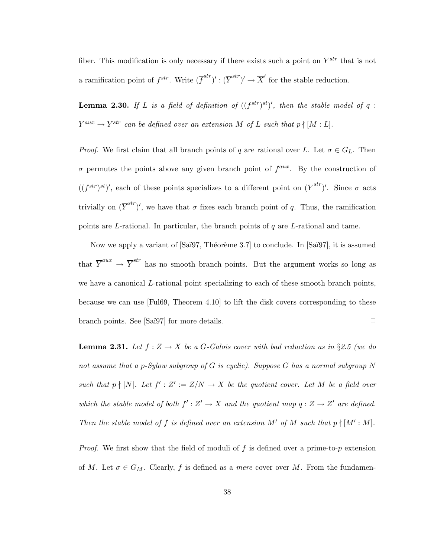fiber. This modification is only necessary if there exists such a point on  $Y^{str}$  that is not a ramification point of  $f^{str}$ . Write  $(\overline{f}^{str})' : (\overline{Y}^{str})' \to \overline{X}'$  for the stable reduction.

**Lemma 2.30.** If L is a field of definition of  $((f^{str})^{st})'$ , then the stable model of q:  $Y^{aux} \rightarrow Y^{str}$  can be defined over an extension M of L such that  $p \nmid [M:L]$ .

*Proof.* We first claim that all branch points of q are rational over L. Let  $\sigma \in G_L$ . Then  $\sigma$  permutes the points above any given branch point of  $f^{aux}$ . By the construction of  $((f^{str})^{st})'$ , each of these points specializes to a different point on  $(\overline{Y}^{str})'$ . Since  $\sigma$  acts trivially on  $(\overline{Y}^{str})'$ , we have that  $\sigma$  fixes each branch point of q. Thus, the ramification points are L-rational. In particular, the branch points of  $q$  are L-rational and tame.

Now we apply a variant of  $[Sa\ddot{a}97, Th\acute{e}or\grave{e}me 3.7]$  to conclude. In  $[Sa\ddot{a}97]$ , it is assumed that  $\overline{Y}^{aux} \to \overline{Y}^{str}$  has no smooth branch points. But the argument works so long as we have a canonical L-rational point specializing to each of these smooth branch points, because we can use [Ful69, Theorem 4.10] to lift the disk covers corresponding to these branch points. See [Saï97] for more details.  $\Box$ 

**Lemma 2.31.** Let  $f : Z \to X$  be a G-Galois cover with bad reduction as in §2.5 (we do not assume that a p-Sylow subgroup of G is cyclic). Suppose G has a normal subgroup N such that  $p \nmid |N|$ . Let  $f' : Z' := Z/N \to X$  be the quotient cover. Let M be a field over which the stable model of both  $f': Z' \to X$  and the quotient map  $q: Z \to Z'$  are defined. Then the stable model of f is defined over an extension M' of M such that  $p \nmid [M':M]$ .

*Proof.* We first show that the field of moduli of  $f$  is defined over a prime-to- $p$  extension of M. Let  $\sigma \in G_M$ . Clearly, f is defined as a mere cover over M. From the fundamen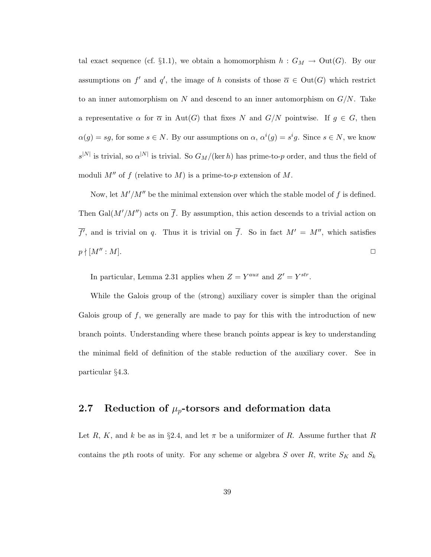tal exact sequence (cf. §1.1), we obtain a homomorphism  $h : G_M \to Out(G)$ . By our assumptions on f' and q', the image of h consists of those  $\overline{\alpha} \in Out(G)$  which restrict to an inner automorphism on N and descend to an inner automorphism on  $G/N$ . Take a representative  $\alpha$  for  $\overline{\alpha}$  in Aut(G) that fixes N and  $G/N$  pointwise. If  $g \in G$ , then  $\alpha(g) = sg$ , for some  $s \in N$ . By our assumptions on  $\alpha$ ,  $\alpha^{i}(g) = s^{i}g$ . Since  $s \in N$ , we know  $s^{|N|}$  is trivial, so  $\alpha^{|N|}$  is trivial. So  $G_M/(\ker h)$  has prime-to-p order, and thus the field of moduli  $M''$  of f (relative to M) is a prime-to-p extension of M.

Now, let  $M'/M''$  be the minimal extension over which the stable model of f is defined. Then Gal( $M'/M''$ ) acts on  $\overline{f}$ . By assumption, this action descends to a trivial action on  $\overline{f}$ , and is trivial on q. Thus it is trivial on  $\overline{f}$ . So in fact  $M' = M''$ , which satisfies  $p \nmid [M'':M].$ 

In particular, Lemma 2.31 applies when  $Z = Y^{aux}$  and  $Z' = Y^{str}$ .

While the Galois group of the (strong) auxiliary cover is simpler than the original Galois group of  $f$ , we generally are made to pay for this with the introduction of new branch points. Understanding where these branch points appear is key to understanding the minimal field of definition of the stable reduction of the auxiliary cover. See in particular §4.3.

# 2.7 Reduction of  $\mu_p$ -torsors and deformation data

Let R, K, and k be as in §2.4, and let  $\pi$  be a uniformizer of R. Assume further that R contains the pth roots of unity. For any scheme or algebra S over R, write  $S_K$  and  $S_k$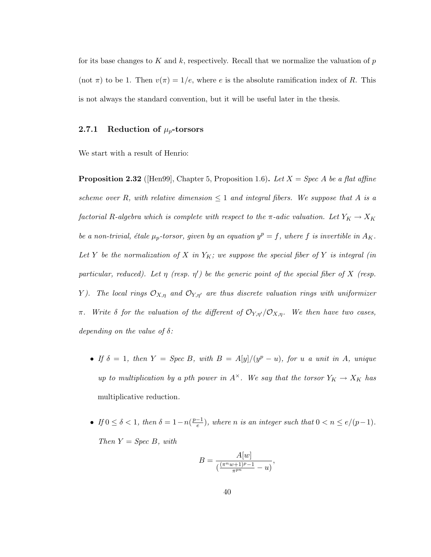for its base changes to K and k, respectively. Recall that we normalize the valuation of  $p$ (not  $\pi$ ) to be 1. Then  $v(\pi) = 1/e$ , where e is the absolute ramification index of R. This is not always the standard convention, but it will be useful later in the thesis.

# 2.7.1 Reduction of  $\mu_p$ -torsors

We start with a result of Henrio:

**Proposition 2.32** ([Hen99], Chapter 5, Proposition 1.6). Let  $X = Spec A$  be a flat affine scheme over R, with relative dimension  $\leq 1$  and integral fibers. We suppose that A is a factorial R-algebra which is complete with respect to the  $\pi$ -adic valuation. Let  $Y_K \to X_K$ be a non-trivial, étale  $\mu_p$ -torsor, given by an equation  $y^p = f$ , where f is invertible in  $A_K$ . Let Y be the normalization of X in  $Y_K$ ; we suppose the special fiber of Y is integral (in particular, reduced). Let  $\eta$  (resp.  $\eta'$ ) be the generic point of the special fiber of X (resp. Y). The local rings  $\mathcal{O}_{X,\eta}$  and  $\mathcal{O}_{Y,\eta'}$  are thus discrete valuation rings with uniformizer π. Write  $\delta$  for the valuation of the different of  $\mathcal{O}_{Y,\eta'}/\mathcal{O}_{X,\eta}$ . We then have two cases, depending on the value of  $\delta$ :

- If  $\delta = 1$ , then  $Y = Spec B$ , with  $B = A[y]/(y^p u)$ , for u a unit in A, unique up to multiplication by a pth power in  $A^{\times}$ . We say that the torsor  $Y_K \to X_K$  has multiplicative reduction.
- If  $0 \leq \delta < 1$ , then  $\delta = 1 n(\frac{p-1}{e})$  $\frac{e^{-1}}{e}$ , where *n* is an integer such that  $0 < n \leq e/(p-1)$ . Then  $Y = Spec B$ , with

$$
B = \frac{A[w]}{\left(\frac{(\pi^n w + 1)^p - 1}{\pi^{pn}} - u\right)},
$$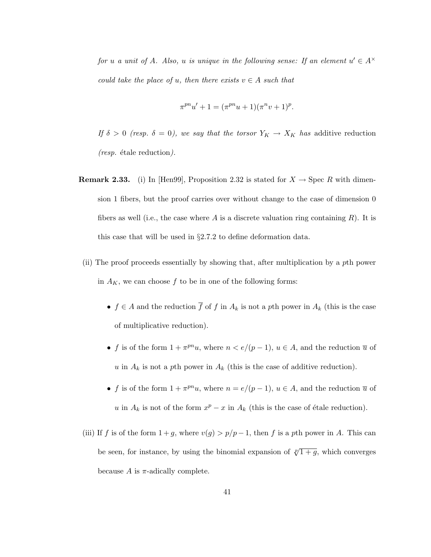for u a unit of A. Also, u is unique in the following sense: If an element  $u' \in A^{\times}$ could take the place of u, then there exists  $v \in A$  such that

$$
\pi^{pn}u' + 1 = (\pi^{pn}u + 1)(\pi^{n}v + 1)^{p}.
$$

If  $\delta > 0$  (resp.  $\delta = 0$ ), we say that the torsor  $Y_K \to X_K$  has additive reduction  $(resp.$  étale reduction).

- **Remark 2.33.** (i) In [Hen99], Proposition 2.32 is stated for  $X \to \text{Spec } R$  with dimension 1 fibers, but the proof carries over without change to the case of dimension 0 fibers as well (i.e., the case where A is a discrete valuation ring containing  $R$ ). It is this case that will be used in §2.7.2 to define deformation data.
- (ii) The proof proceeds essentially by showing that, after multiplication by a pth power in  $A_K$ , we can choose f to be in one of the following forms:
	- $f \in A$  and the reduction  $\overline{f}$  of  $f$  in  $A_k$  is not a pth power in  $A_k$  (this is the case of multiplicative reduction).
	- f is of the form  $1 + \pi^{pn}u$ , where  $n < e/(p-1)$ ,  $u \in A$ , and the reduction  $\overline{u}$  of u in  $A_k$  is not a pth power in  $A_k$  (this is the case of additive reduction).
	- f is of the form  $1 + \pi^{pn}u$ , where  $n = e/(p-1)$ ,  $u \in A$ , and the reduction  $\overline{u}$  of u in  $A_k$  is not of the form  $x^p - x$  in  $A_k$  (this is the case of étale reduction).
- (iii) If f is of the form  $1+g$ , where  $v(g) > p/p-1$ , then f is a pth power in A. This can be seen, for instance, by using the binomial expansion of  $\sqrt[p]{1+g}$ , which converges because A is  $\pi$ -adically complete.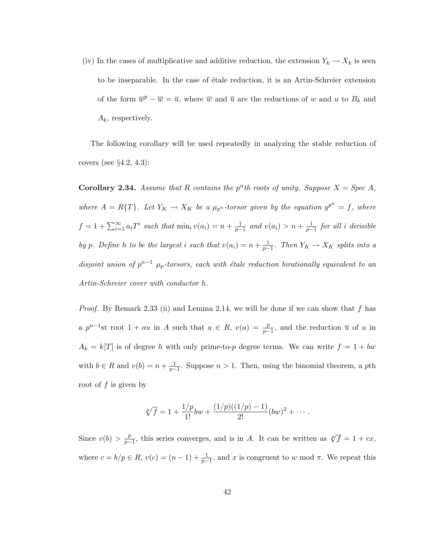(iv) In the cases of multiplicative and additive reduction, the extension  $Y_k \to X_k$  is seen to be inseparable. In the case of étale reduction, it is an Artin-Schreier extension of the form  $\overline{w}^p - \overline{w} = \overline{u}$ , where  $\overline{w}$  and  $\overline{u}$  are the reductions of w and u to  $B_k$  and  $A_k$ , respectively.

The following corollary will be used repeatedly in analyzing the stable reduction of covers (see  $\S 4.2, 4.3$ ):

**Corollary 2.34.** Assume that R contains the  $p^n$ th roots of unity. Suppose  $X = Spec A$ , where  $A = R\{T\}$ . Let  $Y_K \to X_K$  be a  $\mu_{p^n}$ -torsor given by the equation  $y^{p^n} = f$ , where  $f = 1 + \sum_{i=1}^{\infty} a_i T^i$  such that  $\min_i v(a_i) = n + \frac{1}{p-1}$  and  $v(a_i) > n + \frac{1}{p-1}$  for all i divisible by p. Define h to be the largest i such that  $v(a_i) = n + \frac{1}{p-1}$ . Then  $Y_K \to X_K$  splits into a disjoint union of  $p^{n-1}$   $\mu_p$ -torsors, each with étale reduction birationally equivalent to an Artin-Schreier cover with conductor h.

*Proof.* By Remark 2.33 (ii) and Lemma 2.14, we will be done if we can show that f has a  $p^{n-1}$ st root  $1 + au$  in A such that  $a \in R$ ,  $v(a) = \frac{p}{p-1}$ , and the reduction  $\overline{u}$  of u in  $A_k = k[T]$  is of degree h with only prime-to-p degree terms. We can write  $f = 1 + bw$ with  $b \in R$  and  $v(b) = n + \frac{1}{p-1}$ . Suppose  $n > 1$ . Then, using the binomial theorem, a pth root of  $f$  is given by

$$
\sqrt[p]{f} = 1 + \frac{1/p}{1!}bw + \frac{(1/p)((1/p) - 1)}{2!}(bw)^2 + \cdots
$$

Since  $v(b) > \frac{p}{p-a}$  $\frac{p}{p-1}$ , this series converges, and is in A. It can be written as  $\sqrt[p]{f} = 1 + cx$ , where  $c = b/p \in R$ ,  $v(c) = (n-1) + \frac{1}{p-1}$ , and x is congruent to w mod  $\pi$ . We repeat this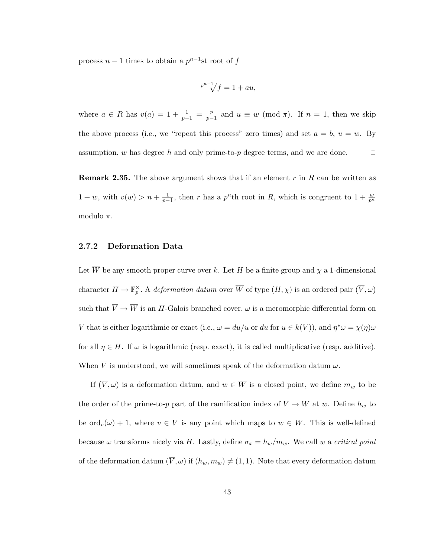process  $n-1$  times to obtain a  $p^{n-1}$ st root of f

$$
\sqrt[p^{n-1}]{f} = 1 + au,
$$

where  $a \in R$  has  $v(a) = 1 + \frac{1}{p-1} = \frac{p}{p-1}$  $\frac{p}{p-1}$  and  $u \equiv w \pmod{\pi}$ . If  $n = 1$ , then we skip the above process (i.e., we "repeat this process" zero times) and set  $a = b$ ,  $u = w$ . By assumption, w has degree h and only prime-to-p degree terms, and we are done.  $\Box$ 

**Remark 2.35.** The above argument shows that if an element r in R can be written as  $1 + w$ , with  $v(w) > n + \frac{1}{p-1}$ , then r has a  $p^n$ th root in R, which is congruent to  $1 + \frac{w}{p^n}$ modulo  $\pi$ .

#### 2.7.2 Deformation Data

Let  $\overline{W}$  be any smooth proper curve over k. Let H be a finite group and  $\chi$  a 1-dimensional character  $H \to \mathbb{F}_p^{\times}$ . A deformation datum over  $\overline{W}$  of type  $(H, \chi)$  is an ordered pair  $(\overline{V}, \omega)$ such that  $\overline{V} \to \overline{W}$  is an H-Galois branched cover,  $\omega$  is a meromorphic differential form on  $\overline{V}$  that is either logarithmic or exact (i.e.,  $\omega = du/u$  or  $du$  for  $u \in k(\overline{V})$ ), and  $\eta^*\omega = \chi(\eta)\omega$ for all  $\eta \in H$ . If  $\omega$  is logarithmic (resp. exact), it is called multiplicative (resp. additive). When  $\overline{V}$  is understood, we will sometimes speak of the deformation datum  $\omega$ .

If  $(\overline{V}, \omega)$  is a deformation datum, and  $w \in \overline{W}$  is a closed point, we define  $m_w$  to be the order of the prime-to-p part of the ramification index of  $\overline{V} \to \overline{W}$  at w. Define  $h_w$  to be  $\text{ord}_v(\omega) + 1$ , where  $v \in \overline{V}$  is any point which maps to  $w \in \overline{W}$ . This is well-defined because  $\omega$  transforms nicely via H. Lastly, define  $\sigma_x = h_w/m_w$ . We call w a *critical point* of the deformation datum  $(\overline{V}, \omega)$  if  $(h_w, m_w) \neq (1, 1)$ . Note that every deformation datum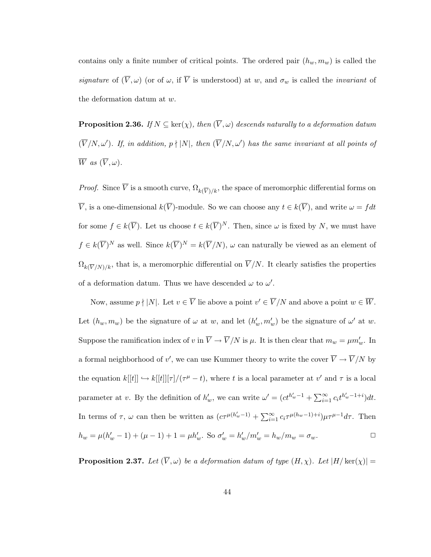contains only a finite number of critical points. The ordered pair  $(h_w, m_w)$  is called the signature of  $(\overline{V}, \omega)$  (or of  $\omega$ , if  $\overline{V}$  is understood) at w, and  $\sigma_w$  is called the *invariant* of the deformation datum at w.

**Proposition 2.36.** If  $N \subseteq \text{ker}(\chi)$ , then  $(\overline{V}, \omega)$  descends naturally to a deformation datum  $(\overline{V}/N, \omega')$ . If, in addition,  $p \nmid |N|$ , then  $(\overline{V}/N, \omega')$  has the same invariant at all points of  $\overline{W}$  as  $(\overline{V}, \omega)$ .

*Proof.* Since  $\overline{V}$  is a smooth curve,  $\Omega_{k(\overline{V})/k}$ , the space of meromorphic differential forms on  $\overline{V}$ , is a one-dimensional  $k(\overline{V})$ -module. So we can choose any  $t \in k(\overline{V})$ , and write  $\omega = f dt$ for some  $f \in k(\overline{V})$ . Let us choose  $t \in k(\overline{V})^N$ . Then, since  $\omega$  is fixed by N, we must have  $f \in k(\overline{V})^N$  as well. Since  $k(\overline{V})^N = k(\overline{V}/N)$ ,  $\omega$  can naturally be viewed as an element of  $\Omega_{k(\overline{V}/N)/k}$ , that is, a meromorphic differential on  $\overline{V}/N$ . It clearly satisfies the properties of a deformation datum. Thus we have descended  $\omega$  to  $\omega'$ .

Now, assume  $p \nmid |N|$ . Let  $v \in \overline{V}$  lie above a point  $v' \in \overline{V}/N$  and above a point  $w \in \overline{W}$ . Let  $(h_w, m_w)$  be the signature of  $\omega$  at w, and let  $(h'_w, m'_w)$  be the signature of  $\omega'$  at w. Suppose the ramification index of v in  $\overline{V} \to \overline{V}/N$  is  $\mu$ . It is then clear that  $m_w = \mu m'_w$ . In a formal neighborhood of v', we can use Kummer theory to write the cover  $\overline{V} \to \overline{V}/N$  by the equation  $k[[t]] \hookrightarrow k[[t]][\tau]/(\tau^{\mu} - t)$ , where t is a local parameter at  $v'$  and  $\tau$  is a local parameter at v. By the definition of  $h'_w$ , we can write  $\omega' = (ct^{h'_w-1} + \sum_{i=1}^{\infty} c_i t^{h'_w-1+i}) dt$ . In terms of  $\tau$ ,  $\omega$  can then be written as  $(c\tau^{\mu(h'_w-1)} + \sum_{i=1}^{\infty} c_i \tau^{\mu(h_w-1)+i}) \mu \tau^{\mu-1} d\tau$ . Then  $h_w = \mu(h'_w - 1) + (\mu - 1) + 1 = \mu h'_w$ . So  $\sigma'_w = h'_w/m'_w = h_w/m_w = \sigma_w$ .

**Proposition 2.37.** Let  $(\overline{V}, \omega)$  be a deformation datum of type  $(H, \chi)$ . Let  $|H/\ker(\chi)| =$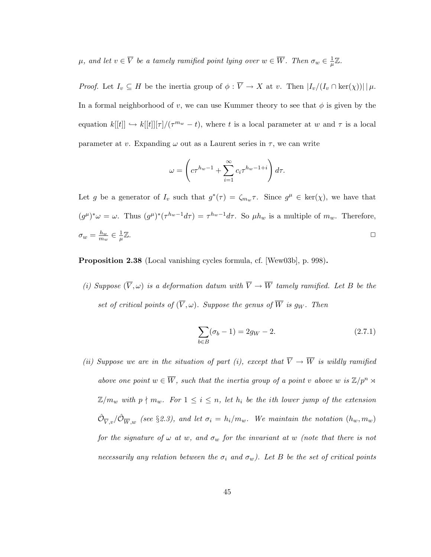$\mu$ , and let  $v \in \overline{V}$  be a tamely ramified point lying over  $w \in \overline{W}$ . Then  $\sigma_w \in \frac{1}{w}$  $\frac{1}{\mu}\mathbb{Z}.$ 

*Proof.* Let  $I_v \subseteq H$  be the inertia group of  $\phi : \overline{V} \to X$  at v. Then  $|I_v/(I_v \cap \ker(\chi))| \mid \mu$ . In a formal neighborhood of v, we can use Kummer theory to see that  $\phi$  is given by the equation  $k[[t]] \hookrightarrow k[[t]] [\tau] / (\tau^{m_w} - t)$ , where t is a local parameter at w and  $\tau$  is a local parameter at v. Expanding  $\omega$  out as a Laurent series in  $\tau$ , we can write

$$
\omega = \left( c \tau^{h_w - 1} + \sum_{i=1}^{\infty} c_i \tau^{h_w - 1 + i} \right) d\tau.
$$

Let g be a generator of  $I_v$  such that  $g^*(\tau) = \zeta_{m_w}\tau$ . Since  $g^{\mu} \in \text{ker}(\chi)$ , we have that  $(g^{\mu})^*\omega = \omega$ . Thus  $(g^{\mu})^*(\tau^{h_w-1}d\tau) = \tau^{h_w-1}d\tau$ . So  $\mu h_w$  is a multiple of  $m_w$ . Therefore,  $\sigma_w = \frac{h_w}{m_w}$  $\frac{h_w}{m_w} \in \frac{1}{\mu}$  $\overline{\mu}$  $\mathbb Z$ .

Proposition 2.38 (Local vanishing cycles formula, cf. [Wew03b], p. 998).

(i) Suppose  $(\overline{V}, \omega)$  is a deformation datum with  $\overline{V} \to \overline{W}$  tamely ramified. Let B be the set of critical points of  $(\overline{V}, \omega)$ . Suppose the genus of  $\overline{W}$  is g<sub>W</sub>. Then

$$
\sum_{b \in B} (\sigma_b - 1) = 2g_W - 2. \tag{2.7.1}
$$

(ii) Suppose we are in the situation of part (i), except that  $\overline{V} \to \overline{W}$  is wildly ramified above one point  $w \in \overline{W}$ , such that the inertia group of a point v above w is  $\mathbb{Z}/p^n \rtimes$  $\mathbb{Z}/m_w$  with  $p \nmid m_w$ . For  $1 \leq i \leq n$ , let  $h_i$  be the ith lower jump of the extension  $\hat{\mathcal{O}}_{\overline{V},v}/\hat{\mathcal{O}}_{\overline{W},w}$  (see §2.3), and let  $\sigma_i=h_i/m_w$ . We maintain the notation  $(h_w,m_w)$ for the signature of  $\omega$  at w, and  $\sigma_w$  for the invariant at w (note that there is not necessarily any relation between the  $\sigma_i$  and  $\sigma_w$ ). Let B be the set of critical points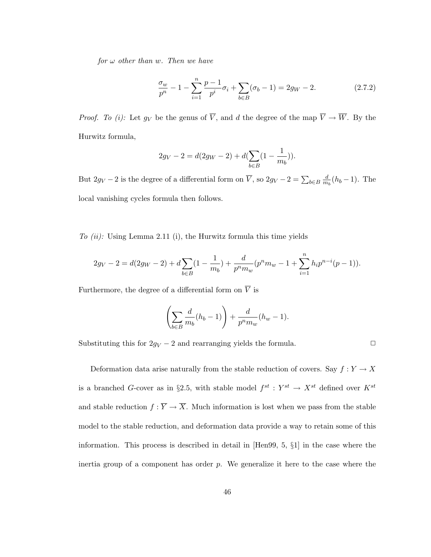for  $\omega$  other than w. Then we have

$$
\frac{\sigma_w}{p^n} - 1 - \sum_{i=1}^n \frac{p-1}{p^i} \sigma_i + \sum_{b \in B} (\sigma_b - 1) = 2g_W - 2.
$$
 (2.7.2)

*Proof.* To (i): Let  $g_V$  be the genus of  $\overline{V}$ , and d the degree of the map  $\overline{V} \to \overline{W}$ . By the Hurwitz formula,

$$
2g_V - 2 = d(2g_W - 2) + d(\sum_{b \in B} (1 - \frac{1}{m_b})).
$$

But  $2g_V - 2$  is the degree of a differential form on  $\overline{V}$ , so  $2g_V - 2 = \sum_{b \in B} \frac{d}{m}$  $\frac{d}{m_b}(h_b-1)$ . The local vanishing cycles formula then follows.

To  $(ii)$ : Using Lemma 2.11 (i), the Hurwitz formula this time yields

$$
2g_V - 2 = d(2g_W - 2) + d\sum_{b \in B} (1 - \frac{1}{m_b}) + \frac{d}{p^n m_w} (p^n m_w - 1 + \sum_{i=1}^n h_i p^{n-i} (p-1)).
$$

Furthermore, the degree of a differential form on  $\overline{V}$  is

$$
\left(\sum_{b\in B}\frac{d}{m_b}(h_b-1)\right)+\frac{d}{p^nm_w}(h_w-1).
$$

Substituting this for  $2g_V - 2$  and rearranging yields the formula.  $\Box$ 

Deformation data arise naturally from the stable reduction of covers. Say  $f:Y\to X$ is a branched G-cover as in §2.5, with stable model  $f^{st}: Y^{st} \to X^{st}$  defined over  $K^{st}$ and stable reduction  $f : \overline{Y} \to \overline{X}$ . Much information is lost when we pass from the stable model to the stable reduction, and deformation data provide a way to retain some of this information. This process is described in detail in [Hen99, 5, §1] in the case where the inertia group of a component has order  $p$ . We generalize it here to the case where the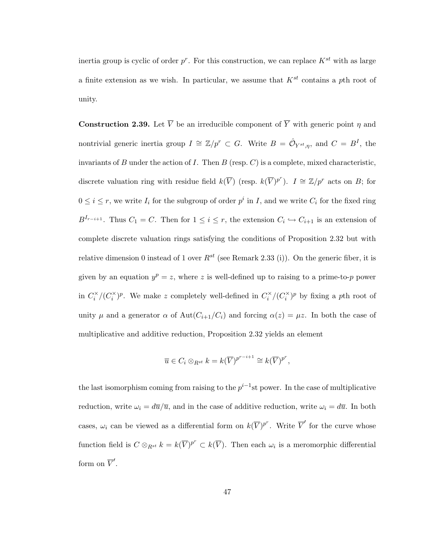inertia group is cyclic of order  $p^r$ . For this construction, we can replace  $K^{st}$  with as large a finite extension as we wish. In particular, we assume that  $K^{st}$  contains a pth root of unity.

**Construction 2.39.** Let  $\overline{V}$  be an irreducible component of  $\overline{Y}$  with generic point  $\eta$  and nontrivial generic inertia group  $I \cong \mathbb{Z}/p^r \subset G$ . Write  $B = \hat{\mathcal{O}}_{Y^{st}, \eta}$ , and  $C = B^I$ , the invariants of B under the action of I. Then  $B$  (resp. C) is a complete, mixed characteristic, discrete valuation ring with residue field  $k(\overline{V})$  (resp.  $k(\overline{V})^{p^r}$ ).  $I \cong \mathbb{Z}/p^r$  acts on B; for  $0 \leq i \leq r$ , we write  $I_i$  for the subgroup of order  $p^i$  in I, and we write  $C_i$  for the fixed ring  $B^{I_{r-i+1}}$ . Thus  $C_1 = C$ . Then for  $1 \leq i \leq r$ , the extension  $C_i \hookrightarrow C_{i+1}$  is an extension of complete discrete valuation rings satisfying the conditions of Proposition 2.32 but with relative dimension 0 instead of 1 over  $R^{st}$  (see Remark 2.33 (i)). On the generic fiber, it is given by an equation  $y^p = z$ , where z is well-defined up to raising to a prime-to-p power in  $C_i^{\times}/(C_i^{\times})^p$ . We make z completely well-defined in  $C_i^{\times}/(C_i^{\times})^p$  by fixing a pth root of unity  $\mu$  and a generator  $\alpha$  of Aut $(C_{i+1}/C_i)$  and forcing  $\alpha(z) = \mu z$ . In both the case of multiplicative and additive reduction, Proposition 2.32 yields an element

$$
\overline{u} \in C_i \otimes_{R^{st}} k = k(\overline{V})^{p^{r-i+1}} \cong k(\overline{V})^{p^r},
$$

the last isomorphism coming from raising to the  $p^{i-1}$ st power. In the case of multiplicative reduction, write  $\omega_i = d\overline{u}/\overline{u}$ , and in the case of additive reduction, write  $\omega_i = d\overline{u}$ . In both cases,  $\omega_i$  can be viewed as a differential form on  $k(\overline{V})^{p^r}$ . Write  $\overline{V}'$  for the curve whose function field is  $C \otimes_{R^{st}} k = k(\overline{V})^{p^r} \subset k(\overline{V})$ . Then each  $\omega_i$  is a meromorphic differential form on  $\overline{V}'$ .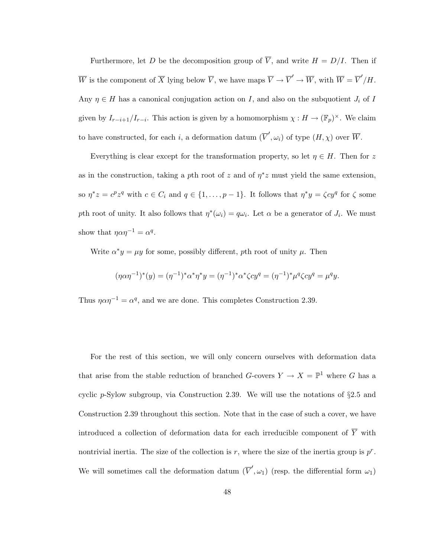Furthermore, let D be the decomposition group of  $\overline{V}$ , and write  $H = D/I$ . Then if We is the component of  $\overline{X}$  lying below  $\overline{V}$ , we have maps  $\overline{V} \to \overline{V}' \to \overline{W}$ , with  $\overline{W} = \overline{V}'/H$ . Any  $\eta \in H$  has a canonical conjugation action on I, and also on the subquotient  $J_i$  of I given by  $I_{r-i+1}/I_{r-i}$ . This action is given by a homomorphism  $\chi: H \to (\mathbb{F}_p)^{\times}$ . We claim to have constructed, for each i, a deformation datum  $(\overline{V}', \omega_i)$  of type  $(H, \chi)$  over  $\overline{W}$ .

Everything is clear except for the transformation property, so let  $\eta \in H$ . Then for z as in the construction, taking a pth root of z and of  $\eta^* z$  must yield the same extension, so  $\eta^*z = c^p z^q$  with  $c \in C_i$  and  $q \in \{1, \ldots, p-1\}$ . It follows that  $\eta^*y = \zeta c y^q$  for  $\zeta$  some pth root of unity. It also follows that  $\eta^*(\omega_i) = q\omega_i$ . Let  $\alpha$  be a generator of  $J_i$ . We must show that  $\eta \alpha \eta^{-1} = \alpha^q$ .

Write  $\alpha^* y = \mu y$  for some, possibly different, pth root of unity  $\mu$ . Then

$$
(\eta \alpha \eta^{-1})^*(y) = (\eta^{-1})^* \alpha^* \eta^* y = (\eta^{-1})^* \alpha^* \zeta c y^q = (\eta^{-1})^* \mu^q \zeta c y^q = \mu^q y.
$$

Thus  $\eta \alpha \eta^{-1} = \alpha^q$ , and we are done. This completes Construction 2.39.

For the rest of this section, we will only concern ourselves with deformation data that arise from the stable reduction of branched  $G$ -covers  $Y \to X = \mathbb{P}^1$  where G has a cyclic p-Sylow subgroup, via Construction 2.39. We will use the notations of  $\S 2.5$  and Construction 2.39 throughout this section. Note that in the case of such a cover, we have introduced a collection of deformation data for each irreducible component of  $\overline{Y}$  with nontrivial inertia. The size of the collection is r, where the size of the inertia group is  $p^r$ . We will sometimes call the deformation datum  $(\overline{V}', \omega_1)$  (resp. the differential form  $\omega_1$ )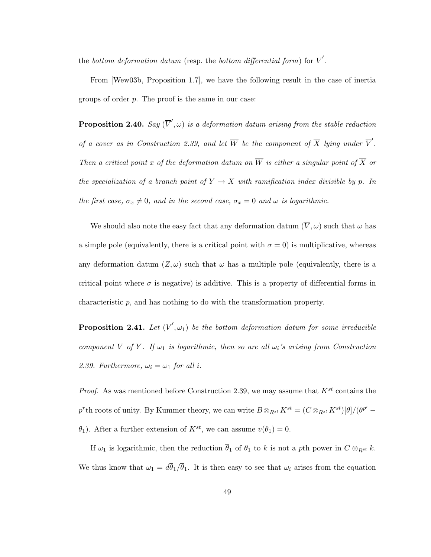the bottom deformation datum (resp. the bottom differential form) for  $\overline{V}'$ .

From [Wew03b, Proposition 1.7], we have the following result in the case of inertia groups of order p. The proof is the same in our case:

**Proposition 2.40.** Say  $(\overline{V}', \omega)$  is a deformation datum arising from the stable reduction of a cover as in Construction 2.39, and let  $\overline{W}$  be the component of  $\overline{X}$  lying under  $\overline{V}'$ . Then a critical point x of the deformation datum on  $\overline{W}$  is either a singular point of  $\overline{X}$  or the specialization of a branch point of  $Y \to X$  with ramification index divisible by p. In the first case,  $\sigma_x \neq 0$ , and in the second case,  $\sigma_x = 0$  and  $\omega$  is logarithmic.

We should also note the easy fact that any deformation datum  $(\overline{V}, \omega)$  such that  $\omega$  has a simple pole (equivalently, there is a critical point with  $\sigma = 0$ ) is multiplicative, whereas any deformation datum  $(Z, \omega)$  such that  $\omega$  has a multiple pole (equivalently, there is a critical point where  $\sigma$  is negative) is additive. This is a property of differential forms in characteristic p, and has nothing to do with the transformation property.

**Proposition 2.41.** Let  $(\overline{V}', \omega_1)$  be the bottom deformation datum for some irreducible component  $\overline{V}$  of  $\overline{Y}$ . If  $\omega_1$  is logarithmic, then so are all  $\omega_i$ 's arising from Construction 2.39. Furthermore,  $\omega_i = \omega_1$  for all i.

*Proof.* As was mentioned before Construction 2.39, we may assume that  $K^{st}$  contains the  $p^r$ th roots of unity. By Kummer theory, we can write  $B \otimes_{R^{st}} K^{st} = (C \otimes_{R^{st}} K^{st})[\theta]/(\theta^{p^r}-1)$  $\theta_1$ ). After a further extension of  $K^{st}$ , we can assume  $v(\theta_1) = 0$ .

If  $\omega_1$  is logarithmic, then the reduction  $\bar{\theta}_1$  of  $\theta_1$  to k is not a pth power in  $C \otimes_{R^{st}} k$ . We thus know that  $\omega_1 = d\overline{\theta}_1/\overline{\theta}_1$ . It is then easy to see that  $\omega_i$  arises from the equation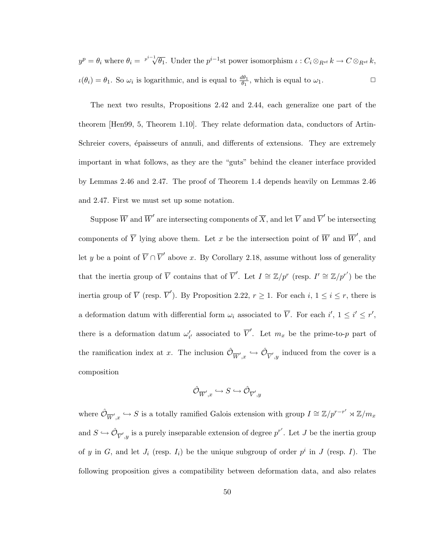$y^p = \theta_i$  where  $\theta_i = \sqrt[p^{i-1}]{ }$  $\overline{\theta_1}$ . Under the  $p^{i-1}$ st power isomorphism  $\iota: C_i \otimes_{R^{st}} k \to C \otimes_{R^{st}} k$ ,  $u(\theta_i) = \theta_1$ . So  $\omega_i$  is logarithmic, and is equal to  $\frac{d\theta_1}{\theta_1}$ , which is equal to  $\omega_1$ .

The next two results, Propositions 2.42 and 2.44, each generalize one part of the theorem [Hen99, 5, Theorem 1.10]. They relate deformation data, conductors of Artin-Schreier covers, épaisseurs of annuli, and differents of extensions. They are extremely important in what follows, as they are the "guts" behind the cleaner interface provided by Lemmas 2.46 and 2.47. The proof of Theorem 1.4 depends heavily on Lemmas 2.46 and 2.47. First we must set up some notation.

Suppose  $\overline{W}$  and  $\overline{W}'$  are intersecting components of  $\overline{X}$ , and let  $\overline{V}$  and  $\overline{V}'$  be intersecting components of  $\overline{Y}$  lying above them. Let x be the intersection point of  $\overline{W}$  and  $\overline{W}'$ , and let y be a point of  $\overline{V} \cap \overline{V}'$  above x. By Corollary 2.18, assume without loss of generality that the inertia group of  $\overline{V}$  contains that of  $\overline{V}'$ . Let  $I \cong \mathbb{Z}/p^r$  (resp.  $I' \cong \mathbb{Z}/p^{r'}$ ) be the inertia group of  $\overline{V}$  (resp.  $\overline{V}'$ ). By Proposition 2.22,  $r \geq 1$ . For each  $i, 1 \leq i \leq r$ , there is a deformation datum with differential form  $\omega_i$  associated to  $\overline{V}$ . For each  $i'$ ,  $1 \leq i' \leq r'$ , there is a deformation datum  $\omega'_{i'}$  associated to  $\overline{V}'$ . Let  $m_x$  be the prime-to-p part of the ramification index at x. The inclusion  $\hat{\mathcal{O}}_{\overline{W}',x} \hookrightarrow \hat{\mathcal{O}}_{\overline{V}',y}$  induced from the cover is a composition

$$
\hat{\mathcal{O}}_{\overline{W}',x} \hookrightarrow S \hookrightarrow \hat{\mathcal{O}}_{\overline{V}',y}
$$

where  $\hat{\mathcal{O}}_{\overline{W}',x} \hookrightarrow S$  is a totally ramified Galois extension with group  $I \cong \mathbb{Z}/p^{r-r'} \rtimes \mathbb{Z}/m_x$ and  $S \hookrightarrow \hat{\mathcal{O}}_{\overline{V}',y}$  is a purely inseparable extension of degree  $p^{r'}$ . Let J be the inertia group of y in G, and let  $J_i$  (resp.  $I_i$ ) be the unique subgroup of order  $p^i$  in J (resp. I). The following proposition gives a compatibility between deformation data, and also relates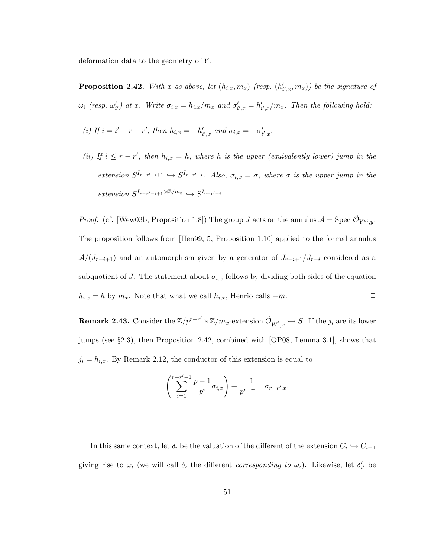deformation data to the geometry of  $\overline{Y}$ .

**Proposition 2.42.** With x as above, let  $(h_{i,x}, m_x)$  (resp.  $(h'_{i',x}, m_x)$ ) be the signature of  $\omega_i$  (resp.  $\omega'_{i'}$ ) at x. Write  $\sigma_{i,x} = h_{i,x}/m_x$  and  $\sigma'_{i',x} = h'_{i',x}/m_x$ . Then the following hold:

(i) If 
$$
i = i' + r - r'
$$
, then  $h_{i,x} = -h'_{i',x}$  and  $\sigma_{i,x} = -\sigma'_{i',x}$ .

(ii) If  $i \leq r - r'$ , then  $h_{i,x} = h$ , where h is the upper (equivalently lower) jump in the extension  $S^{I_{r-r'-i+1}} \hookrightarrow S^{I_{r-r'-i}}$ . Also,  $\sigma_{i,x} = \sigma$ , where  $\sigma$  is the upper jump in the  $extension S^{I_{r-r'-i+1} \rtimes \mathbb{Z}/m_x} \hookrightarrow S^{I_{r-r'-i}}.$ 

*Proof.* (cf. [Wew03b, Proposition 1.8]) The group J acts on the annulus  $A = \text{Spec } \hat{\mathcal{O}}_{Y^{st},y}$ . The proposition follows from [Hen99, 5, Proposition 1.10] applied to the formal annulus  $\mathcal{A}/(J_{r-i+1})$  and an automorphism given by a generator of  $J_{r-i+1}/J_{r-i}$  considered as a subquotient of J. The statement about  $\sigma_{i,x}$  follows by dividing both sides of the equation  $h_{i,x} = h$  by  $m_x$ . Note that what we call  $h_{i,x}$ , Henrio calls  $-m$ .  $\Box$ 

**Remark 2.43.** Consider the  $\mathbb{Z}/p^{r-r'} \rtimes \mathbb{Z}/m_x$ -extension  $\hat{\mathcal{O}}_{\overline{W}',x} \hookrightarrow S$ . If the  $j_i$  are its lower jumps (see §2.3), then Proposition 2.42, combined with [OP08, Lemma 3.1], shows that  $j_i = h_{i,x}$ . By Remark 2.12, the conductor of this extension is equal to

$$
\left(\sum_{i=1}^{r-r'-1} \frac{p-1}{p^i} \sigma_{i,x}\right) + \frac{1}{p^{r-r'-1}} \sigma_{r-r',x}.
$$

In this same context, let  $\delta_i$  be the valuation of the different of the extension  $C_i \hookrightarrow C_{i+1}$ giving rise to  $\omega_i$  (we will call  $\delta_i$  the different *corresponding to*  $\omega_i$ ). Likewise, let  $\delta'_{i'}$  be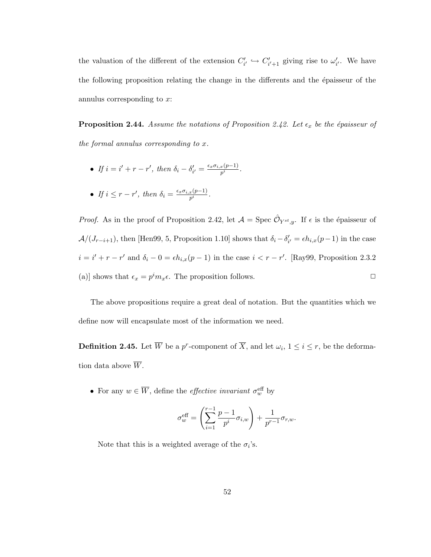the valuation of the different of the extension  $C'_{i'} \hookrightarrow C'_{i'+1}$  giving rise to  $\omega'_{i'}$ . We have the following proposition relating the change in the differents and the  $\acute{e}$  paisseur of the annulus corresponding to x:

**Proposition 2.44.** Assume the notations of Proposition 2.42. Let  $\epsilon_x$  be the épaisseur of the formal annulus corresponding to x.

- If  $i = i' + r r'$ , then  $\delta_i \delta'_{i'} = \frac{\epsilon_x \sigma_{i,x}(p-1)}{p^i}$  $\frac{x(p-1)}{p^i}$  .
- If  $i \leq r r'$ , then  $\delta_i = \frac{\epsilon_x \sigma_{i,x}(p-1)}{n^i}$  $\frac{x(p-1)}{p^i}$  .

*Proof.* As in the proof of Proposition 2.42, let  $\mathcal{A} = \text{Spec } \hat{\mathcal{O}}_{Y^{st},y}$ . If  $\epsilon$  is the épaisseur of  $\mathcal{A}/(J_{r-i+1})$ , then [Hen99, 5, Proposition 1.10] shows that  $\delta_i - \delta'_{i'} = \epsilon h_{i,x}(p-1)$  in the case  $i = i' + r - r'$  and  $\delta_i - 0 = \epsilon h_{i,x}(p-1)$  in the case  $i < r - r'$ . [Ray99, Proposition 2.3.2] (a)] shows that  $\epsilon_x = p^i m_x \epsilon$ . The proposition follows.

The above propositions require a great deal of notation. But the quantities which we define now will encapsulate most of the information we need.

**Definition 2.45.** Let  $\overline{W}$  be a p<sup>r</sup>-component of  $\overline{X}$ , and let  $\omega_i$ ,  $1 \le i \le r$ , be the deformation data above  $\overline{W}$ .

• For any  $w \in \overline{W}$ , define the *effective invariant*  $\sigma_w^{\text{eff}}$  by

$$
\sigma_w^{\text{eff}} = \left(\sum_{i=1}^{r-1} \frac{p-1}{p^i} \sigma_{i,w}\right) + \frac{1}{p^{r-1}} \sigma_{r,w}.
$$

Note that this is a weighted average of the  $\sigma_i$ 's.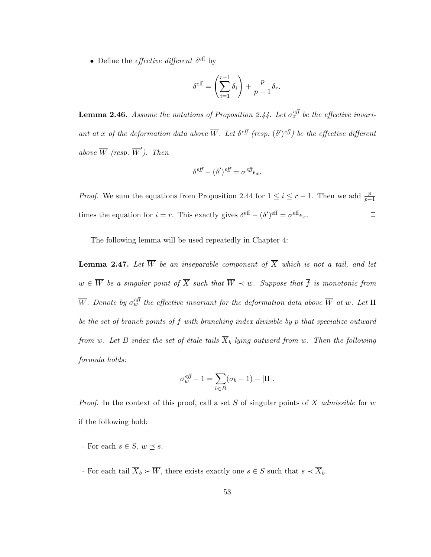• Define the *effective different*  $\delta^{\text{eff}}$  by

$$
\delta^{\text{eff}} = \left(\sum_{i=1}^{r-1} \delta_i\right) + \frac{p}{p-1} \delta_r.
$$

**Lemma 2.46.** Assume the notations of Proposition 2.44. Let  $\sigma_x^{\text{eff}}$  be the effective invariant at x of the deformation data above  $\overline{W}$ . Let  $\delta^{eff}$  (resp.  $(\delta')^{eff}$ ) be the effective different above  $\overline{W}$  (resp.  $\overline{W}'$ ). Then

$$
\delta^{\text{eff}} - (\delta')^{\text{eff}} = \sigma^{\text{eff}} \epsilon_x.
$$

*Proof.* We sum the equations from Proposition 2.44 for  $1 \leq i \leq r-1$ . Then we add  $\frac{p}{p-1}$ times the equation for  $i = r$ . This exactly gives  $\delta^{\text{eff}} - (\delta')^{\text{eff}} = \sigma^{\text{eff}} \epsilon_x$ .

The following lemma will be used repeatedly in Chapter 4:

**Lemma 2.47.** Let  $\overline{W}$  be an inseparable component of  $\overline{X}$  which is not a tail, and let  $w \in \overline{W}$  be a singular point of  $\overline{X}$  such that  $\overline{W} \prec w$ . Suppose that  $\overline{f}$  is monotonic from  $\overline{W}.$  Denote by  $\sigma_w^{\text{eff}}$  the effective invariant for the deformation data above  $\overline{W}$  at w. Let  $\Pi$ be the set of branch points of f with branching index divisible by p that specialize outward from w. Let B index the set of étale tails  $\overline{X}_b$  lying outward from w. Then the following formula holds:

$$
\sigma_w^{eff} - 1 = \sum_{b \in B} (\sigma_b - 1) - |\Pi|.
$$

*Proof.* In the context of this proof, call a set S of singular points of  $\overline{X}$  admissible for w if the following hold:

- For each  $s \in S$ ,  $w \preceq s$ .
- For each tail  $\overline{X}_b \succ \overline{W}$ , there exists exactly one  $s \in S$  such that  $s \prec \overline{X}_b$ .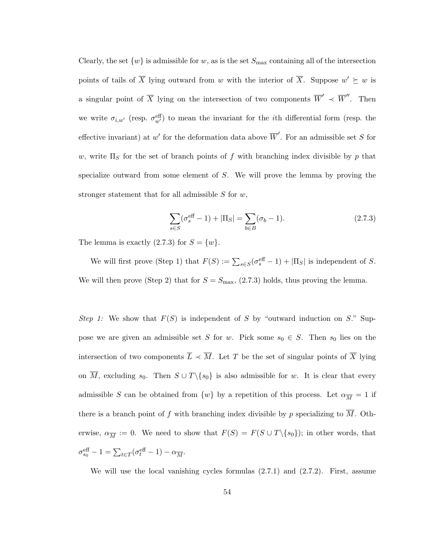Clearly, the set  $\{w\}$  is admissible for w, as is the set  $S_{\text{max}}$  containing all of the intersection points of tails of  $\overline{X}$  lying outward from w with the interior of  $\overline{X}$ . Suppose  $w' \succeq w$  is a singular point of  $\overline{X}$  lying on the intersection of two components  $\overline{W}' \prec \overline{W}''$ . Then we write  $\sigma_{i,w'}$  (resp.  $\sigma_{w'}^{\text{eff}}$ ) to mean the invariant for the *i*th differential form (resp. the effective invariant) at w' for the deformation data above  $\overline{W}'$ . For an admissible set S for w, write  $\Pi_S$  for the set of branch points of f with branching index divisible by p that specialize outward from some element of S. We will prove the lemma by proving the stronger statement that for all admissible  $S$  for  $w$ ,

$$
\sum_{s \in S} (\sigma_s^{\text{eff}} - 1) + |\Pi_S| = \sum_{b \in B} (\sigma_b - 1).
$$
 (2.7.3)

The lemma is exactly  $(2.7.3)$  for  $S = \{w\}.$ 

We will first prove (Step 1) that  $F(S) := \sum_{s \in S} (\sigma_s^{\text{eff}} - 1) + |\Pi_S|$  is independent of S. We will then prove (Step 2) that for  $S = S_{\text{max}}$ , (2.7.3) holds, thus proving the lemma.

Step 1: We show that  $F(S)$  is independent of S by "outward induction on S." Suppose we are given an admissible set S for w. Pick some  $s_0 \in S$ . Then  $s_0$  lies on the intersection of two components  $\overline{L} \prec \overline{M}$ . Let T be the set of singular points of  $\overline{X}$  lying on  $\overline{M}$ , excluding s<sub>0</sub>. Then  $S \cup T \setminus \{s_0\}$  is also admissible for w. It is clear that every admissible S can be obtained from  $\{w\}$  by a repetition of this process. Let  $\alpha_{\overline{M}} = 1$  if there is a branch point of f with branching index divisible by p specializing to  $\overline{M}$ . Otherwise,  $\alpha_{\overline{M}} := 0$ . We need to show that  $F(S) = F(S \cup T \setminus \{s_0\})$ ; in other words, that  $\sigma_{s_0}^{\text{eff}} - 1 = \sum_{t \in T} (\sigma_t^{\text{eff}} - 1) - \alpha_{\overline{M}}.$ 

We will use the local vanishing cycles formulas  $(2.7.1)$  and  $(2.7.2)$ . First, assume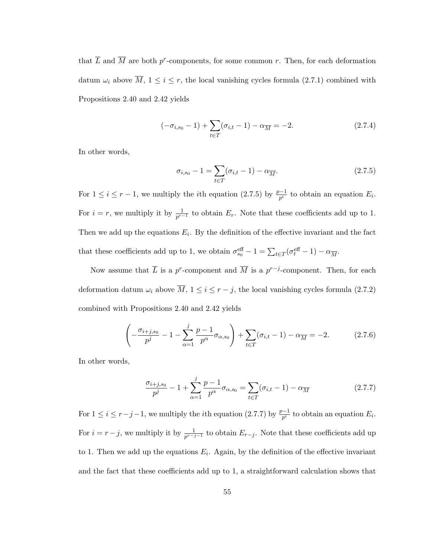that  $\overline{L}$  and  $\overline{M}$  are both p<sup>r</sup>-components, for some common r. Then, for each deformation datum  $\omega_i$  above  $\overline{M}$ ,  $1 \leq i \leq r$ , the local vanishing cycles formula (2.7.1) combined with Propositions 2.40 and 2.42 yields

$$
(-\sigma_{i,s_0} - 1) + \sum_{t \in T} (\sigma_{i,t} - 1) - \alpha_{\overline{M}} = -2.
$$
 (2.7.4)

In other words,

$$
\sigma_{i,s_0} - 1 = \sum_{t \in T} (\sigma_{i,t} - 1) - \alpha_{\overline{M}}.
$$
\n(2.7.5)

For  $1 \leq i \leq r-1$ , we multiply the *i*th equation (2.7.5) by  $\frac{p-1}{p^i}$  to obtain an equation  $E_i$ . For  $i = r$ , we multiply it by  $\frac{1}{p^{r-1}}$  to obtain  $E_r$ . Note that these coefficients add up to 1. Then we add up the equations  $E_i$ . By the definition of the effective invariant and the fact that these coefficients add up to 1, we obtain  $\sigma_{s_0}^{\text{eff}} - 1 = \sum_{t \in T} (\sigma_t^{\text{eff}} - 1) - \alpha_{\overline{M}}$ .

Now assume that  $\overline{L}$  is a p<sup>r</sup>-component and  $\overline{M}$  is a p<sup>r-j</sup>-component. Then, for each deformation datum  $\omega_i$  above  $\overline{M}$ ,  $1 \le i \le r - j$ , the local vanishing cycles formula (2.7.2) combined with Propositions 2.40 and 2.42 yields

$$
\left(-\frac{\sigma_{i+j,s_0}}{p^j} - 1 - \sum_{\alpha=1}^j \frac{p-1}{p^{\alpha}} \sigma_{\alpha,s_0}\right) + \sum_{t \in T} (\sigma_{i,t} - 1) - \alpha_{\overline{M}} = -2. \tag{2.7.6}
$$

In other words,

$$
\frac{\sigma_{i+j,s_0}}{p^j} - 1 + \sum_{\alpha=1}^j \frac{p-1}{p^{\alpha}} \sigma_{\alpha,s_0} = \sum_{t \in T} (\sigma_{i,t} - 1) - \alpha_{\overline{M}}
$$
(2.7.7)

For  $1 \leq i \leq r-j-1$ , we multiply the *i*th equation (2.7.7) by  $\frac{p-1}{p^i}$  to obtain an equation  $E_i$ . For  $i = r - j$ , we multiply it by  $\frac{1}{p^{r-j-1}}$  to obtain  $E_{r-j}$ . Note that these coefficients add up to 1. Then we add up the equations  $E_i$ . Again, by the definition of the effective invariant and the fact that these coefficients add up to 1, a straightforward calculation shows that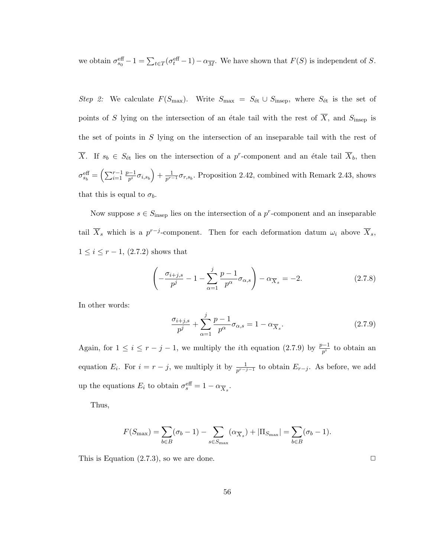we obtain  $\sigma_{s_0}^{\text{eff}} - 1 = \sum_{t \in T} (\sigma_t^{\text{eff}} - 1) - \alpha_{\overline{M}}$ . We have shown that  $F(S)$  is independent of S.

Step 2: We calculate  $F(S_{\text{max}})$ . Write  $S_{\text{max}} = S_{\text{\'et}} \cup S_{\text{insep}}$ , where  $S_{\text{\'et}}$  is the set of points of S lying on the intersection of an étale tail with the rest of  $\overline{X}$ , and  $S_{\text{insep}}$  is the set of points in S lying on the intersection of an inseparable tail with the rest of  $\overline{X}$ . If  $s_b \in S_{\text{\'et}}$  lies on the intersection of a p<sup>r</sup>-component and an étale tail  $\overline{X}_b$ , then  $\sigma_{s_b}^{\text{eff}}=\left(\sum_{i=1}^{r-1}% \sigma_{s_b}^{\text{eff}}\right)^{1/2}=\sigma_{s_b}^{\text{eff}}\left(\sum_{i=1}^{r-1}% \sigma_{s_b}^{\text{eff}}\right)^{1/2}$  $p-1$  $\frac{p-1}{p^i}\sigma_{i,s_b}\Big)+\frac{1}{p^{r-1}}$  $\frac{1}{p^{r-1}}\sigma_{r,s_b}$ . Proposition 2.42, combined with Remark 2.43, shows that this is equal to  $\sigma_b$ .

Now suppose  $s \in S_{\text{insep}}$  lies on the intersection of a p<sup>r</sup>-component and an inseparable tail  $\overline{X}_s$  which is a  $p^{r-j}$ -component. Then for each deformation datum  $\omega_i$  above  $\overline{X}_s$ ,  $1 \le i \le r - 1$ , (2.7.2) shows that

$$
\left(-\frac{\sigma_{i+j,s}}{p^j} - 1 - \sum_{\alpha=1}^j \frac{p-1}{p^{\alpha}} \sigma_{\alpha,s}\right) - \alpha_{\overline{X}_s} = -2.
$$
\n(2.7.8)

In other words:

$$
\frac{\sigma_{i+j,s}}{p^j} + \sum_{\alpha=1}^j \frac{p-1}{p^{\alpha}} \sigma_{\alpha,s} = 1 - \alpha_{\overline{X}_s}.
$$
 (2.7.9)

Again, for  $1 \leq i \leq r - j - 1$ , we multiply the *i*th equation (2.7.9) by  $\frac{p-1}{p^i}$  to obtain an equation  $E_i$ . For  $i = r - j$ , we multiply it by  $\frac{1}{p^{r-j-1}}$  to obtain  $E_{r-j}$ . As before, we add up the equations  $E_i$  to obtain  $\sigma_s^{\text{eff}} = 1 - \alpha_{\overline{X}_s}$ .

Thus,

$$
F(S_{\max}) = \sum_{b \in B} (\sigma_b - 1) - \sum_{s \in S_{\max}} (\alpha_{\overline{X}_s}) + |\Pi_{S_{\max}}| = \sum_{b \in B} (\sigma_b - 1).
$$

This is Equation  $(2.7.3)$ , so we are done.  $\Box$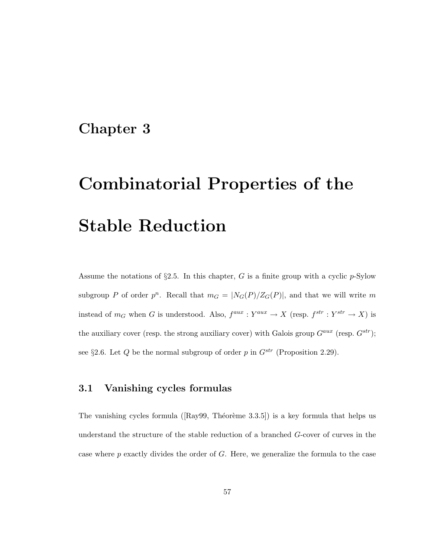# Chapter 3

# Combinatorial Properties of the Stable Reduction

Assume the notations of  $\S2.5$ . In this chapter, G is a finite group with a cyclic p-Sylow subgroup P of order  $p^n$ . Recall that  $m_G = |N_G(P)/Z_G(P)|$ , and that we will write m instead of  $m_G$  when G is understood. Also,  $f^{aux}: Y^{aux} \to X$  (resp.  $f^{str}: Y^{str} \to X$ ) is the auxiliary cover (resp. the strong auxiliary cover) with Galois group  $G^{aux}$  (resp.  $G^{str}$ ); see §2.6. Let Q be the normal subgroup of order p in  $G^{str}$  (Proposition 2.29).

# 3.1 Vanishing cycles formulas

The vanishing cycles formula ( $[Ray99, Théorème 3.3.5]$ ) is a key formula that helps us understand the structure of the stable reduction of a branched G-cover of curves in the case where  $p$  exactly divides the order of  $G$ . Here, we generalize the formula to the case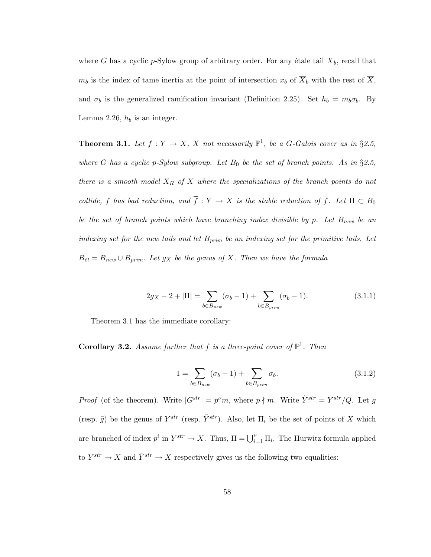where G has a cyclic p-Sylow group of arbitrary order. For any étale tail  $\overline{X}_b$ , recall that  $m_b$  is the index of tame inertia at the point of intersection  $x_b$  of  $\overline{X}_b$  with the rest of  $\overline{X}_b$ , and  $\sigma_b$  is the generalized ramification invariant (Definition 2.25). Set  $h_b = m_b \sigma_b$ . By Lemma 2.26,  $h_b$  is an integer.

**Theorem 3.1.** Let  $f: Y \to X$ , X not necessarily  $\mathbb{P}^1$ , be a G-Galois cover as in §2.5, where G has a cyclic p-Sylow subgroup. Let  $B_0$  be the set of branch points. As in §2.5, there is a smooth model  $X_R$  of X where the specializations of the branch points do not collide, f has bad reduction, and  $\overline{f} : \overline{Y} \to \overline{X}$  is the stable reduction of f. Let  $\Pi \subset B_0$ be the set of branch points which have branching index divisible by p. Let  $B_{new}$  be an indexing set for the new tails and let  $B_{prim}$  be an indexing set for the primitive tails. Let  $B_{\acute{e}t} = B_{new} \cup B_{prim}$ . Let  $g_X$  be the genus of X. Then we have the formula

$$
2g_X - 2 + |\Pi| = \sum_{b \in B_{new}} (\sigma_b - 1) + \sum_{b \in B_{prim}} (\sigma_b - 1).
$$
 (3.1.1)

Theorem 3.1 has the immediate corollary:

**Corollary 3.2.** Assume further that f is a three-point cover of  $\mathbb{P}^1$ . Then

$$
1 = \sum_{b \in B_{new}} (\sigma_b - 1) + \sum_{b \in B_{prim}} \sigma_b.
$$
 (3.1.2)

*Proof* (of the theorem). Write  $|G^{str}| = p^{\nu}m$ , where  $p \nmid m$ . Write  $\tilde{Y}^{str} = Y^{str}/Q$ . Let g (resp.  $\tilde{g}$ ) be the genus of  $Y^{str}$  (resp.  $\tilde{Y}^{str}$ ). Also, let  $\Pi_i$  be the set of points of X which are branched of index  $p^i$  in  $Y^{str} \to X$ . Thus,  $\Pi = \bigcup_{i=1}^{\nu} \Pi_i$ . The Hurwitz formula applied to  $Y^{str} \to X$  and  $\tilde{Y}^{str} \to X$  respectively gives us the following two equalities: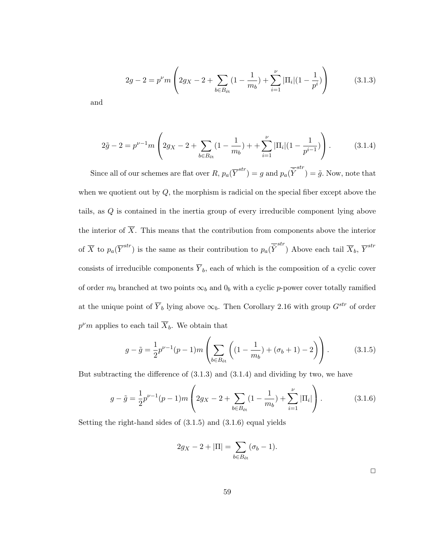$$
2g - 2 = p^{\nu} m \left( 2g_X - 2 + \sum_{b \in B_{\text{\'et}}} (1 - \frac{1}{m_b}) + \sum_{i=1}^{\nu} |\Pi_i| (1 - \frac{1}{p^i}) \right) \tag{3.1.3}
$$

and

$$
2\tilde{g} - 2 = p^{\nu - 1} m \left( 2g_X - 2 + \sum_{b \in B_{\text{\'et}}} (1 - \frac{1}{m_b}) + \sum_{i=1}^{\nu} |\Pi_i| (1 - \frac{1}{p^{i-1}}) \right). \tag{3.1.4}
$$

Since all of our schemes are flat over  $R$ ,  $p_a(\overline{Y}^{str}) = g$  and  $p_a(\overline{\tilde{Y}}^{str}) = \tilde{g}$ . Now, note that when we quotient out by  $Q$ , the morphism is radicial on the special fiber except above the tails, as Q is contained in the inertia group of every irreducible component lying above the interior of  $\overline{X}$ . This means that the contribution from components above the interior of  $\overline{X}$  to  $p_a(\overline{Y}^{str})$  is the same as their contribution to  $p_a(\overline{\tilde{Y}}^{str})$  Above each tail  $\overline{X}_b$ ,  $\overline{Y}^{str}$ consists of irreducible components  $\overline{Y}_b$ , each of which is the composition of a cyclic cover of order  $m_b$  branched at two points  $\infty_b$  and  $0_b$  with a cyclic p-power cover totally ramified at the unique point of  $\overline{Y}_b$  lying above  $\infty_b$ . Then Corollary 2.16 with group  $G^{str}$  of order  $p^{\nu}m$  applies to each tail  $\overline{X}_{b}$ . We obtain that

$$
g - \tilde{g} = \frac{1}{2} p^{\nu - 1} (p - 1) m \left( \sum_{b \in B_{\text{\'et}}} \left( (1 - \frac{1}{m_b}) + (\sigma_b + 1) - 2 \right) \right). \tag{3.1.5}
$$

But subtracting the difference of (3.1.3) and (3.1.4) and dividing by two, we have

$$
g - \tilde{g} = \frac{1}{2} p^{\nu - 1} (p - 1) m \left( 2g_X - 2 + \sum_{b \in B_{\text{\'et}}} (1 - \frac{1}{m_b}) + \sum_{i=1}^{\nu} |\Pi_i| \right). \tag{3.1.6}
$$

Setting the right-hand sides of (3.1.5) and (3.1.6) equal yields

$$
2g_X - 2 + |\Pi| = \sum_{b \in B_{\text{\'et}}} (\sigma_b - 1).
$$

 $\Box$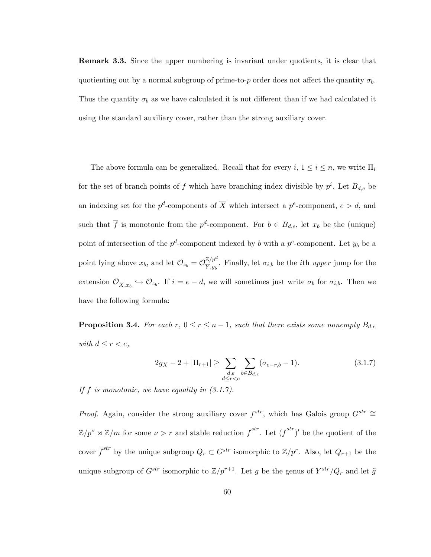Remark 3.3. Since the upper numbering is invariant under quotients, it is clear that quotienting out by a normal subgroup of prime-to-p order does not affect the quantity  $\sigma_b$ . Thus the quantity  $\sigma_b$  as we have calculated it is not different than if we had calculated it using the standard auxiliary cover, rather than the strong auxiliary cover.

The above formula can be generalized. Recall that for every  $i, 1 \leq i \leq n$ , we write  $\Pi_i$ for the set of branch points of f which have branching index divisible by  $p^i$ . Let  $B_{d,e}$  be an indexing set for the  $p^d$ -components of  $\overline{X}$  which intersect a  $p^e$ -component,  $e > d$ , and such that  $\overline{f}$  is monotonic from the  $p^d$ -component. For  $b \in B_{d,e}$ , let  $x_b$  be the (unique) point of intersection of the  $p^d$ -component indexed by b with a  $p^e$ -component. Let  $y_b$  be a point lying above  $x_b$ , and let  $\mathcal{O}_{z_b} = \mathcal{O}_{\overline{Y},w}^{\mathbb{Z}/p^d}$  $\frac{\mathbb{Z}/p^2}{\sum y_i}$ . Finally, let  $\sigma_{i,b}$  be the *i*th *upper* jump for the extension  $\mathcal{O}_{\overline{X},x_b} \hookrightarrow \mathcal{O}_{z_b}$ . If  $i = e - d$ , we will sometimes just write  $\sigma_b$  for  $\sigma_{i,b}$ . Then we have the following formula:

**Proposition 3.4.** For each r,  $0 \le r \le n-1$ , such that there exists some nonempty  $B_{d,e}$ with  $d \leq r < e$ ,

$$
2g_X - 2 + |\Pi_{r+1}| \ge \sum_{\substack{d,e \ b \in B_{d,e}}} \sum_{b \in B_{d,e}} (\sigma_{e-r,b} - 1). \tag{3.1.7}
$$

If  $f$  is monotonic, we have equality in  $(3.1.7)$ .

*Proof.* Again, consider the strong auxiliary cover  $f^{str}$ , which has Galois group  $G^{str} \cong$  $\mathbb{Z}/p^{\nu} \rtimes \mathbb{Z}/m$  for some  $\nu > r$  and stable reduction  $\overline{f}^{str}$ . Let  $(\overline{f}^{str})'$  be the quotient of the cover  $\overline{f}^{str}$  by the unique subgroup  $Q_r \subset G^{str}$  isomorphic to  $\mathbb{Z}/p^r$ . Also, let  $Q_{r+1}$  be the unique subgroup of  $G^{str}$  isomorphic to  $\mathbb{Z}/p^{r+1}$ . Let g be the genus of  $Y^{str}/Q_r$  and let  $\tilde{g}$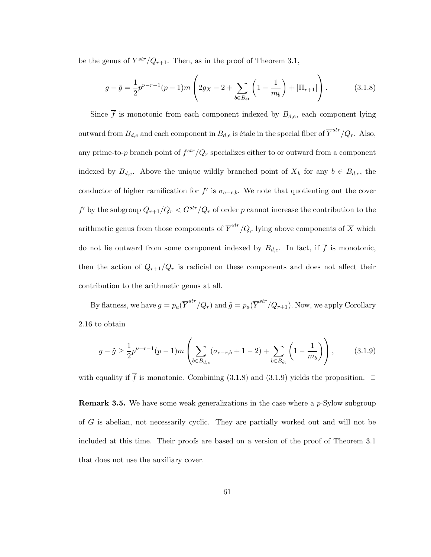be the genus of  $Y^{str}/Q_{r+1}$ . Then, as in the proof of Theorem 3.1,

$$
g - \tilde{g} = \frac{1}{2} p^{\nu - r - 1} (p - 1) m \left( 2g_X - 2 + \sum_{b \in B_{\text{\'et}}} \left( 1 - \frac{1}{m_b} \right) + |\Pi_{r+1}| \right). \tag{3.1.8}
$$

Since  $\overline{f}$  is monotonic from each component indexed by  $B_{d,e}$ , each component lying outward from  $B_{d,e}$  and each component in  $B_{d,e}$  is étale in the special fiber of  $\overline{Y}^{str}/Q_r$ . Also, any prime-to-p branch point of  $f^{str}/Q_r$  specializes either to or outward from a component indexed by  $B_{d,e}$ . Above the unique wildly branched point of  $\overline{X}_b$  for any  $b \in B_{d,e}$ , the conductor of higher ramification for  $\overline{f'}$  is  $\sigma_{e-r,b}$ . We note that quotienting out the cover  $\overline{f'}$  by the subgroup  $Q_{r+1}/Q_r < G^{str}/Q_r$  of order p cannot increase the contribution to the arithmetic genus from those components of  $\overline{Y}^{str}/Q_r$  lying above components of  $\overline{X}$  which do not lie outward from some component indexed by  $B_{d,e}$ . In fact, if  $\overline{f}$  is monotonic, then the action of  $Q_{r+1}/Q_r$  is radicial on these components and does not affect their contribution to the arithmetic genus at all.

By flatness, we have  $g = p_a(\overline{Y}^{str}/Q_r)$  and  $\tilde{g} = p_a(\overline{Y}^{str}/Q_{r+1})$ . Now, we apply Corollary 2.16 to obtain

$$
g - \tilde{g} \ge \frac{1}{2} p^{\nu - r - 1} (p - 1) m \left( \sum_{b \in B_{d,e}} (\sigma_{e-r,b} + 1 - 2) + \sum_{b \in B_{\text{\'et}}} \left( 1 - \frac{1}{m_b} \right) \right), \tag{3.1.9}
$$

with equality if  $\overline{f}$  is monotonic. Combining (3.1.8) and (3.1.9) yields the proposition.  $\Box$ 

Remark 3.5. We have some weak generalizations in the case where a p-Sylow subgroup of G is abelian, not necessarily cyclic. They are partially worked out and will not be included at this time. Their proofs are based on a version of the proof of Theorem 3.1 that does not use the auxiliary cover.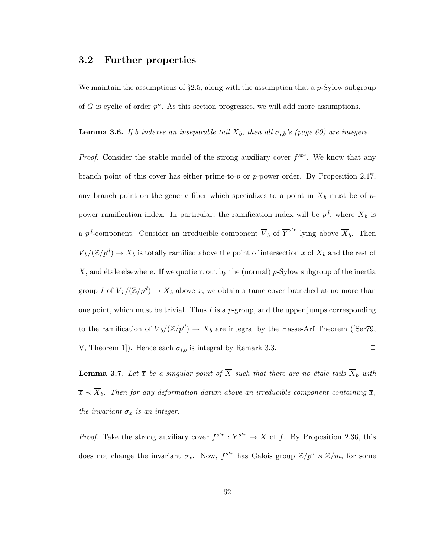### 3.2 Further properties

We maintain the assumptions of  $\S2.5$ , along with the assumption that a p-Sylow subgroup of G is cyclic of order  $p^n$ . As this section progresses, we will add more assumptions.

**Lemma 3.6.** If b indexes an inseparable tail  $\overline{X}_b$ , then all  $\sigma_{i,b}$ 's (page 60) are integers.

*Proof.* Consider the stable model of the strong auxiliary cover  $f^{str}$ . We know that any branch point of this cover has either prime-to-p or p-power order. By Proposition 2.17, any branch point on the generic fiber which specializes to a point in  $\overline{X}_b$  must be of ppower ramification index. In particular, the ramification index will be  $p^d$ , where  $\overline{X}_b$  is a p<sup>d</sup>-component. Consider an irreducible component  $\overline{V}_b$  of  $\overline{Y}^{str}$  lying above  $\overline{X}_b$ . Then  $\overline{V}_b/(\mathbb{Z}/p^d) \to \overline{X}_b$  is totally ramified above the point of intersection x of  $\overline{X}_b$  and the rest of  $\overline{X}$ , and étale elsewhere. If we quotient out by the (normal) p-Sylow subgroup of the inertia group I of  $\overline{V}_b/(\mathbb{Z}/p^d) \to \overline{X}_b$  above x, we obtain a tame cover branched at no more than one point, which must be trivial. Thus I is a p-group, and the upper jumps corresponding to the ramification of  $\overline{V}_b/(\mathbb{Z}/p^d) \to \overline{X}_b$  are integral by the Hasse-Arf Theorem ([Ser79, V, Theorem 1]). Hence each  $\sigma_{i,b}$  is integral by Remark 3.3.

**Lemma 3.7.** Let  $\overline{x}$  be a singular point of  $\overline{X}$  such that there are no étale tails  $\overline{X}_b$  with  $\overline{x} \lt \overline{X}_b$ . Then for any deformation datum above an irreducible component containing  $\overline{x}$ , the invariant  $\sigma_{\overline{x}}$  is an integer.

*Proof.* Take the strong auxiliary cover  $f^{str} : Y^{str} \to X$  of f. By Proposition 2.36, this does not change the invariant  $\sigma_{\overline{x}}$ . Now,  $f^{str}$  has Galois group  $\mathbb{Z}/p^{\nu} \rtimes \mathbb{Z}/m$ , for some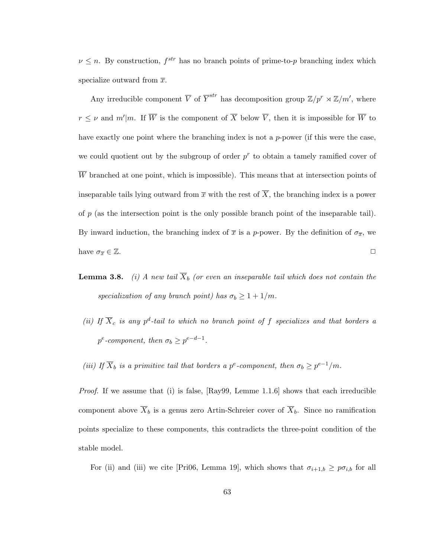$\nu \leq n$ . By construction,  $f^{str}$  has no branch points of prime-to-p branching index which specialize outward from  $\bar{x}$ .

Any irreducible component  $\overline{V}$  of  $\overline{Y}^{str}$  has decomposition group  $\mathbb{Z}/p^r \rtimes \mathbb{Z}/m'$ , where  $r \leq \nu$  and  $m'|m$ . If  $\overline{W}$  is the component of  $\overline{X}$  below  $\overline{V}$ , then it is impossible for  $\overline{W}$  to have exactly one point where the branching index is not a  $p$ -power (if this were the case, we could quotient out by the subgroup of order  $p^r$  to obtain a tamely ramified cover of  $\overline{W}$  branched at one point, which is impossible). This means that at intersection points of inseparable tails lying outward from  $\bar{x}$  with the rest of  $\bar{X}$ , the branching index is a power of p (as the intersection point is the only possible branch point of the inseparable tail). By inward induction, the branching index of  $\bar{x}$  is a p-power. By the definition of  $\sigma_{\bar{x}}$ , we have  $\sigma_{\overline{x}} \in \mathbb{Z}$ .

- **Lemma 3.8.** (i) A new tail  $\overline{X}_b$  (or even an inseparable tail which does not contain the specialization of any branch point) has  $\sigma_b \geq 1 + 1/m$ .
- (ii) If  $\overline{X}_c$  is any p<sup>d</sup>-tail to which no branch point of f specializes and that borders a  $p^e$ -component, then  $\sigma_b \geq p^{e-d-1}$ .
- (iii) If  $\overline{X}_b$  is a primitive tail that borders a p<sup>e</sup>-component, then  $\sigma_b \geq p^{e-1}/m$ .

*Proof.* If we assume that (i) is false,  $[Ray99, Lemme 1.1.6]$  shows that each irreducible component above  $\overline{X}_b$  is a genus zero Artin-Schreier cover of  $\overline{X}_b$ . Since no ramification points specialize to these components, this contradicts the three-point condition of the stable model.

For (ii) and (iii) we cite [Pri06, Lemma 19], which shows that  $\sigma_{i+1,b} \geq p\sigma_{i,b}$  for all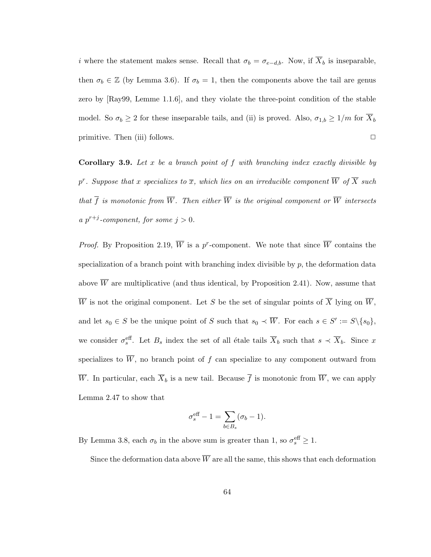i where the statement makes sense. Recall that  $\sigma_b = \sigma_{e-d,b}$ . Now, if  $\overline{X}_b$  is inseparable, then  $\sigma_b \in \mathbb{Z}$  (by Lemma 3.6). If  $\sigma_b = 1$ , then the components above the tail are genus zero by [Ray99, Lemme 1.1.6], and they violate the three-point condition of the stable model. So  $\sigma_b \ge 2$  for these inseparable tails, and (ii) is proved. Also,  $\sigma_{1,b} \ge 1/m$  for  $\overline{X}_b$ primitive. Then (iii) follows.  $\Box$ 

**Corollary 3.9.** Let x be a branch point of f with branching index exactly divisible by  $p^r$ . Suppose that x specializes to  $\overline{x}$ , which lies on an irreducible component  $\overline{W}$  of  $\overline{X}$  such that  $\overline{f}$  is monotonic from  $\overline{W}$ . Then either  $\overline{W}$  is the original component or  $\overline{W}$  intersects a  $p^{r+j}$ -component, for some  $j > 0$ .

*Proof.* By Proposition 2.19,  $\overline{W}$  is a p<sup>r</sup>-component. We note that since  $\overline{W}$  contains the specialization of a branch point with branching index divisible by  $p$ , the deformation data above  $\overline{W}$  are multiplicative (and thus identical, by Proposition 2.41). Now, assume that  $\overline{W}$  is not the original component. Let S be the set of singular points of  $\overline{X}$  lying on  $\overline{W}$ , and let  $s_0 \in S$  be the unique point of S such that  $s_0 \prec \overline{W}$ . For each  $s \in S' := S \setminus \{s_0\}$ , we consider  $\sigma_s^{\text{eff}}$ . Let  $B_s$  index the set of all étale tails  $\overline{X}_b$  such that  $s \prec \overline{X}_b$ . Since x specializes to  $\overline{W}$ , no branch point of f can specialize to any component outward from  $\overline{W}$ . In particular, each  $\overline{X}_b$  is a new tail. Because  $\overline{f}$  is monotonic from  $\overline{W}$ , we can apply Lemma 2.47 to show that

$$
\sigma_s^{\text{eff}} - 1 = \sum_{b \in B_s} (\sigma_b - 1).
$$

By Lemma 3.8, each  $\sigma_b$  in the above sum is greater than 1, so  $\sigma_s^{\text{eff}} \geq 1$ .

Since the deformation data above  $\overline{W}$  are all the same, this shows that each deformation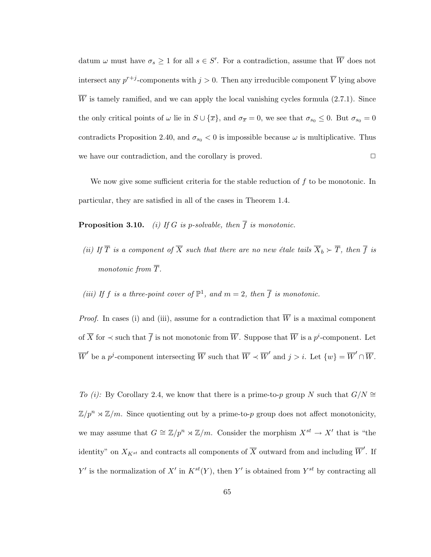datum  $\omega$  must have  $\sigma_s \geq 1$  for all  $s \in S'$ . For a contradiction, assume that  $\overline{W}$  does not intersect any  $p^{r+j}$ -components with  $j > 0$ . Then any irreducible component  $\overline{V}$  lying above  $\overline{W}$  is tamely ramified, and we can apply the local vanishing cycles formula (2.7.1). Since the only critical points of  $\omega$  lie in  $S \cup {\overline{x}}$ , and  $\sigma_{\overline{x}} = 0$ , we see that  $\sigma_{s_0} \leq 0$ . But  $\sigma_{s_0} = 0$ contradicts Proposition 2.40, and  $\sigma_{s_0} < 0$  is impossible because  $\omega$  is multiplicative. Thus we have our contradiction, and the corollary is proved.  $\Box$ 

We now give some sufficient criteria for the stable reduction of  $f$  to be monotonic. In particular, they are satisfied in all of the cases in Theorem 1.4.

**Proposition 3.10.** (i) If G is p-solvable, then  $\overline{f}$  is monotonic.

- (ii) If  $\overline{T}$  is a component of  $\overline{X}$  such that there are no new étale tails  $\overline{X}_b \succ \overline{T}$ , then  $\overline{f}$  is monotonic from  $\overline{T}$ .
- (iii) If f is a three-point cover of  $\mathbb{P}^1$ , and  $m=2$ , then  $\overline{f}$  is monotonic.

*Proof.* In cases (i) and (iii), assume for a contradiction that  $\overline{W}$  is a maximal component of  $\overline{X}$  for  $\prec$  such that  $\overline{f}$  is not monotonic from  $\overline{W}$ . Suppose that  $\overline{W}$  is a  $p^i$ -component. Let W be a p<sup>j</sup>-component intersecting  $\overline{W}$  such that  $\overline{W} \prec \overline{W}'$  and  $j > i$ . Let  $\{w\} = \overline{W}' \cap \overline{W}$ .

To (i): By Corollary 2.4, we know that there is a prime-to-p group N such that  $G/N \cong$  $\mathbb{Z}/p^n \rtimes \mathbb{Z}/m$ . Since quotienting out by a prime-to-p group does not affect monotonicity, we may assume that  $G \cong \mathbb{Z}/p^n \rtimes \mathbb{Z}/m$ . Consider the morphism  $X^{st} \to X'$  that is "the identity" on  $X_{K^{st}}$  and contracts all components of  $\overline{X}$  outward from and including  $\overline{W}'$ . If Y' is the normalization of X' in  $K^{st}(Y)$ , then Y' is obtained from  $Y^{st}$  by contracting all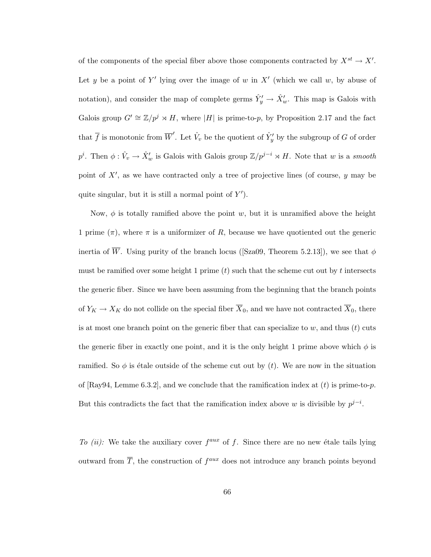of the components of the special fiber above those components contracted by  $X^{st} \to X'$ . Let y be a point of Y' lying over the image of w in X' (which we call w, by abuse of notation), and consider the map of complete germs  $\hat{Y}'_y \to \hat{X}'_w$ . This map is Galois with Galois group  $G' \cong \mathbb{Z}/p^j \rtimes H$ , where |H| is prime-to-p, by Proposition 2.17 and the fact that  $\overline{f}$  is monotonic from  $\overline{W}'$ . Let  $\hat{V}_v$  be the quotient of  $\hat{Y}'_y$  by the subgroup of G of order  $p^i$ . Then  $\phi: \hat{V}_v \to \hat{X}'_w$  is Galois with Galois group  $\mathbb{Z}/p^{j-i} \rtimes H$ . Note that w is a smooth point of  $X'$ , as we have contracted only a tree of projective lines (of course,  $y$  may be quite singular, but it is still a normal point of  $Y'$ ).

Now,  $\phi$  is totally ramified above the point w, but it is unramified above the height 1 prime  $(\pi)$ , where  $\pi$  is a uniformizer of R, because we have quotiented out the generic inertia of  $\overline{W}$ . Using purity of the branch locus ([Sza09, Theorem 5.2.13]), we see that  $\phi$ must be ramified over some height 1 prime  $(t)$  such that the scheme cut out by t intersects the generic fiber. Since we have been assuming from the beginning that the branch points of  $Y_K \to X_K$  do not collide on the special fiber  $\overline{X}_0$ , and we have not contracted  $\overline{X}_0$ , there is at most one branch point on the generic fiber that can specialize to  $w$ , and thus  $(t)$  cuts the generic fiber in exactly one point, and it is the only height 1 prime above which  $\phi$  is ramified. So  $\phi$  is étale outside of the scheme cut out by (t). We are now in the situation of [Ray94, Lemme 6.3.2], and we conclude that the ramification index at  $(t)$  is prime-to-p. But this contradicts the fact that the ramification index above w is divisible by  $p^{j-i}$ .

To (ii): We take the auxiliary cover  $f^{aux}$  of f. Since there are no new étale tails lying outward from  $\overline{T}$ , the construction of  $f^{aux}$  does not introduce any branch points beyond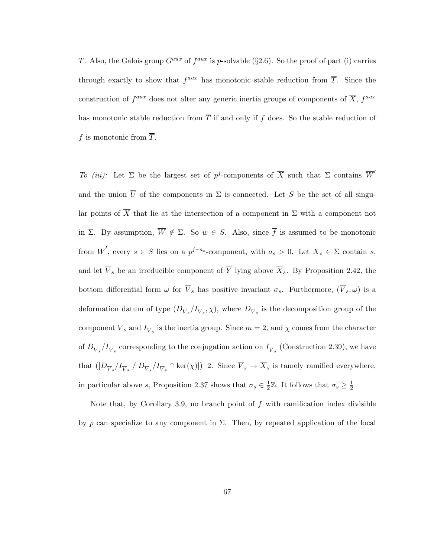$\overline{T}$ . Also, the Galois group  $G^{aux}$  of  $f^{aux}$  is p-solvable (§2.6). So the proof of part (i) carries through exactly to show that  $f^{aux}$  has monotonic stable reduction from  $\overline{T}$ . Since the construction of  $f^{aux}$  does not alter any generic inertia groups of components of  $\overline{X}$ ,  $f^{aux}$ has monotonic stable reduction from  $\overline{T}$  if and only if f does. So the stable reduction of f is monotonic from  $\overline{T}$ .

To (iii): Let  $\Sigma$  be the largest set of p<sup>j</sup>-components of  $\overline{X}$  such that  $\Sigma$  contains  $\overline{W}'$ and the union  $\overline{U}$  of the components in  $\Sigma$  is connected. Let S be the set of all singular points of  $\overline{X}$  that lie at the intersection of a component in  $\Sigma$  with a component not in Σ. By assumption,  $\overline{W} \notin \Sigma$ . So  $w \in S$ . Also, since  $\overline{f}$  is assumed to be monotonic from  $\overline{W}'$ , every  $s \in S$  lies on a  $p^{j-a_s}$ -component, with  $a_s > 0$ . Let  $\overline{X}_s \in \Sigma$  contain  $s$ , and let  $\overline{V}_s$  be an irreducible component of  $\overline{Y}$  lying above  $\overline{X}_s$ . By Proposition 2.42, the bottom differential form  $\omega$  for  $\overline{V}_s$  has positive invariant  $\sigma_s$ . Furthermore,  $(\overline{V}_s, \omega)$  is a deformation datum of type  $(D_{\overline{V}_s}/I_{\overline{V}_s}, \chi)$ , where  $D_{\overline{V}_s}$  is the decomposition group of the component  $V_s$  and  $I_{\overline{V}_s}$  is the inertia group. Since  $m = 2$ , and  $\chi$  comes from the character of  $D_{\overline{V}_s}/I_{\overline{V}_s}$  corresponding to the conjugation action on  $I_{\overline{V}_s}$  (Construction 2.39), we have that  $(|D_{\overline{V}_s}/I_{\overline{V}_s}|/|D_{\overline{V}_s}/I_{\overline{V}_s} \cap \text{ker}(\chi)|)|$  2. Since  $\overline{V}_s \to \overline{X}_s$  is tamely ramified everywhere, in particular above s, Proposition 2.37 shows that  $\sigma_s \in \frac{1}{2}$  $\frac{1}{2}\mathbb{Z}$ . It follows that  $\sigma_s \geq \frac{1}{2}$  $\frac{1}{2}$ .

Note that, by Corollary 3.9, no branch point of  $f$  with ramification index divisible by p can specialize to any component in  $\Sigma$ . Then, by repeated application of the local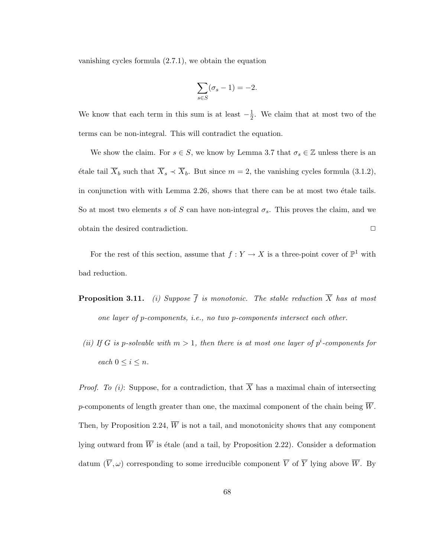vanishing cycles formula (2.7.1), we obtain the equation

$$
\sum_{s \in S} (\sigma_s - 1) = -2.
$$

We know that each term in this sum is at least  $-\frac{1}{2}$  $\frac{1}{2}$ . We claim that at most two of the terms can be non-integral. This will contradict the equation.

We show the claim. For  $s \in S$ , we know by Lemma 3.7 that  $\sigma_s \in \mathbb{Z}$  unless there is an étale tail  $\overline{X}_b$  such that  $\overline{X}_s \prec \overline{X}_b$ . But since  $m = 2$ , the vanishing cycles formula (3.1.2), in conjunction with with Lemma  $2.26$ , shows that there can be at most two étale tails. So at most two elements s of S can have non-integral  $\sigma_s$ . This proves the claim, and we obtain the desired contradiction.  $\Box$ 

For the rest of this section, assume that  $f: Y \to X$  is a three-point cover of  $\mathbb{P}^1$  with bad reduction.

- **Proposition 3.11.** (i) Suppose  $\overline{f}$  is monotonic. The stable reduction  $\overline{X}$  has at most one layer of p-components, i.e., no two p-components intersect each other.
	- (ii) If G is p-solvable with  $m > 1$ , then there is at most one layer of  $p^i$ -components for each  $0 \leq i \leq n$ .

*Proof. To (i):* Suppose, for a contradiction, that  $\overline{X}$  has a maximal chain of intersecting  $p$ -components of length greater than one, the maximal component of the chain being  $W$ . Then, by Proposition 2.24,  $\overline{W}$  is not a tail, and monotonicity shows that any component lying outward from  $\overline{W}$  is étale (and a tail, by Proposition 2.22). Consider a deformation datum  $(\overline{V}, \omega)$  corresponding to some irreducible component  $\overline{V}$  of  $\overline{Y}$  lying above  $\overline{W}$ . By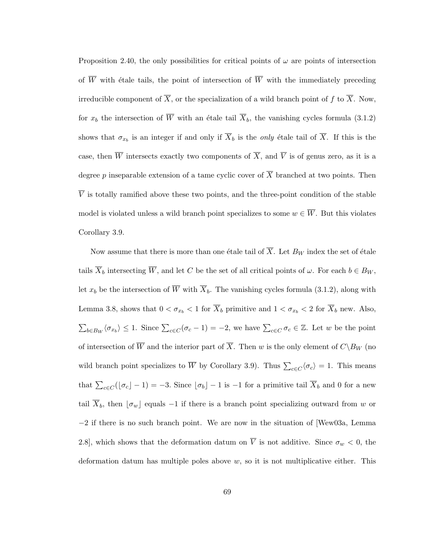Proposition 2.40, the only possibilities for critical points of  $\omega$  are points of intersection of  $\overline{W}$  with étale tails, the point of intersection of  $\overline{W}$  with the immediately preceding irreducible component of  $\overline{X}$ , or the specialization of a wild branch point of f to  $\overline{X}$ . Now, for  $x_b$  the intersection of  $\overline{W}$  with an étale tail  $\overline{X}_b$ , the vanishing cycles formula (3.1.2) shows that  $\sigma_{x_b}$  is an integer if and only if  $\overline{X}_b$  is the *only* étale tail of  $\overline{X}$ . If this is the case, then  $\overline{W}$  intersects exactly two components of  $\overline{X}$ , and  $\overline{V}$  is of genus zero, as it is a degree p inseparable extension of a tame cyclic cover of  $\overline{X}$  branched at two points. Then  $\overline{V}$  is totally ramified above these two points, and the three-point condition of the stable model is violated unless a wild branch point specializes to some  $w \in \overline{W}$ . But this violates Corollary 3.9.

Now assume that there is more than one étale tail of  $\overline{X}$ . Let  $B_W$  index the set of étale tails  $\overline{X}_b$  intersecting  $\overline{W}$ , and let C be the set of all critical points of  $\omega$ . For each  $b \in B_W$ , let  $x_b$  be the intersection of  $\overline{W}$  with  $\overline{X}_b$ . The vanishing cycles formula (3.1.2), along with Lemma 3.8, shows that  $0 < \sigma_{x_b} < 1$  for  $\overline{X}_b$  primitive and  $1 < \sigma_{x_b} < 2$  for  $\overline{X}_b$  new. Also,  $\sum_{b \in B_W} \langle \sigma_{x_b} \rangle \leq 1$ . Since  $\sum_{c \in C} (\sigma_c - 1) = -2$ , we have  $\sum_{c \in C} \sigma_c \in \mathbb{Z}$ . Let w be the point of intersection of  $\overline{W}$  and the interior part of  $\overline{X}$ . Then w is the only element of  $C\backslash B_W$  (no wild branch point specializes to  $\overline{W}$  by Corollary 3.9). Thus  $\sum_{c \in C} \langle \sigma_c \rangle = 1$ . This means that  $\sum_{c \in C} (\lfloor \sigma_c \rfloor - 1) = -3$ . Since  $\lfloor \sigma_b \rfloor - 1$  is  $-1$  for a primitive tail  $\overline{X}_b$  and 0 for a new tail  $\overline{X}_b$ , then  $\lfloor \sigma_w \rfloor$  equals −1 if there is a branch point specializing outward from w or −2 if there is no such branch point. We are now in the situation of [Wew03a, Lemma 2.8], which shows that the deformation datum on  $\overline{V}$  is not additive. Since  $\sigma_w < 0$ , the deformation datum has multiple poles above  $w$ , so it is not multiplicative either. This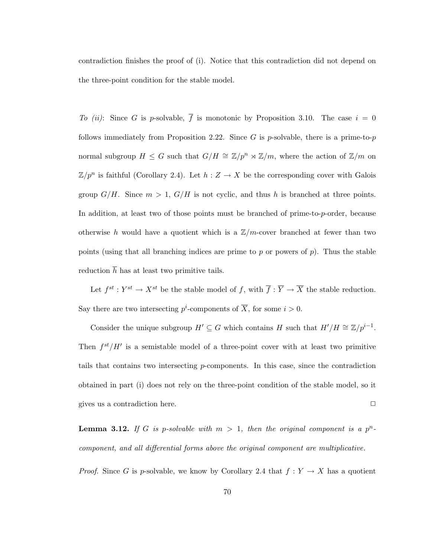contradiction finishes the proof of (i). Notice that this contradiction did not depend on the three-point condition for the stable model.

To (ii): Since G is p-solvable,  $\overline{f}$  is monotonic by Proposition 3.10. The case  $i = 0$ follows immediately from Proposition 2.22. Since G is p-solvable, there is a prime-to-p normal subgroup  $H \leq G$  such that  $G/H \cong \mathbb{Z}/p^n \rtimes \mathbb{Z}/m$ , where the action of  $\mathbb{Z}/m$  on  $\mathbb{Z}/p^n$  is faithful (Corollary 2.4). Let  $h: Z \to X$  be the corresponding cover with Galois group  $G/H$ . Since  $m > 1$ ,  $G/H$  is not cyclic, and thus h is branched at three points. In addition, at least two of those points must be branched of prime-to-p-order, because otherwise h would have a quotient which is a  $\mathbb{Z}/m$ -cover branched at fewer than two points (using that all branching indices are prime to p or powers of p). Thus the stable reduction  $\overline{h}$  has at least two primitive tails.

Let  $f^{st}: Y^{st} \to X^{st}$  be the stable model of f, with  $\overline{f}: \overline{Y} \to \overline{X}$  the stable reduction. Say there are two intersecting  $p^i$ -components of  $\overline{X}$ , for some  $i > 0$ .

Consider the unique subgroup  $H' \subseteq G$  which contains H such that  $H'/H \cong \mathbb{Z}/p^{i-1}$ . Then  $f^{st}/H'$  is a semistable model of a three-point cover with at least two primitive tails that contains two intersecting p-components. In this case, since the contradiction obtained in part (i) does not rely on the three-point condition of the stable model, so it gives us a contradiction here.  $\Box$ 

**Lemma 3.12.** If G is p-solvable with  $m > 1$ , then the original component is a  $p^n$ component, and all differential forms above the original component are multiplicative.

*Proof.* Since G is p-solvable, we know by Corollary 2.4 that  $f: Y \to X$  has a quotient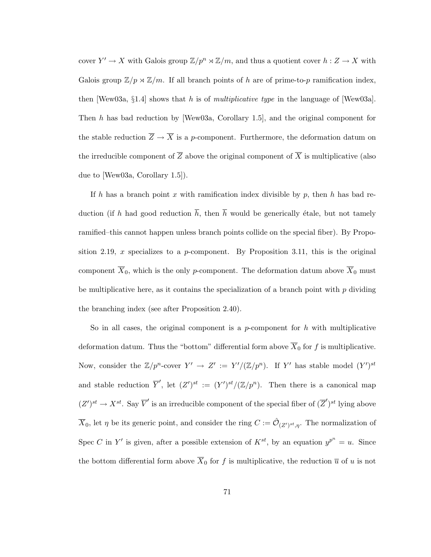cover  $Y' \to X$  with Galois group  $\mathbb{Z}/p^n \rtimes \mathbb{Z}/m$ , and thus a quotient cover  $h: Z \to X$  with Galois group  $\mathbb{Z}/p \rtimes \mathbb{Z}/m$ . If all branch points of h are of prime-to-p ramification index, then [Wew03a, §1.4] shows that h is of multiplicative type in the language of [Wew03a]. Then h has bad reduction by [Wew03a, Corollary 1.5], and the original component for the stable reduction  $\overline{Z} \to \overline{X}$  is a p-component. Furthermore, the deformation datum on the irreducible component of  $\overline{Z}$  above the original component of  $\overline{X}$  is multiplicative (also due to [Wew03a, Corollary 1.5]).

If h has a branch point x with ramification index divisible by p, then h has bad reduction (if h had good reduction  $\bar{h}$ , then  $\bar{h}$  would be generically étale, but not tamely ramified–this cannot happen unless branch points collide on the special fiber). By Proposition 2.19, x specializes to a p-component. By Proposition 3.11, this is the original component  $\overline{X}_0$ , which is the only p-component. The deformation datum above  $\overline{X}_0$  must be multiplicative here, as it contains the specialization of a branch point with  $p$  dividing the branching index (see after Proposition 2.40).

So in all cases, the original component is a  $p$ -component for h with multiplicative deformation datum. Thus the "bottom" differential form above  $\overline{X}_0$  for f is multiplicative. Now, consider the  $\mathbb{Z}/p^n$ -cover  $Y' \to Z' := Y'/(Z/p^n)$ . If Y' has stable model  $(Y')^{st}$ and stable reduction  $\overline{Y}'$ , let  $(Z')^{st} := (Y')^{st}/(\mathbb{Z}/p^n)$ . Then there is a canonical map  $(Z')^{st} \to X^{st}$ . Say  $\overline{V}'$  is an irreducible component of the special fiber of  $(\overline{Z}')^{st}$  lying above  $\overline{X}_0$ , let  $\eta$  be its generic point, and consider the ring  $C := \hat{\mathcal{O}}_{(Z')^{st}, \eta}$ . The normalization of Spec C in Y' is given, after a possible extension of  $K^{st}$ , by an equation  $y^{p^n} = u$ . Since the bottom differential form above  $\overline{X}_0$  for f is multiplicative, the reduction  $\overline{u}$  of u is not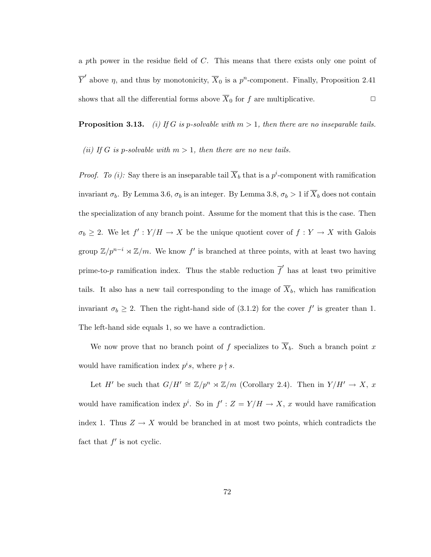a pth power in the residue field of C. This means that there exists only one point of  $\overline{Y}'$  above  $\eta$ , and thus by monotonicity,  $\overline{X}_0$  is a  $p^n$ -component. Finally, Proposition 2.41 shows that all the differential forms above  $\overline{X}_0$  for f are multiplicative.  $\Box$ 

**Proposition 3.13.** (i) If G is p-solvable with  $m > 1$ , then there are no inseparable tails.

(ii) If G is p-solvable with  $m > 1$ , then there are no new tails.

*Proof.* To (i): Say there is an inseparable tail  $\overline{X}_b$  that is a p<sup>i</sup>-component with ramification invariant  $\sigma_b$ . By Lemma 3.6,  $\sigma_b$  is an integer. By Lemma 3.8,  $\sigma_b > 1$  if  $\overline{X}_b$  does not contain the specialization of any branch point. Assume for the moment that this is the case. Then  $\sigma_b \geq 2$ . We let  $f' : Y/H \to X$  be the unique quotient cover of  $f : Y \to X$  with Galois group  $\mathbb{Z}/p^{n-i} \rtimes \mathbb{Z}/m$ . We know f' is branched at three points, with at least two having prime-to-p ramification index. Thus the stable reduction  $\overline{f}'$  has at least two primitive tails. It also has a new tail corresponding to the image of  $\overline{X}_b$ , which has ramification invariant  $\sigma_b \geq 2$ . Then the right-hand side of (3.1.2) for the cover f' is greater than 1. The left-hand side equals 1, so we have a contradiction.

We now prove that no branch point of f specializes to  $\overline{X}_b$ . Such a branch point x would have ramification index  $p^i s$ , where  $p \nmid s$ .

Let H' be such that  $G/H' \cong \mathbb{Z}/p^n \rtimes \mathbb{Z}/m$  (Corollary 2.4). Then in  $Y/H' \to X$ , x would have ramification index  $p^i$ . So in  $f' : Z = Y/H \rightarrow X$ , x would have ramification index 1. Thus  $Z \to X$  would be branched in at most two points, which contradicts the fact that  $f'$  is not cyclic.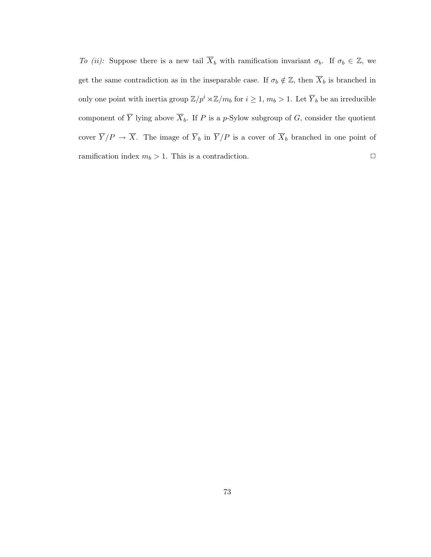To (ii): Suppose there is a new tail  $\overline{X}_b$  with ramification invariant  $\sigma_b$ . If  $\sigma_b \in \mathbb{Z}$ , we get the same contradiction as in the inseparable case. If  $\sigma_b \notin \mathbb{Z}$ , then  $\overline{X}_b$  is branched in only one point with inertia group  $\mathbb{Z}/p^i \rtimes \mathbb{Z}/m_b$  for  $i \geq 1$ ,  $m_b > 1$ . Let  $\overline{Y}_b$  be an irreducible component of  $\overline{Y}$  lying above  $\overline{X}_b$ . If P is a p-Sylow subgroup of G, consider the quotient cover  $\overline{Y}/P \to \overline{X}$ . The image of  $\overline{Y}_b$  in  $\overline{Y}/P$  is a cover of  $\overline{X}_b$  branched in one point of ramification index  $m_b > 1$ . This is a contradiction.  $\Box$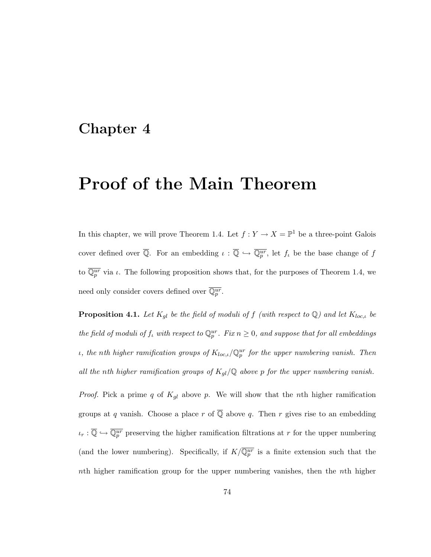## Chapter 4

# Proof of the Main Theorem

In this chapter, we will prove Theorem 1.4. Let  $f: Y \to X = \mathbb{P}^1$  be a three-point Galois cover defined over  $\overline{Q}$ . For an embedding  $\iota : \overline{Q} \hookrightarrow \overline{Q_p^{ur}}$ , let  $f_\iota$  be the base change of f to  $\overline{\mathbb{Q}_p^{ur}}$  via  $\iota$ . The following proposition shows that, for the purposes of Theorem 1.4, we need only consider covers defined over  $\overline{\mathbb{Q}_p^{ur}}$ .

**Proposition 4.1.** Let  $K_{gl}$  be the field of moduli of f (with respect to  $\mathbb{Q}$ ) and let  $K_{loc,L}$  be the field of moduli of  $f_t$  with respect to  $\mathbb{Q}_p^{ur}$ . Fix  $n \geq 0$ , and suppose that for all embeddings *ι*, the nth higher ramification groups of  $K_{loc,\iota}/\mathbb{Q}_p^{ur}$  for the upper numbering vanish. Then all the nth higher ramification groups of  $K_{gl}/\mathbb{Q}$  above p for the upper numbering vanish.

*Proof.* Pick a prime q of  $K_{gl}$  above p. We will show that the nth higher ramification groups at q vanish. Choose a place r of  $\overline{Q}$  above q. Then r gives rise to an embedding  $\iota_r : \overline{\mathbb{Q}} \hookrightarrow \overline{\mathbb{Q}_p^{ur}}$  preserving the higher ramification filtrations at r for the upper numbering (and the lower numbering). Specifically, if  $K/\overline{\mathbb{Q}_p^{ur}}$  is a finite extension such that the nth higher ramification group for the upper numbering vanishes, then the nth higher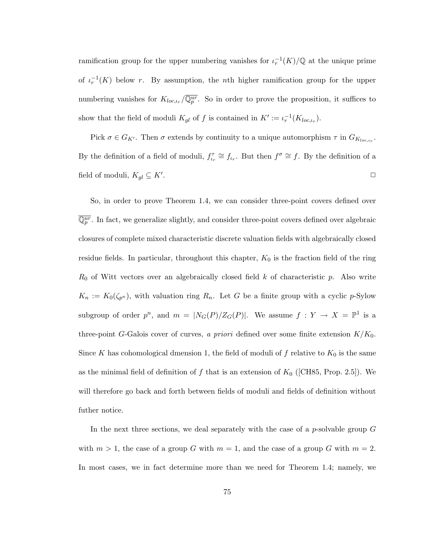ramification group for the upper numbering vanishes for  $\iota_r^{-1}(K)/\mathbb{Q}$  at the unique prime of  $\iota_r^{-1}(K)$  below r. By assumption, the nth higher ramification group for the upper numbering vanishes for  $K_{loc,\iota_r}/\overline{\mathbb{Q}_p^{ur}}$ . So in order to prove the proposition, it suffices to show that the field of moduli  $K_{gl}$  of f is contained in  $K' := \iota_r^{-1}(K_{loc,\iota_r}).$ 

Pick  $\sigma \in G_{K'}$ . Then  $\sigma$  extends by continuity to a unique automorphism  $\tau$  in  $G_{K_{loc,\mu_r}}$ . By the definition of a field of moduli,  $f_{i_r}^{\tau} \cong f_{i_r}$ . But then  $f^{\sigma} \cong f$ . By the definition of a field of moduli,  $K_{gl} \subseteq K'.$ . The contract of the contract of the contract of the contract of  $\Box$ 

So, in order to prove Theorem 1.4, we can consider three-point covers defined over  $\overline{\mathbb{Q}_p^{ur}}$ . In fact, we generalize slightly, and consider three-point covers defined over algebraic closures of complete mixed characteristic discrete valuation fields with algebraically closed residue fields. In particular, throughout this chapter,  $K_0$  is the fraction field of the ring  $R_0$  of Witt vectors over an algebraically closed field k of characteristic p. Also write  $K_n := K_0(\zeta_{p^n})$ , with valuation ring  $R_n$ . Let G be a finite group with a cyclic p-Sylow subgroup of order  $p^n$ , and  $m = |N_G(P)/Z_G(P)|$ . We assume  $f: Y \to X = \mathbb{P}^1$  is a three-point G-Galois cover of curves, a priori defined over some finite extension  $K/K_0$ . Since K has cohomological dmension 1, the field of moduli of f relative to  $K_0$  is the same as the minimal field of definition of f that is an extension of  $K_0$  ([CH85, Prop. 2.5]). We will therefore go back and forth between fields of moduli and fields of definition without futher notice.

In the next three sections, we deal separately with the case of a  $p$ -solvable group  $G$ with  $m > 1$ , the case of a group G with  $m = 1$ , and the case of a group G with  $m = 2$ . In most cases, we in fact determine more than we need for Theorem 1.4; namely, we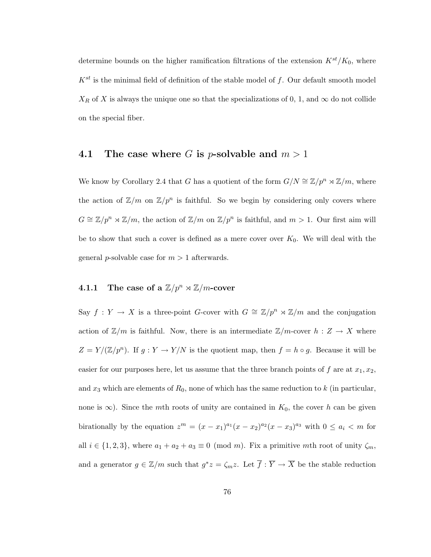determine bounds on the higher ramification filtrations of the extension  $K^{st}/K_0$ , where  $K^{st}$  is the minimal field of definition of the stable model of f. Our default smooth model  $X_R$  of X is always the unique one so that the specializations of 0, 1, and  $\infty$  do not collide on the special fiber.

## 4.1 The case where G is *p*-solvable and  $m > 1$

We know by Corollary 2.4 that G has a quotient of the form  $G/N \cong \mathbb{Z}/p^n \rtimes \mathbb{Z}/m$ , where the action of  $\mathbb{Z}/m$  on  $\mathbb{Z}/p^n$  is faithful. So we begin by considering only covers where  $G \cong \mathbb{Z}/p^n \rtimes \mathbb{Z}/m$ , the action of  $\mathbb{Z}/m$  on  $\mathbb{Z}/p^n$  is faithful, and  $m > 1$ . Our first aim will be to show that such a cover is defined as a mere cover over  $K_0$ . We will deal with the general *p*-solvable case for  $m > 1$  afterwards.

## **4.1.1** The case of a  $\mathbb{Z}/p^n \rtimes \mathbb{Z}/m$ -cover

Say  $f: Y \to X$  is a three-point G-cover with  $G \cong \mathbb{Z}/p^n \rtimes \mathbb{Z}/m$  and the conjugation action of  $\mathbb{Z}/m$  is faithful. Now, there is an intermediate  $\mathbb{Z}/m$ -cover  $h: Z \to X$  where  $Z = Y/(\mathbb{Z}/p^n)$ . If  $g: Y \to Y/N$  is the quotient map, then  $f = h \circ g$ . Because it will be easier for our purposes here, let us assume that the three branch points of f are at  $x_1, x_2$ , and  $x_3$  which are elements of  $R_0$ , none of which has the same reduction to k (in particular, none is  $\infty$ ). Since the mth roots of unity are contained in  $K_0$ , the cover h can be given birationally by the equation  $z^m = (x - x_1)^{a_1}(x - x_2)^{a_2}(x - x_3)^{a_3}$  with  $0 \le a_i < m$  for all  $i \in \{1, 2, 3\}$ , where  $a_1 + a_2 + a_3 \equiv 0 \pmod{m}$ . Fix a primitive mth root of unity  $\zeta_m$ , and a generator  $g \in \mathbb{Z}/m$  such that  $g^*z = \zeta_m z$ . Let  $\overline{f} : \overline{Y} \to \overline{X}$  be the stable reduction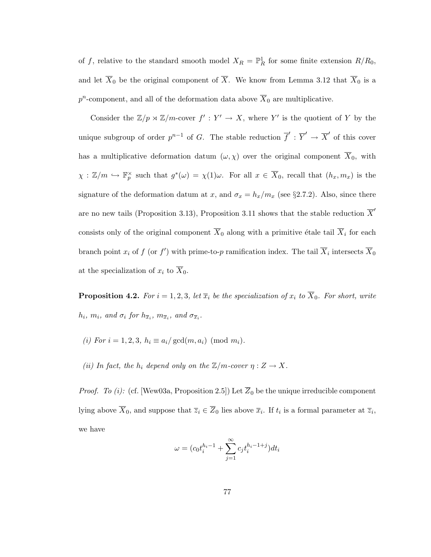of f, relative to the standard smooth model  $X_R = \mathbb{P}^1_R$  for some finite extension  $R/R_0$ , and let  $\overline{X}_0$  be the original component of  $\overline{X}$ . We know from Lemma 3.12 that  $\overline{X}_0$  is a  $p^n$ -component, and all of the deformation data above  $\overline{X}_0$  are multiplicative.

Consider the  $\mathbb{Z}/p \rtimes \mathbb{Z}/m$ -cover  $f': Y' \to X$ , where Y' is the quotient of Y by the unique subgroup of order  $p^{n-1}$  of G. The stable reduction  $\overline{f}' : \overline{Y}' \to \overline{X}'$  of this cover has a multiplicative deformation datum  $(\omega, \chi)$  over the original component  $\overline{X}_0$ , with  $\chi: \mathbb{Z}/m \hookrightarrow \mathbb{F}_p^{\times}$  such that  $g^*(\omega) = \chi(1)\omega$ . For all  $x \in \overline{X}_0$ , recall that  $(h_x, m_x)$  is the signature of the deformation datum at x, and  $\sigma_x = h_x/m_x$  (see §2.7.2). Also, since there are no new tails (Proposition 3.13), Proposition 3.11 shows that the stable reduction  $\overline{X}'$ consists only of the original component  $\overline{X}_0$  along with a primitive étale tail  $\overline{X}_i$  for each branch point  $x_i$  of f (or f') with prime-to-p ramification index. The tail  $\overline{X}_i$  intersects  $\overline{X}_0$ at the specialization of  $x_i$  to  $\overline{X}_0$ .

**Proposition 4.2.** For  $i = 1, 2, 3$ , let  $\overline{x}_i$  be the specialization of  $x_i$  to  $\overline{X}_0$ . For short, write  $h_i, m_i, \text{ and } \sigma_i \text{ for } h_{\overline{x}_i}, m_{\overline{x}_i}, \text{ and } \sigma_{\overline{x}_i}.$ 

- (i) For  $i = 1, 2, 3, h_i \equiv a_i / \gcd(m, a_i) \pmod{m_i}$ .
- (ii) In fact, the  $h_i$  depend only on the  $\mathbb{Z}/m$ -cover  $\eta: Z \to X$ .

*Proof.* To (i): (cf. [Wew03a, Proposition 2.5]) Let  $\overline{Z}_0$  be the unique irreducible component lying above  $\overline{X}_0$ , and suppose that  $\overline{z}_i \in \overline{Z}_0$  lies above  $\overline{x}_i$ . If  $t_i$  is a formal parameter at  $\overline{z}_i$ , we have

$$
\omega = (c_0 t_i^{h_i - 1} + \sum_{j=1}^{\infty} c_j t_i^{h_i - 1 + j}) dt_i
$$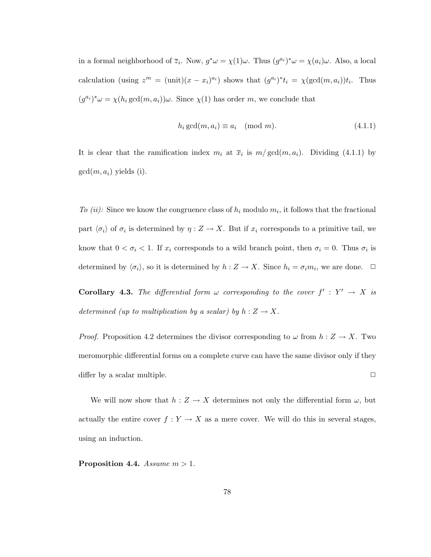in a formal neighborhood of  $\overline{z}_i$ . Now,  $g^*\omega = \chi(1)\omega$ . Thus  $(g^{a_i})^*\omega = \chi(a_i)\omega$ . Also, a local calculation (using  $z^m = (\text{unit})(x - x_i)^{a_i}$ ) shows that  $(g^{a_i})^* t_i = \chi(\text{gcd}(m, a_i)) t_i$ . Thus  $(g^{a_i})^* \omega = \chi(h_i \gcd(m, a_i)) \omega$ . Since  $\chi(1)$  has order m, we conclude that

$$
h_i \gcd(m, a_i) \equiv a_i \pmod{m}.\tag{4.1.1}
$$

It is clear that the ramification index  $m_i$  at  $\bar{x}_i$  is  $m/\text{gcd}(m, a_i)$ . Dividing (4.1.1) by  $gcd(m, a_i)$  yields (i).

To (ii): Since we know the congruence class of  $h_i$  modulo  $m_i$ , it follows that the fractional part  $\langle \sigma_i \rangle$  of  $\sigma_i$  is determined by  $\eta : Z \to X$ . But if  $x_i$  corresponds to a primitive tail, we know that  $0 < \sigma_i < 1$ . If  $x_i$  corresponds to a wild branch point, then  $\sigma_i = 0$ . Thus  $\sigma_i$  is determined by  $\langle \sigma_i \rangle$ , so it is determined by  $h: Z \to X$ . Since  $h_i = \sigma_i m_i$ , we are done.  $\Box$ 

**Corollary 4.3.** The differential form  $\omega$  corresponding to the cover  $f' : Y' \to X$  is determined (up to multiplication by a scalar) by  $h: Z \to X$ .

*Proof.* Proposition 4.2 determines the divisor corresponding to  $\omega$  from  $h: Z \to X$ . Two meromorphic differential forms on a complete curve can have the same divisor only if they differ by a scalar multiple.  $\Box$ 

We will now show that  $h: Z \to X$  determines not only the differential form  $\omega$ , but actually the entire cover  $f: Y \to X$  as a mere cover. We will do this in several stages, using an induction.

Proposition 4.4. Assume  $m > 1$ .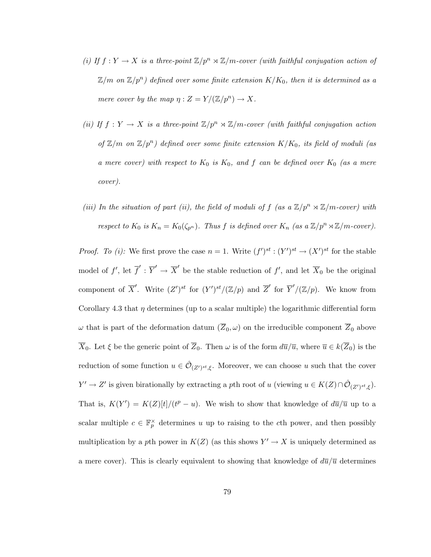- (i) If  $f: Y \to X$  is a three-point  $\mathbb{Z}/p^n \rtimes \mathbb{Z}/m$ -cover (with faithful conjugation action of  $\mathbb{Z}/m$  on  $\mathbb{Z}/p^n)$  defined over some finite extension  $K/K_0,$  then it is determined as a mere cover by the map  $\eta: Z = Y/(\mathbb{Z}/p^n) \to X$ .
- (ii) If  $f: Y \to X$  is a three-point  $\mathbb{Z}/p^n \rtimes \mathbb{Z}/m$ -cover (with faithful conjugation action of  $\mathbb{Z}/m$  on  $\mathbb{Z}/p^n$ ) defined over some finite extension  $K/K_0$ , its field of moduli (as a mere cover) with respect to  $K_0$  is  $K_0$ , and f can be defined over  $K_0$  (as a mere cover).
- (iii) In the situation of part (ii), the field of moduli of f (as a  $\mathbb{Z}/p^n \rtimes \mathbb{Z}/m$ -cover) with respect to  $K_0$  is  $K_n = K_0(\zeta_{p^n})$ . Thus f is defined over  $K_n$  (as a  $\mathbb{Z}/p^n \rtimes \mathbb{Z}/m$ -cover).

*Proof.* To (i): We first prove the case  $n = 1$ . Write  $(f')^{st} : (Y')^{st} \to (X')^{st}$  for the stable model of f', let  $\overline{f}' : \overline{Y}' \to \overline{X}'$  be the stable reduction of f', and let  $\overline{X}_0$  be the original component of  $\overline{X}'$ . Write  $(Z')^{st}$  for  $(Y')^{st}/(\mathbb{Z}/p)$  and  $\overline{Z}'$  for  $\overline{Y}'/(\mathbb{Z}/p)$ . We know from Corollary 4.3 that  $\eta$  determines (up to a scalar multiple) the logarithmic differential form  $\omega$  that is part of the deformation datum  $(\overline{Z}_0, \omega)$  on the irreducible component  $\overline{Z}_0$  above  $\overline{X}_0$ . Let  $\xi$  be the generic point of  $\overline{Z}_0$ . Then  $\omega$  is of the form  $d\overline{u}/\overline{u}$ , where  $\overline{u} \in k(\overline{Z}_0)$  is the reduction of some function  $u \in \hat{\mathcal{O}}_{(Z')^{st}, \xi}$ . Moreover, we can choose u such that the cover  $Y' \to Z'$  is given birationally by extracting a pth root of u (viewing  $u \in K(Z) \cap \hat{\mathcal{O}}_{(Z')^{st}, \xi}$ ). That is,  $K(Y') = K(Z)[t]/(t^p - u)$ . We wish to show that knowledge of  $d\overline{u}/\overline{u}$  up to a scalar multiple  $c \in \mathbb{F}_p^{\times}$  determines u up to raising to the cth power, and then possibly multiplication by a pth power in  $K(Z)$  (as this shows  $Y' \to X$  is uniquely determined as a mere cover). This is clearly equivalent to showing that knowledge of  $d\overline{u}/\overline{u}$  determines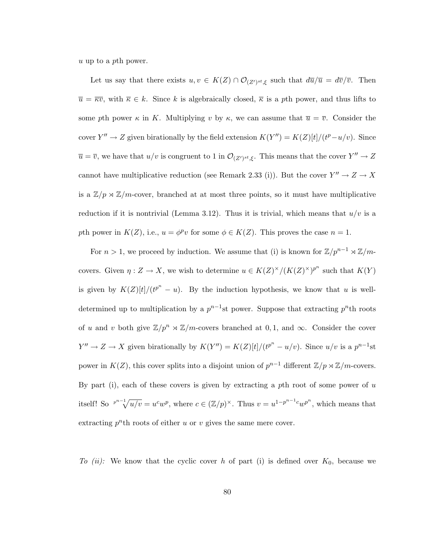u up to a pth power.

Let us say that there exists  $u, v \in K(Z) \cap \mathcal{O}_{(Z')^{st}, \xi}$  such that  $d\overline{u}/\overline{u} = d\overline{v}/\overline{v}$ . Then  $\overline{u} = \overline{\kappa v}$ , with  $\overline{\kappa} \in k$ . Since k is algebraically closed,  $\overline{\kappa}$  is a pth power, and thus lifts to some pth power  $\kappa$  in K. Multiplying v by  $\kappa$ , we can assume that  $\overline{u} = \overline{v}$ . Consider the cover  $Y'' \to Z$  given birationally by the field extension  $K(Y'') = K(Z)[t]/(t^p - u/v)$ . Since  $\overline{u} = \overline{v}$ , we have that  $u/v$  is congruent to 1 in  $\mathcal{O}_{(Z')^{st}, \xi}$ . This means that the cover  $Y'' \to Z$ cannot have multiplicative reduction (see Remark 2.33 (i)). But the cover  $Y'' \to Z \to X$ is a  $\mathbb{Z}/p \rtimes \mathbb{Z}/m$ -cover, branched at at most three points, so it must have multiplicative reduction if it is nontrivial (Lemma 3.12). Thus it is trivial, which means that  $u/v$  is a pth power in  $K(Z)$ , i.e.,  $u = \phi^p v$  for some  $\phi \in K(Z)$ . This proves the case  $n = 1$ .

For  $n > 1$ , we proceed by induction. We assume that (i) is known for  $\mathbb{Z}/p^{n-1} \rtimes \mathbb{Z}/m$ covers. Given  $\eta: Z \to X$ , we wish to determine  $u \in K(Z)^\times/(K(Z)^\times)^{p^n}$  such that  $K(Y)$ is given by  $K(Z)[t]/(t^{p^n} - u)$ . By the induction hypothesis, we know that u is welldetermined up to multiplication by a  $p^{n-1}$ st power. Suppose that extracting  $p^{n}$ th roots of u and v both give  $\mathbb{Z}/p^n \rtimes \mathbb{Z}/m$ -covers branched at 0,1, and  $\infty$ . Consider the cover  $Y'' \to Z \to X$  given birationally by  $K(Y'') = K(Z)[t]/(t^{p^n} - u/v)$ . Since  $u/v$  is a  $p^{n-1}$ st power in  $K(Z)$ , this cover splits into a disjoint union of  $p^{n-1}$  different  $\mathbb{Z}/p \rtimes \mathbb{Z}/m$ -covers. By part (i), each of these covers is given by extracting a pth root of some power of  $u$ itself! So  $\frac{p^{n-1}}{\sqrt{u/v}} = u^c w^p$ , where  $c \in (\mathbb{Z}/p)^\times$ . Thus  $v = u^{1-p^{n-1}c} w^{p^n}$ , which means that extracting  $p^n$ th roots of either u or v gives the same mere cover.

To (ii): We know that the cyclic cover h of part (i) is defined over  $K_0$ , because we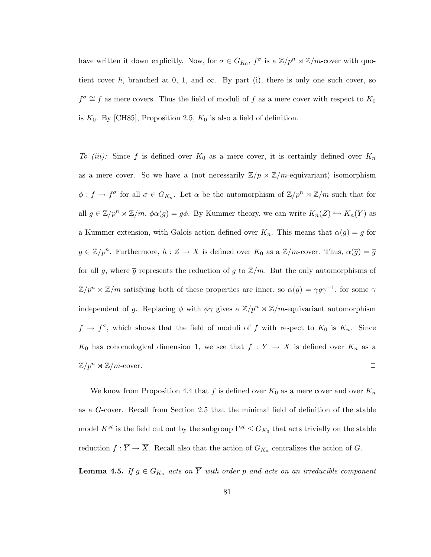have written it down explicitly. Now, for  $\sigma \in G_{K_0}$ ,  $f^{\sigma}$  is a  $\mathbb{Z}/p^n \rtimes \mathbb{Z}/m$ -cover with quotient cover h, branched at 0, 1, and  $\infty$ . By part (i), there is only one such cover, so  $f^{\sigma} \cong f$  as mere covers. Thus the field of moduli of f as a mere cover with respect to  $K_0$ is  $K_0$ . By [CH85], Proposition 2.5,  $K_0$  is also a field of definition.

To (iii): Since f is defined over  $K_0$  as a mere cover, it is certainly defined over  $K_n$ as a mere cover. So we have a (not necessarily  $\mathbb{Z}/p \rtimes \mathbb{Z}/m$ -equivariant) isomorphism  $\phi: f \to f^{\sigma}$  for all  $\sigma \in G_{K_n}$ . Let  $\alpha$  be the automorphism of  $\mathbb{Z}/p^n \rtimes \mathbb{Z}/m$  such that for all  $g \in \mathbb{Z}/p^n \rtimes \mathbb{Z}/m$ ,  $\phi \alpha(g) = g\phi$ . By Kummer theory, we can write  $K_n(Z) \hookrightarrow K_n(Y)$  as a Kummer extension, with Galois action defined over  $K_n$ . This means that  $\alpha(g) = g$  for  $g \in \mathbb{Z}/p^n$ . Furthermore,  $h: Z \to X$  is defined over  $K_0$  as a  $\mathbb{Z}/m$ -cover. Thus,  $\alpha(\overline{g}) = \overline{g}$ for all g, where  $\bar{g}$  represents the reduction of g to  $\mathbb{Z}/m$ . But the only automorphisms of  $\mathbb{Z}/p^n \rtimes \mathbb{Z}/m$  satisfying both of these properties are inner, so  $\alpha(g) = \gamma g \gamma^{-1}$ , for some  $\gamma$ independent of g. Replacing  $\phi$  with  $\phi\gamma$  gives a  $\mathbb{Z}/p^n \rtimes \mathbb{Z}/m$ -equivariant automorphism  $f \to f^{\sigma}$ , which shows that the field of moduli of f with respect to  $K_0$  is  $K_n$ . Since  $K_0$  has cohomological dimension 1, we see that  $f: Y \to X$  is defined over  $K_n$  as a  $\mathbb{Z}/p^n \rtimes \mathbb{Z}/m$ -cover.  $\Box$ 

We know from Proposition 4.4 that f is defined over  $K_0$  as a mere cover and over  $K_n$ as a G-cover. Recall from Section 2.5 that the minimal field of definition of the stable model  $K^{st}$  is the field cut out by the subgroup  $\Gamma^{st} \leq G_{K_0}$  that acts trivially on the stable reduction  $\overline{f} : \overline{Y} \to \overline{X}$ . Recall also that the action of  $G_{K_n}$  centralizes the action of G.

**Lemma 4.5.** If  $g \in G_{K_n}$  acts on  $\overline{Y}$  with order p and acts on an irreducible component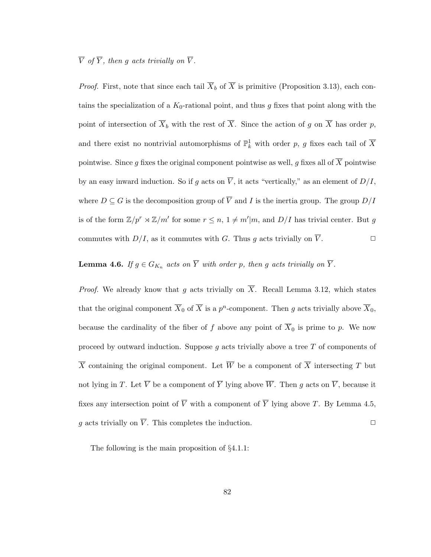### $\overline{V}$  of  $\overline{Y}$ , then g acts trivially on  $\overline{V}$ .

*Proof.* First, note that since each tail  $\overline{X}_b$  of  $\overline{X}$  is primitive (Proposition 3.13), each contains the specialization of a  $K_0$ -rational point, and thus g fixes that point along with the point of intersection of  $\overline{X}_b$  with the rest of  $\overline{X}$ . Since the action of g on  $\overline{X}$  has order p, and there exist no nontrivial automorphisms of  $\mathbb{P}^1_k$  with order p, g fixes each tail of  $\overline{X}$ pointwise. Since g fixes the original component pointwise as well, g fixes all of  $\overline{X}$  pointwise by an easy inward induction. So if g acts on  $\overline{V}$ , it acts "vertically," as an element of  $D/I$ , where  $D \subseteq G$  is the decomposition group of  $\overline{V}$  and I is the inertia group. The group  $D/I$ is of the form  $\mathbb{Z}/p^r \rtimes \mathbb{Z}/m'$  for some  $r \leq n, 1 \neq m'|m$ , and  $D/I$  has trivial center. But g commutes with  $D/I$ , as it commutes with G. Thus g acts trivially on  $\overline{V}$ .

**Lemma 4.6.** If  $g \in G_{K_n}$  acts on  $\overline{Y}$  with order p, then g acts trivially on  $\overline{Y}$ .

*Proof.* We already know that g acts trivially on  $\overline{X}$ . Recall Lemma 3.12, which states that the original component  $\overline{X}_0$  of  $\overline{X}$  is a  $p^n$ -component. Then g acts trivially above  $\overline{X}_0$ , because the cardinality of the fiber of f above any point of  $\overline{X}_0$  is prime to p. We now proceed by outward induction. Suppose  $g$  acts trivially above a tree  $T$  of components of  $\overline{X}$  containing the original component. Let  $\overline{W}$  be a component of  $\overline{X}$  intersecting T but not lying in T. Let  $\overline{V}$  be a component of  $\overline{Y}$  lying above  $\overline{W}$ . Then g acts on  $\overline{V}$ , because it fixes any intersection point of  $\overline{V}$  with a component of  $\overline{Y}$  lying above T. By Lemma 4.5, q acts trivially on  $\overline{V}$ . This completes the induction.

The following is the main proposition of §4.1.1: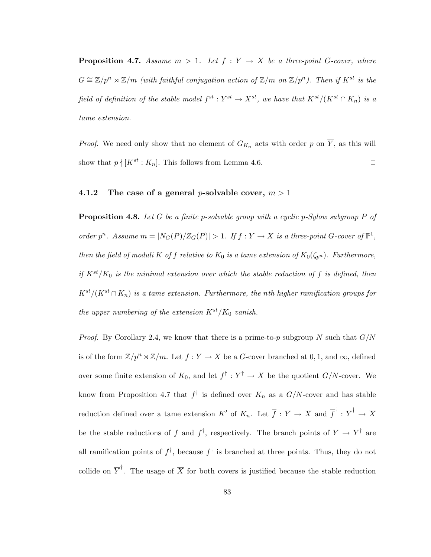**Proposition 4.7.** Assume  $m > 1$ . Let  $f : Y \to X$  be a three-point G-cover, where  $G \cong \mathbb{Z}/p^n \rtimes \mathbb{Z}/m$  (with faithful conjugation action of  $\mathbb{Z}/m$  on  $\mathbb{Z}/p^n$ ). Then if  $K^{st}$  is the field of definition of the stable model  $f^{st}: Y^{st} \to X^{st}$ , we have that  $K^{st}/(K^{st} \cap K_n)$  is a tame extension.

*Proof.* We need only show that no element of  $G_{K_n}$  acts with order p on  $\overline{Y}$ , as this will show that  $p \nmid [K^{st} : K_n]$ . This follows from Lemma 4.6.

#### 4.1.2 The case of a general *p*-solvable cover,  $m > 1$

**Proposition 4.8.** Let G be a finite p-solvable group with a cyclic p-Sylow subgroup P of order  $p^n$ . Assume  $m = |N_G(P)/Z_G(P)| > 1$ . If  $f: Y \to X$  is a three-point G-cover of  $\mathbb{P}^1$ , then the field of moduli K of f relative to  $K_0$  is a tame extension of  $K_0(\zeta_{p^n})$ . Furthermore, if  $K^{st}/K_0$  is the minimal extension over which the stable reduction of f is defined, then  $K^{st}/(K^{st} \cap K_n)$  is a tame extension. Furthermore, the nth higher ramification groups for the upper numbering of the extension  $K^{st}/K_0$  vanish.

*Proof.* By Corollary 2.4, we know that there is a prime-to-p subgroup N such that  $G/N$ is of the form  $\mathbb{Z}/p^n \rtimes \mathbb{Z}/m$ . Let  $f : Y \to X$  be a G-cover branched at 0, 1, and  $\infty$ , defined over some finite extension of  $K_0$ , and let  $f^{\dagger}: Y^{\dagger} \to X$  be the quotient  $G/N$ -cover. We know from Proposition 4.7 that  $f^{\dagger}$  is defined over  $K_n$  as a  $G/N$ -cover and has stable reduction defined over a tame extension  $K'$  of  $K_n$ . Let  $\overline{f} : \overline{Y} \to \overline{X}$  and  $\overline{f}^{\dagger} : \overline{Y}^{\dagger} \to \overline{X}$ be the stable reductions of f and  $f^{\dagger}$ , respectively. The branch points of  $Y \to Y^{\dagger}$  are all ramification points of  $f^{\dagger}$ , because  $f^{\dagger}$  is branched at three points. Thus, they do not collide on  $\overline{Y}^{\dagger}$ . The usage of  $\overline{X}$  for both covers is justified because the stable reduction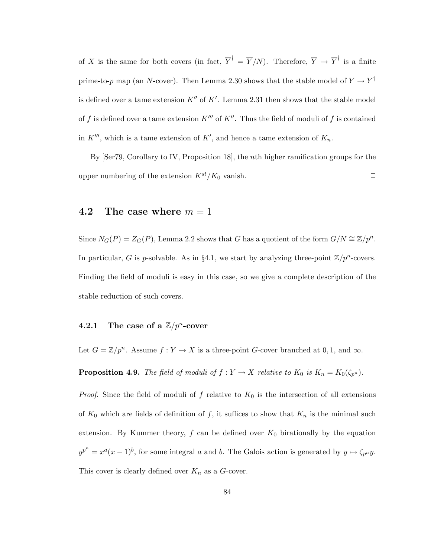of X is the same for both covers (in fact,  $\overline{Y}^{\dagger} = \overline{Y}/N$ ). Therefore,  $\overline{Y} \to \overline{Y}^{\dagger}$  is a finite prime-to-p map (an N-cover). Then Lemma 2.30 shows that the stable model of  $Y \to Y^{\dagger}$ is defined over a tame extension  $K''$  of  $K'$ . Lemma 2.31 then shows that the stable model of f is defined over a tame extension  $K'''$  of  $K''$ . Thus the field of moduli of f is contained in  $K'''$ , which is a tame extension of  $K'$ , and hence a tame extension of  $K_n$ .

By [Ser79, Corollary to IV, Proposition 18], the nth higher ramification groups for the upper numbering of the extension  $K^{st}/K_0$  vanish.

#### 4.2 The case where  $m = 1$

Since  $N_G(P) = Z_G(P)$ , Lemma 2.2 shows that G has a quotient of the form  $G/N \cong \mathbb{Z}/p^n$ . In particular, G is p-solvable. As in §4.1, we start by analyzing three-point  $\mathbb{Z}/p^n$ -covers. Finding the field of moduli is easy in this case, so we give a complete description of the stable reduction of such covers.

## **4.2.1** The case of a  $\mathbb{Z}/p^n$ -cover

Let  $G = \mathbb{Z}/p^n$ . Assume  $f: Y \to X$  is a three-point G-cover branched at 0, 1, and  $\infty$ .

**Proposition 4.9.** The field of moduli of  $f: Y \to X$  relative to  $K_0$  is  $K_n = K_0(\zeta_{p^n})$ .

*Proof.* Since the field of moduli of f relative to  $K_0$  is the intersection of all extensions of  $K_0$  which are fields of definition of f, it suffices to show that  $K_n$  is the minimal such extension. By Kummer theory, f can be defined over  $\overline{K_0}$  birationally by the equation  $y^{p^n} = x^a(x-1)^b$ , for some integral a and b. The Galois action is generated by  $y \mapsto \zeta_{p^n} y$ . This cover is clearly defined over  $K_n$  as a G-cover.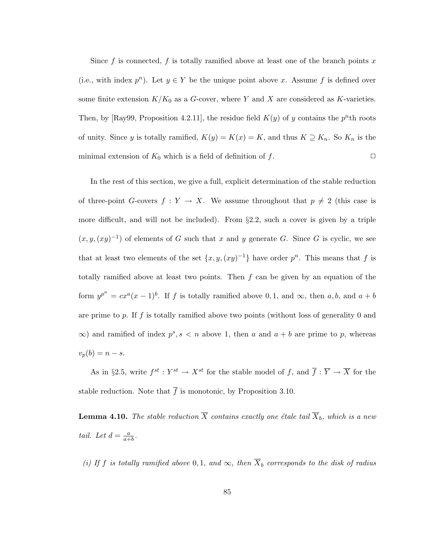Since f is connected, f is totally ramified above at least one of the branch points x (i.e., with index  $p^n$ ). Let  $y \in Y$  be the unique point above x. Assume f is defined over some finite extension  $K/K_0$  as a G-cover, where Y and X are considered as K-varieties. Then, by [Ray99, Proposition 4.2.11], the residue field  $K(y)$  of y contains the  $p<sup>n</sup>$ th roots of unity. Since y is totally ramified,  $K(y) = K(x) = K$ , and thus  $K \supseteq K_n$ . So  $K_n$  is the minimal extension of  $K_0$  which is a field of definition of f.  $\Box$ 

In the rest of this section, we give a full, explicit determination of the stable reduction of three-point G-covers  $f: Y \to X$ . We assume throughout that  $p \neq 2$  (this case is more difficult, and will not be included). From §2.2, such a cover is given by a triple  $(x, y, (xy)^{-1})$  of elements of G such that x and y generate G. Since G is cyclic, we see that at least two elements of the set  $\{x, y, (xy)^{-1}\}\$  have order  $p^n$ . This means that f is totally ramified above at least two points. Then  $f$  can be given by an equation of the form  $y^{p^n} = cx^a(x-1)^b$ . If f is totally ramified above 0, 1, and  $\infty$ , then a, b, and  $a + b$ are prime to p. If f is totally ramified above two points (without loss of generality  $0$  and  $\infty$ ) and ramified of index  $p^s, s < n$  above 1, then a and  $a + b$  are prime to p, whereas  $v_p(b) = n - s.$ 

As in §2.5, write  $f^{st}: Y^{st} \to X^{st}$  for the stable model of f, and  $\overline{f}: \overline{Y} \to \overline{X}$  for the stable reduction. Note that  $\bar{f}$  is monotonic, by Proposition 3.10.

**Lemma 4.10.** The stable reduction  $\overline{X}$  contains exactly one étale tail  $\overline{X}_b$ , which is a new tail. Let  $d = \frac{a}{a+}$  $\frac{a}{a+b}$ .

(i) If f is totally ramified above 0, 1, and  $\infty$ , then  $\overline{X}_b$  corresponds to the disk of radius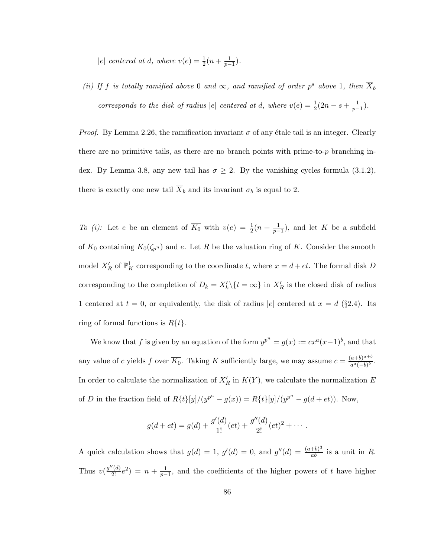|e| centered at d, where  $v(e) = \frac{1}{2}(n + \frac{1}{p-1}).$ 

(ii) If f is totally ramified above 0 and  $\infty$ , and ramified of order p<sup>s</sup> above 1, then  $\overline{X}_b$ corresponds to the disk of radius |e| centered at d, where  $v(e) = \frac{1}{2}(2n - s + \frac{1}{p-1})$ .

*Proof.* By Lemma 2.26, the ramification invariant  $\sigma$  of any étale tail is an integer. Clearly there are no primitive tails, as there are no branch points with prime-to- $p$  branching index. By Lemma 3.8, any new tail has  $\sigma \geq 2$ . By the vanishing cycles formula (3.1.2), there is exactly one new tail  $\overline{X}_b$  and its invariant  $\sigma_b$  is equal to 2.

To (i): Let e be an element of  $\overline{K_0}$  with  $v(e) = \frac{1}{2}(n + \frac{1}{p-1})$ , and let K be a subfield of  $\overline{K_0}$  containing  $K_0(\zeta_{p^n})$  and e. Let R be the valuation ring of K. Consider the smooth model  $X'_R$  of  $\mathbb{P}^1_K$  corresponding to the coordinate t, where  $x = d + et$ . The formal disk D corresponding to the completion of  $D_k = X'_k \setminus \{t = \infty\}$  in  $X'_R$  is the closed disk of radius 1 centered at  $t = 0$ , or equivalently, the disk of radius  $|e|$  centered at  $x = d$  (§2.4). Its ring of formal functions is  $R\{t\}$ .

We know that f is given by an equation of the form  $y^{p^n} = g(x) := cx^a(x-1)^b$ , and that any value of c yields f over  $\overline{K_0}$ . Taking K sufficiently large, we may assume  $c = \frac{(a+b)^{a+b}}{a^a(-b)^b}$  $\frac{a+b)^{\alpha+\sigma}}{a^a(-b)^b}.$ In order to calculate the normalization of  $X'_R$  in  $K(Y)$ , we calculate the normalization E of D in the fraction field of  $R\{t\}[y]/(y^{p^n} - g(x)) = R\{t\}[y]/(y^{p^n} - g(d + et)).$  Now,

$$
g(d+et) = g(d) + \frac{g'(d)}{1!}(et) + \frac{g''(d)}{2!}(et)^2 + \cdots
$$

A quick calculation shows that  $g(d) = 1$ ,  $g'(d) = 0$ , and  $g''(d) = \frac{(a+b)^3}{ab}$  is a unit in R. Thus  $v(\frac{g''(d)}{2!}e^2) = n + \frac{1}{p-1}$ , and the coefficients of the higher powers of t have higher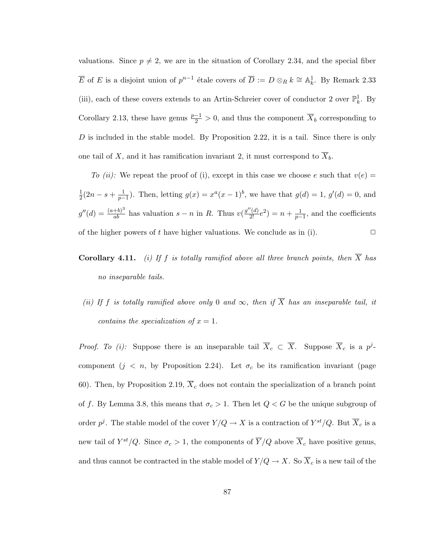valuations. Since  $p \neq 2$ , we are in the situation of Corollary 2.34, and the special fiber  $\overline{E}$  of E is a disjoint union of  $p^{n-1}$  étale covers of  $\overline{D} := D \otimes_R k \cong \mathbb{A}^1_k$ . By Remark 2.33 (iii), each of these covers extends to an Artin-Schreier cover of conductor 2 over  $\mathbb{P}^1_k$ . By Corollary 2.13, these have genus  $\frac{p-1}{2} > 0$ , and thus the component  $\overline{X}_b$  corresponding to D is included in the stable model. By Proposition 2.22, it is a tail. Since there is only one tail of X, and it has ramification invariant 2, it must correspond to  $\overline{X}_b$ .

To (ii): We repeat the proof of (i), except in this case we choose e such that  $v(e)$ 1  $\frac{1}{2}(2n - s + \frac{1}{p-1})$ . Then, letting  $g(x) = x^a(x-1)^b$ , we have that  $g(d) = 1$ ,  $g'(d) = 0$ , and  $g''(d) = \frac{(a+b)^3}{ab}$  has valuation  $s - n$  in R. Thus  $v(\frac{g''(d)}{2!}e^2) = n + \frac{1}{p-1}$ , and the coefficients of the higher powers of t have higher valuations. We conclude as in (i).  $\Box$ 

## **Corollary 4.11.** (i) If f is totally ramified above all three branch points, then  $\overline{X}$  has no inseparable tails.

(ii) If f is totally ramified above only 0 and  $\infty$ , then if  $\overline{X}$  has an inseparable tail, it contains the specialization of  $x = 1$ .

*Proof. To (i):* Suppose there is an inseparable tail  $\overline{X}_c \subset \overline{X}$ . Suppose  $\overline{X}_c$  is a  $p^j$ component  $(j \lt n, \text{ by Proposition 2.24})$ . Let  $\sigma_c$  be its ramification invariant (page 60). Then, by Proposition 2.19,  $\overline{X}_c$  does not contain the specialization of a branch point of f. By Lemma 3.8, this means that  $\sigma_c > 1$ . Then let  $Q < G$  be the unique subgroup of order  $p^j$ . The stable model of the cover  $Y/Q \to X$  is a contraction of  $Y^{st}/Q$ . But  $\overline{X}_c$  is a new tail of  $Y^{st}/Q$ . Since  $\sigma_c > 1$ , the components of  $\overline{Y}/Q$  above  $\overline{X}_c$  have positive genus, and thus cannot be contracted in the stable model of  $Y/Q \to X$ . So  $\overline{X}_c$  is a new tail of the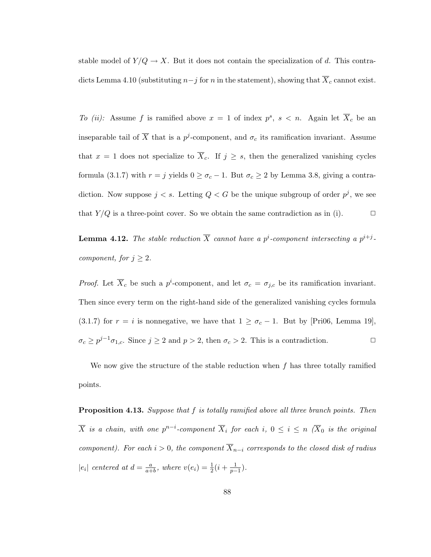stable model of  $Y/Q \to X$ . But it does not contain the specialization of d. This contradicts Lemma 4.10 (substituting  $n-j$  for n in the statement), showing that  $\overline{X}_c$  cannot exist.

To (ii): Assume f is ramified above  $x = 1$  of index  $p^s$ ,  $s < n$ . Again let  $\overline{X}_c$  be an inseparable tail of  $\overline{X}$  that is a  $p^j$ -component, and  $\sigma_c$  its ramification invariant. Assume that  $x = 1$  does not specialize to  $\overline{X}_c$ . If  $j \geq s$ , then the generalized vanishing cycles formula (3.1.7) with  $r = j$  yields  $0 \ge \sigma_c - 1$ . But  $\sigma_c \ge 2$  by Lemma 3.8, giving a contradiction. Now suppose  $j < s$ . Letting  $Q < G$  be the unique subgroup of order  $p<sup>j</sup>$ , we see that  $Y/Q$  is a three-point cover. So we obtain the same contradiction as in (i).  $\Box$ 

**Lemma 4.12.** The stable reduction  $\overline{X}$  cannot have a p<sup>i</sup>-component intersecting a  $p^{i+j}$ component, for  $j \geq 2$ .

*Proof.* Let  $\overline{X}_c$  be such a  $p^i$ -component, and let  $\sigma_c = \sigma_{j,c}$  be its ramification invariant. Then since every term on the right-hand side of the generalized vanishing cycles formula (3.1.7) for  $r = i$  is nonnegative, we have that  $1 \ge \sigma_c - 1$ . But by [Pri06, Lemma 19],  $\sigma_c \ge p^{j-1}\sigma_{1,c}$ . Since  $j \ge 2$  and  $p > 2$ , then  $\sigma_c > 2$ . This is a contradiction.

We now give the structure of the stable reduction when  $f$  has three totally ramified points.

**Proposition 4.13.** Suppose that f is totally ramified above all three branch points. Then  $\overline{X}$  is a chain, with one  $p^{n-i}$ -component  $\overline{X}_i$  for each  $i, 0 \leq i \leq n$  ( $\overline{X}_0$  is the original component). For each  $i > 0$ , the component  $\overline{X}_{n-i}$  corresponds to the closed disk of radius  $|e_i|$  centered at  $d = \frac{a}{a+1}$  $\frac{a}{a+b}$ , where  $v(e_i) = \frac{1}{2}(i + \frac{1}{p-1})$ .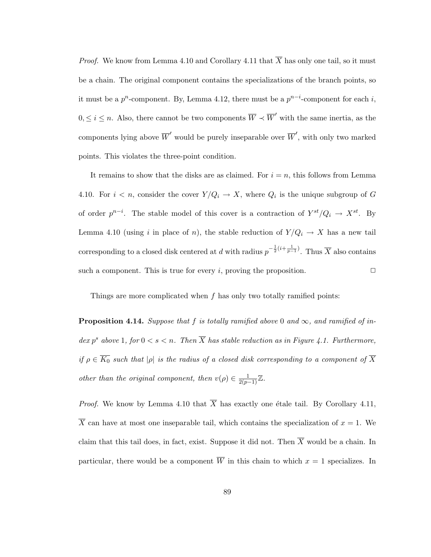*Proof.* We know from Lemma 4.10 and Corollary 4.11 that  $\overline{X}$  has only one tail, so it must be a chain. The original component contains the specializations of the branch points, so it must be a  $p^n$ -component. By, Lemma 4.12, there must be a  $p^{n-i}$ -component for each i,  $0, \leq i \leq n$ . Also, there cannot be two components  $\overline{W} \prec \overline{W}'$  with the same inertia, as the components lying above  $\overline{W}'$  would be purely inseparable over  $\overline{W}'$ , with only two marked points. This violates the three-point condition.

It remains to show that the disks are as claimed. For  $i = n$ , this follows from Lemma 4.10. For  $i < n$ , consider the cover  $Y/Q_i \to X$ , where  $Q_i$  is the unique subgroup of G of order  $p^{n-i}$ . The stable model of this cover is a contraction of  $Y^{st}/Q_i \rightarrow X^{st}$ . By Lemma 4.10 (using i in place of n), the stable reduction of  $Y/Q_i \rightarrow X$  has a new tail corresponding to a closed disk centered at d with radius  $p^{-\frac{1}{2}(i+\frac{1}{p-1})}$ . Thus  $\overline{X}$  also contains such a component. This is true for every i, proving the proposition.  $\Box$ 

Things are more complicated when  $f$  has only two totally ramified points:

**Proposition 4.14.** Suppose that f is totally ramified above 0 and  $\infty$ , and ramified of index p<sup>s</sup> above 1, for  $0 < s < n$ . Then  $\overline{X}$  has stable reduction as in Figure 4.1. Furthermore, if  $\rho \in \overline{K_0}$  such that  $|\rho|$  is the radius of a closed disk corresponding to a component of  $\overline{X}$ other than the original component, then  $v(\rho) \in \frac{1}{2(p-1)} \mathbb{Z}$ .

*Proof.* We know by Lemma 4.10 that  $\overline{X}$  has exactly one étale tail. By Corollary 4.11,  $\overline{X}$  can have at most one inseparable tail, which contains the specialization of  $x = 1$ . We claim that this tail does, in fact, exist. Suppose it did not. Then  $\overline{X}$  would be a chain. In particular, there would be a component  $\overline{W}$  in this chain to which  $x = 1$  specializes. In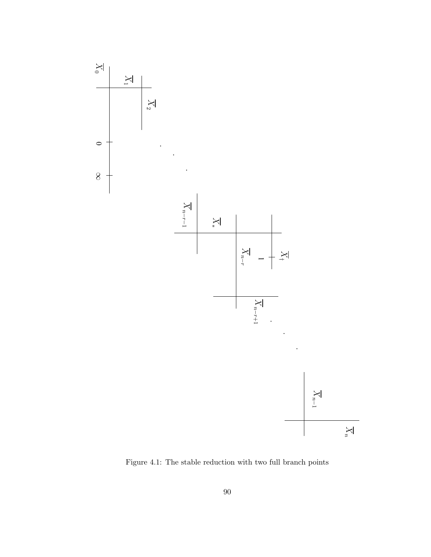

Figure 4.1: The stable reduction with two full branch points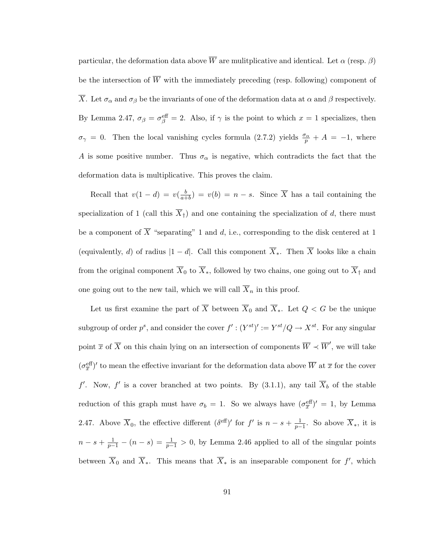particular, the deformation data above  $\overline{W}$  are mulitplicative and identical. Let  $\alpha$  (resp.  $\beta$ ) be the intersection of  $\overline{W}$  with the immediately preceding (resp. following) component of  $\overline{X}$ . Let  $\sigma_{\alpha}$  and  $\sigma_{\beta}$  be the invariants of one of the deformation data at  $\alpha$  and  $\beta$  respectively. By Lemma 2.47,  $\sigma_{\beta} = \sigma_{\beta}^{\text{eff}} = 2$ . Also, if  $\gamma$  is the point to which  $x = 1$  specializes, then  $\sigma_{\gamma} = 0$ . Then the local vanishing cycles formula (2.7.2) yields  $\frac{\sigma_{\alpha}}{p} + A = -1$ , where A is some positive number. Thus  $\sigma_{\alpha}$  is negative, which contradicts the fact that the deformation data is multiplicative. This proves the claim.

Recall that  $v(1-d) = v(\frac{b}{a+1})$  $\frac{b}{a+b}$  =  $v(b)$  =  $n - s$ . Since X has a tail containing the specialization of 1 (call this  $\overline{X}_{\dagger}$ ) and one containing the specialization of d, there must be a component of  $\overline{X}$  "separating" 1 and d, i.e., corresponding to the disk centered at 1 (equivalently, d) of radius  $|1 - d|$ . Call this component  $\overline{X}_*$ . Then  $\overline{X}$  looks like a chain from the original component  $\overline{X}_0$  to  $\overline{X}_*$ , followed by two chains, one going out to  $\overline{X}_\dagger$  and one going out to the new tail, which we will call  $\overline{X}_n$  in this proof.

Let us first examine the part of  $\overline{X}$  between  $\overline{X}_0$  and  $\overline{X}_*$ . Let  $Q < G$  be the unique subgroup of order  $p^s$ , and consider the cover  $f' : (Y^{st})' := Y^{st}/Q \to X^{st}$ . For any singular point  $\overline{x}$  of  $\overline{X}$  on this chain lying on an intersection of components  $\overline{W} \prec \overline{W}'$ , we will take  $(\sigma_{\overline{x}}^{\text{eff}})'$  to mean the effective invariant for the deformation data above  $\overline{W}$  at  $\overline{x}$  for the cover f'. Now, f' is a cover branched at two points. By (3.1.1), any tail  $\overline{X}_b$  of the stable reduction of this graph must have  $\sigma_b = 1$ . So we always have  $(\sigma_{\overline{x}}^{\text{eff}})' = 1$ , by Lemma 2.47. Above  $\overline{X}_0$ , the effective different  $(\delta^{\text{eff}})'$  for  $f'$  is  $n-s+\frac{1}{p-1}$ . So above  $\overline{X}_*$ , it is  $n-s+\frac{1}{p-1}-(n-s)=\frac{1}{p-1}>0$ , by Lemma 2.46 applied to all of the singular points between  $\overline{X}_0$  and  $\overline{X}_*$ . This means that  $\overline{X}_*$  is an inseparable component for  $f'$ , which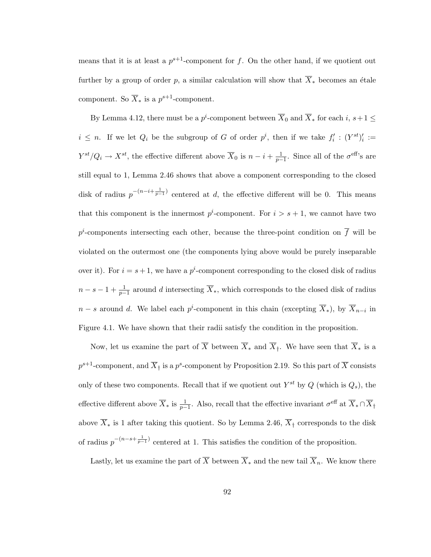means that it is at least a  $p^{s+1}$ -component for f. On the other hand, if we quotient out further by a group of order p, a similar calculation will show that  $\overline{X}_*$  becomes an étale component. So  $\overline{X}_*$  is a  $p^{s+1}$ -component.

By Lemma 4.12, there must be a  $p^i$ -component between  $\overline{X}_0$  and  $\overline{X}_*$  for each  $i, s+1 \leq$  $i \leq n$ . If we let  $Q_i$  be the subgroup of G of order  $p^i$ , then if we take  $f'_i : (Y^{st})'_i :=$  $Y^{st}/Q_i \to X^{st}$ , the effective different above  $\overline{X}_0$  is  $n-i+\frac{1}{p-1}$ . Since all of the  $\sigma^{\text{eff}}$ 's are still equal to 1, Lemma 2.46 shows that above a component corresponding to the closed disk of radius  $p^{-(n-i+\frac{1}{p-1})}$  centered at d, the effective different will be 0. This means that this component is the innermost  $p^i$ -component. For  $i > s + 1$ , we cannot have two  $p^i$ -components intersecting each other, because the three-point condition on  $\overline{f}$  will be violated on the outermost one (the components lying above would be purely inseparable over it). For  $i = s + 1$ , we have a  $p^i$ -component corresponding to the closed disk of radius  $n - s - 1 + \frac{1}{p-1}$  around d intersecting  $\overline{X}_*$ , which corresponds to the closed disk of radius  $n - s$  around d. We label each  $p^i$ -component in this chain (excepting  $\overline{X}_*$ ), by  $\overline{X}_{n-i}$  in Figure 4.1. We have shown that their radii satisfy the condition in the proposition.

Now, let us examine the part of  $\overline{X}$  between  $\overline{X}_*$  and  $\overline{X}_*$ . We have seen that  $\overline{X}_*$  is a  $p^{s+1}$ -component, and  $\overline{X}_{\dagger}$  is a  $p^s$ -component by Proposition 2.19. So this part of  $\overline{X}$  consists only of these two components. Recall that if we quotient out  $Y^{st}$  by  $Q$  (which is  $Q_s$ ), the effective different above  $\overline{X}_*$  is  $\frac{1}{p-1}$ . Also, recall that the effective invariant  $\sigma^{\text{eff}}$  at  $\overline{X}_* \cap \overline{X}_\dagger$ above  $\overline{X}_*$  is 1 after taking this quotient. So by Lemma 2.46,  $\overline{X}_\dagger$  corresponds to the disk of radius  $p^{-(n-s+\frac{1}{p-1})}$  centered at 1. This satisfies the condition of the proposition.

Lastly, let us examine the part of  $\overline{X}$  between  $\overline{X}_*$  and the new tail  $\overline{X}_n$ . We know there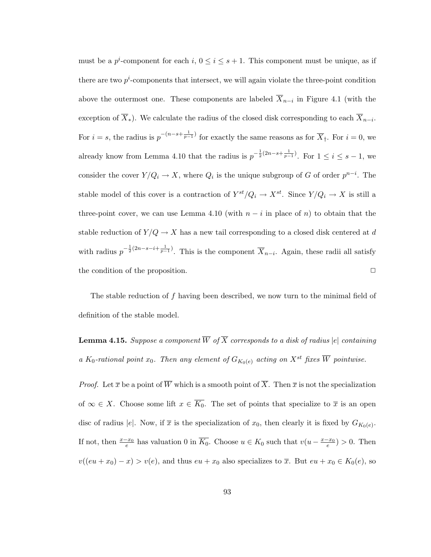must be a  $p^i$ -component for each  $i, 0 \le i \le s+1$ . This component must be unique, as if there are two  $p^i$ -components that intersect, we will again violate the three-point condition above the outermost one. These components are labeled  $X_{n-i}$  in Figure 4.1 (with the exception of  $X_*$ ). We calculate the radius of the closed disk corresponding to each  $X_{n-i}$ . For  $i = s$ , the radius is  $p^{-(n-s+\frac{1}{p-1})}$  for exactly the same reasons as for  $\overline{X}_{\dagger}$ . For  $i = 0$ , we already know from Lemma 4.10 that the radius is  $p^{-\frac{1}{2}(2n-s+\frac{1}{p-1})}$ . For  $1 \leq i \leq s-1$ , we consider the cover  $Y/Q_i \to X$ , where  $Q_i$  is the unique subgroup of G of order  $p^{n-i}$ . The stable model of this cover is a contraction of  $Y^{st}/Q_i \to X^{st}$ . Since  $Y/Q_i \to X$  is still a three-point cover, we can use Lemma 4.10 (with  $n - i$  in place of n) to obtain that the stable reduction of  $Y/Q \to X$  has a new tail corresponding to a closed disk centered at d with radius  $p^{-\frac{1}{2}(2n-s-i+\frac{1}{p-1})}$ . This is the component  $\overline{X}_{n-i}$ . Again, these radii all satisfy the condition of the proposition.  $\Box$ 

The stable reduction of  $f$  having been described, we now turn to the minimal field of definition of the stable model.

**Lemma 4.15.** Suppose a component  $\overline{W}$  of  $\overline{X}$  corresponds to a disk of radius  $|e|$  containing a K<sub>0</sub>-rational point  $x_0$ . Then any element of  $G_{K_0(e)}$  acting on  $X^{st}$  fixes  $\overline{W}$  pointwise.

*Proof.* Let  $\overline{x}$  be a point of  $\overline{W}$  which is a smooth point of  $\overline{X}$ . Then  $\overline{x}$  is not the specialization of  $\infty \in X$ . Choose some lift  $x \in \overline{K_0}$ . The set of points that specialize to  $\overline{x}$  is an open disc of radius |e|. Now, if  $\bar{x}$  is the specialization of  $x_0$ , then clearly it is fixed by  $G_{K_0(e)}$ . If not, then  $\frac{x-x_0}{e}$  has valuation 0 in  $\overline{K_0}$ . Choose  $u \in K_0$  such that  $v(u - \frac{x-x_0}{e}) > 0$ . Then  $v((eu + x_0) - x) > v(e)$ , and thus  $eu + x_0$  also specializes to  $\overline{x}$ . But  $eu + x_0 \in K_0(e)$ , so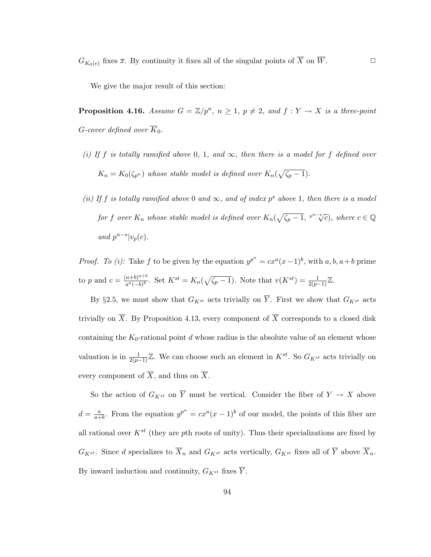We give the major result of this section:

**Proposition 4.16.** Assume  $G = \mathbb{Z}/p^n$ ,  $n \geq 1$ ,  $p \neq 2$ , and  $f: Y \to X$  is a three-point G-cover defined over  $\overline{K}_0$ .

- (i) If f is totally ramified above 0, 1, and  $\infty$ , then there is a model for f defined over  $K_n = K_0(\zeta_{p^n})$  whose stable model is defined over  $K_n(\sqrt{\zeta_{p}-1})$ .
- (ii) If f is totally ramified above 0 and  $\infty$ , and of index p<sup>s</sup> above 1, then there is a model for f over  $K_n$  whose stable model is defined over  $K_n(\sqrt{\zeta_p-1}, \sqrt[p^{n-s}]{c})$ , where  $c \in \mathbb{Q}$ and  $p^{n-s}|v_p(c)$ .

*Proof.* To (i): Take f to be given by the equation  $y^{p^n} = cx^a(x-1)^b$ , with  $a, b, a+b$  prime to p and  $c = \frac{(a+b)^{a+b}}{a^a(-b)^b}$  $\frac{(a+b)^{a+b}}{a^a(-b)^b}$ . Set  $K^{st} = K_n(\sqrt{\zeta_p-1})$ . Note that  $v(K^{st}) = \frac{1}{2(p-1)}\mathbb{Z}$ .

By §2.5, we must show that  $G_{K^{st}}$  acts trivially on  $\overline{Y}$ . First we show that  $G_{K^{st}}$  acts trivially on  $\overline{X}$ . By Proposition 4.13, every component of  $\overline{X}$  corresponds to a closed disk containing the  $K_0$ -rational point d whose radius is the absolute value of an element whose valuation is in  $\frac{1}{2(p-1)}\mathbb{Z}$ . We can choose such an element in  $K^{st}$ . So  $G_{K^{st}}$  acts trivially on every component of  $\overline{X}$ , and thus on  $\overline{X}$ .

So the action of  $G_{K^{st}}$  on  $\overline{Y}$  must be vertical. Consider the fiber of  $Y \to X$  above  $d=\frac{a}{a^{\perp}}$  $\frac{a}{a+b}$ . From the equation  $y^{p^n} = cx^a(x-1)^b$  of our model, the points of this fiber are all rational over  $K^{st}$  (they are pth roots of unity). Thus their specializations are fixed by  $G_{K^{st}}$ . Since d specializes to  $\overline{X}_n$  and  $G_{K^{st}}$  acts vertically,  $G_{K^{st}}$  fixes all of  $\overline{Y}$  above  $\overline{X}_n$ . By inward induction and continuity,  $G_{K^{st}}$  fixes  $\overline{Y}$ .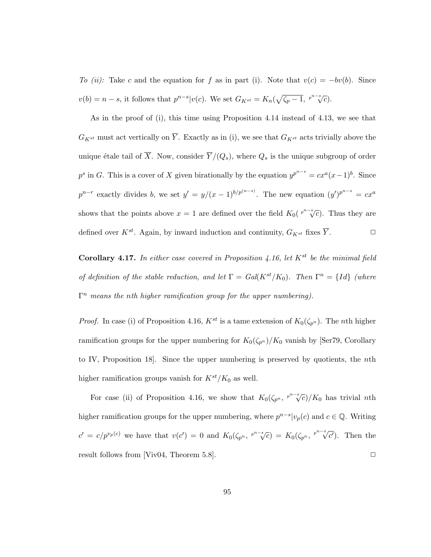To (ii): Take c and the equation for f as in part (i). Note that  $v(c) = -bv(b)$ . Since  $v(b) = n - s$ , it follows that  $p^{n-s}|v(c)$ . We set  $G_{K^{st}} = K_n(\sqrt{\zeta_p - 1}, \sqrt[p^{n-s}]{c})$ .

As in the proof of (i), this time using Proposition 4.14 instead of 4.13, we see that  $G_{K^{st}}$  must act vertically on  $\overline{Y}$ . Exactly as in (i), we see that  $G_{K^{st}}$  acts trivially above the unique étale tail of  $\overline{X}$ . Now, consider  $\overline{Y}/(Q_s)$ , where  $Q_s$  is the unique subgroup of order  $p<sup>s</sup>$  in G. This is a cover of X given birationally by the equation  $y^{p^{n-s}} = cx^{a}(x-1)^{b}$ . Since  $p^{n-r}$  exactly divides b, we set  $y' = y/(x-1)^{b/p^{(n-s)}}$ . The new equation  $(y')^{p^{n-s}} = cx^a$ shows that the points above  $x = 1$  are defined over the field  $K_0(\sqrt[p^{n-s}]{c})$ . Thus they are defined over  $K^{st}$ . Again, by inward induction and continuity,  $G_{K^{st}}$  fixes  $\overline{Y}$ .

Corollary 4.17. In either case covered in Proposition 4.16, let  $K^{st}$  be the minimal field of definition of the stable reduction, and let  $\Gamma = Gal(K^{st}/K_0)$ . Then  $\Gamma^n = \{Id\}$  (where  $\Gamma^n$  means the nth higher ramification group for the upper numbering).

*Proof.* In case (i) of Proposition 4.16,  $K^{st}$  is a tame extension of  $K_0(\zeta_{p^n})$ . The *n*th higher ramification groups for the upper numbering for  $K_0(\zeta_{p^n})/K_0$  vanish by [Ser79, Corollary to IV, Proposition 18]. Since the upper numbering is preserved by quotients, the nth higher ramification groups vanish for  $K^{st}/K_0$  as well.

For case (ii) of Proposition 4.16, we show that  $K_0(\zeta_{p^n}, {p^n}^* \zeta) / K_0$  has trivial nth higher ramification groups for the upper numbering, where  $p^{n-s}|v_p(c)$  and  $c \in \mathbb{Q}$ . Writing  $c' = c/p^{v_p(c)}$  we have that  $v(c') = 0$  and  $K_0(\zeta_{p^n}, \sqrt[p^{n-s}]{c}) = K_0(\zeta_{p^n}, \sqrt[p^{n-s}]{c})$  $\overline{c'}$ ). Then the result follows from [Viv04, Theorem 5.8].  $\square$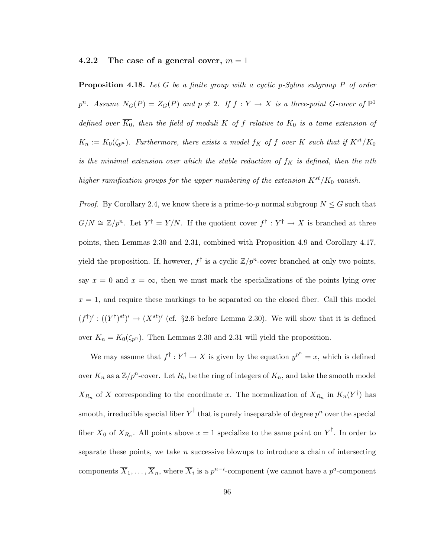#### 4.2.2 The case of a general cover,  $m = 1$

**Proposition 4.18.** Let G be a finite group with a cyclic p-Sylow subgroup P of order  $p^{n}$ . Assume  $N_{G}(P) = Z_{G}(P)$  and  $p \neq 2$ . If  $f: Y \to X$  is a three-point G-cover of  $\mathbb{P}^{1}$ defined over  $\overline{K_0}$ , then the field of moduli K of f relative to  $K_0$  is a tame extension of  $K_n := K_0(\zeta_{p^n})$ . Furthermore, there exists a model  $f_K$  of f over K such that if  $K^{st}/K_0$ is the minimal extension over which the stable reduction of  $f_K$  is defined, then the nth higher ramification groups for the upper numbering of the extension  $K^{st}/K_0$  vanish.

*Proof.* By Corollary 2.4, we know there is a prime-to-p normal subgroup  $N \leq G$  such that  $G/N \cong \mathbb{Z}/p^n$ . Let  $Y^{\dagger} = Y/N$ . If the quotient cover  $f^{\dagger} : Y^{\dagger} \to X$  is branched at three points, then Lemmas 2.30 and 2.31, combined with Proposition 4.9 and Corollary 4.17, yield the proposition. If, however,  $f^{\dagger}$  is a cyclic  $\mathbb{Z}/p^{n}$ -cover branched at only two points, say  $x = 0$  and  $x = \infty$ , then we must mark the specializations of the points lying over  $x = 1$ , and require these markings to be separated on the closed fiber. Call this model  $(f^{\dagger})': ((Y^{\dagger})^{st})' \to (X^{st})'$  (cf. §2.6 before Lemma 2.30). We will show that it is defined over  $K_n = K_0(\zeta_{p^n})$ . Then Lemmas 2.30 and 2.31 will yield the proposition.

We may assume that  $f^{\dagger}: Y^{\dagger} \to X$  is given by the equation  $y^{p^n} = x$ , which is defined over  $K_n$  as a  $\mathbb{Z}/p^n$ -cover. Let  $R_n$  be the ring of integers of  $K_n$ , and take the smooth model  $X_{R_n}$  of X corresponding to the coordinate x. The normalization of  $X_{R_n}$  in  $K_n(Y^{\dagger})$  has smooth, irreducible special fiber  $\overline{Y}^{\dagger}$  that is purely inseparable of degree  $p^{n}$  over the special fiber  $\overline{X}_0$  of  $X_{R_n}$ . All points above  $x=1$  specialize to the same point on  $\overline{Y}^{\dagger}$ . In order to separate these points, we take  $n$  successive blowups to introduce a chain of intersecting components  $\overline{X}_1,\ldots,\overline{X}_n$ , where  $\overline{X}_i$  is a  $p^{n-i}$ -component (we cannot have a  $p^a$ -component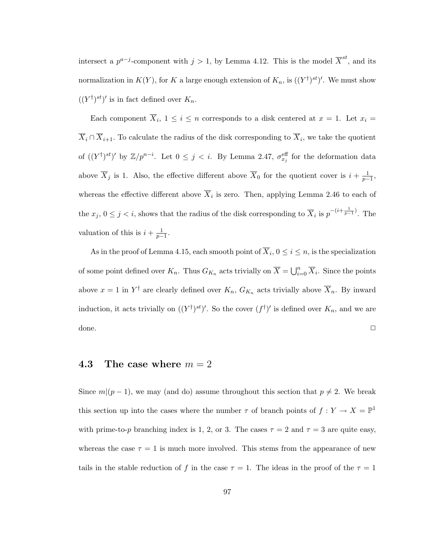intersect a  $p^{a-j}$ -component with  $j > 1$ , by Lemma 4.12. This is the model  $\overline{X}^{st}$ , and its normalization in  $K(Y)$ , for K a large enough extension of  $K_n$ , is  $((Y^{\dagger})^{st})'$ . We must show  $((Y^{\dagger})^{st})'$  is in fact defined over  $K_n$ .

Each component  $\overline{X}_i$ ,  $1 \leq i \leq n$  corresponds to a disk centered at  $x = 1$ . Let  $x_i =$  $\overline{X}_i \cap \overline{X}_{i+1}$ . To calculate the radius of the disk corresponding to  $\overline{X}_i$ , we take the quotient of  $((Y^{\dagger})^{st})'$  by  $\mathbb{Z}/p^{n-i}$ . Let  $0 \leq j < i$ . By Lemma 2.47,  $\sigma_{x_j}^{\text{eff}}$  for the deformation data above  $\overline{X}_j$  is 1. Also, the effective different above  $\overline{X}_0$  for the quotient cover is  $i + \frac{1}{p-1}$ , whereas the effective different above  $\overline{X}_i$  is zero. Then, applying Lemma 2.46 to each of the  $x_j$ ,  $0 \le j < i$ , shows that the radius of the disk corresponding to  $\overline{X}_i$  is  $p^{-(i+\frac{1}{p-1})}$ . The valuation of this is  $i + \frac{1}{p-1}$ .

As in the proof of Lemma 4.15, each smooth point of  $X_i$ ,  $0 \le i \le n$ , is the specialization of some point defined over  $K_n$ . Thus  $G_{K_n}$  acts trivially on  $\overline{X} = \bigcup_{i=0}^n \overline{X}_i$ . Since the points above  $x = 1$  in  $Y^{\dagger}$  are clearly defined over  $K_n$ ,  $G_{K_n}$  acts trivially above  $\overline{X}_n$ . By inward induction, it acts trivially on  $((Y^{\dagger})^{st})'$ . So the cover  $(f^{\dagger})'$  is defined over  $K_n$ , and we are  $\Box$ 

#### 4.3 The case where  $m = 2$

Since  $m|(p-1)$ , we may (and do) assume throughout this section that  $p \neq 2$ . We break this section up into the cases where the number  $\tau$  of branch points of  $f: Y \to X = \mathbb{P}^1$ with prime-to-p branching index is 1, 2, or 3. The cases  $\tau = 2$  and  $\tau = 3$  are quite easy, whereas the case  $\tau = 1$  is much more involved. This stems from the appearance of new tails in the stable reduction of f in the case  $\tau = 1$ . The ideas in the proof of the  $\tau = 1$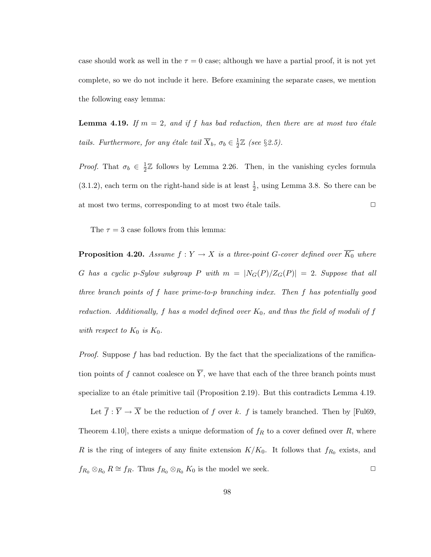case should work as well in the  $\tau = 0$  case; although we have a partial proof, it is not yet complete, so we do not include it here. Before examining the separate cases, we mention the following easy lemma:

**Lemma 4.19.** If  $m = 2$ , and if f has bad reduction, then there are at most two étale tails. Furthermore, for any étale tail  $\overline{X}_b$ ,  $\sigma_b \in \frac{1}{2}$  $\frac{1}{2}\mathbb{Z}$  (see §2.5).

*Proof.* That  $\sigma_b \in \frac{1}{2}$  $\frac{1}{2}\mathbb{Z}$  follows by Lemma 2.26. Then, in the vanishing cycles formula  $(3.1.2)$ , each term on the right-hand side is at least  $\frac{1}{2}$ , using Lemma 3.8. So there can be at most two terms, corresponding to at most two étale tails.  $\Box$ 

The  $\tau = 3$  case follows from this lemma:

**Proposition 4.20.** Assume  $f : Y \to X$  is a three-point G-cover defined over  $\overline{K_0}$  where G has a cyclic p-Sylow subgroup P with  $m = |N_G(P)/Z_G(P)| = 2$ . Suppose that all three branch points of f have prime-to-p branching index. Then f has potentially good reduction. Additionally, f has a model defined over  $K_0$ , and thus the field of moduli of f with respect to  $K_0$  is  $K_0$ .

*Proof.* Suppose f has bad reduction. By the fact that the specializations of the ramification points of f cannot coalesce on  $\overline{Y}$ , we have that each of the three branch points must specialize to an étale primitive tail (Proposition 2.19). But this contradicts Lemma  $4.19$ .

Let  $\overline{f}$ :  $\overline{Y} \to \overline{X}$  be the reduction of f over k. f is tamely branched. Then by [Ful69, Theorem 4.10], there exists a unique deformation of  $f_R$  to a cover defined over R, where R is the ring of integers of any finite extension  $K/K_0$ . It follows that  $f_{R_0}$  exists, and  $f_{R_0} \otimes_{R_0} R \cong f_R$ . Thus  $f_{R_0} \otimes_{R_0} K_0$  is the model we seek.  $\Box$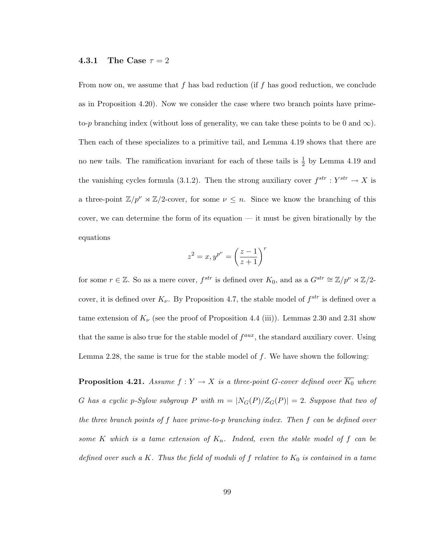#### 4.3.1 The Case  $\tau = 2$

From now on, we assume that f has bad reduction (if f has good reduction, we conclude as in Proposition 4.20). Now we consider the case where two branch points have primeto-p branching index (without loss of generality, we can take these points to be 0 and  $\infty$ ). Then each of these specializes to a primitive tail, and Lemma 4.19 shows that there are no new tails. The ramification invariant for each of these tails is  $\frac{1}{2}$  by Lemma 4.19 and the vanishing cycles formula (3.1.2). Then the strong auxiliary cover  $f^{str}: Y^{str} \to X$  is a three-point  $\mathbb{Z}/p^{\nu} \rtimes \mathbb{Z}/2$ -cover, for some  $\nu \leq n$ . Since we know the branching of this cover, we can determine the form of its equation — it must be given birationally by the equations

$$
z^2 = x, y^{p^{\nu}} = \left(\frac{z-1}{z+1}\right)^r
$$

for some  $r \in \mathbb{Z}$ . So as a mere cover,  $f^{str}$  is defined over  $K_0$ , and as a  $G^{str} \cong \mathbb{Z}/p^{\nu} \rtimes \mathbb{Z}/2$ cover, it is defined over  $K_{\nu}$ . By Proposition 4.7, the stable model of  $f^{str}$  is defined over a tame extension of  $K_{\nu}$  (see the proof of Proposition 4.4 (iii)). Lemmas 2.30 and 2.31 show that the same is also true for the stable model of  $f^{aux}$ , the standard auxiliary cover. Using Lemma 2.28, the same is true for the stable model of  $f$ . We have shown the following:

**Proposition 4.21.** Assume  $f : Y \to X$  is a three-point G-cover defined over  $\overline{K_0}$  where G has a cyclic p-Sylow subgroup P with  $m = |N_G(P)/Z_G(P)| = 2$ . Suppose that two of the three branch points of f have prime-to-p branching index. Then f can be defined over some K which is a tame extension of  $K_n$ . Indeed, even the stable model of f can be defined over such a K. Thus the field of moduli of  $f$  relative to  $K_0$  is contained in a tame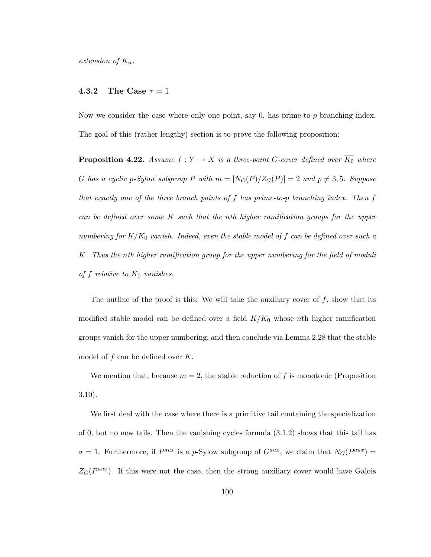extension of  $K_n$ .

#### **4.3.2** The Case  $\tau = 1$

Now we consider the case where only one point, say  $0$ , has prime-to- $p$  branching index. The goal of this (rather lengthy) section is to prove the following proposition:

**Proposition 4.22.** Assume  $f: Y \to X$  is a three-point G-cover defined over  $\overline{K_0}$  where G has a cyclic p-Sylow subgroup P with  $m = |N_G(P)/Z_G(P)| = 2$  and  $p \neq 3, 5$ . Suppose that exactly one of the three branch points of f has prime-to-p branching index. Then f can be defined over some  $K$  such that the nth higher ramification groups for the upper numbering for  $K/K_0$  vanish. Indeed, even the stable model of f can be defined over such a K. Thus the nth higher ramification group for the upper numbering for the field of moduli of f relative to  $K_0$  vanishes.

The outline of the proof is this: We will take the auxiliary cover of  $f$ , show that its modified stable model can be defined over a field  $K/K_0$  whose nth higher ramification groups vanish for the upper numbering, and then conclude via Lemma 2.28 that the stable model of  $f$  can be defined over  $K$ .

We mention that, because  $m = 2$ , the stable reduction of f is monotonic (Proposition 3.10).

We first deal with the case where there is a primitive tail containing the specialization of 0, but no new tails. Then the vanishing cycles formula (3.1.2) shows that this tail has  $\sigma = 1$ . Furthermore, if  $P^{aux}$  is a p-Sylow subgroup of  $G^{aux}$ , we claim that  $N_G(P^{aux}) =$  $Z_G(P^{aux})$ . If this were not the case, then the strong auxiliary cover would have Galois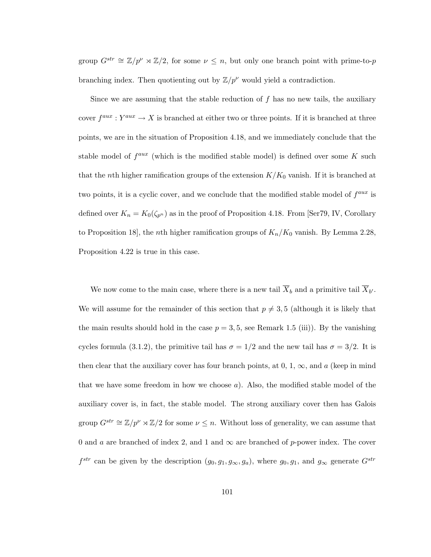group  $G^{str} \cong \mathbb{Z}/p^{\nu} \rtimes \mathbb{Z}/2$ , for some  $\nu \leq n$ , but only one branch point with prime-to-p branching index. Then quotienting out by  $\mathbb{Z}/p^{\nu}$  would yield a contradiction.

Since we are assuming that the stable reduction of  $f$  has no new tails, the auxiliary cover  $f^{aux}: Y^{aux} \to X$  is branched at either two or three points. If it is branched at three points, we are in the situation of Proposition 4.18, and we immediately conclude that the stable model of  $f^{aux}$  (which is the modified stable model) is defined over some K such that the nth higher ramification groups of the extension  $K/K_0$  vanish. If it is branched at two points, it is a cyclic cover, and we conclude that the modified stable model of  $f^{aux}$  is defined over  $K_n = K_0(\zeta_{p^n})$  as in the proof of Proposition 4.18. From [Ser79, IV, Corollary to Proposition 18, the *n*th higher ramification groups of  $K_n/K_0$  vanish. By Lemma 2.28, Proposition 4.22 is true in this case.

We now come to the main case, where there is a new tail  $\overline{X}_b$  and a primitive tail  $\overline{X}_{b'}$ . We will assume for the remainder of this section that  $p \neq 3, 5$  (although it is likely that the main results should hold in the case  $p = 3, 5$ , see Remark 1.5 (iii)). By the vanishing cycles formula (3.1.2), the primitive tail has  $\sigma = 1/2$  and the new tail has  $\sigma = 3/2$ . It is then clear that the auxiliary cover has four branch points, at  $0, 1, \infty$ , and a (keep in mind that we have some freedom in how we choose  $a$ ). Also, the modified stable model of the auxiliary cover is, in fact, the stable model. The strong auxiliary cover then has Galois group  $G^{str} \cong \mathbb{Z}/p^{\nu} \rtimes \mathbb{Z}/2$  for some  $\nu \leq n$ . Without loss of generality, we can assume that 0 and a are branched of index 2, and 1 and  $\infty$  are branched of p-power index. The cover  $f^{str}$  can be given by the description  $(g_0, g_1, g_\infty, g_a)$ , where  $g_0, g_1$ , and  $g_\infty$  generate  $G^{str}$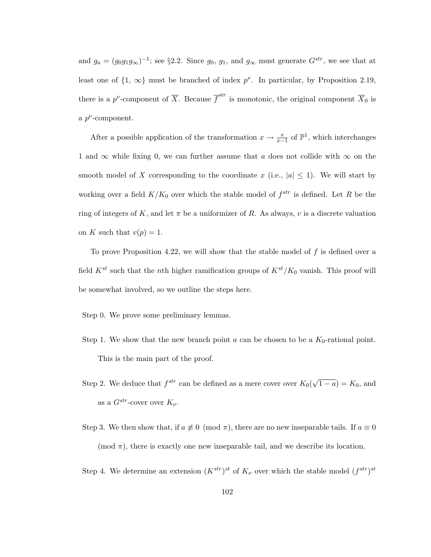and  $g_a = (g_0 g_1 g_\infty)^{-1}$ ; see §2.2. Since  $g_0, g_1$ , and  $g_\infty$  must generate  $G^{str}$ , we see that at least one of  $\{1, \infty\}$  must be branched of index  $p^{\nu}$ . In particular, by Proposition 2.19, there is a p<sup>*v*</sup>-component of  $\overline{X}$ . Because  $\overline{f}^{str}$  is monotonic, the original component  $\overline{X}_0$  is a  $p^{\nu}$ -component.

After a possible application of the transformation  $x \to \frac{x}{x-1}$  of  $\mathbb{P}^1$ , which interchanges 1 and  $\infty$  while fixing 0, we can further assume that a does not collide with  $\infty$  on the smooth model of X corresponding to the coordinate x (i.e.,  $|a| \leq 1$ ). We will start by working over a field  $K/K_0$  over which the stable model of  $f^{str}$  is defined. Let R be the ring of integers of K, and let  $\pi$  be a uniformizer of R. As always, v is a discrete valuation on K such that  $v(p) = 1$ .

To prove Proposition 4.22, we will show that the stable model of  $f$  is defined over a field  $K^{st}$  such that the *n*th higher ramification groups of  $K^{st}/K_0$  vanish. This proof will be somewhat involved, so we outline the steps here.

Step 0. We prove some preliminary lemmas.

- Step 1. We show that the new branch point  $a$  can be chosen to be a  $K_0$ -rational point. This is the main part of the proof.
- Step 2. We deduce that  $f^{str}$  can be defined as a mere cover over  $K_0(\sqrt{\frac{2}{\lambda}})$  $\overline{1-a}$  =  $K_0$ , and as a  $G^{str}$ -cover over  $K_{\nu}$ .
- Step 3. We then show that, if  $a \neq 0 \pmod{\pi}$ , there are no new inseparable tails. If  $a \equiv 0$ (mod  $\pi$ ), there is exactly one new inseparable tail, and we describe its location.

Step 4. We determine an extension  $(K^{str})^{st}$  of  $K_{\nu}$  over which the stable model  $(f^{str})^{st}$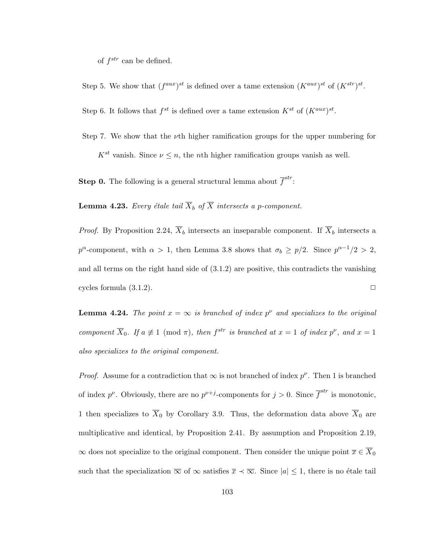of  $f^{str}$  can be defined.

Step 5. We show that  $(f^{aux})^{st}$  is defined over a tame extension  $(K^{aux})^{st}$  of  $(K^{str})^{st}$ .

Step 6. It follows that  $f^{st}$  is defined over a tame extension  $K^{st}$  of  $(K^{aux})^{st}$ .

Step 7. We show that the  $\nu$ th higher ramification groups for the upper numbering for  $K^{st}$  vanish. Since  $\nu \leq n$ , the *n*th higher ramification groups vanish as well.

**Step 0.** The following is a general structural lemma about  $\overline{f}^{str}$ :

**Lemma 4.23.** Every étale tail  $\overline{X}_b$  of  $\overline{X}$  intersects a p-component.

*Proof.* By Proposition 2.24,  $\overline{X}_b$  intersects an inseparable component. If  $\overline{X}_b$  intersects a  $p^{\alpha}$ -component, with  $\alpha > 1$ , then Lemma 3.8 shows that  $\sigma_b \geq p/2$ . Since  $p^{\alpha-1}/2 > 2$ , and all terms on the right hand side of (3.1.2) are positive, this contradicts the vanishing cycles formula  $(3.1.2)$ .

**Lemma 4.24.** The point  $x = \infty$  is branched of index  $p^{\nu}$  and specializes to the original component  $\overline{X}_0$ . If  $a \neq 1 \pmod{\pi}$ , then  $f^{str}$  is branched at  $x = 1$  of index  $p^{\nu}$ , and  $x = 1$ also specializes to the original component.

*Proof.* Assume for a contradiction that  $\infty$  is not branched of index  $p^{\nu}$ . Then 1 is branched of index  $p^{\nu}$ . Obviously, there are no  $p^{\nu+j}$ -components for  $j > 0$ . Since  $\overline{f}^{str}$  is monotonic, 1 then specializes to  $\overline{X}_0$  by Corollary 3.9. Thus, the deformation data above  $\overline{X}_0$  are multiplicative and identical, by Proposition 2.41. By assumption and Proposition 2.19,  $\infty$  does not specialize to the original component. Then consider the unique point  $\overline{x} \in \overline{X}_0$ such that the specialization  $\overline{\infty}$  of  $\infty$  satisfies  $\overline{x} \prec \overline{\infty}$ . Since  $|a| \leq 1$ , there is no étale tail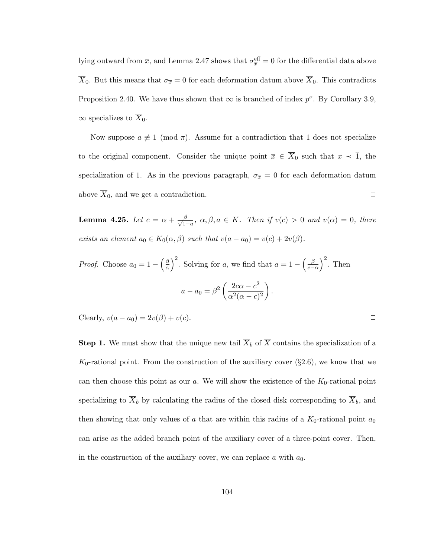lying outward from  $\bar{x}$ , and Lemma 2.47 shows that  $\sigma_{\bar{x}}^{\text{eff}} = 0$  for the differential data above  $\overline{X}_0$ . But this means that  $\sigma_{\overline{x}} = 0$  for each deformation datum above  $\overline{X}_0$ . This contradicts Proposition 2.40. We have thus shown that  $\infty$  is branched of index  $p^{\nu}$ . By Corollary 3.9,  $\infty$  specializes to  $\overline{X}_0$ .

Now suppose  $a \not\equiv 1 \pmod{\pi}$ . Assume for a contradiction that 1 does not specialize to the original component. Consider the unique point  $\overline{x} \in \overline{X}_0$  such that  $x \prec \overline{1}$ , the specialization of 1. As in the previous paragraph,  $\sigma_{\overline{x}} = 0$  for each deformation datum above  $\overline{X}_0$ , and we get a contradiction.

**Lemma 4.25.** Let  $c = \alpha + \frac{\beta}{\sqrt{1-a}}, \ \alpha, \beta, a \in K$ . Then if  $v(c) > 0$  and  $v(\alpha) = 0$ , there exists an element  $a_0 \in K_0(\alpha, \beta)$  such that  $v(a - a_0) = v(c) + 2v(\beta)$ .

*Proof.* Choose  $a_0 = 1 - \left(\frac{\beta}{\alpha}\right)$  $\left(\frac{\beta}{\alpha}\right)^2$ . Solving for a, we find that  $a = 1 - \left(\frac{\beta}{c-1}\right)$  $\left(\frac{\beta}{c-\alpha}\right)^2$ . Then  $a - a_0 = \beta^2 \left( \frac{2c\alpha - c^2}{c^2 (c_0 - c)} \right)$  $\alpha^2(\alpha-c)^2$  $\big).$ 

Clearly,  $v(a - a_0) = 2v(\beta) + v(c)$ .

**Step 1.** We must show that the unique new tail  $\overline{X}_b$  of  $\overline{X}$  contains the specialization of a  $K_0$ -rational point. From the construction of the auxiliary cover (§2.6), we know that we can then choose this point as our  $a$ . We will show the existence of the  $K_0$ -rational point specializing to  $\overline{X}_b$  by calculating the radius of the closed disk corresponding to  $\overline{X}_b$ , and then showing that only values of a that are within this radius of a  $K_0$ -rational point  $a_0$ can arise as the added branch point of the auxiliary cover of a three-point cover. Then, in the construction of the auxiliary cover, we can replace a with  $a_0$ .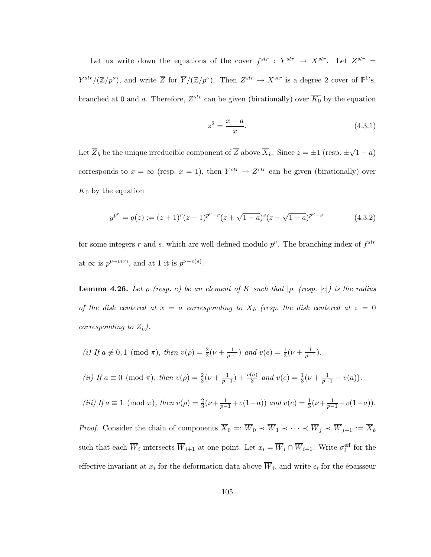Let us write down the equations of the cover  $f^{str}$  :  $Y^{str} \rightarrow X^{str}$ . Let  $Z^{str} =$  $Y^{str}/(\mathbb{Z}/p^{\nu})$ , and write  $\overline{Z}$  for  $\overline{Y}/(\mathbb{Z}/p^{\nu})$ . Then  $Z^{str} \to X^{str}$  is a degree 2 cover of  $\mathbb{P}^{1}$ 's, branched at 0 and a. Therefore,  $Z^{str}$  can be given (birationally) over  $\overline{K_0}$  by the equation

$$
z^2 = \frac{x - a}{x}.\tag{4.3.1}
$$

Let  $\overline{Z}_b$  be the unique irreducible component of  $\overline{Z}$  above  $\overline{X}_b$ . Since  $z = \pm 1$  (resp.  $\pm$ √  $\overline{1-a}$ corresponds to  $x = \infty$  (resp.  $x = 1$ ), then  $Y^{str} \to Z^{str}$  can be given (birationally) over  $\overline{K}_0$  by the equation

$$
y^{p^{\nu}} = g(z) := (z+1)^{r} (z-1)^{p^{\nu}-r} (z+\sqrt{1-a})^{s} (z-\sqrt{1-a})^{p^{\nu}-s}
$$
(4.3.2)

for some integers r and s, which are well-defined modulo  $p^{\nu}$ . The branching index of  $f^{str}$ at  $\infty$  is  $p^{\nu-v(r)}$ , and at 1 it is  $p^{\nu-v(s)}$ .

**Lemma 4.26.** Let  $\rho$  (resp. e) be an element of K such that  $|\rho|$  (resp.  $|e|$ ) is the radius of the disk centered at  $x = a$  corresponding to  $\overline{X}_b$  (resp. the disk centered at  $z = 0$ corresponding to  $\overline{Z}_b$ ).

(i) If 
$$
a \not\equiv 0, 1 \pmod{\pi}
$$
, then  $v(\rho) = \frac{2}{3}(\nu + \frac{1}{p-1})$  and  $v(e) = \frac{1}{3}(\nu + \frac{1}{p-1})$ .  
\n(ii) If  $a \equiv 0 \pmod{\pi}$ , then  $v(\rho) = \frac{2}{3}(\nu + \frac{1}{p-1}) + \frac{v(a)}{3}$  and  $v(e) = \frac{1}{3}(\nu + \frac{1}{p-1} - v(a))$ .  
\n(iii) If  $a \equiv 1 \pmod{\pi}$ , then  $v(\rho) = \frac{2}{3}(\nu + \frac{1}{p-1} + v(1-a))$  and  $v(e) = \frac{1}{3}(\nu + \frac{1}{p-1} + v(1-a))$ .

*Proof.* Consider the chain of components  $\overline{X}_0 =: \overline{W}_0 \prec \overline{W}_1 \prec \cdots \prec \overline{W}_j \prec \overline{W}_{j+1} := \overline{X}_b$ such that each  $\overline{W}_i$  intersects  $\overline{W}_{i+1}$  at one point. Let  $x_i = \overline{W}_i \cap \overline{W}_{i+1}$ . Write  $\sigma_i^{\text{eff}}$  for the effective invariant at  $x_i$  for the deformation data above  $\overline{W}_i$ , and write  $\epsilon_i$  for the épaisseur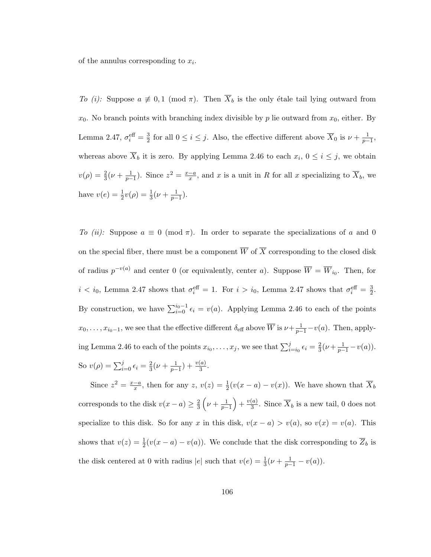of the annulus corresponding to  $x_i$ .

To (i): Suppose  $a \neq 0, 1 \pmod{\pi}$ . Then  $\overline{X}_b$  is the only étale tail lying outward from  $x_0$ . No branch points with branching index divisible by p lie outward from  $x_0$ , either. By Lemma 2.47,  $\sigma_i^{\text{eff}} = \frac{3}{2}$  $\frac{3}{2}$  for all  $0 \leq i \leq j$ . Also, the effective different above  $\overline{X}_0$  is  $\nu + \frac{1}{p-1}$ , whereas above  $\overline{X}_b$  it is zero. By applying Lemma 2.46 to each  $x_i$ ,  $0 \le i \le j$ , we obtain  $v(\rho) = \frac{2}{3}(\nu + \frac{1}{p-1})$ . Since  $z^2 = \frac{x-a}{x}$  $\frac{-a}{x}$ , and x is a unit in R for all x specializing to  $X_b$ , we have  $v(e) = \frac{1}{2}v(\rho) = \frac{1}{3}(\nu + \frac{1}{p-1}).$ 

To (ii): Suppose  $a \equiv 0 \pmod{\pi}$ . In order to separate the specializations of a and 0 on the special fiber, there must be a component  $\overline{W}$  of  $\overline{X}$  corresponding to the closed disk of radius  $p^{-v(a)}$  and center 0 (or equivalently, center a). Suppose  $\overline{W} = \overline{W}_{i_0}$ . Then, for  $i < i_0$ , Lemma 2.47 shows that  $\sigma_i^{\text{eff}} = 1$ . For  $i > i_0$ , Lemma 2.47 shows that  $\sigma_i^{\text{eff}} = \frac{3}{2}$  $\frac{3}{2}$ . By construction, we have  $\sum_{i=0}^{i_0-1} \epsilon_i = v(a)$ . Applying Lemma 2.46 to each of the points  $x_0, \ldots, x_{i_0-1}$ , we see that the effective different  $\delta_{\text{eff}}$  above  $\overline{W}$  is  $\nu + \frac{1}{p-1} - v(a)$ . Then, applying Lemma 2.46 to each of the points  $x_{i_0}, \ldots, x_j$ , we see that  $\sum_{i=i_0}^{j} \epsilon_i = \frac{2}{3}$  $rac{2}{3}(\nu + \frac{1}{p-1} - v(a)).$ So  $v(\rho) = \sum_{i=0}^{j} \epsilon_i = \frac{2}{3}$  $rac{2}{3}(\nu + \frac{1}{p-1}) + \frac{v(a)}{3}.$ 

Since  $z^2 = \frac{x-a}{x}$  $\frac{-a}{x}$ , then for any z,  $v(z) = \frac{1}{2}(v(x-a) - v(x))$ . We have shown that  $\overline{X}_b$ corresponds to the disk  $v(x-a) \geq \frac{2}{3}$  $\frac{2}{3}\left(\nu+\frac{1}{p-1}\right)+\frac{v(a)}{3}$  $\frac{a}{3}$ . Since  $X_b$  is a new tail, 0 does not specialize to this disk. So for any x in this disk,  $v(x - a) > v(a)$ , so  $v(x) = v(a)$ . This shows that  $v(z) = \frac{1}{2}(v(x - a) - v(a))$ . We conclude that the disk corresponding to  $\overline{Z}_b$  is the disk centered at 0 with radius |e| such that  $v(e) = \frac{1}{3}(\nu + \frac{1}{p-1} - v(a)).$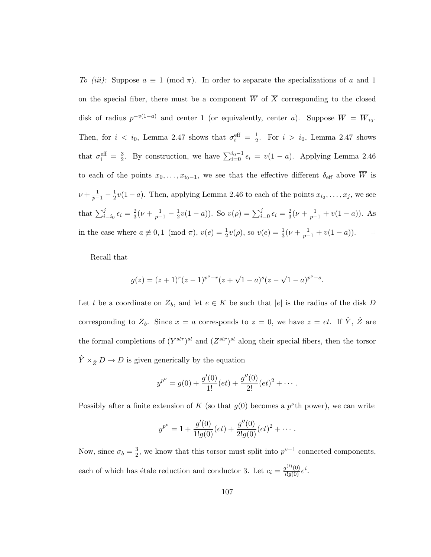To (iii): Suppose  $a \equiv 1 \pmod{\pi}$ . In order to separate the specializations of a and 1 on the special fiber, there must be a component  $\overline{W}$  of  $\overline{X}$  corresponding to the closed disk of radius  $p^{-v(1-a)}$  and center 1 (or equivalently, center a). Suppose  $\overline{W} = \overline{W}_{i_0}$ . Then, for  $i < i_0$ , Lemma 2.47 shows that  $\sigma_i^{\text{eff}} = \frac{1}{2}$  $\frac{1}{2}$ . For  $i > i_0$ , Lemma 2.47 shows that  $\sigma_i^{\text{eff}} = \frac{3}{2}$  $\frac{3}{2}$ . By construction, we have  $\sum_{i=0}^{i_0-1} \epsilon_i = v(1-a)$ . Applying Lemma 2.46 to each of the points  $x_0, \ldots, x_{i_0-1}$ , we see that the effective different  $\delta_{\text{eff}}$  above  $\overline{W}$  is  $\nu + \frac{1}{p-1} - \frac{1}{2}$  $\frac{1}{2}v(1-a)$ . Then, applying Lemma 2.46 to each of the points  $x_{i_0}, \ldots, x_j$ , we see that  $\sum_{i=i_0}^{j} \epsilon_i = \frac{2}{3}$  $\frac{2}{3}(\nu + \frac{1}{p-1} - \frac{1}{2})$  $\frac{1}{2}v(1-a)$ ). So  $v(\rho) = \sum_{i=0}^{j} \epsilon_i = \frac{2}{3}$  $\frac{2}{3}(\nu + \frac{1}{p-1} + v(1-a)).$  As in the case where  $a \not\equiv 0, 1 \pmod{\pi}$ ,  $v(e) = \frac{1}{2}v(\rho)$ , so  $v(e) = \frac{1}{3}(\nu + \frac{1}{p-1} + v(1-a))$ .  $\Box$ 

Recall that

$$
g(z) = (z+1)^r (z-1)^{p^{\nu}-r} (z+\sqrt{1-a})^s (z-\sqrt{1-a})^{p^{\nu}-s}.
$$

Let t be a coordinate on  $\overline{Z}_b$ , and let  $e \in K$  be such that  $|e|$  is the radius of the disk D corresponding to  $\overline{Z}_b$ . Since  $x = a$  corresponds to  $z = 0$ , we have  $z = et$ . If  $\hat{Y}, \hat{Z}$  are the formal completions of  $(Y^{str})^{st}$  and  $(Z^{str})^{st}$  along their special fibers, then the torsor  $\hat{Y} \times_{\hat{Z}} D \to D$  is given generically by the equation

$$
y^{p^{\nu}} = g(0) + \frac{g'(0)}{1!}(et) + \frac{g''(0)}{2!}(et)^2 + \cdots
$$

Possibly after a finite extension of K (so that  $g(0)$  becomes a  $p^{\nu}$ th power), we can write

$$
y^{p^{\nu}} = 1 + \frac{g'(0)}{1!g(0)}(et) + \frac{g''(0)}{2!g(0)}(et)^2 + \cdots.
$$

Now, since  $\sigma_b = \frac{3}{2}$  $\frac{3}{2}$ , we know that this torsor must split into  $p^{\nu-1}$  connected components, each of which has étale reduction and conductor 3. Let  $c_i = \frac{g^{(i)}(0)}{i!g(0)}e^i$ .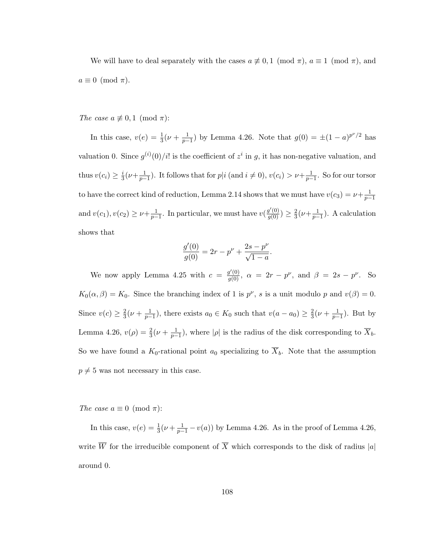We will have to deal separately with the cases  $a \not\equiv 0, 1 \pmod{\pi}$ ,  $a \equiv 1 \pmod{\pi}$ , and  $a \equiv 0 \pmod{\pi}$ .

The case  $a \not\equiv 0, 1 \pmod{\pi}$ :

In this case,  $v(e) = \frac{1}{3}(\nu + \frac{1}{p-1})$  by Lemma 4.26. Note that  $g(0) = \pm (1 - a)^{p\nu/2}$  has valuation 0. Since  $g^{(i)}(0)/i!$  is the coefficient of  $z^i$  in g, it has non-negative valuation, and thus  $v(c_i) \geq \frac{i}{3}$  $\frac{i}{3}(\nu+\frac{1}{p-1})$ . It follows that for  $p|i \text{ (and } i \neq 0), v(c_i) > \nu+\frac{1}{p-1}$ . So for our torsor to have the correct kind of reduction, Lemma 2.14 shows that we must have  $v(c_3) = \nu + \frac{1}{p-1}$ and  $v(c_1), v(c_2) \geq \nu + \frac{1}{p-1}$ . In particular, we must have  $v(\frac{g'(0)}{g(0)}) \geq \frac{2}{3}$  $\frac{2}{3}(\nu+\frac{1}{p-1})$ . A calculation shows that

$$
\frac{g'(0)}{g(0)} = 2r - p^{\nu} + \frac{2s - p^{\nu}}{\sqrt{1 - a}}.
$$

We now apply Lemma 4.25 with  $c = \frac{g'(0)}{g(0)}$ ,  $\alpha = 2r - p^{\nu}$ , and  $\beta = 2s - p^{\nu}$ . So  $K_0(\alpha, \beta) = K_0$ . Since the branching index of 1 is  $p^{\nu}$ , s is a unit modulo p and  $v(\beta) = 0$ . Since  $v(c) \geq \frac{2}{3}$  $\frac{2}{3}(\nu+\frac{1}{p-1})$ , there exists  $a_0 \in K_0$  such that  $v(a-a_0) \geq \frac{2}{3}$  $\frac{2}{3}(\nu + \frac{1}{p-1})$ . But by Lemma 4.26,  $v(\rho) = \frac{2}{3}(\nu + \frac{1}{p-1})$ , where  $|\rho|$  is the radius of the disk corresponding to  $\overline{X}_b$ . So we have found a  $K_0$ -rational point  $a_0$  specializing to  $\overline{X}_b$ . Note that the assumption  $p \neq 5$  was not necessary in this case.

The case  $a \equiv 0 \pmod{\pi}$ :

In this case,  $v(e) = \frac{1}{3}(\nu + \frac{1}{p-1} - v(a))$  by Lemma 4.26. As in the proof of Lemma 4.26, write  $\overline{W}$  for the irreducible component of  $\overline{X}$  which corresponds to the disk of radius  $|a|$ around 0.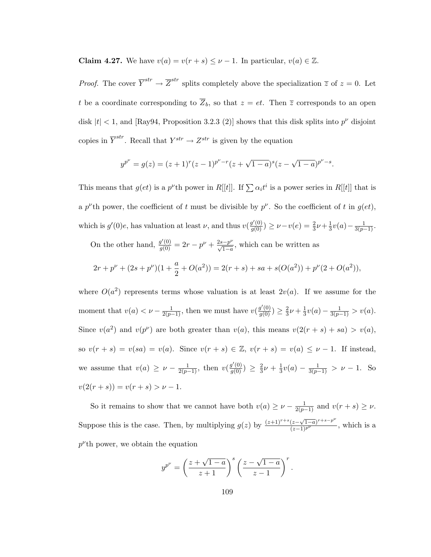**Claim 4.27.** We have  $v(a) = v(r + s) \leq \nu - 1$ . In particular,  $v(a) \in \mathbb{Z}$ .

*Proof.* The cover  $\overline{Y}^{str} \to \overline{Z}^{str}$  splits completely above the specialization  $\overline{z}$  of  $z = 0$ . Let t be a coordinate corresponding to  $\overline{Z}_b$ , so that  $z = et$ . Then  $\overline{z}$  corresponds to an open disk  $|t| < 1$ , and [Ray94, Proposition 3.2.3 (2)] shows that this disk splits into  $p^{\nu}$  disjoint copies in  $\overline{Y}^{str}$ . Recall that  $Y^{str} \to Z^{str}$  is given by the equation

$$
y^{p^{\nu}} = g(z) = (z+1)^{r} (z-1)^{p^{\nu}-r} (z+\sqrt{1-a})^{s} (z-\sqrt{1-a})^{p^{\nu}-s}.
$$

This means that  $g(ct)$  is a p<sup> $\nu$ </sup>th power in R[[t]]. If  $\sum \alpha_i t^i$  is a power series in R[[t]] that is a p<sup>v</sup>th power, the coefficient of t must be divisible by  $p^{\nu}$ . So the coefficient of t in  $g(e t)$ , which is  $g'(0)e$ , has valuation at least  $\nu$ , and thus  $v(\frac{g'(0)}{g(0)}) \geq \nu - v(e) = \frac{2}{3}\nu + \frac{1}{3}$  $rac{1}{3}v(a)-\frac{1}{3(p-1)}$ .

On the other hand,  $\frac{g'(0)}{g(0)} = 2r - p^{\nu} + \frac{2s-p^{\nu}}{\sqrt{1-a}}$ , which can be written as

$$
2r + p^{\nu} + (2s + p^{\nu})(1 + \frac{a}{2} + O(a^2)) = 2(r + s) + sa + s(O(a^2)) + p^{\nu}(2 + O(a^2)),
$$

where  $O(a^2)$  represents terms whose valuation is at least  $2v(a)$ . If we assume for the moment that  $v(a) < \nu - \frac{1}{2(p-1)}$ , then we must have  $v(\frac{g'(0)}{g(0)}) \geq \frac{2}{3}$  $\frac{2}{3}\nu + \frac{1}{3}$  $\frac{1}{3}v(a) - \frac{1}{3(p-1)} > v(a).$ Since  $v(a^2)$  and  $v(p^{\nu})$  are both greater than  $v(a)$ , this means  $v(2(r + s) + sa) > v(a)$ , so  $v(r + s) = v(sa) = v(a)$ . Since  $v(r + s) \in \mathbb{Z}$ ,  $v(r + s) = v(a) \leq \nu - 1$ . If instead, we assume that  $v(a) \ge \nu - \frac{1}{2(p-1)}$ , then  $v(\frac{g'(0)}{g(0)}) \ge \frac{2}{3}$  $\frac{2}{3}\nu + \frac{1}{3}$  $\frac{1}{3}v(a) - \frac{1}{3(p-1)} > \nu - 1$ . So  $v(2(r + s)) = v(r + s) > \nu - 1.$ 

So it remains to show that we cannot have both  $v(a) \geq \nu - \frac{1}{2(p-1)}$  and  $v(r+s) \geq \nu$ . Suppose this is the case. Then, by multiplying  $g(z)$  by  $\frac{(z+1)^{r+s}(z-\sqrt{1-a})^{r+s-p^{\nu}}}{(z-1)^{p^{\nu}}}$ , which is a  $p^{\nu}$ th power, we obtain the equation

$$
y^{p^{\nu}} = \left(\frac{z + \sqrt{1 - a}}{z + 1}\right)^s \left(\frac{z - \sqrt{1 - a}}{z - 1}\right)^r
$$

.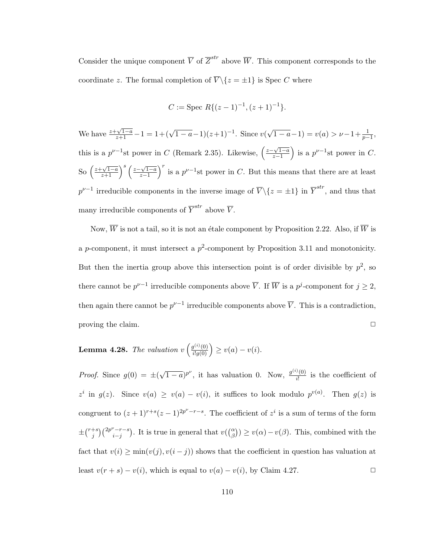Consider the unique component  $\overline{V}$  of  $\overline{Z}^{str}$  above  $\overline{W}$ . This component corresponds to the coordinate z. The formal completion of  $\overline{V} \setminus \{z = \pm 1\}$  is Spec C where

$$
C := \text{Spec } R\{(z-1)^{-1}, (z+1)^{-1}\}.
$$

We have  $\frac{z+\sqrt{1-a}}{z+1} - 1 = 1+(\sqrt{1-a}-1)(z+1)^{-1}$ . Since v(  $\sqrt{1-a} - 1$ ) =  $v(a) > \nu - 1 + \frac{1}{p-1}$ , this is a  $p^{\nu-1}$ st power in C (Remark 2.35). Likewise,  $\left(\frac{z-\sqrt{1-a}}{z-1}\right)$  $\left(\frac{\sqrt{1-a}}{z-1}\right)$  is a  $p^{\nu-1}$ st power in C. So  $\left(\frac{z+\sqrt{1-a}}{z+1}\right)^s \left(\frac{z-\sqrt{1-a}}{z-1}\right)$  $\left(\frac{\sqrt{1-a}}{z-1}\right)^r$  is a  $p^{\nu-1}$ st power in C. But this means that there are at least  $p^{\nu-1}$  irreducible components in the inverse image of  $\overline{V} \setminus \{z = \pm 1\}$  in  $\overline{Y}^{str}$ , and thus that many irreducible components of  $\overline{Y}^{str}$  above  $\overline{V}$ .

Now,  $\overline{W}$  is not a tail, so it is not an étale component by Proposition 2.22. Also, if  $\overline{W}$  is a p-component, it must intersect a  $p^2$ -component by Proposition 3.11 and monotonicity. But then the inertia group above this intersection point is of order divisible by  $p^2$ , so there cannot be  $p^{\nu-1}$  irreducible components above  $\overline{V}$ . If  $\overline{W}$  is a  $p^j$ -component for  $j \geq 2$ , then again there cannot be  $p^{\nu-1}$  irreducible components above  $\overline{V}$ . This is a contradiction, proving the claim.  $\Box$ 

**Lemma 4.28.** The valuation  $v\left(\frac{g^{(i)}(0)}{i!g(0)}\right) \geq v(a) - v(i)$ .

*Proof.* Since  $g(0) = \pm ($ √  $\overline{(1-a)}^{p^{\nu}}$ , it has valuation 0. Now,  $\frac{g^{(i)}(0)}{i!}$  $\frac{\partial (0)}{\partial l}$  is the coefficient of  $z^i$  in  $g(z)$ . Since  $v(a) \ge v(a) - v(i)$ , it suffices to look modulo  $p^{v(a)}$ . Then  $g(z)$  is congruent to  $(z+1)^{r+s}(z-1)^{2p^{\nu}-r-s}$ . The coefficient of  $z^i$  is a sum of terms of the form  $\pm \binom{r+s}{i}$  $j^{+s}$ )  $\binom{2p^{\nu}-r-s}{i-j}$  $\ell_{i-j}^{(-r-s)}$ . It is true in general that  $v(\binom{\alpha}{\beta}) \ge v(\alpha) - v(\beta)$ . This, combined with the fact that  $v(i) \ge \min(v(j), v(i - j))$  shows that the coefficient in question has valuation at least  $v(r + s) - v(i)$ , which is equal to  $v(a) - v(i)$ , by Claim 4.27.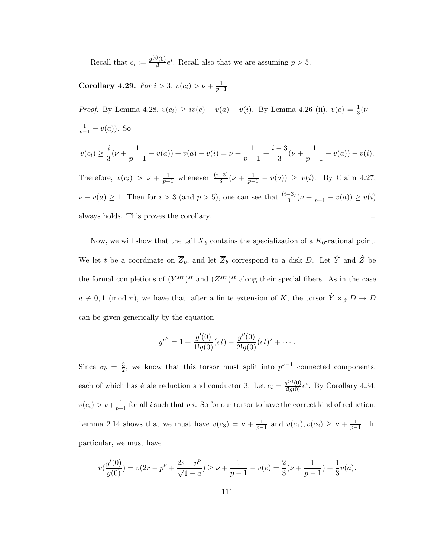Recall that  $c_i := \frac{g^{(i)}(0)}{i!}$  $\frac{\partial}{\partial t} (0) e^{i}$ . Recall also that we are assuming  $p > 5$ .

**Corollary 4.29.** For  $i > 3$ ,  $v(c_i) > \nu + \frac{1}{p-1}$ .

*Proof.* By Lemma 4.28,  $v(c_i) \geq iv(e) + v(a) - v(i)$ . By Lemma 4.26 (ii),  $v(e) = \frac{1}{3}(\nu +$  $\frac{1}{p-1} - v(a)$ ). So  $v(c_i) \geq \frac{i}{2}$  $\frac{i}{3}(\nu + \frac{1}{p-1})$  $\frac{1}{p-1} - v(a) + v(a) - v(i) = \nu + \frac{1}{p-1}$  $\frac{1}{p-1} + \frac{i-3}{3}$  $\frac{-3}{3}(\nu+\frac{1}{p-1})$  $\frac{1}{p-1} - v(a) - v(i).$ Therefore,  $v(c_i) > \nu + \frac{1}{p-1}$  whenever  $\frac{(i-3)}{3}(\nu + \frac{1}{p-1} - v(a)) \ge v(i)$ . By Claim 4.27,

 $\nu - v(a) \geq 1$ . Then for  $i > 3$  (and  $p > 5$ ), one can see that  $\frac{(i-3)}{3}(\nu + \frac{1}{p-1} - v(a)) \geq v(i)$ always holds. This proves the corollary.  $\Box$ 

Now, we will show that the tail  $\overline{X}_b$  contains the specialization of a  $K_0$ -rational point. We let t be a coordinate on  $\overline{Z}_b$ , and let  $\overline{Z}_b$  correspond to a disk D. Let  $\hat{Y}$  and  $\hat{Z}$  be the formal completions of  $(Y^{str})^{st}$  and  $(Z^{str})^{st}$  along their special fibers. As in the case  $a \not\equiv 0,1 \pmod{\pi}$ , we have that, after a finite extension of K, the torsor  $\hat{Y} \times_{\hat{Z}} D \to D$ can be given generically by the equation

$$
y^{p^{\nu}} = 1 + \frac{g'(0)}{1!g(0)}(et) + \frac{g''(0)}{2!g(0)}(et)^2 + \cdots
$$

Since  $\sigma_b = \frac{3}{2}$  $\frac{3}{2}$ , we know that this torsor must split into  $p^{\nu-1}$  connected components, each of which has étale reduction and conductor 3. Let  $c_i = \frac{g^{(i)}(0)}{i!g(0)}e^i$ . By Corollary 4.34,  $v(c_i) > \nu + \frac{1}{p-1}$  for all i such that  $p|i$ . So for our torsor to have the correct kind of reduction, Lemma 2.14 shows that we must have  $v(c_3) = \nu + \frac{1}{p-1}$  and  $v(c_1), v(c_2) \geq \nu + \frac{1}{p-1}$ . In particular, we must have

$$
v(\frac{g'(0)}{g(0)}) = v(2r - p^{\nu} + \frac{2s - p^{\nu}}{\sqrt{1 - a}}) \ge \nu + \frac{1}{p - 1} - v(e) = \frac{2}{3}(\nu + \frac{1}{p - 1}) + \frac{1}{3}v(a).
$$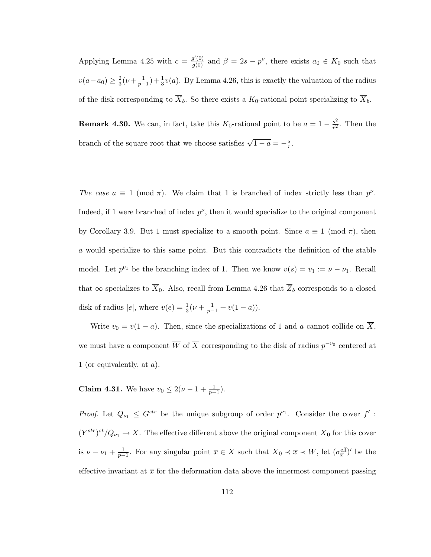Applying Lemma 4.25 with  $c = \frac{g'(0)}{g(0)}$  and  $\beta = 2s - p^{\nu}$ , there exists  $a_0 \in K_0$  such that  $v(a-a_0) \geq \frac{2}{3}$  $\frac{2}{3}(\nu+\frac{1}{p-1})+\frac{1}{3}\nu(a)$ . By Lemma 4.26, this is exactly the valuation of the radius of the disk corresponding to  $\overline{X}_b$ . So there exists a  $K_0$ -rational point specializing to  $\overline{X}_b$ .

**Remark 4.30.** We can, in fact, take this  $K_0$ -rational point to be  $a = 1 - \frac{s^2}{r^2}$  $\frac{s^2}{r^2}$ . Then the branch of the square root that we choose satisfies  $\sqrt{1-a} = -\frac{s}{r}$  $\frac{s}{r}$ .

The case  $a \equiv 1 \pmod{\pi}$ . We claim that 1 is branched of index strictly less than  $p^{\nu}$ . Indeed, if 1 were branched of index  $p^{\nu}$ , then it would specialize to the original component by Corollary 3.9. But 1 must specialize to a smooth point. Since  $a \equiv 1 \pmod{\pi}$ , then a would specialize to this same point. But this contradicts the definition of the stable model. Let  $p^{\nu_1}$  be the branching index of 1. Then we know  $v(s) = v_1 := \nu - \nu_1$ . Recall that  $\infty$  specializes to  $\overline{X}_0$ . Also, recall from Lemma 4.26 that  $\overline{Z}_b$  corresponds to a closed disk of radius |e|, where  $v(e) = \frac{1}{3}(\nu + \frac{1}{p-1} + v(1-a)).$ 

Write  $v_0 = v(1 - a)$ . Then, since the specializations of 1 and a cannot collide on  $\overline{X}$ , we must have a component  $\overline{W}$  of  $\overline{X}$  corresponding to the disk of radius  $p^{-v_0}$  centered at 1 (or equivalently, at  $a$ ).

**Claim 4.31.** We have  $v_0 \leq 2(\nu - 1 + \frac{1}{p-1})$ .

*Proof.* Let  $Q_{\nu_1} \leq G^{str}$  be the unique subgroup of order  $p^{\nu_1}$ . Consider the cover  $f'$ :  $(Y^{str})^{st}/Q_{\nu_1} \to X$ . The effective different above the original component  $\overline{X}_0$  for this cover is  $\nu - \nu_1 + \frac{1}{p-1}$ . For any singular point  $\overline{x} \in \overline{X}$  such that  $\overline{X}_0 \prec \overline{x} \prec \overline{W}$ , let  $(\sigma_{\overline{x}}^{\text{eff}})'$  be the effective invariant at  $\bar{x}$  for the deformation data above the innermost component passing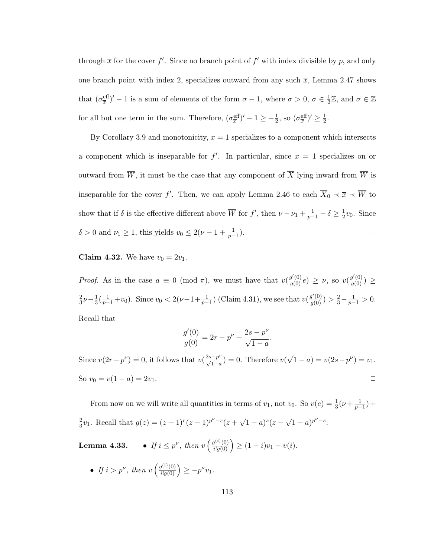through  $\bar{x}$  for the cover f'. Since no branch point of f' with index divisible by p, and only one branch point with index 2, specializes outward from any such  $\bar{x}$ , Lemma 2.47 shows that  $(\sigma_{\overline{x}}^{\text{eff}})' - 1$  is a sum of elements of the form  $\sigma - 1$ , where  $\sigma > 0$ ,  $\sigma \in \frac{1}{2}$  $\frac{1}{2}\mathbb{Z}$ , and  $\sigma \in \mathbb{Z}$ for all but one term in the sum. Therefore,  $(\sigma_{\overline{x}}^{\text{eff}})' - 1 \ge -\frac{1}{2}$ , so  $(\sigma_{\overline{x}}^{\text{eff}})' \ge \frac{1}{2}$  $\frac{1}{2}$ .

By Corollary 3.9 and monotonicity,  $x = 1$  specializes to a component which intersects a component which is inseparable for  $f'$ . In particular, since  $x = 1$  specializes on or outward from  $\overline{W}$ , it must be the case that any component of  $\overline{X}$  lying inward from  $\overline{W}$  is inseparable for the cover f'. Then, we can apply Lemma 2.46 to each  $\overline{X}_0 \prec \overline{x} \prec \overline{W}$  to show that if  $\delta$  is the effective different above  $\overline{W}$  for  $f'$ , then  $\nu - \nu_1 + \frac{1}{p-1} - \delta \geq \frac{1}{2}$  $\frac{1}{2}v_0$ . Since  $\delta > 0$  and  $\nu_1 \geq 1$ , this yields  $v_0 \leq 2(\nu - 1 + \frac{1}{p-1})$ ).  $\qquad \qquad \Box$ 

**Claim 4.32.** We have  $v_0 = 2v_1$ .

*Proof.* As in the case  $a \equiv 0 \pmod{\pi}$ , we must have that  $v(\frac{g'(0)}{g(0)}e) \geq \nu$ , so  $v(\frac{g'(0)}{g(0)}) \geq$ 2  $\frac{2}{3}\nu - \frac{1}{3}$  $\frac{1}{3}(\frac{1}{p-1}+v_0)$ . Since  $v_0 < 2(\nu-1+\frac{1}{p-1})$  (Claim 4.31), we see that  $v(\frac{g'(0)}{g(0)}) > \frac{2}{3}-\frac{1}{p-1} > 0$ . Recall that

$$
\frac{g'(0)}{g(0)} = 2r - p^{\nu} + \frac{2s - p^{\nu}}{\sqrt{1 - a}}.
$$

Since  $v(2r - p^{\nu}) = 0$ , it follows that  $v(\frac{2s-p^{\nu}}{\sqrt{1-a}}) = 0$ . Therefore  $v($ √  $\overline{1-a}$ ) =  $v(2s-p^{\nu}) = v_1$ . So  $v_0 = v(1 - a) = 2v_1$ .

From now on we will write all quantities in terms of  $v_1$ , not  $v_0$ . So  $v(e) = \frac{1}{3}(\nu + \frac{1}{p-1}) +$ 2  $\frac{2}{3}v_1$ . Recall that  $g(z) = (z+1)^r(z-1)^{p^{\nu}-r}(z+$ √  $\overline{1-a})^s(z-$ √  $\overline{1-a}$ )<sup>p $\nu-s$ </sup>.

**Lemma 4.33.** • If  $i \leq p^{\nu}$ , then  $v\left(\frac{g^{(i)}(0)}{i!g(0)}\right) \geq (1-i)v_1 - v(i)$ .

• If  $i > p^{\nu}$ , then  $v\left(\frac{g^{(i)}(0)}{i!g(0)}\right) \geq -p^{\nu}v_1$ .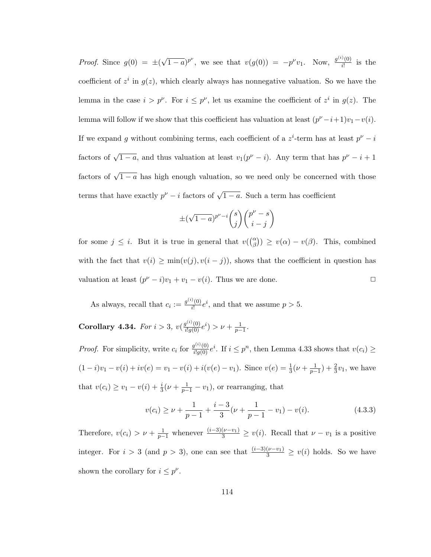*Proof.* Since  $g(0) = \pm ($ √  $\overline{(1-a)}^{p^{\nu}}$ , we see that  $v(g(0)) = -p^{\nu}v_1$ . Now,  $\frac{g^{(i)}(0)}{i!}$  $\frac{f(0)}{i!}$  is the coefficient of  $z^i$  in  $g(z)$ , which clearly always has nonnegative valuation. So we have the lemma in the case  $i > p^{\nu}$ . For  $i \leq p^{\nu}$ , let us examine the coefficient of  $z^{i}$  in  $g(z)$ . The lemma will follow if we show that this coefficient has valuation at least  $(p^{\nu} - i + 1)v_1 - v(i)$ . If we expand g without combining terms, each coefficient of a  $z^i$ -term has at least  $p^{\nu} - i$ factors of  $\sqrt{1-a}$ , and thus valuation at least  $v_1(p^{\nu}-i)$ . Any term that has  $p^{\nu}-i+1$ factors of  $\sqrt{1-a}$  has high enough valuation, so we need only be concerned with those terms that have exactly  $p^{\nu} - i$  factors of  $\sqrt{1 - a}$ . Such a term has coefficient

$$
\pm(\sqrt{1-a})^{p^{\nu}-i}\binom{s}{j}\binom{p^{\nu}-s}{i-j}
$$

for some  $j \leq i$ . But it is true in general that  $v(\binom{\alpha}{\beta}) \geq v(\alpha) - v(\beta)$ . This, combined with the fact that  $v(i) \ge \min(v(j), v(i - j))$ , shows that the coefficient in question has valuation at least  $(p^{\nu} - i)v_1 + v_1 - v(i)$ . Thus we are done.

As always, recall that  $c_i := \frac{g^{(i)}(0)}{i!}$  $\frac{\partial}{\partial t}(0) e^{i}$ , and that we assume  $p > 5$ .

Corollary 4.34. For  $i > 3$ ,  $v(\frac{g^{(i)}(0)}{i!g(0)}e^i) > v + \frac{1}{p-1}$ .

*Proof.* For simplicity, write  $c_i$  for  $\frac{g^{(i)}(0)}{i!g(0)}e^i$ . If  $i \leq p^n$ , then Lemma 4.33 shows that  $v(c_i) \geq$  $(1-i)v_1 - v(i) + iv(e) = v_1 - v(i) + i(v(e) - v_1)$ . Since  $v(e) = \frac{1}{3}(\nu + \frac{1}{p-1}) + \frac{2}{3}v_1$ , we have that  $v(c_i) \ge v_1 - v(i) + \frac{i}{3}(\nu + \frac{1}{p-1} - v_1)$ , or rearranging, that

$$
v(c_i) \ge \nu + \frac{1}{p-1} + \frac{i-3}{3}(\nu + \frac{1}{p-1} - v_1) - v(i). \tag{4.3.3}
$$

Therefore,  $v(c_i) > \nu + \frac{1}{p-1}$  whenever  $\frac{(i-3)(\nu-v_1)}{3} \ge v(i)$ . Recall that  $\nu - v_1$  is a positive integer. For  $i > 3$  (and  $p > 3$ ), one can see that  $\frac{(i-3)(\nu-v_1)}{3} \ge v(i)$  holds. So we have shown the corollary for  $i \leq p^{\nu}$ .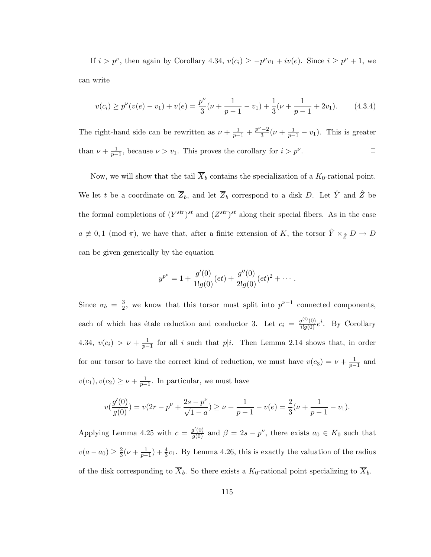If  $i > p^{\nu}$ , then again by Corollary 4.34,  $v(c_i) \geq -p^{\nu}v_1 + iv(e)$ . Since  $i \geq p^{\nu} + 1$ , we can write

$$
v(c_i) \ge p^{\nu}(v(e) - v_1) + v(e) = \frac{p^{\nu}}{3}(\nu + \frac{1}{p-1} - v_1) + \frac{1}{3}(\nu + \frac{1}{p-1} + 2v_1).
$$
 (4.3.4)

The right-hand side can be rewritten as  $\nu + \frac{1}{p-1} + \frac{p^{\nu}-2}{3}$  $\frac{(-2)}{3}(\nu + \frac{1}{p-1} - v_1)$ . This is greater than  $\nu + \frac{1}{p-1}$ , because  $\nu > v_1$ . This proves the corollary for  $i > p^{\nu}$ .  $\Box$ 

Now, we will show that the tail  $\overline{X}_b$  contains the specialization of a  $K_0$ -rational point. We let t be a coordinate on  $\overline{Z}_b$ , and let  $\overline{Z}_b$  correspond to a disk D. Let  $\hat{Y}$  and  $\hat{Z}$  be the formal completions of  $(Y^{str})^{st}$  and  $(Z^{str})^{st}$  along their special fibers. As in the case  $a \not\equiv 0,1 \pmod{\pi}$ , we have that, after a finite extension of K, the torsor  $\hat{Y} \times_{\hat{Z}} D \to D$ can be given generically by the equation

$$
y^{p^{\nu}} = 1 + \frac{g'(0)}{1!g(0)}(et) + \frac{g''(0)}{2!g(0)}(et)^2 + \cdots
$$

Since  $\sigma_b = \frac{3}{2}$  $\frac{3}{2}$ , we know that this torsor must split into  $p^{\nu-1}$  connected components, each of which has étale reduction and conductor 3. Let  $c_i = \frac{g^{(i)}(0)}{i!g(0)}e^i$ . By Corollary 4.34,  $v(c_i) > \nu + \frac{1}{p-1}$  for all i such that  $p|i$ . Then Lemma 2.14 shows that, in order for our torsor to have the correct kind of reduction, we must have  $v(c_3) = \nu + \frac{1}{p-1}$  and  $v(c_1), v(c_2) \geq \nu + \frac{1}{p-1}$ . In particular, we must have

$$
v(\frac{g'(0)}{g(0)}) = v(2r - p^{\nu} + \frac{2s - p^{\nu}}{\sqrt{1 - a}}) \ge \nu + \frac{1}{p - 1} - v(e) = \frac{2}{3}(\nu + \frac{1}{p - 1} - v_1).
$$

Applying Lemma 4.25 with  $c = \frac{g'(0)}{g(0)}$  and  $\beta = 2s - p^{\nu}$ , there exists  $a_0 \in K_0$  such that  $v(a - a_0) \geq \frac{2}{3}$  $\frac{2}{3}(\nu+\frac{1}{p-1})+\frac{4}{3}\nu_1$ . By Lemma 4.26, this is exactly the valuation of the radius of the disk corresponding to  $\overline{X}_b$ . So there exists a  $K_0$ -rational point specializing to  $\overline{X}_b$ .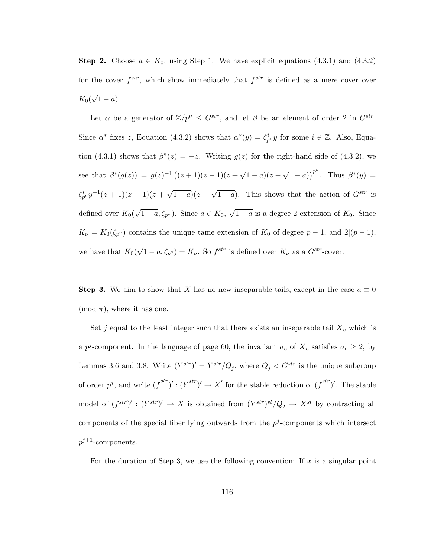Step 2. Choose  $a \in K_0$ , using Step 1. We have explicit equations (4.3.1) and (4.3.2) for the cover  $f^{str}$ , which show immediately that  $f^{str}$  is defined as a mere cover over  $K_{0}(% \mathcal{H})=\sum_{i=1}^{n}(\mathcal{H}_{i}^{i},\mathcal{H}_{i}^{i})$ √  $\overline{1-a}$ ).

Let  $\alpha$  be a generator of  $\mathbb{Z}/p^{\nu} \leq G^{str}$ , and let  $\beta$  be an element of order 2 in  $G^{str}$ . Since  $\alpha^*$  fixes z, Equation (4.3.2) shows that  $\alpha^*(y) = \zeta_{p}^i y$  for some  $i \in \mathbb{Z}$ . Also, Equation (4.3.1) shows that  $\beta^*(z) = -z$ . Writing  $g(z)$  for the right-hand side of (4.3.2), we see that  $\beta^*(g(z)) = g(z)^{-1} ((z+1)(z-1)(z+1))$ √  $\overline{1-a}(z-$ √  $(\overline{1-a})^{p^{\nu}}$ . Thus  $\beta^{*}(y) =$  $\zeta_{p}^{i}y^{-1}(z+1)(z-1)(z+$ √  $\overline{(1-a)}(z-a)$  $\sqrt{1-a}$ ). This shows that the action of  $G^{str}$  is defined over  $K_0($ √  $\overline{1-a}, \zeta_{p^{\nu}}$ . Since  $a \in K_0$ , √  $\overline{1-a}$  is a degree 2 extension of  $K_0$ . Since  $K_{\nu} = K_0(\zeta_{p^{\nu}})$  contains the unique tame extension of  $K_0$  of degree  $p-1$ , and  $2|(p-1)$ , we have that  $K_0($ √  $\overline{1-a}, \zeta_{p^{\nu}}$  =  $K_{\nu}$ . So  $f^{str}$  is defined over  $K_{\nu}$  as a  $G^{str}$ -cover.

**Step 3.** We aim to show that  $\overline{X}$  has no new inseparable tails, except in the case  $a \equiv 0$ (mod  $\pi$ ), where it has one.

Set j equal to the least integer such that there exists an inseparable tail  $\overline{X}_c$  which is a p<sup>j</sup>-component. In the language of page 60, the invariant  $\sigma_c$  of  $\overline{X}_c$  satisfies  $\sigma_c \geq 2$ , by Lemmas 3.6 and 3.8. Write  $(Y^{str})' = Y^{str}/Q_j$ , where  $Q_j < G^{str}$  is the unique subgroup of order  $p^j$ , and write  $(\overline{f}^{str})' : (\overline{Y}^{str})' \to \overline{X}'$  for the stable reduction of  $(\overline{f}^{str})'$ . The stable model of  $(f^{str})' : (Y^{str})' \rightarrow X$  is obtained from  $(Y^{str})^{st}/Q_j \rightarrow X^{st}$  by contracting all components of the special fiber lying outwards from the  $p^j$ -components which intersect  $p^{j+1}$ -components.

For the duration of Step 3, we use the following convention: If  $\bar{x}$  is a singular point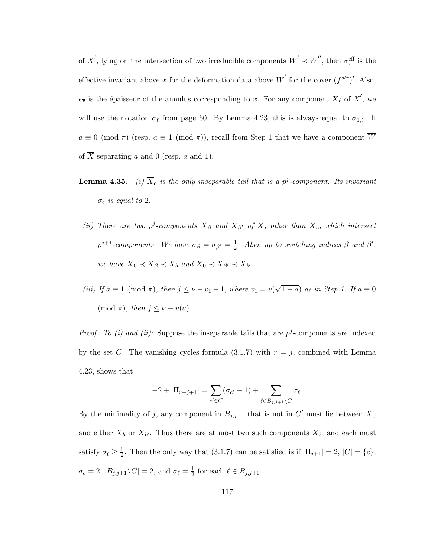of  $\overline{X}'$ , lying on the intersection of two irreducible components  $\overline{W}' \prec \overline{W}''$ , then  $\sigma_{\overline{x}}^{\text{eff}}$  is the effective invariant above  $\bar{x}$  for the deformation data above  $\overline{W}'$  for the cover  $(f^{str})'$ . Also,  $\epsilon_{\overline{x}}$  is the épaisseur of the annulus corresponding to x. For any component  $\overline{X}_{\ell}$  of  $\overline{X}'$ , we will use the notation  $\sigma_{\ell}$  from page 60. By Lemma 4.23, this is always equal to  $\sigma_{1,\ell}$ . If  $a \equiv 0 \pmod{\pi}$  (resp.  $a \equiv 1 \pmod{\pi}$ ), recall from Step 1 that we have a component  $\overline{W}$ of  $\overline{X}$  separating a and 0 (resp. a and 1).

- **Lemma 4.35.** (i)  $\overline{X}_c$  is the only inseparable tail that is a  $p^j$ -component. Its invariant  $\sigma_c$  is equal to 2.
- (ii) There are two p<sup>j</sup>-components  $\overline{X}_{\beta}$  and  $\overline{X}_{\beta'}$  of  $\overline{X}_{\gamma}$ , other than  $\overline{X}_{c}$ , which intersect  $p^{j+1}$ -components. We have  $\sigma_{\beta} = \sigma_{\beta'} = \frac{1}{2}$  $\frac{1}{2}$ . Also, up to switching indices  $\beta$  and  $\beta'$ , we have  $\overline{X}_0 \prec \overline{X}_{\beta} \prec \overline{X}_b$  and  $\overline{X}_0 \prec \overline{X}_{\beta'} \prec \overline{X}_{b'}$ .

(iii) If  $a \equiv 1 \pmod{\pi}$ , then  $j \leq \nu - \nu_1 - 1$ , where  $\nu_1 = \nu$ √  $(1 - a)$  as in Step 1. If  $a \equiv 0$ (mod  $\pi$ ), then  $j \leq \nu - \nu(a)$ .

*Proof.* To (i) and (ii): Suppose the inseparable tails that are  $p^{j}$ -components are indexed by the set C. The vanishing cycles formula  $(3.1.7)$  with  $r = j$ , combined with Lemma 4.23, shows that

$$
-2+|\Pi_{r-j+1}|=\sum_{c'\in C}(\sigma_{c'}-1)+\sum_{\ell\in B_{j,j+1}\backslash C}\sigma_{\ell}.
$$

By the minimality of j, any component in  $B_{j,j+1}$  that is not in  $C'$  must lie between  $\overline{X}_0$ and either  $X_b$  or  $X_{b'}$ . Thus there are at most two such components  $X_{\ell}$ , and each must satisfy  $\sigma_{\ell} \geq \frac{1}{2}$  $\frac{1}{2}$ . Then the only way that (3.1.7) can be satisfied is if  $|\Pi_{j+1}| = 2$ ,  $|C| = \{c\}$ ,  $\sigma_c = 2$ ,  $|B_{j,j+1} \backslash C| = 2$ , and  $\sigma_{\ell} = \frac{1}{2}$  $\frac{1}{2}$  for each  $\ell \in B_{j,j+1}.$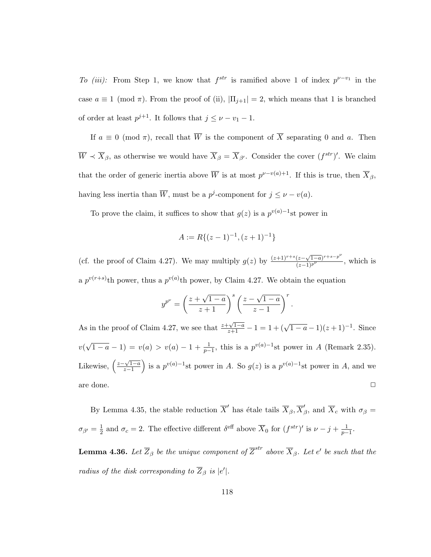To (iii): From Step 1, we know that  $f^{str}$  is ramified above 1 of index  $p^{\nu-v_1}$  in the case  $a \equiv 1 \pmod{\pi}$ . From the proof of (ii),  $|\Pi_{j+1}| = 2$ , which means that 1 is branched of order at least  $p^{j+1}$ . It follows that  $j \leq \nu - v_1 - 1$ .

If  $a \equiv 0 \pmod{\pi}$ , recall that  $\overline{W}$  is the component of  $\overline{X}$  separating 0 and a. Then  $\overline{W} \prec \overline{X}_{\beta}$ , as otherwise we would have  $\overline{X}_{\beta} = \overline{X}_{\beta'}$ . Consider the cover  $(f^{str})'$ . We claim that the order of generic inertia above  $\overline{W}$  is at most  $p^{\nu-v(a)+1}$ . If this is true, then  $\overline{X}_{\beta}$ , having less inertia than  $\overline{W}$ , must be a  $p^j$ -component for  $j \leq \nu - v(a)$ .

To prove the claim, it suffices to show that  $g(z)$  is a  $p^{v(a)-1}$ st power in

$$
A := R\{(z-1)^{-1}, (z+1)^{-1}\}
$$

(cf. the proof of Claim 4.27). We may multiply  $g(z)$  by  $\frac{(z+1)^{r+s}(z-\sqrt{1-a})^{r+s-p^{\nu}}}{(z-1)^{p^{\nu}}}$ , which is a  $p^{v(r+s)}$ th power, thus a  $p^{v(a)}$ th power, by Claim 4.27. We obtain the equation

$$
y^{p^{\nu}} = \left(\frac{z + \sqrt{1-a}}{z+1}\right)^s \left(\frac{z - \sqrt{1-a}}{z-1}\right)^r.
$$

As in the proof of Claim 4.27, we see that  $\frac{z+\sqrt{1-a}}{z+1} - 1 = 1 + (\sqrt{1-a}-1)(z+1)^{-1}$ . Since  $v($  $\sqrt{1-a}-1$  =  $v(a) > v(a) - 1 + \frac{1}{p-1}$ , this is a  $p^{v(a)-1}$ st power in A (Remark 2.35). Likewise,  $\left(\frac{z-\sqrt{1-a}}{z-1}\right)$  $\left(\frac{\sqrt{1-a}}{z-1}\right)$  is a  $p^{v(a)-1}$ st power in A. So  $g(z)$  is a  $p^{v(a)-1}$ st power in A, and we are done.  $\Box$ 

By Lemma 4.35, the stable reduction  $\overline{X}'$  has étale tails  $\overline{X}_{\beta}, \overline{X}'_{\beta}$  $\beta$ , and  $X_c$  with  $\sigma_\beta =$  $\sigma_{\beta'}=\frac{1}{2}$  $\frac{1}{2}$  and  $\sigma_c = 2$ . The effective different  $\delta^{\text{eff}}$  above  $\overline{X}_0$  for  $(f^{str})'$  is  $\nu - j + \frac{1}{p-1}$ .

**Lemma 4.36.** Let  $\overline{Z}_{\beta}$  be the unique component of  $\overline{Z}^{str}$  above  $\overline{X}_{\beta}$ . Let e' be such that the radius of the disk corresponding to  $\overline{Z}_{\beta}$  is  $|e'|$ .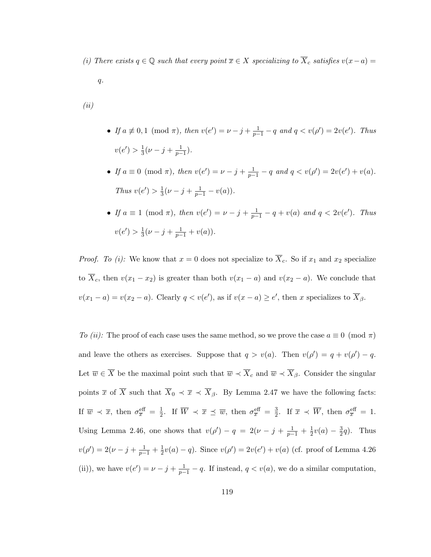(i) There exists  $q \in \mathbb{Q}$  such that every point  $\overline{x} \in X$  specializing to  $\overline{X}_c$  satisfies  $v(x-a) =$ 

 $q$ .

(ii)

- If  $a \not\equiv 0, 1 \pmod{\pi}$ , then  $v(e') = \nu j + \frac{1}{p-1} q$  and  $q < v(\rho') = 2v(e')$ . Thus  $v(e') > \frac{1}{3}$  $\frac{1}{3}(\nu-j+\frac{1}{p-1}).$
- If  $a \equiv 0 \pmod{\pi}$ , then  $v(e') = \nu j + \frac{1}{p-1} q$  and  $q < v(\rho') = 2v(e') + v(a)$ . Thus  $v(e') > \frac{1}{3}$  $\frac{1}{3}(\nu - j + \frac{1}{p-1} - v(a)).$
- If  $a \equiv 1 \pmod{\pi}$ , then  $v(e') = \nu j + \frac{1}{p-1} q + v(a)$  and  $q < 2v(e')$ . Thus  $v(e') > \frac{1}{3}$  $\frac{1}{3}(\nu - j + \frac{1}{p-1} + v(a)).$

*Proof.* To (i): We know that  $x = 0$  does not specialize to  $\overline{X}_c$ . So if  $x_1$  and  $x_2$  specialize to  $\overline{X}_c$ , then  $v(x_1 - x_2)$  is greater than both  $v(x_1 - a)$  and  $v(x_2 - a)$ . We conclude that  $v(x_1 - a) = v(x_2 - a)$ . Clearly  $q < v(e')$ , as if  $v(x - a) \ge e'$ , then x specializes to  $\overline{X}_{\beta}$ .

To (ii): The proof of each case uses the same method, so we prove the case  $a \equiv 0 \pmod{\pi}$ and leave the others as exercises. Suppose that  $q > v(a)$ . Then  $v(\rho') = q + v(\rho') - q$ . Let  $\overline{w} \in \overline{X}$  be the maximal point such that  $\overline{w} \prec \overline{X}_c$  and  $\overline{w} \prec \overline{X}_{\beta}$ . Consider the singular points  $\bar{x}$  of  $\bar{X}$  such that  $\bar{X}_0 \prec \bar{x} \prec \bar{X}_{\beta}$ . By Lemma 2.47 we have the following facts: If  $\overline{w} \prec \overline{x}$ , then  $\sigma_{\overline{x}}^{\text{eff}} = \frac{1}{2}$  $\frac{1}{2}$ . If  $\overline{W} \prec \overline{x} \preceq \overline{w}$ , then  $\sigma_{\overline{x}}^{\text{eff}} = \frac{3}{2}$  $\frac{3}{2}$ . If  $\overline{x} \prec \overline{W}$ , then  $\sigma_{\overline{x}}^{\text{eff}} = 1$ . Using Lemma 2.46, one shows that  $v(\rho') - q = 2(\nu - j + \frac{1}{p-1} + \frac{1}{2})$  $\frac{1}{2}v(a) - \frac{3}{2}$  $\frac{3}{2}q$ ). Thus  $v(\rho') = 2(\nu - j + \frac{1}{p-1} + \frac{1}{2})$  $\frac{1}{2}v(a) - q$ ). Since  $v(\rho') = 2v(e') + v(a)$  (cf. proof of Lemma 4.26) (ii)), we have  $v(e') = \nu - j + \frac{1}{p-1} - q$ . If instead,  $q < v(a)$ , we do a similar computation,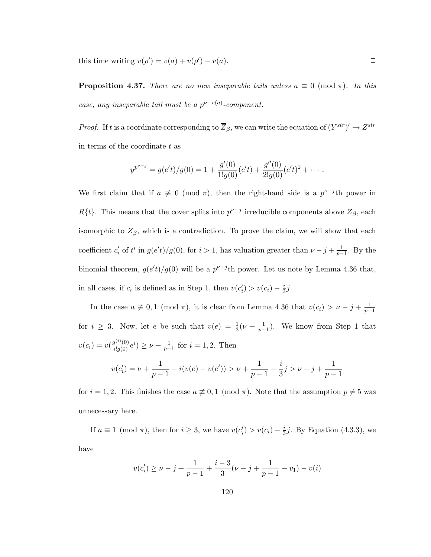this time writing  $v(\rho') = v(a) + v(\rho') - v(a)$ .

**Proposition 4.37.** There are no new inseparable tails unless  $a \equiv 0 \pmod{\pi}$ . In this case, any inseparable tail must be a  $p^{\nu-v(a)}$ -component.

*Proof.* If t is a coordinate corresponding to  $\overline{Z}_{\beta}$ , we can write the equation of  $(Y^{str})' \to Z^{str}$ in terms of the coordinate  $t$  as

$$
y^{p^{\nu-j}} = g(e't)/g(0) = 1 + \frac{g'(0)}{1!g(0)}(e't) + \frac{g''(0)}{2!g(0)}(e't)^2 + \cdots
$$

We first claim that if  $a \neq 0 \pmod{\pi}$ , then the right-hand side is a  $p^{\nu-j}$ th power in  $R\{t\}$ . This means that the cover splits into  $p^{\nu-j}$  irreducible components above  $\overline{Z}_{\beta}$ , each isomorphic to  $\overline{Z}_{\beta}$ , which is a contradiction. To prove the claim, we will show that each coefficient  $c_i'$  of  $t^i$  in  $g(e't)/g(0)$ , for  $i > 1$ , has valuation greater than  $\nu - j + \frac{1}{p-1}$ . By the binomial theorem,  $g(e't)/g(0)$  will be a  $p^{\nu-j}$ th power. Let us note by Lemma 4.36 that, in all cases, if  $c_i$  is defined as in Step 1, then  $v(c_i') > v(c_i) - \frac{i}{3}$  $\frac{i}{3}j$ .

In the case  $a \not\equiv 0, 1 \pmod{\pi}$ , it is clear from Lemma 4.36 that  $v(c_i) > \nu - j + \frac{1}{p-1}$ for  $i \geq 3$ . Now, let e be such that  $v(e) = \frac{1}{3}(\nu + \frac{1}{p-1})$ . We know from Step 1 that  $v(c_i) = v(\frac{g^{(i)}(0)}{i!g(0)}e^i) \ge \nu + \frac{1}{p-1}$  for  $i = 1, 2$ . Then

$$
v(c_i') = \nu + \frac{1}{p-1} - i(v(e) - v(e')) > \nu + \frac{1}{p-1} - \frac{i}{3}j > \nu - j + \frac{1}{p-1}
$$

for  $i = 1, 2$ . This finishes the case  $a \not\equiv 0, 1 \pmod{\pi}$ . Note that the assumption  $p \neq 5$  was unnecessary here.

If  $a \equiv 1 \pmod{\pi}$ , then for  $i \geq 3$ , we have  $v(c_i') > v(c_i) - \frac{i}{3}$  $\frac{1}{3}j$ . By Equation (4.3.3), we have

$$
v(c_i') \ge \nu - j + \frac{1}{p-1} + \frac{i-3}{3}(\nu - j + \frac{1}{p-1} - v_1) - v(i)
$$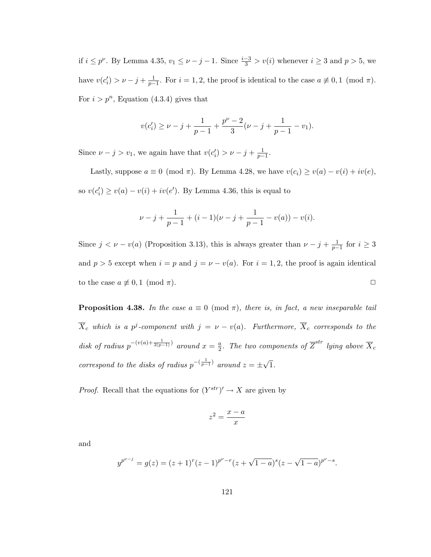if  $i \leq p^{\nu}$ . By Lemma 4.35,  $v_1 \leq \nu - j - 1$ . Since  $\frac{i-3}{3} > v(i)$  whenever  $i \geq 3$  and  $p > 5$ , we have  $v(c_i') > \nu - j + \frac{1}{p-1}$ . For  $i = 1, 2$ , the proof is identical to the case  $a \not\equiv 0, 1 \pmod{\pi}$ . For  $i > p^n$ , Equation (4.3.4) gives that

$$
v(c_i') \geq \nu-j+\frac{1}{p-1}+\frac{p^{\nu}-2}{3}(\nu-j+\frac{1}{p-1}-v_1).
$$

Since  $\nu - j > v_1$ , we again have that  $v(c'_i) > \nu - j + \frac{1}{p-1}$ .

Lastly, suppose  $a \equiv 0 \pmod{\pi}$ . By Lemma 4.28, we have  $v(c_i) \ge v(a) - v(i) + iv(e)$ , so  $v(c_i') \ge v(a) - v(i) + iv(e')$ . By Lemma 4.36, this is equal to

$$
\nu - j + \frac{1}{p-1} + (i-1)(\nu - j + \frac{1}{p-1} - v(a)) - v(i).
$$

Since  $j < \nu - v(a)$  (Proposition 3.13), this is always greater than  $\nu - j + \frac{1}{p-1}$  for  $i \geq 3$ and  $p > 5$  except when  $i = p$  and  $j = \nu - v(a)$ . For  $i = 1, 2$ , the proof is again identical to the case  $a \not\equiv 0, 1 \pmod{\pi}$ .

**Proposition 4.38.** In the case  $a \equiv 0 \pmod{\pi}$ , there is, in fact, a new inseparable tail  $\overline{X}_c$  which is a p<sup>j</sup>-component with  $j = \nu - v(a)$ . Furthermore,  $\overline{X}_c$  corresponds to the disk of radius  $p^{-(v(a)+\frac{1}{2(p-1)})}$  around  $x=\frac{a}{2}$  $\frac{a}{2}.$  The two components of  $\overline{Z}^{str}$  lying above  $\overline{X}_{c}$ correspond to the disks of radius  $p^{-\left(\frac{1}{p-1}\right)}$  around  $z = \pm$ √ 1.

*Proof.* Recall that the equations for  $(Y^{str})' \rightarrow X$  are given by

$$
z^2 = \frac{x - a}{x}
$$

and

$$
y^{p^{\nu-j}} = g(z) = (z+1)^r (z-1)^{p^{\nu}-r} (z+\sqrt{1-a})^s (z-\sqrt{1-a})^{p^{\nu}-s}.
$$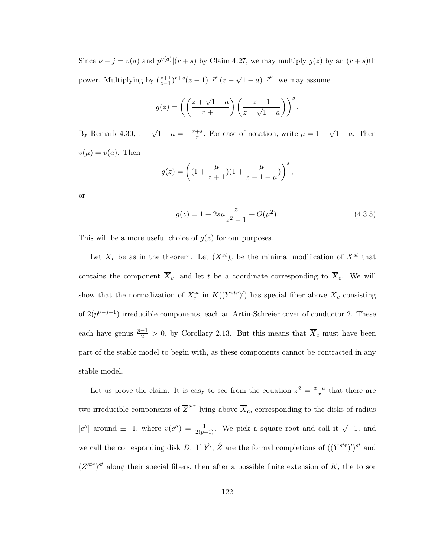Since  $\nu - j = v(a)$  and  $p^{v(a)}|(r + s)$  by Claim 4.27, we may multiply  $g(z)$  by an  $(r + s)$ th power. Multiplying by  $\left(\frac{z+1}{z-1}\right)^{r+s}(z-1)^{-p^{\nu}}(z-1)$ √  $\overline{1-a}$ )<sup>-p'</sup>, we may assume

$$
g(z) = \left( \left( \frac{z + \sqrt{1 - a}}{z + 1} \right) \left( \frac{z - 1}{z - \sqrt{1 - a}} \right) \right)^s.
$$

By Remark 4.30, 1 − √  $\overline{1-a}=-\frac{r+s}{r}$  $\frac{+s}{r}$ . For ease of notation, write  $\mu = 1 -$ √  $\overline{1-a}$ . Then  $v(\mu) = v(a)$ . Then

$$
g(z) = \left( (1 + \frac{\mu}{z+1})(1 + \frac{\mu}{z-1-\mu}) \right)^s,
$$

or

$$
g(z) = 1 + 2s\mu \frac{z}{z^2 - 1} + O(\mu^2). \tag{4.3.5}
$$

This will be a more useful choice of  $g(z)$  for our purposes.

Let  $\overline{X}_c$  be as in the theorem. Let  $(X^{st})_c$  be the minimal modification of  $X^{st}$  that contains the component  $\overline{X}_c$ , and let t be a coordinate corresponding to  $\overline{X}_c$ . We will show that the normalization of  $X_c^{st}$  in  $K((Y^{str})')$  has special fiber above  $\overline{X}_c$  consisting of  $2(p^{\nu-j-1})$  irreducible components, each an Artin-Schreier cover of conductor 2. These each have genus  $\frac{p-1}{2} > 0$ , by Corollary 2.13. But this means that  $\overline{X}_c$  must have been part of the stable model to begin with, as these components cannot be contracted in any stable model.

Let us prove the claim. It is easy to see from the equation  $z^2 = \frac{x-a}{x}$  $\frac{-a}{x}$  that there are two irreducible components of  $\overline{Z}^{str}$  lying above  $\overline{X}_c$ , corresponding to the disks of radius  $|e''|$  around  $\pm$ -1, where  $v(e'') = \frac{1}{2(p-1)}$ . We pick a square root and call it  $\sqrt{-1}$ , and we call the corresponding disk D. If  $\hat{Y}'$ ,  $\hat{Z}$  are the formal completions of  $((Y^{str})')^{st}$  and  $(Z^{str})^{st}$  along their special fibers, then after a possible finite extension of K, the torsor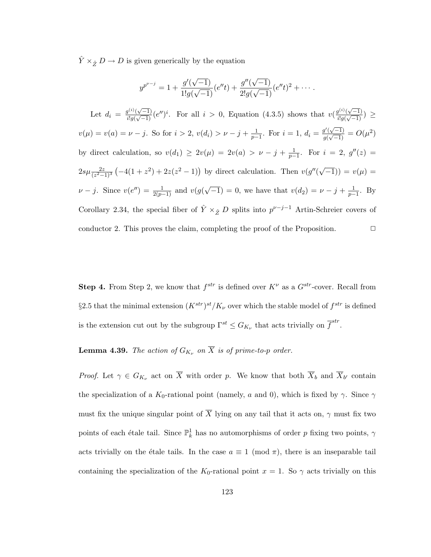$\hat{Y} \times_{\hat{Z}} D \to D$  is given generically by the equation

$$
y^{p^{\nu-j}} = 1 + \frac{g'(\sqrt{-1})}{1!g(\sqrt{-1})}(e''t) + \frac{g''(\sqrt{-1})}{2!g(\sqrt{-1})}(e''t)^2 + \cdots
$$
  
Let  $d_i = \frac{g^{(i)}(\sqrt{-1})}{i!g(\sqrt{-1})}(e'')^i$ . For all  $i > 0$ , Equation (4.3.5) shows that  $v(\frac{g^{(i)}(\sqrt{-1})}{i!g(\sqrt{-1})}) \ge$   
 $v(\mu) = v(a) = \nu - j$ . So for  $i > 2$ ,  $v(d_i) > \nu - j + \frac{1}{p-1}$ . For  $i = 1$ ,  $d_i = \frac{g'(\sqrt{-1})}{g(\sqrt{-1})} = O(\mu^2)$   
by direct calculation, so  $v(d_1) \ge 2v(\mu) = 2v(a) > \nu - j + \frac{1}{p-1}$ . For  $i = 2$ ,  $g''(z) =$   
 $2s\mu \frac{2z}{(z^2-1)^3}(-4(1+z^2)+2z(z^2-1))$  by direct calculation. Then  $v(g''(\sqrt{-1})) = v(\mu) =$   
 $\nu - j$ . Since  $v(e'') = \frac{1}{2(p-1)}$  and  $v(g(\sqrt{-1})) = 0$ , we have that  $v(d_2) = \nu - j + \frac{1}{p-1}$ . By  
Corollary 2.34, the special fiber of  $\hat{Y} \times_{\hat{Z}} D$  splits into  $p^{\nu-j-1}$  Artin-Schreier covers of  
conductor 2. This proves the claim, completing the proof of the Proposition.

**Step 4.** From Step 2, we know that  $f^{str}$  is defined over  $K^{\nu}$  as a  $G^{str}$ -cover. Recall from §2.5 that the minimal extension  $(K^{str})^{st}/K_{\nu}$  over which the stable model of  $f^{str}$  is defined is the extension cut out by the subgroup  $\Gamma^{st} \leq G_{K_{\nu}}$  that acts trivially on  $\overline{f}^{str}$ .

**Lemma 4.39.** The action of  $G_{K_{\nu}}$  on  $\overline{X}$  is of prime-to-p order.

*Proof.* Let  $\gamma \in G_{K_{\nu}}$  act on  $\overline{X}$  with order p. We know that both  $\overline{X}_b$  and  $\overline{X}_{b'}$  contain the specialization of a  $K_0$ -rational point (namely, a and 0), which is fixed by  $\gamma$ . Since  $\gamma$ must fix the unique singular point of  $\overline{X}$  lying on any tail that it acts on,  $\gamma$  must fix two points of each étale tail. Since  $\mathbb{P}^1_k$  has no automorphisms of order p fixing two points,  $\gamma$ acts trivially on the étale tails. In the case  $a \equiv 1 \pmod{\pi}$ , there is an inseparable tail containing the specialization of the K<sub>0</sub>-rational point  $x = 1$ . So  $\gamma$  acts trivially on this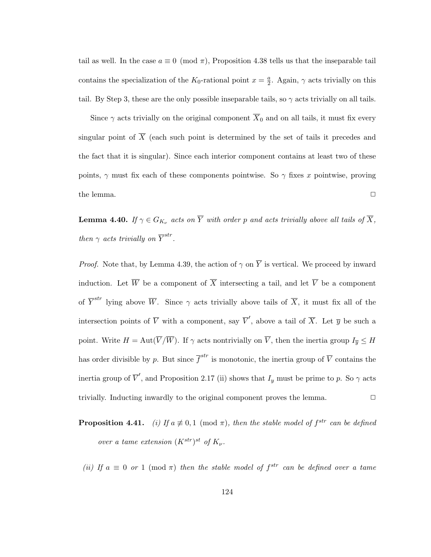tail as well. In the case  $a \equiv 0 \pmod{\pi}$ , Proposition 4.38 tells us that the inseparable tail contains the specialization of the  $K_0$ -rational point  $x = \frac{a}{2}$  $\frac{a}{2}$ . Again,  $\gamma$  acts trivially on this tail. By Step 3, these are the only possible inseparable tails, so  $\gamma$  acts trivially on all tails.

Since  $\gamma$  acts trivially on the original component  $\overline{X}_0$  and on all tails, it must fix every singular point of  $\overline{X}$  (each such point is determined by the set of tails it precedes and the fact that it is singular). Since each interior component contains at least two of these points,  $\gamma$  must fix each of these components pointwise. So  $\gamma$  fixes x pointwise, proving the lemma.  $\Box$ 

**Lemma 4.40.** If  $\gamma \in G_{K_{\nu}}$  acts on  $\overline{Y}$  with order p and acts trivially above all tails of  $\overline{X}$ , then  $\gamma$  acts trivially on  $\overline{Y}^{str}$ .

*Proof.* Note that, by Lemma 4.39, the action of  $\gamma$  on  $\overline{Y}$  is vertical. We proceed by inward induction. Let  $\overline{W}$  be a component of  $\overline{X}$  intersecting a tail, and let  $\overline{V}$  be a component of  $\overline{Y}^{str}$  lying above  $\overline{W}$ . Since  $\gamma$  acts trivially above tails of  $\overline{X}$ , it must fix all of the intersection points of  $\overline{V}$  with a component, say  $\overline{V}'$ , above a tail of  $\overline{X}$ . Let  $\overline{y}$  be such a point. Write  $H = \text{Aut}(\overline{V}/\overline{W})$ . If  $\gamma$  acts nontrivially on  $\overline{V}$ , then the inertia group  $I_{\overline{y}} \leq H$ has order divisible by p. But since  $\overline{f}^{str}$  is monotonic, the inertia group of  $\overline{V}$  contains the inertia group of  $\overline{V}'$ , and Proposition 2.17 (ii) shows that  $I_y$  must be prime to p. So  $\gamma$  acts trivially. Inducting inwardly to the original component proves the lemma.  $\Box$ 

**Proposition 4.41.** (i) If  $a \neq 0, 1 \pmod{\pi}$ , then the stable model of  $f^{str}$  can be defined over a tame extension  $(K^{str})^{st}$  of  $K_{\nu}$ .

(ii) If  $a \equiv 0$  or 1 (mod  $\pi$ ) then the stable model of  $f^{str}$  can be defined over a tame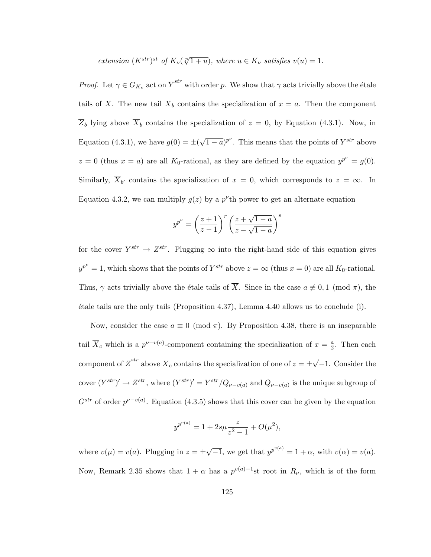extension  $(K^{str})^{st}$  of  $K_{\nu}(\sqrt[p]{1+u})$ , where  $u \in K_{\nu}$  satisfies  $v(u) = 1$ .

*Proof.* Let  $\gamma \in G_{K_{\nu}}$  act on  $\overline{Y}^{str}$  with order p. We show that  $\gamma$  acts trivially above the étale tails of  $\overline{X}$ . The new tail  $\overline{X}_b$  contains the specialization of  $x = a$ . Then the component  $\overline{Z}_b$  lying above  $\overline{X}_b$  contains the specialization of  $z = 0$ , by Equation (4.3.1). Now, in Equation (4.3.1), we have  $g(0) = \pm ($ √  $\overline{(1-a)}^{p^{\nu}}$ . This means that the points of  $Y^{str}$  above  $z = 0$  (thus  $x = a$ ) are all K<sub>0</sub>-rational, as they are defined by the equation  $y^{p^{\nu}} = g(0)$ . Similarly,  $\overline{X}_{b'}$  contains the specialization of  $x = 0$ , which corresponds to  $z = \infty$ . In Equation 4.3.2, we can multiply  $g(z)$  by a  $p^{\nu}$ th power to get an alternate equation

$$
y^{p^{\nu}} = \left(\frac{z+1}{z-1}\right)^r \left(\frac{z+\sqrt{1-a}}{z-\sqrt{1-a}}\right)^s
$$

for the cover  $Y^{str} \to Z^{str}$ . Plugging  $\infty$  into the right-hand side of this equation gives  $y^{p^{\nu}} = 1$ , which shows that the points of  $Y^{str}$  above  $z = \infty$  (thus  $x = 0$ ) are all  $K_0$ -rational. Thus,  $\gamma$  acts trivially above the étale tails of  $\overline{X}$ . Since in the case  $a \not\equiv 0, 1 \pmod{\pi}$ , the  $\alpha$  etale tails are the only tails (Proposition 4.37), Lemma 4.40 allows us to conclude (i).

Now, consider the case  $a \equiv 0 \pmod{\pi}$ . By Proposition 4.38, there is an inseparable tail  $\overline{X}_c$  which is a  $p^{\nu-v(a)}$ -component containing the specialization of  $x=\frac{a}{2}$  $\frac{a}{2}$ . Then each component of  $\overline{Z}^{str}$  above  $\overline{X}_c$  contains the specialization of one of  $z=\pm\sqrt{ }$ −1. Consider the cover  $(Y^{str})' \to Z^{str}$ , where  $(Y^{str})' = Y^{str}/Q_{\nu-\nu(a)}$  and  $Q_{\nu-\nu(a)}$  is the unique subgroup of  $G^{str}$  of order  $p^{\nu-\nu(a)}$ . Equation (4.3.5) shows that this cover can be given by the equation

$$
y^{p^{v(a)}} = 1 + 2s\mu \frac{z}{z^2 - 1} + O(\mu^2),
$$

where  $v(\mu) = v(a)$ . Plugging in  $z = \pm$ √  $\overline{-1}$ , we get that  $y^{p^{v(a)}} = 1 + \alpha$ , with  $v(\alpha) = v(a)$ . Now, Remark 2.35 shows that  $1 + \alpha$  has a  $p^{v(a)-1}$ st root in  $R_{\nu}$ , which is of the form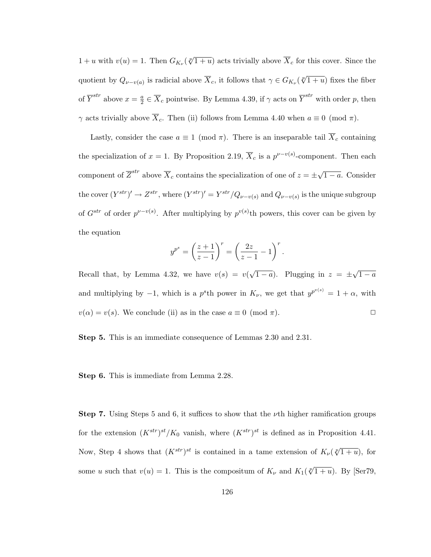$1 + u$  with  $v(u) = 1$ . Then  $G_{K_{\nu}}(\sqrt[p]{1 + u})$  acts trivially above  $\overline{X}_c$  for this cover. Since the quotient by  $Q_{\nu-\nu(a)}$  is radicial above  $\overline{X}_c$ , it follows that  $\gamma \in G_{K_{\nu}}(\sqrt[p]{1+u})$  fixes the fiber of  $\overline{Y}^{str}$  above  $x = \frac{a}{2}$  $\frac{a}{2} \in \overline{X}_c$  pointwise. By Lemma 4.39, if  $\gamma$  acts on  $\overline{Y}^{str}$  with order  $p$ , then  $γ$  acts trivially above  $\overline{X}_c$ . Then (ii) follows from Lemma 4.40 when  $a \equiv 0 \pmod{\pi}$ .

Lastly, consider the case  $a \equiv 1 \pmod{\pi}$ . There is an inseparable tail  $\overline{X}_c$  containing the specialization of  $x = 1$ . By Proposition 2.19,  $\overline{X}_c$  is a  $p^{\nu-v(s)}$ -component. Then each component of  $\overline{Z}^{str}$  above  $\overline{X}_c$  contains the specialization of one of  $z = \pm \sqrt{ }$  $\overline{1-a}$ . Consider the cover  $(Y^{str})' \to Z^{str}$ , where  $(Y^{str})' = Y^{str}/Q_{\nu-\nu(s)}$  and  $Q_{\nu-\nu(s)}$  is the unique subgroup of  $G^{str}$  of order  $p^{\nu-v(s)}$ . After multiplying by  $p^{v(s)}$ th powers, this cover can be given by the equation

$$
y^{p^s} = \left(\frac{z+1}{z-1}\right)^r = \left(\frac{2z}{z-1} - 1\right)^r.
$$

Recall that, by Lemma 4.32, we have  $v(s) = v(s)$ √  $\overline{1-a}$ ). Plugging in  $z = \pm$ √  $1 - a$ and multiplying by  $-1$ , which is a p<sup>s</sup>th power in  $K_{\nu}$ , we get that  $y^{p^{v(s)}} = 1 + \alpha$ , with  $v(\alpha) = v(s)$ . We conclude (ii) as in the case  $a \equiv 0 \pmod{\pi}$ .

Step 5. This is an immediate consequence of Lemmas 2.30 and 2.31.

Step 6. This is immediate from Lemma 2.28.

**Step 7.** Using Steps 5 and 6, it suffices to show that the  $\nu$ th higher ramification groups for the extension  $(K^{str})^{st}/K_0$  vanish, where  $(K^{str})^{st}$  is defined as in Proposition 4.41. Now, Step 4 shows that  $(K^{str})^{st}$  is contained in a tame extension of  $K_{\nu}(\sqrt[p]{1+u})$ , for some u such that  $v(u) = 1$ . This is the compositum of  $K_{\nu}$  and  $K_1(\sqrt[p]{1+u})$ . By [Ser79,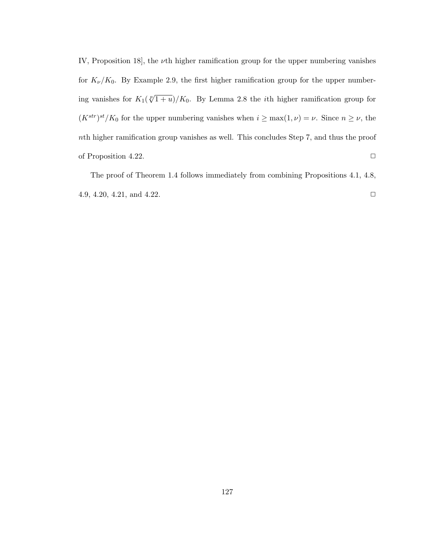IV, Proposition 18, the  $\nu$ th higher ramification group for the upper numbering vanishes for  $K_{\nu}/K_0$ . By Example 2.9, the first higher ramification group for the upper numbering vanishes for  $K_1(\sqrt[p]{1+u})/K_0$ . By Lemma 2.8 the *i*th higher ramification group for  $(K^{str})^{st}/K_0$  for the upper numbering vanishes when  $i \geq \max(1,\nu) = \nu$ . Since  $n \geq \nu$ , the nth higher ramification group vanishes as well. This concludes Step 7, and thus the proof of Proposition 4.22.  $\Box$ 

The proof of Theorem 1.4 follows immediately from combining Propositions 4.1, 4.8, 4.9, 4.20, 4.21, and 4.22.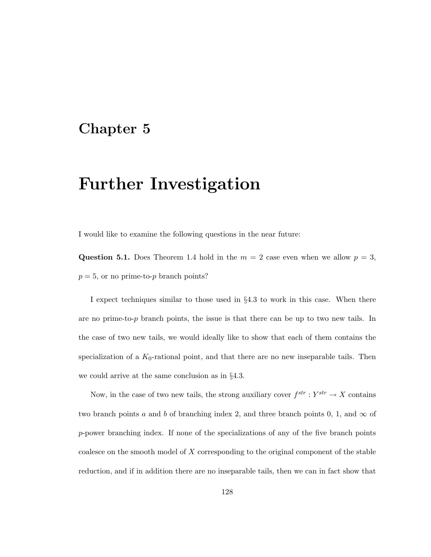## Chapter 5

## Further Investigation

I would like to examine the following questions in the near future:

Question 5.1. Does Theorem 1.4 hold in the  $m = 2$  case even when we allow  $p = 3$ ,  $p = 5$ , or no prime-to-p branch points?

I expect techniques similar to those used in §4.3 to work in this case. When there are no prime-to-p branch points, the issue is that there can be up to two new tails. In the case of two new tails, we would ideally like to show that each of them contains the specialization of a  $K_0$ -rational point, and that there are no new inseparable tails. Then we could arrive at the same conclusion as in §4.3.

Now, in the case of two new tails, the strong auxiliary cover  $f^{str}: Y^{str} \to X$  contains two branch points a and b of branching index 2, and three branch points 0, 1, and  $\infty$  of p-power branching index. If none of the specializations of any of the five branch points coalesce on the smooth model of  $X$  corresponding to the original component of the stable reduction, and if in addition there are no inseparable tails, then we can in fact show that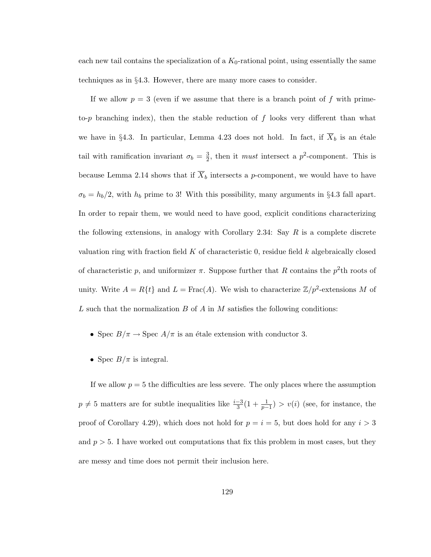each new tail contains the specialization of a  $K_0$ -rational point, using essentially the same techniques as in §4.3. However, there are many more cases to consider.

If we allow  $p = 3$  (even if we assume that there is a branch point of f with primeto-p branching index), then the stable reduction of  $f$  looks very different than what we have in §4.3. In particular, Lemma 4.23 does not hold. In fact, if  $\overline{X}_b$  is an étale tail with ramification invariant  $\sigma_b = \frac{3}{2}$  $\frac{3}{2}$ , then it *must* intersect a  $p^2$ -component. This is because Lemma 2.14 shows that if  $\overline{X}_b$  intersects a p-component, we would have to have  $\sigma_b = h_b/2$ , with  $h_b$  prime to 3! With this possibility, many arguments in §4.3 fall apart. In order to repair them, we would need to have good, explicit conditions characterizing the following extensions, in analogy with Corollary 2.34: Say  $R$  is a complete discrete valuation ring with fraction field  $K$  of characteristic 0, residue field  $k$  algebraically closed of characteristic p, and uniformizer  $\pi$ . Suppose further that R contains the  $p^2$ th roots of unity. Write  $A = R\{t\}$  and  $L = \text{Frac}(A)$ . We wish to characterize  $\mathbb{Z}/p^2$ -extensions M of L such that the normalization  $B$  of  $A$  in  $M$  satisfies the following conditions:

- Spec  $B/\pi \rightarrow {\rm Spec}\ A/\pi$  is an étale extension with conductor 3.
- Spec  $B/\pi$  is integral.

If we allow  $p = 5$  the difficulties are less severe. The only places where the assumption  $p \neq 5$  matters are for subtle inequalities like  $\frac{i-3}{3}(1 + \frac{1}{p-1}) > v(i)$  (see, for instance, the proof of Corollary 4.29), which does not hold for  $p = i = 5$ , but does hold for any  $i > 3$ and  $p > 5$ . I have worked out computations that fix this problem in most cases, but they are messy and time does not permit their inclusion here.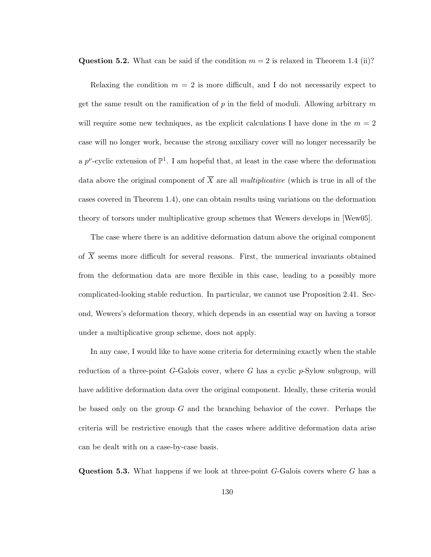**Question 5.2.** What can be said if the condition  $m = 2$  is relaxed in Theorem 1.4 (ii)?

Relaxing the condition  $m = 2$  is more difficult, and I do not necessarily expect to get the same result on the ramification of  $p$  in the field of moduli. Allowing arbitrary  $m$ will require some new techniques, as the explicit calculations I have done in the  $m = 2$ case will no longer work, because the strong auxiliary cover will no longer necessarily be a  $p^{\nu}$ -cyclic extension of  $\mathbb{P}^{1}$ . I am hopeful that, at least in the case where the deformation data above the original component of  $\overline{X}$  are all *multiplicative* (which is true in all of the cases covered in Theorem 1.4), one can obtain results using variations on the deformation theory of torsors under multiplicative group schemes that Wewers develops in [Wew05].

The case where there is an additive deformation datum above the original component of  $\overline{X}$  seems more difficult for several reasons. First, the numerical invariants obtained from the deformation data are more flexible in this case, leading to a possibly more complicated-looking stable reduction. In particular, we cannot use Proposition 2.41. Second, Wewers's deformation theory, which depends in an essential way on having a torsor under a multiplicative group scheme, does not apply.

In any case, I would like to have some criteria for determining exactly when the stable reduction of a three-point  $G$ -Galois cover, where G has a cyclic  $p$ -Sylow subgroup, will have additive deformation data over the original component. Ideally, these criteria would be based only on the group  $G$  and the branching behavior of the cover. Perhaps the criteria will be restrictive enough that the cases where additive deformation data arise can be dealt with on a case-by-case basis.

**Question 5.3.** What happens if we look at three-point  $G$ -Galois covers where  $G$  has a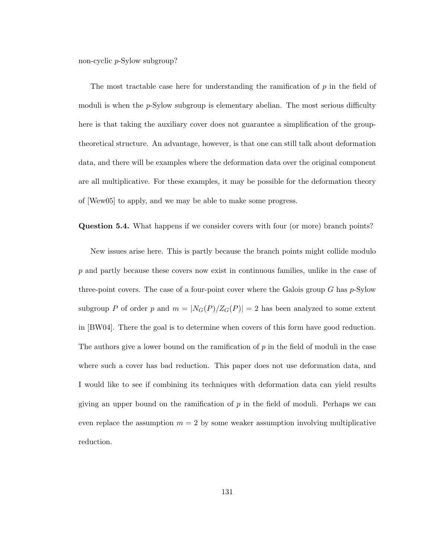non-cyclic p-Sylow subgroup?

The most tractable case here for understanding the ramification of  $p$  in the field of moduli is when the  $p$ -Sylow subgroup is elementary abelian. The most serious difficulty here is that taking the auxiliary cover does not guarantee a simplification of the grouptheoretical structure. An advantage, however, is that one can still talk about deformation data, and there will be examples where the deformation data over the original component are all multiplicative. For these examples, it may be possible for the deformation theory of [Wew05] to apply, and we may be able to make some progress.

Question 5.4. What happens if we consider covers with four (or more) branch points?

New issues arise here. This is partly because the branch points might collide modulo p and partly because these covers now exist in continuous families, unlike in the case of three-point covers. The case of a four-point cover where the Galois group  $G$  has  $p$ -Sylow subgroup P of order p and  $m = |N_G(P)/Z_G(P)| = 2$  has been analyzed to some extent in [BW04]. There the goal is to determine when covers of this form have good reduction. The authors give a lower bound on the ramification of  $p$  in the field of moduli in the case where such a cover has bad reduction. This paper does not use deformation data, and I would like to see if combining its techniques with deformation data can yield results giving an upper bound on the ramification of  $p$  in the field of moduli. Perhaps we can even replace the assumption  $m = 2$  by some weaker assumption involving multiplicative reduction.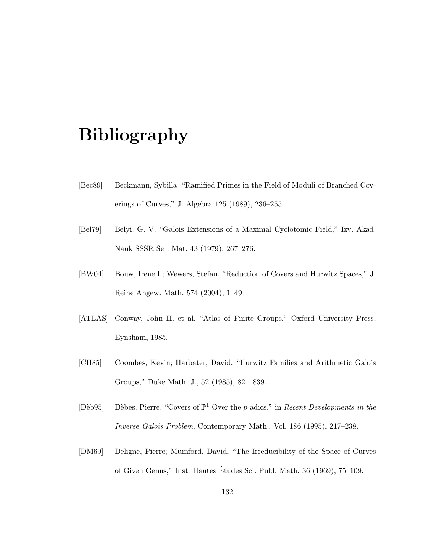## Bibliography

- [Bec89] Beckmann, Sybilla. "Ramified Primes in the Field of Moduli of Branched Coverings of Curves," J. Algebra 125 (1989), 236–255.
- [Bel79] Belyi, G. V. "Galois Extensions of a Maximal Cyclotomic Field," Izv. Akad. Nauk SSSR Ser. Mat. 43 (1979), 267–276.
- [BW04] Bouw, Irene I.; Wewers, Stefan. "Reduction of Covers and Hurwitz Spaces," J. Reine Angew. Math. 574 (2004), 1–49.
- [ATLAS] Conway, John H. et al. "Atlas of Finite Groups," Oxford University Press, Eynsham, 1985.
- [CH85] Coombes, Kevin; Harbater, David. "Hurwitz Families and Arithmetic Galois Groups," Duke Math. J., 52 (1985), 821–839.
- [Dèb95] Dèbes, Pierre. "Covers of  $\mathbb{P}^1$  Over the p-adics," in Recent Developments in the Inverse Galois Problem, Contemporary Math., Vol. 186 (1995), 217–238.
- [DM69] Deligne, Pierre; Mumford, David. "The Irreducibility of the Space of Curves of Given Genus," Inst. Hautes Etudes Sci. Publ. Math. 36 (1969), 75–109. ´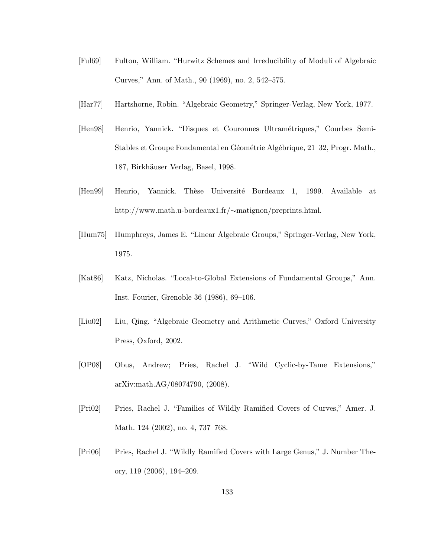- [Ful69] Fulton, William. "Hurwitz Schemes and Irreducibility of Moduli of Algebraic Curves," Ann. of Math., 90 (1969), no. 2, 542–575.
- [Har77] Hartshorne, Robin. "Algebraic Geometry," Springer-Verlag, New York, 1977.
- [Hen98] Henrio, Yannick. "Disques et Couronnes Ultramétriques," Courbes Semi-Stables et Groupe Fondamental en Géométrie Algébrique, 21–32, Progr. Math., 187, Birkhäuser Verlag, Basel, 1998.
- [Hen99] Henrio, Yannick. Thèse Université Bordeaux 1, 1999. Available at http://www.math.u-bordeaux1.fr/∼matignon/preprints.html.
- [Hum75] Humphreys, James E. "Linear Algebraic Groups," Springer-Verlag, New York, 1975.
- [Kat86] Katz, Nicholas. "Local-to-Global Extensions of Fundamental Groups," Ann. Inst. Fourier, Grenoble 36 (1986), 69–106.
- [Liu02] Liu, Qing. "Algebraic Geometry and Arithmetic Curves," Oxford University Press, Oxford, 2002.
- [OP08] Obus, Andrew; Pries, Rachel J. "Wild Cyclic-by-Tame Extensions," arXiv:math.AG/08074790, (2008).
- [Pri02] Pries, Rachel J. "Families of Wildly Ramified Covers of Curves," Amer. J. Math. 124 (2002), no. 4, 737–768.
- [Pri06] Pries, Rachel J. "Wildly Ramified Covers with Large Genus," J. Number Theory, 119 (2006), 194–209.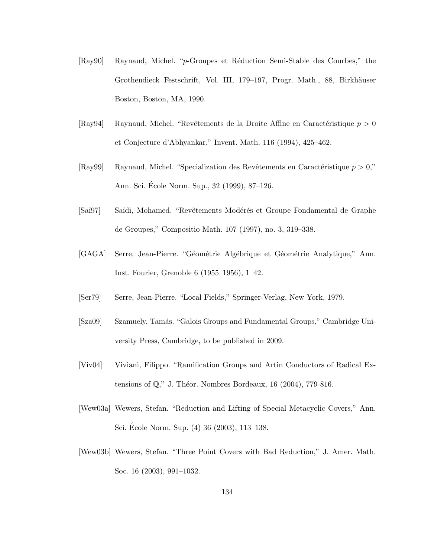- [Ray90] Raynaud, Michel. "p-Groupes et R´eduction Semi-Stable des Courbes," the Grothendieck Festschrift, Vol. III, 179–197, Progr. Math., 88, Birkhäuser Boston, Boston, MA, 1990.
- [Ray94] Raynaud, Michel. "Revêtements de la Droite Affine en Caractéristique  $p > 0$ et Conjecture d'Abhyankar," Invent. Math. 116 (1994), 425–462.
- [Ray99] Raynaud, Michel. "Specialization des Revêtements en Caractéristique  $p > 0$ ," Ann. Sci. Ecole Norm. Sup., 32 (1999), 87–126. ´
- [Saï97] Saïdi, Mohamed. "Revêtements Modérés et Groupe Fondamental de Graphe de Groupes," Compositio Math. 107 (1997), no. 3, 319–338.
- [GAGA] Serre, Jean-Pierre. "Géométrie Algébrique et Géométrie Analytique," Ann. Inst. Fourier, Grenoble 6 (1955–1956), 1–42.
- [Ser79] Serre, Jean-Pierre. "Local Fields," Springer-Verlag, New York, 1979.
- [Sza09] Szamuely, Tam´as. "Galois Groups and Fundamental Groups," Cambridge University Press, Cambridge, to be published in 2009.
- [Viv04] Viviani, Filippo. "Ramification Groups and Artin Conductors of Radical Extensions of  $\mathbb{Q}$ ," J. Théor. Nombres Bordeaux, 16 (2004), 779-816.
- [Wew03a] Wewers, Stefan. "Reduction and Lifting of Special Metacyclic Covers," Ann. Sci. Ecole Norm. Sup. (4) 36 (2003), 113–138. ´
- [Wew03b] Wewers, Stefan. "Three Point Covers with Bad Reduction," J. Amer. Math. Soc. 16 (2003), 991–1032.